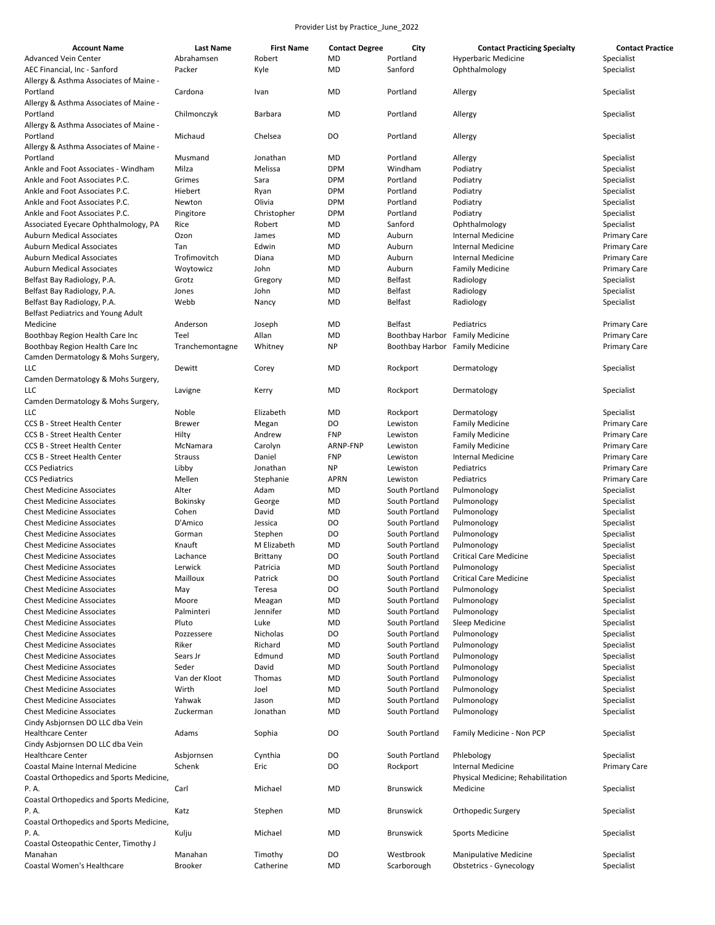| <b>Account Name</b>                      | <b>Last Name</b> | <b>First Name</b> | <b>Contact Degree</b> | City             | <b>Contact Practicing Specialty</b> | <b>Contact Practice</b> |
|------------------------------------------|------------------|-------------------|-----------------------|------------------|-------------------------------------|-------------------------|
| <b>Advanced Vein Center</b>              | Abrahamsen       | Robert            | MD                    | Portland         | <b>Hyperbaric Medicine</b>          | Specialist              |
| AEC Financial, Inc - Sanford             | Packer           | Kyle              | <b>MD</b>             | Sanford          | Ophthalmology                       | Specialist              |
| Allergy & Asthma Associates of Maine -   |                  |                   |                       |                  |                                     |                         |
| Portland                                 | Cardona          | Ivan              | MD                    | Portland         | Allergy                             | Specialist              |
| Allergy & Asthma Associates of Maine -   |                  |                   |                       |                  |                                     |                         |
| Portland                                 | Chilmonczyk      | Barbara           | MD                    | Portland         | Allergy                             | Specialist              |
| Allergy & Asthma Associates of Maine -   |                  |                   |                       |                  |                                     |                         |
| Portland                                 | Michaud          | Chelsea           | DO                    | Portland         | Allergy                             | Specialist              |
| Allergy & Asthma Associates of Maine -   |                  |                   |                       |                  |                                     |                         |
| Portland                                 | Musmand          | Jonathan          | MD                    | Portland         | Allergy                             | Specialist              |
| Ankle and Foot Associates - Windham      | Milza            | Melissa           | <b>DPM</b>            | Windham          | Podiatry                            | Specialist              |
| Ankle and Foot Associates P.C.           | Grimes           | Sara              | <b>DPM</b>            | Portland         | Podiatry                            | Specialist              |
| Ankle and Foot Associates P.C.           | Hiebert          | Ryan              | <b>DPM</b>            | Portland         | Podiatry                            | Specialist              |
| Ankle and Foot Associates P.C.           |                  | Olivia            | <b>DPM</b>            | Portland         |                                     |                         |
|                                          | Newton           |                   |                       |                  | Podiatry                            | Specialist              |
| Ankle and Foot Associates P.C.           | Pingitore        | Christopher       | <b>DPM</b>            | Portland         | Podiatry                            | Specialist              |
| Associated Eyecare Ophthalmology, PA     | Rice             | Robert            | MD                    | Sanford          | Ophthalmology                       | Specialist              |
| <b>Auburn Medical Associates</b>         | Ozon             | James             | MD                    | Auburn           | <b>Internal Medicine</b>            | <b>Primary Care</b>     |
| <b>Auburn Medical Associates</b>         | Tan              | Edwin             | MD                    | Auburn           | <b>Internal Medicine</b>            | <b>Primary Care</b>     |
| <b>Auburn Medical Associates</b>         | Trofimovitch     | Diana             | MD                    | Auburn           | <b>Internal Medicine</b>            | <b>Primary Care</b>     |
| <b>Auburn Medical Associates</b>         | Woytowicz        | John              | MD                    | Auburn           | <b>Family Medicine</b>              | <b>Primary Care</b>     |
| Belfast Bay Radiology, P.A.              | Grotz            | Gregory           | MD                    | <b>Belfast</b>   | Radiology                           | Specialist              |
| Belfast Bay Radiology, P.A.              | Jones            | John              | MD                    | <b>Belfast</b>   | Radiology                           | Specialist              |
| Belfast Bay Radiology, P.A.              | Webb             | Nancy             | MD                    | <b>Belfast</b>   | Radiology                           | Specialist              |
| Belfast Pediatrics and Young Adult       |                  |                   |                       |                  |                                     |                         |
| Medicine                                 | Anderson         | Joseph            | MD                    | <b>Belfast</b>   | Pediatrics                          | <b>Primary Care</b>     |
| Boothbay Region Health Care Inc          | Teel             | Allan             | MD                    | Boothbay Harbor  | <b>Family Medicine</b>              | <b>Primary Care</b>     |
| Boothbay Region Health Care Inc          | Tranchemontagne  | Whitney           | <b>NP</b>             | Boothbay Harbor  | <b>Family Medicine</b>              | <b>Primary Care</b>     |
| Camden Dermatology & Mohs Surgery,       |                  |                   |                       |                  |                                     |                         |
| LLC                                      | Dewitt           | Corey             | MD                    | Rockport         | Dermatology                         | Specialist              |
| Camden Dermatology & Mohs Surgery,       |                  |                   |                       |                  |                                     |                         |
| LLC                                      | Lavigne          | Kerry             | MD                    | Rockport         | Dermatology                         | Specialist              |
| Camden Dermatology & Mohs Surgery,       |                  |                   |                       |                  |                                     |                         |
| LLC                                      | Noble            | Elizabeth         | MD                    | Rockport         | Dermatology                         | Specialist              |
| <b>CCS B - Street Health Center</b>      | <b>Brewer</b>    | Megan             | DO                    | Lewiston         | <b>Family Medicine</b>              | <b>Primary Care</b>     |
| <b>CCS B - Street Health Center</b>      | Hilty            | Andrew            | <b>FNP</b>            | Lewiston         | <b>Family Medicine</b>              | <b>Primary Care</b>     |
| <b>CCS B - Street Health Center</b>      | McNamara         | Carolyn           | ARNP-FNP              | Lewiston         | <b>Family Medicine</b>              | <b>Primary Care</b>     |
| <b>CCS B - Street Health Center</b>      | <b>Strauss</b>   | Daniel            | <b>FNP</b>            | Lewiston         | <b>Internal Medicine</b>            | <b>Primary Care</b>     |
| <b>CCS Pediatrics</b>                    | Libby            | Jonathan          | <b>NP</b>             | Lewiston         | Pediatrics                          | <b>Primary Care</b>     |
| <b>CCS Pediatrics</b>                    | Mellen           |                   |                       | Lewiston         |                                     |                         |
|                                          |                  | Stephanie         | APRN                  |                  | Pediatrics                          | <b>Primary Care</b>     |
| <b>Chest Medicine Associates</b>         | Alter            | Adam              | MD                    | South Portland   | Pulmonology                         | Specialist              |
| <b>Chest Medicine Associates</b>         | Bokinsky         | George            | MD                    | South Portland   | Pulmonology                         | Specialist              |
| <b>Chest Medicine Associates</b>         | Cohen            | David             | MD                    | South Portland   | Pulmonology                         | Specialist              |
| <b>Chest Medicine Associates</b>         | D'Amico          | Jessica           | DO                    | South Portland   | Pulmonology                         | Specialist              |
| <b>Chest Medicine Associates</b>         | Gorman           | Stephen           | DO                    | South Portland   | Pulmonology                         | Specialist              |
| <b>Chest Medicine Associates</b>         | Knauft           | M Elizabeth       | <b>MD</b>             | South Portland   | Pulmonology                         | Specialist              |
| <b>Chest Medicine Associates</b>         | Lachance         | Brittany          | DO                    | South Portland   | <b>Critical Care Medicine</b>       | Specialist              |
| <b>Chest Medicine Associates</b>         | Lerwick          | Patricia          | MD                    | South Portland   | Pulmonology                         | Specialist              |
| <b>Chest Medicine Associates</b>         | Mailloux         | Patrick           | DO                    | South Portland   | <b>Critical Care Medicine</b>       | Specialist              |
| <b>Chest Medicine Associates</b>         | May              | Teresa            | DO                    | South Portland   | Pulmonology                         | Specialist              |
| <b>Chest Medicine Associates</b>         | Moore            | Meagan            | MD                    | South Portland   | Pulmonology                         | Specialist              |
| <b>Chest Medicine Associates</b>         | Palminteri       | Jennifer          | MD                    | South Portland   | Pulmonology                         | Specialist              |
| <b>Chest Medicine Associates</b>         | Pluto            | Luke              | MD                    | South Portland   | Sleep Medicine                      | Specialist              |
| <b>Chest Medicine Associates</b>         | Pozzessere       | Nicholas          | DO                    | South Portland   | Pulmonology                         | Specialist              |
| <b>Chest Medicine Associates</b>         | Riker            | Richard           | MD                    | South Portland   | Pulmonology                         | Specialist              |
| <b>Chest Medicine Associates</b>         | Sears Jr         | Edmund            | MD                    | South Portland   | Pulmonology                         | Specialist              |
| <b>Chest Medicine Associates</b>         | Seder            | David             | MD                    | South Portland   | Pulmonology                         | Specialist              |
| <b>Chest Medicine Associates</b>         | Van der Kloot    | Thomas            | MD                    | South Portland   | Pulmonology                         | Specialist              |
| <b>Chest Medicine Associates</b>         | Wirth            | Joel              | MD                    | South Portland   | Pulmonology                         | Specialist              |
| <b>Chest Medicine Associates</b>         | Yahwak           | Jason             | MD                    | South Portland   | Pulmonology                         | Specialist              |
| <b>Chest Medicine Associates</b>         | Zuckerman        | Jonathan          | MD                    | South Portland   | Pulmonology                         | Specialist              |
|                                          |                  |                   |                       |                  |                                     |                         |
| Cindy Asbjornsen DO LLC dba Vein         |                  |                   |                       |                  |                                     |                         |
| <b>Healthcare Center</b>                 | Adams            | Sophia            | DO                    | South Portland   | Family Medicine - Non PCP           | Specialist              |
| Cindy Asbjornsen DO LLC dba Vein         |                  |                   |                       |                  |                                     |                         |
| <b>Healthcare Center</b>                 | Asbjornsen       | Cynthia           | DO                    | South Portland   | Phlebology                          | Specialist              |
| Coastal Maine Internal Medicine          | Schenk           | Eric              | DO                    | Rockport         | <b>Internal Medicine</b>            | <b>Primary Care</b>     |
| Coastal Orthopedics and Sports Medicine, |                  |                   |                       |                  | Physical Medicine; Rehabilitation   |                         |
| P.A.                                     | Carl             | Michael           | MD                    | <b>Brunswick</b> | Medicine                            | Specialist              |
| Coastal Orthopedics and Sports Medicine, |                  |                   |                       |                  |                                     |                         |
| P.A.                                     | Katz             | Stephen           | MD                    | <b>Brunswick</b> | Orthopedic Surgery                  | Specialist              |
| Coastal Orthopedics and Sports Medicine, |                  |                   |                       |                  |                                     |                         |
| P.A.                                     | Kulju            | Michael           | MD                    | <b>Brunswick</b> | <b>Sports Medicine</b>              | Specialist              |
| Coastal Osteopathic Center, Timothy J    |                  |                   |                       |                  |                                     |                         |
| Manahan                                  | Manahan          | Timothy           | DO                    | Westbrook        | <b>Manipulative Medicine</b>        | Specialist              |
| Coastal Women's Healthcare               | Brooker          | Catherine         | MD                    | Scarborough      | <b>Obstetrics - Gynecology</b>      | Specialist              |
|                                          |                  |                   |                       |                  |                                     |                         |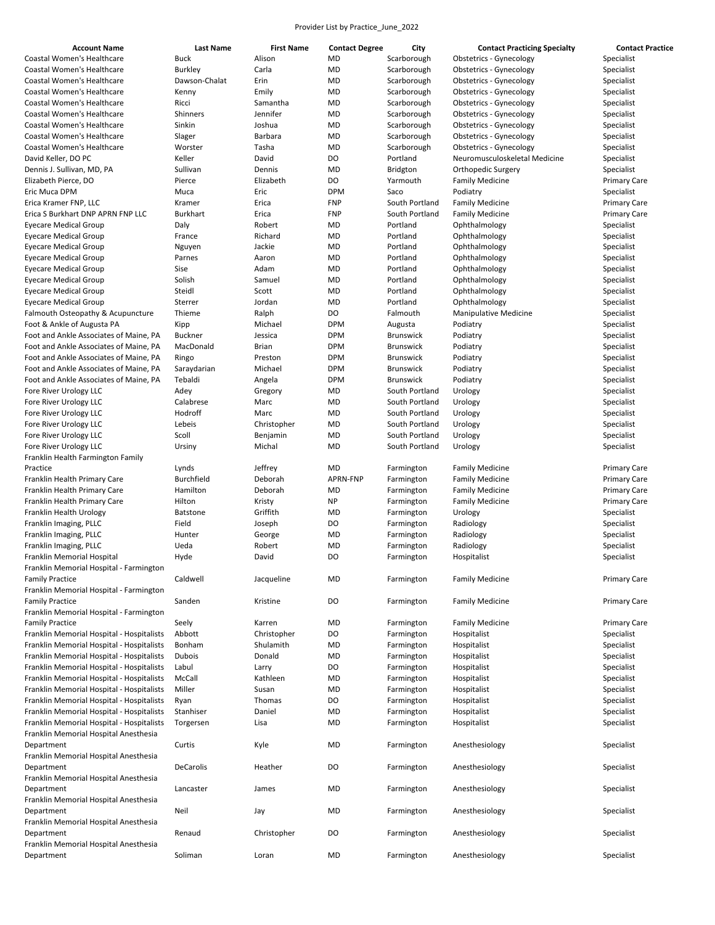| <b>Account Name</b>                                          | <b>Last Name</b>           | <b>First Name</b> | <b>Contact Degree</b>  | City                     | <b>Contact Practicing Specialty</b> | <b>Contact Practice</b>                    |
|--------------------------------------------------------------|----------------------------|-------------------|------------------------|--------------------------|-------------------------------------|--------------------------------------------|
| Coastal Women's Healthcare                                   | <b>Buck</b>                | Alison            | <b>MD</b>              | Scarborough              | <b>Obstetrics - Gynecology</b>      | Specialist                                 |
| Coastal Women's Healthcare                                   | <b>Burkley</b>             | Carla             | <b>MD</b>              | Scarborough              | <b>Obstetrics - Gynecology</b>      | Specialist                                 |
| Coastal Women's Healthcare                                   | Dawson-Chalat              | Erin              | <b>MD</b>              | Scarborough              | <b>Obstetrics - Gynecology</b>      | Specialist                                 |
| Coastal Women's Healthcare                                   | Kenny                      | Emily             | <b>MD</b>              | Scarborough              | <b>Obstetrics - Gynecology</b>      | Specialist                                 |
| Coastal Women's Healthcare                                   | Ricci                      | Samantha          | MD                     | Scarborough              | <b>Obstetrics - Gynecology</b>      | Specialist                                 |
| Coastal Women's Healthcare                                   | Shinners                   | Jennifer          | <b>MD</b>              | Scarborough              | <b>Obstetrics - Gynecology</b>      | Specialist                                 |
| Coastal Women's Healthcare                                   | Sinkin                     | Joshua            | MD                     | Scarborough              | <b>Obstetrics - Gynecology</b>      | Specialist                                 |
| Coastal Women's Healthcare                                   | Slager                     | Barbara           | MD                     | Scarborough              | <b>Obstetrics - Gynecology</b>      | Specialist                                 |
| Coastal Women's Healthcare                                   | Worster                    | Tasha             | MD                     | Scarborough              | <b>Obstetrics - Gynecology</b>      | Specialist                                 |
| David Keller, DO PC                                          | Keller                     | David             | DO                     | Portland                 | Neuromusculoskeletal Medicine       | Specialist                                 |
| Dennis J. Sullivan, MD, PA                                   | Sullivan                   | Dennis            | MD                     | <b>Bridgton</b>          | Orthopedic Surgery                  | Specialist                                 |
| Elizabeth Pierce, DO                                         | Pierce                     | Elizabeth         | DO                     | Yarmouth                 | <b>Family Medicine</b>              | <b>Primary Care</b>                        |
| Eric Muca DPM                                                | Muca                       | Eric              | <b>DPM</b>             | Saco                     | Podiatry                            | Specialist                                 |
| Erica Kramer FNP, LLC                                        | Kramer                     | Erica             | <b>FNP</b>             | South Portland           | <b>Family Medicine</b>              | <b>Primary Care</b>                        |
| Erica S Burkhart DNP APRN FNP LLC                            | Burkhart                   | Erica             | <b>FNP</b>             | South Portland           | <b>Family Medicine</b>              | <b>Primary Care</b>                        |
| <b>Eyecare Medical Group</b>                                 | Daly                       | Robert            | <b>MD</b>              | Portland                 | Ophthalmology                       | Specialist                                 |
| <b>Eyecare Medical Group</b>                                 | France                     | Richard           | <b>MD</b>              | Portland                 | Ophthalmology                       | Specialist                                 |
| <b>Eyecare Medical Group</b>                                 | Nguyen                     | Jackie            | <b>MD</b>              | Portland                 | Ophthalmology                       | Specialist                                 |
| <b>Eyecare Medical Group</b>                                 | Parnes                     | Aaron             | <b>MD</b>              | Portland                 | Ophthalmology                       | Specialist                                 |
| <b>Eyecare Medical Group</b>                                 | Sise                       | Adam              | <b>MD</b>              | Portland                 | Ophthalmology                       | Specialist                                 |
| <b>Eyecare Medical Group</b>                                 | Solish                     | Samuel            | <b>MD</b>              | Portland                 | Ophthalmology                       | Specialist                                 |
| <b>Eyecare Medical Group</b>                                 | Steidl                     | Scott             | <b>MD</b>              | Portland                 | Ophthalmology                       | Specialist                                 |
| <b>Eyecare Medical Group</b>                                 | Sterrer                    | Jordan            | <b>MD</b>              | Portland                 | Ophthalmology                       | Specialist                                 |
| Falmouth Osteopathy & Acupuncture                            | Thieme                     | Ralph             | DO                     | Falmouth                 | <b>Manipulative Medicine</b>        | Specialist                                 |
| Foot & Ankle of Augusta PA                                   | Kipp                       | Michael           | <b>DPM</b>             | Augusta                  | Podiatry                            | Specialist                                 |
| Foot and Ankle Associates of Maine, PA                       | <b>Buckner</b>             | Jessica           | <b>DPM</b>             | <b>Brunswick</b>         | Podiatry                            | Specialist                                 |
| Foot and Ankle Associates of Maine, PA                       | MacDonald                  | <b>Brian</b>      | <b>DPM</b>             | <b>Brunswick</b>         | Podiatry                            | Specialist                                 |
| Foot and Ankle Associates of Maine, PA                       | Ringo                      | Preston           | <b>DPM</b>             | <b>Brunswick</b>         | Podiatry                            | Specialist                                 |
| Foot and Ankle Associates of Maine, PA                       | Saraydarian                | Michael           | <b>DPM</b>             | <b>Brunswick</b>         | Podiatry                            | Specialist                                 |
| Foot and Ankle Associates of Maine, PA                       | Tebaldi                    | Angela            | <b>DPM</b>             | <b>Brunswick</b>         | Podiatry                            | Specialist                                 |
| Fore River Urology LLC                                       | Adey                       | Gregory           | <b>MD</b>              | South Portland           | Urology                             | Specialist                                 |
| Fore River Urology LLC                                       | Calabrese                  | Marc              | <b>MD</b>              | South Portland           | Urology                             | Specialist                                 |
| Fore River Urology LLC                                       | Hodroff                    | Marc              | <b>MD</b>              | South Portland           | Urology                             | Specialist                                 |
| Fore River Urology LLC                                       | Lebeis                     | Christopher       | <b>MD</b>              | South Portland           | Urology                             | Specialist                                 |
| Fore River Urology LLC                                       | Scoll                      | Benjamin          | <b>MD</b>              | South Portland           | Urology                             | Specialist                                 |
| Fore River Urology LLC                                       | Ursiny                     | Michal            | <b>MD</b>              | South Portland           | Urology                             | Specialist                                 |
| Franklin Health Farmington Family                            |                            |                   |                        |                          |                                     |                                            |
| Practice                                                     |                            | Jeffrey           | <b>MD</b>              |                          |                                     |                                            |
| Franklin Health Primary Care                                 | Lynds<br><b>Burchfield</b> | Deborah           | APRN-FNP               | Farmington<br>Farmington | <b>Family Medicine</b>              | <b>Primary Care</b><br><b>Primary Care</b> |
|                                                              | Hamilton                   | Deborah           |                        | Farmington               | <b>Family Medicine</b>              |                                            |
| Franklin Health Primary Care<br>Franklin Health Primary Care | Hilton                     |                   | <b>MD</b><br><b>NP</b> |                          | <b>Family Medicine</b>              | <b>Primary Care</b>                        |
|                                                              |                            | Kristy            |                        | Farmington               | <b>Family Medicine</b>              | <b>Primary Care</b><br>Specialist          |
| Franklin Health Urology                                      | <b>Batstone</b>            | Griffith          | <b>MD</b><br>DO        | Farmington               | Urology                             |                                            |
| Franklin Imaging, PLLC                                       | Field                      | Joseph            |                        | Farmington               | Radiology                           | Specialist                                 |
| Franklin Imaging, PLLC                                       | Hunter                     | George            | <b>MD</b>              | Farmington               | Radiology                           | Specialist                                 |
| Franklin Imaging, PLLC                                       | Ueda                       | Robert            | <b>MD</b>              | Farmington               | Radiology                           | Specialist                                 |
| Franklin Memorial Hospital                                   | Hyde                       | David             | DO                     | Farmington               | Hospitalist                         | Specialist                                 |
| Franklin Memorial Hospital - Farmington                      |                            |                   |                        |                          |                                     |                                            |
| <b>Family Practice</b>                                       | Caldwell                   | Jacqueline        | <b>MD</b>              | Farmington               | <b>Family Medicine</b>              | <b>Primary Care</b>                        |
| Franklin Memorial Hospital - Farmington                      |                            |                   |                        |                          |                                     |                                            |
| <b>Family Practice</b>                                       | Sanden                     | Kristine          | DO                     | Farmington               | <b>Family Medicine</b>              | <b>Primary Care</b>                        |
| Franklin Memorial Hospital - Farmington                      |                            |                   |                        |                          |                                     |                                            |
| <b>Family Practice</b>                                       | Seely                      | Karren            | <b>MD</b>              | Farmington               | <b>Family Medicine</b>              | <b>Primary Care</b>                        |
| Franklin Memorial Hospital - Hospitalists                    | Abbott                     | Christopher       | DO                     | Farmington               | Hospitalist                         | Specialist                                 |
| Franklin Memorial Hospital - Hospitalists                    | Bonham                     | Shulamith         | <b>MD</b>              | Farmington               | Hospitalist                         | Specialist                                 |
| Franklin Memorial Hospital - Hospitalists                    | Dubois                     | Donald            | <b>MD</b>              | Farmington               | Hospitalist                         | Specialist                                 |
| Franklin Memorial Hospital - Hospitalists                    | Labul                      | Larry             | DO                     | Farmington               | Hospitalist                         | Specialist                                 |
| Franklin Memorial Hospital - Hospitalists                    | McCall                     | Kathleen          | <b>MD</b>              | Farmington               | Hospitalist                         | Specialist                                 |
| Franklin Memorial Hospital - Hospitalists                    | Miller                     | Susan             | <b>MD</b>              | Farmington               | Hospitalist                         | Specialist                                 |
| Franklin Memorial Hospital - Hospitalists                    | Ryan                       | Thomas            | DO                     | Farmington               | Hospitalist                         | Specialist                                 |
| Franklin Memorial Hospital - Hospitalists                    | Stanhiser                  | Daniel            | <b>MD</b>              | Farmington               | Hospitalist                         | Specialist                                 |
| Franklin Memorial Hospital - Hospitalists                    | Torgersen                  | Lisa              | <b>MD</b>              | Farmington               | Hospitalist                         | Specialist                                 |
| Franklin Memorial Hospital Anesthesia                        |                            |                   |                        |                          |                                     |                                            |
| Department                                                   | Curtis                     | Kyle              | <b>MD</b>              | Farmington               | Anesthesiology                      | Specialist                                 |
| Franklin Memorial Hospital Anesthesia                        |                            |                   |                        |                          |                                     |                                            |
| Department                                                   | DeCarolis                  | Heather           | DO                     | Farmington               | Anesthesiology                      | Specialist                                 |
| Franklin Memorial Hospital Anesthesia                        |                            |                   |                        |                          |                                     |                                            |
| Department                                                   | Lancaster                  | James             | <b>MD</b>              | Farmington               | Anesthesiology                      | Specialist                                 |
| Franklin Memorial Hospital Anesthesia                        |                            |                   |                        |                          |                                     |                                            |
| Department                                                   | Neil                       | Jay               | <b>MD</b>              | Farmington               | Anesthesiology                      | Specialist                                 |
| Franklin Memorial Hospital Anesthesia                        |                            |                   |                        |                          |                                     |                                            |
| Department                                                   | Renaud                     | Christopher       | DO                     | Farmington               | Anesthesiology                      | Specialist                                 |
| Franklin Memorial Hospital Anesthesia                        |                            |                   |                        |                          |                                     |                                            |
| Department                                                   | Soliman                    | Loran             | <b>MD</b>              | Farmington               | Anesthesiology                      | Specialist                                 |
|                                                              |                            |                   |                        |                          |                                     |                                            |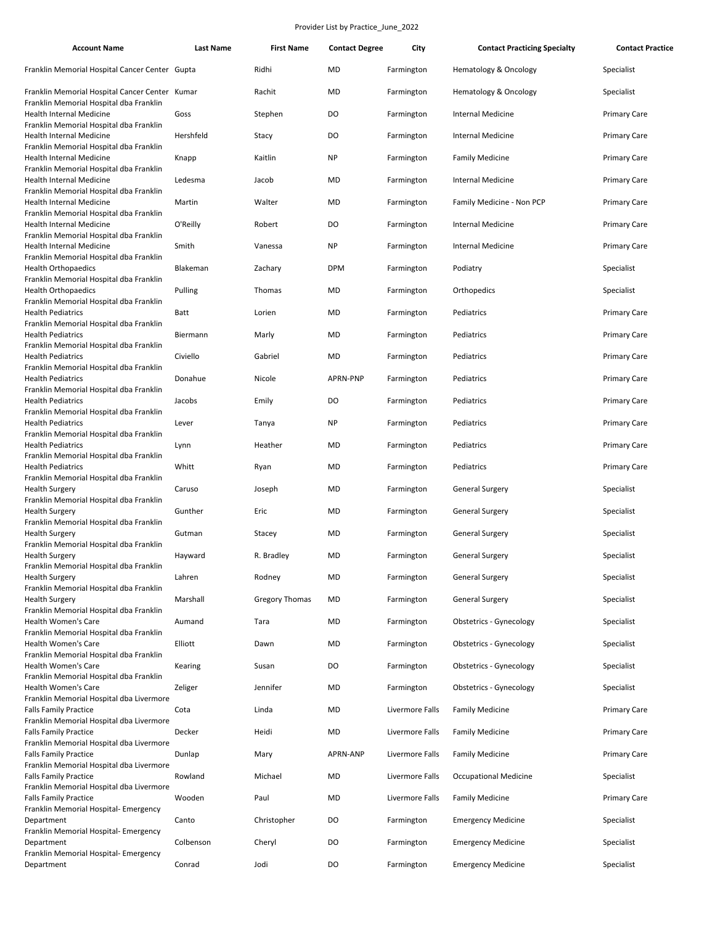| <b>Account Name</b>                                                                       | <b>Last Name</b> | <b>First Name</b>     | <b>Contact Degree</b> | City            | <b>Contact Practicing Specialty</b> | <b>Contact Practice</b> |
|-------------------------------------------------------------------------------------------|------------------|-----------------------|-----------------------|-----------------|-------------------------------------|-------------------------|
| Franklin Memorial Hospital Cancer Center Gupta                                            |                  | Ridhi                 | <b>MD</b>             | Farmington      | Hematology & Oncology               | Specialist              |
| Franklin Memorial Hospital Cancer Center Kumar<br>Franklin Memorial Hospital dba Franklin |                  | Rachit                | <b>MD</b>             | Farmington      | Hematology & Oncology               | Specialist              |
| <b>Health Internal Medicine</b><br>Franklin Memorial Hospital dba Franklin                | Goss             | Stephen               | DO                    | Farmington      | <b>Internal Medicine</b>            | <b>Primary Care</b>     |
| Health Internal Medicine                                                                  | Hershfeld        | Stacy                 | DO                    | Farmington      | <b>Internal Medicine</b>            | <b>Primary Care</b>     |
| Franklin Memorial Hospital dba Franklin<br><b>Health Internal Medicine</b>                | Knapp            | Kaitlin               | <b>NP</b>             | Farmington      | <b>Family Medicine</b>              | <b>Primary Care</b>     |
| Franklin Memorial Hospital dba Franklin<br>Health Internal Medicine                       | Ledesma          | Jacob                 | <b>MD</b>             | Farmington      | <b>Internal Medicine</b>            | <b>Primary Care</b>     |
| Franklin Memorial Hospital dba Franklin<br><b>Health Internal Medicine</b>                | Martin           | Walter                | <b>MD</b>             | Farmington      | Family Medicine - Non PCP           | <b>Primary Care</b>     |
| Franklin Memorial Hospital dba Franklin<br>Health Internal Medicine                       | O'Reilly         | Robert                | DO                    | Farmington      | <b>Internal Medicine</b>            | <b>Primary Care</b>     |
| Franklin Memorial Hospital dba Franklin<br>Health Internal Medicine                       | Smith            | Vanessa               | <b>NP</b>             | Farmington      | <b>Internal Medicine</b>            | <b>Primary Care</b>     |
| Franklin Memorial Hospital dba Franklin<br><b>Health Orthopaedics</b>                     | Blakeman         | Zachary               | <b>DPM</b>            | Farmington      | Podiatry                            | Specialist              |
| Franklin Memorial Hospital dba Franklin<br><b>Health Orthopaedics</b>                     | Pulling          | Thomas                | <b>MD</b>             | Farmington      | Orthopedics                         | Specialist              |
| Franklin Memorial Hospital dba Franklin<br><b>Health Pediatrics</b>                       | Batt             | Lorien                | <b>MD</b>             | Farmington      | Pediatrics                          | <b>Primary Care</b>     |
| Franklin Memorial Hospital dba Franklin                                                   |                  |                       |                       |                 |                                     |                         |
| <b>Health Pediatrics</b><br>Franklin Memorial Hospital dba Franklin                       | Biermann         | Marly                 | MD                    | Farmington      | Pediatrics                          | <b>Primary Care</b>     |
| <b>Health Pediatrics</b><br>Franklin Memorial Hospital dba Franklin                       | Civiello         | Gabriel               | <b>MD</b>             | Farmington      | Pediatrics                          | <b>Primary Care</b>     |
| <b>Health Pediatrics</b><br>Franklin Memorial Hospital dba Franklin                       | Donahue          | Nicole                | APRN-PNP              | Farmington      | Pediatrics                          | <b>Primary Care</b>     |
| <b>Health Pediatrics</b><br>Franklin Memorial Hospital dba Franklin                       | Jacobs           | Emily                 | DO                    | Farmington      | Pediatrics                          | <b>Primary Care</b>     |
| <b>Health Pediatrics</b><br>Franklin Memorial Hospital dba Franklin                       | Lever            | Tanya                 | <b>NP</b>             | Farmington      | Pediatrics                          | <b>Primary Care</b>     |
| <b>Health Pediatrics</b><br>Franklin Memorial Hospital dba Franklin                       | Lynn             | Heather               | <b>MD</b>             | Farmington      | Pediatrics                          | <b>Primary Care</b>     |
| <b>Health Pediatrics</b>                                                                  | Whitt            | Ryan                  | <b>MD</b>             | Farmington      | Pediatrics                          | <b>Primary Care</b>     |
| Franklin Memorial Hospital dba Franklin<br><b>Health Surgery</b>                          | Caruso           | Joseph                | <b>MD</b>             | Farmington      | General Surgery                     | Specialist              |
| Franklin Memorial Hospital dba Franklin<br><b>Health Surgery</b>                          | Gunther          | Eric                  | <b>MD</b>             | Farmington      | <b>General Surgery</b>              | Specialist              |
| Franklin Memorial Hospital dba Franklin<br><b>Health Surgery</b>                          | Gutman           | Stacey                | <b>MD</b>             | Farmington      | <b>General Surgery</b>              | Specialist              |
| Franklin Memorial Hospital dba Franklin<br><b>Health Surgery</b>                          | Hayward          | R. Bradley            | MD                    | Farmington      | <b>General Surgery</b>              | Specialist              |
| Franklin Memorial Hospital dba Franklin<br><b>Health Surgery</b>                          | Lahren           | Rodney                | <b>MD</b>             | Farmington      | <b>General Surgery</b>              | Specialist              |
| Franklin Memorial Hospital dba Franklin<br><b>Health Surgery</b>                          | Marshall         | <b>Gregory Thomas</b> | <b>MD</b>             | Farmington      | <b>General Surgery</b>              | Specialist              |
| Franklin Memorial Hospital dba Franklin                                                   |                  |                       |                       |                 |                                     |                         |
| Health Women's Care<br>Franklin Memorial Hospital dba Franklin                            | Aumand           | Tara                  | MD                    | Farmington      | Obstetrics - Gynecology             | Specialist              |
| Health Women's Care<br>Franklin Memorial Hospital dba Franklin                            | Elliott          | Dawn                  | <b>MD</b>             | Farmington      | <b>Obstetrics - Gynecology</b>      | Specialist              |
| Health Women's Care<br>Franklin Memorial Hospital dba Franklin                            | Kearing          | Susan                 | DO                    | Farmington      | <b>Obstetrics - Gynecology</b>      | Specialist              |
| Health Women's Care<br>Franklin Memorial Hospital dba Livermore                           | Zeliger          | Jennifer              | MD                    | Farmington      | <b>Obstetrics - Gynecology</b>      | Specialist              |
| <b>Falls Family Practice</b><br>Franklin Memorial Hospital dba Livermore                  | Cota             | Linda                 | <b>MD</b>             | Livermore Falls | <b>Family Medicine</b>              | <b>Primary Care</b>     |
| <b>Falls Family Practice</b><br>Franklin Memorial Hospital dba Livermore                  | Decker           | Heidi                 | MD                    | Livermore Falls | <b>Family Medicine</b>              | <b>Primary Care</b>     |
| <b>Falls Family Practice</b>                                                              | Dunlap           | Mary                  | APRN-ANP              | Livermore Falls | <b>Family Medicine</b>              | <b>Primary Care</b>     |
| Franklin Memorial Hospital dba Livermore<br><b>Falls Family Practice</b>                  | Rowland          | Michael               | MD                    | Livermore Falls | <b>Occupational Medicine</b>        | Specialist              |
| Franklin Memorial Hospital dba Livermore<br><b>Falls Family Practice</b>                  | Wooden           | Paul                  | <b>MD</b>             | Livermore Falls | <b>Family Medicine</b>              | <b>Primary Care</b>     |
| Franklin Memorial Hospital- Emergency<br>Department                                       | Canto            | Christopher           | DO                    | Farmington      | <b>Emergency Medicine</b>           | Specialist              |
| Franklin Memorial Hospital- Emergency<br>Department                                       | Colbenson        | Cheryl                | DO                    | Farmington      | <b>Emergency Medicine</b>           | Specialist              |
| Franklin Memorial Hospital- Emergency<br>Department                                       | Conrad           | Jodi                  | DO                    | Farmington      | <b>Emergency Medicine</b>           | Specialist              |
|                                                                                           |                  |                       |                       |                 |                                     |                         |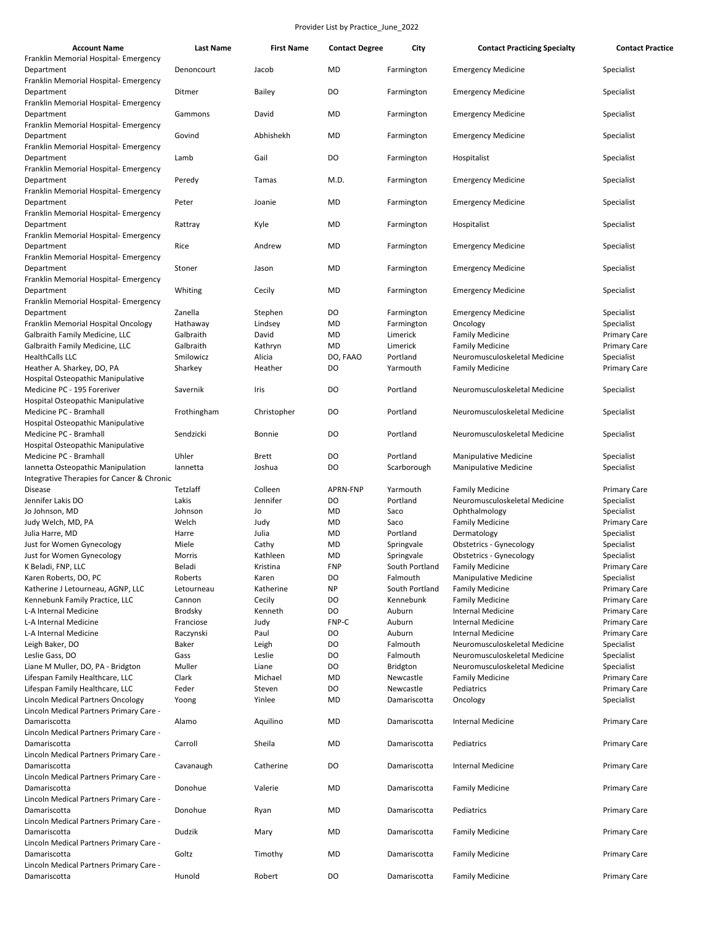| <b>Account Name</b>                                                             | <b>Last Name</b> | <b>First Name</b> | <b>Contact Degree</b> | City           | <b>Contact Practicing Specialty</b> | <b>Contact Practice</b> |
|---------------------------------------------------------------------------------|------------------|-------------------|-----------------------|----------------|-------------------------------------|-------------------------|
| Franklin Memorial Hospital- Emergency<br>Department                             | Denoncourt       | Jacob             | MD                    | Farmington     | <b>Emergency Medicine</b>           | Specialist              |
| Franklin Memorial Hospital- Emergency<br>Department                             | Ditmer           | <b>Bailey</b>     | DO                    | Farmington     | <b>Emergency Medicine</b>           | Specialist              |
| Franklin Memorial Hospital- Emergency<br>Department                             | Gammons          | David             | MD                    | Farmington     | <b>Emergency Medicine</b>           | Specialist              |
| Franklin Memorial Hospital- Emergency<br>Department                             | Govind           | Abhishekh         | MD                    | Farmington     | <b>Emergency Medicine</b>           | Specialist              |
| Franklin Memorial Hospital- Emergency<br>Department                             | Lamb             | Gail              | DO                    | Farmington     | Hospitalist                         | Specialist              |
| Franklin Memorial Hospital- Emergency<br>Department                             | Peredy           | Tamas             | M.D.                  | Farmington     | <b>Emergency Medicine</b>           | Specialist              |
| Franklin Memorial Hospital- Emergency<br>Department                             | Peter            | Joanie            | MD                    | Farmington     | <b>Emergency Medicine</b>           | Specialist              |
| Franklin Memorial Hospital- Emergency<br>Department                             | Rattray          | Kyle              | MD                    | Farmington     | Hospitalist                         | Specialist              |
| Franklin Memorial Hospital- Emergency<br>Department                             | Rice             | Andrew            | MD                    | Farmington     | <b>Emergency Medicine</b>           | Specialist              |
| Franklin Memorial Hospital- Emergency                                           |                  |                   |                       |                |                                     |                         |
| Department<br>Franklin Memorial Hospital- Emergency                             | Stoner           | Jason             | MD                    | Farmington     | <b>Emergency Medicine</b>           | Specialist              |
| Department<br>Franklin Memorial Hospital- Emergency                             | Whiting          | Cecily            | MD                    | Farmington     | <b>Emergency Medicine</b>           | Specialist              |
| Department                                                                      | Zanella          | Stephen           | DO                    | Farmington     | <b>Emergency Medicine</b>           | Specialist              |
| Franklin Memorial Hospital Oncology                                             | Hathaway         | Lindsey           | MD                    | Farmington     | Oncology                            | Specialist              |
| Galbraith Family Medicine, LLC                                                  | Galbraith        | David             | MD                    | Limerick       | <b>Family Medicine</b>              | <b>Primary Care</b>     |
| Galbraith Family Medicine, LLC                                                  | Galbraith        | Kathryn           | MD                    | Limerick       | <b>Family Medicine</b>              | <b>Primary Care</b>     |
| <b>HealthCalls LLC</b>                                                          | Smilowicz        | Alicia            | DO, FAAO              | Portland       | Neuromusculoskeletal Medicine       | Specialist              |
| Heather A. Sharkey, DO, PA<br>Hospital Osteopathic Manipulative                 | Sharkey          | Heather           | DO                    | Yarmouth       | <b>Family Medicine</b>              | <b>Primary Care</b>     |
| Medicine PC - 195 Foreriver<br>Hospital Osteopathic Manipulative                | Savernik         | Iris              | DO                    | Portland       | Neuromusculoskeletal Medicine       | Specialist              |
| Medicine PC - Bramhall<br>Hospital Osteopathic Manipulative                     | Frothingham      | Christopher       | DO                    | Portland       | Neuromusculoskeletal Medicine       | Specialist              |
| Medicine PC - Bramhall<br>Hospital Osteopathic Manipulative                     | Sendzicki        | Bonnie            | DO                    | Portland       | Neuromusculoskeletal Medicine       | Specialist              |
| Medicine PC - Bramhall                                                          | Uhler            | <b>Brett</b>      | DO                    | Portland       | <b>Manipulative Medicine</b>        | Specialist              |
| Iannetta Osteopathic Manipulation<br>Integrative Therapies for Cancer & Chronic | lannetta         | Joshua            | DO                    | Scarborough    | <b>Manipulative Medicine</b>        | Specialist              |
| <b>Disease</b>                                                                  | Tetzlaff         | Colleen           | <b>APRN-FNP</b>       | Yarmouth       | <b>Family Medicine</b>              | <b>Primary Care</b>     |
| Jennifer Lakis DO                                                               | Lakis            | Jennifer          | DO                    | Portland       | Neuromusculoskeletal Medicine       | Specialist              |
| Jo Johnson, MD                                                                  | Johnson          | Jo                | MD                    | Saco           | Ophthalmology                       | Specialist              |
| Judy Welch, MD, PA                                                              | Welch            | Judy              | MD                    | Saco           | <b>Family Medicine</b>              | <b>Primary Care</b>     |
| Julia Harre, MD                                                                 | Harre            | Julia             | MD                    | Portland       | Dermatology                         | Specialist              |
| Just for Women Gynecology                                                       | Miele            | Cathy             | MD                    | Springvale     | <b>Obstetrics - Gynecology</b>      | Specialist              |
| Just for Women Gynecology                                                       | Morris           | Kathleen          | MD                    | Springvale     | <b>Obstetrics - Gynecology</b>      | Specialist              |
| K Beladi, FNP, LLC                                                              | Beladi           | Kristina          | <b>FNP</b>            | South Portland | <b>Family Medicine</b>              | Primary Care            |
| Karen Roberts, DO, PC                                                           | Roberts          | Karen             | DO                    | Falmouth       | <b>Manipulative Medicine</b>        | Specialist              |
| Katherine J Letourneau, AGNP, LLC                                               | Letourneau       | Katherine         | <b>NP</b>             | South Portland | <b>Family Medicine</b>              | <b>Primary Care</b>     |
| Kennebunk Family Practice, LLC                                                  | Cannon           | Cecily            | DO                    | Kennebunk      | <b>Family Medicine</b>              | Primary Care            |
| L-A Internal Medicine                                                           | <b>Brodsky</b>   | Kenneth           | DO                    | Auburn         | <b>Internal Medicine</b>            | Primary Care            |
| L-A Internal Medicine                                                           | Franciose        | Judy              | FNP-C                 | Auburn         | <b>Internal Medicine</b>            | <b>Primary Care</b>     |
| L-A Internal Medicine                                                           | Raczynski        | Paul              | DO                    | Auburn         | <b>Internal Medicine</b>            | <b>Primary Care</b>     |
| Leigh Baker, DO                                                                 | Baker            | Leigh             | DO                    | Falmouth       | Neuromusculoskeletal Medicine       | Specialist              |
| Leslie Gass, DO                                                                 | Gass             | Leslie            | DO                    | Falmouth       | Neuromusculoskeletal Medicine       | Specialist              |
| Liane M Muller, DO, PA - Bridgton                                               | Muller           | Liane             | DO                    | Bridgton       | Neuromusculoskeletal Medicine       | Specialist              |
| Lifespan Family Healthcare, LLC                                                 | Clark            | Michael           | MD                    | Newcastle      | <b>Family Medicine</b>              | <b>Primary Care</b>     |
| Lifespan Family Healthcare, LLC                                                 | Feder            | Steven            | DO                    | Newcastle      | Pediatrics                          | Primary Care            |
| Lincoln Medical Partners Oncology<br>Lincoln Medical Partners Primary Care -    | Yoong            | Yinlee            | MD                    | Damariscotta   | Oncology                            | Specialist              |
| Damariscotta                                                                    | Alamo            | Aquilino          | MD                    | Damariscotta   | <b>Internal Medicine</b>            | Primary Care            |
| Lincoln Medical Partners Primary Care -<br>Damariscotta                         | Carroll          | Sheila            | MD                    | Damariscotta   | Pediatrics                          | <b>Primary Care</b>     |
| Lincoln Medical Partners Primary Care -<br>Damariscotta                         | Cavanaugh        | Catherine         | DO                    | Damariscotta   | <b>Internal Medicine</b>            | <b>Primary Care</b>     |
| Lincoln Medical Partners Primary Care -<br>Damariscotta                         | Donohue          | Valerie           | MD                    | Damariscotta   | <b>Family Medicine</b>              | <b>Primary Care</b>     |
| Lincoln Medical Partners Primary Care -                                         |                  |                   |                       |                |                                     |                         |
| Damariscotta<br>Lincoln Medical Partners Primary Care -                         | Donohue          | Ryan              | MD                    | Damariscotta   | Pediatrics                          | <b>Primary Care</b>     |
| Damariscotta<br>Lincoln Medical Partners Primary Care -                         | Dudzik           | Mary              | MD                    | Damariscotta   | <b>Family Medicine</b>              | Primary Care            |
| Damariscotta<br>Lincoln Medical Partners Primary Care -                         | Goltz            | Timothy           | MD                    | Damariscotta   | <b>Family Medicine</b>              | <b>Primary Care</b>     |
| Damariscotta                                                                    | Hunold           | Robert            | DO                    | Damariscotta   | <b>Family Medicine</b>              | Primary Care            |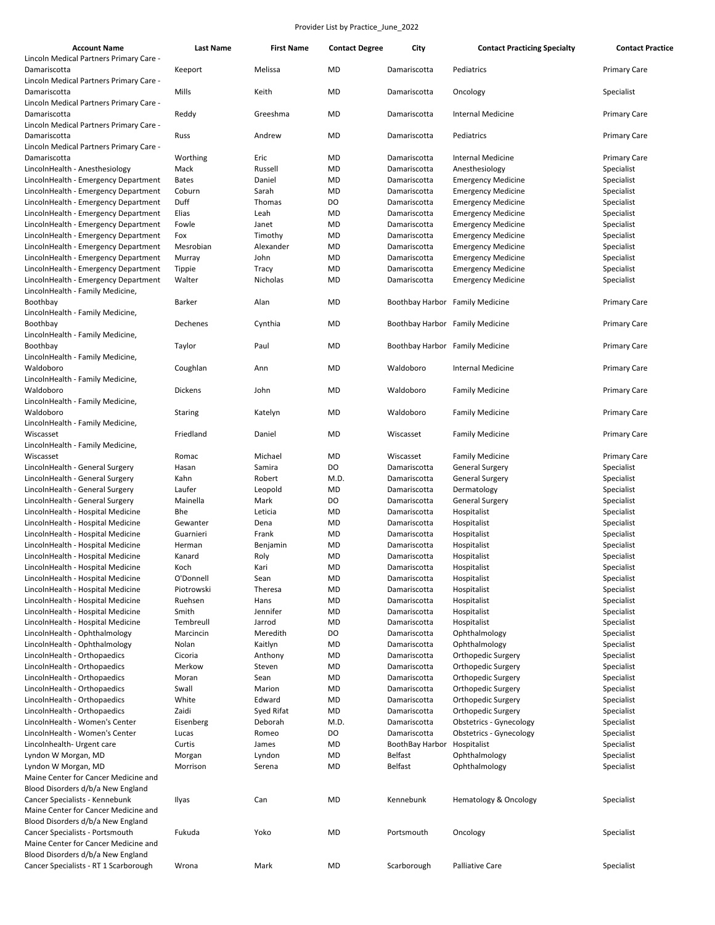| <b>Account Name</b>                                                          | Last Name           | <b>First Name</b>    | <b>Contact Degree</b>  | City                            | <b>Contact Practicing Specialty</b>                    | <b>Contact Practice</b>           |
|------------------------------------------------------------------------------|---------------------|----------------------|------------------------|---------------------------------|--------------------------------------------------------|-----------------------------------|
| Lincoln Medical Partners Primary Care -                                      |                     |                      |                        |                                 |                                                        |                                   |
| Damariscotta                                                                 | Keeport             | Melissa              | <b>MD</b>              | Damariscotta                    | Pediatrics                                             | <b>Primary Care</b>               |
| Lincoln Medical Partners Primary Care -<br>Damariscotta                      | Mills               | Keith                | <b>MD</b>              | Damariscotta                    | Oncology                                               | Specialist                        |
| Lincoln Medical Partners Primary Care -                                      |                     |                      |                        |                                 |                                                        |                                   |
| Damariscotta                                                                 | Reddy               | Greeshma             | <b>MD</b>              | Damariscotta                    | <b>Internal Medicine</b>                               | <b>Primary Care</b>               |
| Lincoln Medical Partners Primary Care -                                      |                     |                      |                        |                                 |                                                        |                                   |
| Damariscotta                                                                 | Russ                | Andrew               | <b>MD</b>              | Damariscotta                    | Pediatrics                                             | <b>Primary Care</b>               |
| Lincoln Medical Partners Primary Care -                                      |                     |                      |                        |                                 |                                                        |                                   |
| Damariscotta                                                                 | Worthing            | Eric                 | MD                     | Damariscotta                    | <b>Internal Medicine</b>                               | <b>Primary Care</b>               |
| LincolnHealth - Anesthesiology                                               | Mack                | Russell              | <b>MD</b>              | Damariscotta                    | Anesthesiology                                         | Specialist                        |
| LincolnHealth - Emergency Department                                         | <b>Bates</b>        | Daniel               | <b>MD</b>              | Damariscotta                    | <b>Emergency Medicine</b>                              | Specialist                        |
| LincolnHealth - Emergency Department                                         | Coburn              | Sarah                | <b>MD</b>              | Damariscotta                    | <b>Emergency Medicine</b>                              | Specialist                        |
| LincolnHealth - Emergency Department                                         | Duff                | Thomas               | DO                     | Damariscotta                    | <b>Emergency Medicine</b>                              | Specialist                        |
| LincolnHealth - Emergency Department                                         | Elias               | Leah                 | <b>MD</b>              | Damariscotta                    | <b>Emergency Medicine</b>                              | Specialist                        |
| LincolnHealth - Emergency Department                                         | Fowle<br>Fox        | Janet                | <b>MD</b><br><b>MD</b> | Damariscotta                    | <b>Emergency Medicine</b>                              | Specialist                        |
| LincolnHealth - Emergency Department<br>LincolnHealth - Emergency Department |                     | Timothy<br>Alexander | <b>MD</b>              | Damariscotta<br>Damariscotta    | <b>Emergency Medicine</b><br><b>Emergency Medicine</b> | Specialist<br>Specialist          |
| LincolnHealth - Emergency Department                                         | Mesrobian<br>Murray | John                 | <b>MD</b>              | Damariscotta                    | <b>Emergency Medicine</b>                              | Specialist                        |
| LincolnHealth - Emergency Department                                         | Tippie              | Tracy                | <b>MD</b>              | Damariscotta                    | <b>Emergency Medicine</b>                              | Specialist                        |
| LincolnHealth - Emergency Department                                         | Walter              | Nicholas             | <b>MD</b>              | Damariscotta                    | <b>Emergency Medicine</b>                              | Specialist                        |
| LincolnHealth - Family Medicine,                                             |                     |                      |                        |                                 |                                                        |                                   |
| Boothbay                                                                     | Barker              | Alan                 | MD                     | Boothbay Harbor Family Medicine |                                                        | <b>Primary Care</b>               |
| LincolnHealth - Family Medicine,                                             |                     |                      |                        |                                 |                                                        |                                   |
| Boothbay                                                                     | Dechenes            | Cynthia              | MD                     | Boothbay Harbor Family Medicine |                                                        | <b>Primary Care</b>               |
| LincolnHealth - Family Medicine,                                             |                     |                      |                        |                                 |                                                        |                                   |
| Boothbay                                                                     | Taylor              | Paul                 | <b>MD</b>              | Boothbay Harbor Family Medicine |                                                        | <b>Primary Care</b>               |
| LincolnHealth - Family Medicine,                                             |                     |                      |                        |                                 |                                                        |                                   |
| Waldoboro                                                                    | Coughlan            | Ann                  | <b>MD</b>              | Waldoboro                       | <b>Internal Medicine</b>                               | <b>Primary Care</b>               |
| LincolnHealth - Family Medicine,                                             |                     |                      |                        |                                 |                                                        |                                   |
| Waldoboro                                                                    | Dickens             | John                 | <b>MD</b>              | Waldoboro                       | <b>Family Medicine</b>                                 | <b>Primary Care</b>               |
| LincolnHealth - Family Medicine,                                             |                     |                      |                        |                                 |                                                        |                                   |
| Waldoboro                                                                    | Staring             | Katelyn              | <b>MD</b>              | Waldoboro                       | <b>Family Medicine</b>                                 | <b>Primary Care</b>               |
| LincolnHealth - Family Medicine,                                             |                     |                      |                        |                                 |                                                        |                                   |
| Wiscasset                                                                    | Friedland           | Daniel               | <b>MD</b>              | Wiscasset                       | <b>Family Medicine</b>                                 | <b>Primary Care</b>               |
| LincolnHealth - Family Medicine,                                             |                     | Michael              | MD                     | Wiscasset                       |                                                        |                                   |
| Wiscasset<br>LincolnHealth - General Surgery                                 | Romac<br>Hasan      | Samira               | DO                     | Damariscotta                    | <b>Family Medicine</b><br><b>General Surgery</b>       | <b>Primary Care</b><br>Specialist |
| LincolnHealth - General Surgery                                              | Kahn                | Robert               | M.D.                   | Damariscotta                    | <b>General Surgery</b>                                 | Specialist                        |
| LincolnHealth - General Surgery                                              | Laufer              | Leopold              | <b>MD</b>              | Damariscotta                    | Dermatology                                            | Specialist                        |
| LincolnHealth - General Surgery                                              | Mainella            | Mark                 | DO                     | Damariscotta                    | <b>General Surgery</b>                                 | Specialist                        |
| LincolnHealth - Hospital Medicine                                            | Bhe                 | Leticia              | <b>MD</b>              | Damariscotta                    | Hospitalist                                            | Specialist                        |
| LincolnHealth - Hospital Medicine                                            | Gewanter            | Dena                 | <b>MD</b>              | Damariscotta                    | Hospitalist                                            | Specialist                        |
| LincolnHealth - Hospital Medicine                                            | Guarnieri           | Frank                | <b>MD</b>              | Damariscotta                    | Hospitalist                                            | Specialist                        |
| LincolnHealth - Hospital Medicine                                            | Herman              | Benjamin             | <b>MD</b>              | Damariscotta                    | Hospitalist                                            | Specialist                        |
| LincolnHealth - Hospital Medicine                                            | Kanard              | Roly                 | <b>MD</b>              | Damariscotta                    | Hospitalist                                            | Specialist                        |
| LincolnHealth - Hospital Medicine                                            | Koch                | Karı                 | MD                     | Damariscotta                    | Hospitalist                                            | Specialist                        |
| LincolnHealth - Hospital Medicine                                            | O'Donnell           | Sean                 | <b>MD</b>              | Damariscotta                    | Hospitalist                                            | Specialist                        |
| LincolnHealth - Hospital Medicine                                            | Piotrowski          | Theresa              | MD                     | Damariscotta                    | Hospitalist                                            | Specialist                        |
| LincolnHealth - Hospital Medicine                                            | Ruehsen             | Hans                 | MD                     | Damariscotta                    | Hospitalist                                            | Specialist                        |
| LincolnHealth - Hospital Medicine                                            | Smith               | Jennifer             | MD                     | Damariscotta                    | Hospitalist                                            | Specialist                        |
| LincolnHealth - Hospital Medicine                                            | Tembreull           | Jarrod               | MD                     | Damariscotta                    | Hospitalist                                            | Specialist                        |
| LincolnHealth - Ophthalmology                                                | Marcincin           | Meredith             | DO                     | Damariscotta                    | Ophthalmology                                          | Specialist                        |
| LincolnHealth - Ophthalmology                                                | Nolan<br>Cicoria    | Kaitlyn<br>Anthony   | MD                     | Damariscotta                    | Ophthalmology                                          | Specialist                        |
| LincolnHealth - Orthopaedics<br>LincolnHealth - Orthopaedics                 | Merkow              | Steven               | MD<br>MD               | Damariscotta<br>Damariscotta    | Orthopedic Surgery<br>Orthopedic Surgery               | Specialist<br>Specialist          |
| LincolnHealth - Orthopaedics                                                 | Moran               | Sean                 | MD                     | Damariscotta                    | Orthopedic Surgery                                     | Specialist                        |
| LincolnHealth - Orthopaedics                                                 | Swall               | Marion               | MD                     | Damariscotta                    | Orthopedic Surgery                                     | Specialist                        |
| LincolnHealth - Orthopaedics                                                 | White               | Edward               | MD                     | Damariscotta                    | Orthopedic Surgery                                     | Specialist                        |
| LincolnHealth - Orthopaedics                                                 | Zaidi               | Syed Rifat           | <b>MD</b>              | Damariscotta                    | Orthopedic Surgery                                     | Specialist                        |
| LincolnHealth - Women's Center                                               | Eisenberg           | Deborah              | M.D.                   | Damariscotta                    | <b>Obstetrics - Gynecology</b>                         | Specialist                        |
| LincolnHealth - Women's Center                                               | Lucas               | Romeo                | DO                     | Damariscotta                    | <b>Obstetrics - Gynecology</b>                         | Specialist                        |
| Lincolnhealth- Urgent care                                                   | Curtis              | James                | MD                     | BoothBay Harbor                 | Hospitalist                                            | Specialist                        |
| Lyndon W Morgan, MD                                                          | Morgan              | Lyndon               | MD                     | Belfast                         | Ophthalmology                                          | Specialist                        |
| Lyndon W Morgan, MD                                                          | Morrison            | Serena               | MD                     | <b>Belfast</b>                  | Ophthalmology                                          | Specialist                        |
| Maine Center for Cancer Medicine and                                         |                     |                      |                        |                                 |                                                        |                                   |
| Blood Disorders d/b/a New England                                            |                     |                      |                        |                                 |                                                        |                                   |
| Cancer Specialists - Kennebunk                                               | Ilyas               | Can                  | MD                     | Kennebunk                       | Hematology & Oncology                                  | Specialist                        |
| Maine Center for Cancer Medicine and                                         |                     |                      |                        |                                 |                                                        |                                   |
| Blood Disorders d/b/a New England                                            |                     |                      |                        |                                 |                                                        |                                   |
| Cancer Specialists - Portsmouth                                              | Fukuda              | Yoko                 | MD                     | Portsmouth                      | Oncology                                               | Specialist                        |
| Maine Center for Cancer Medicine and                                         |                     |                      |                        |                                 |                                                        |                                   |
| Blood Disorders d/b/a New England                                            |                     |                      |                        |                                 |                                                        |                                   |
| Cancer Specialists - RT 1 Scarborough                                        | Wrona               | Mark                 | MD                     | Scarborough                     | Palliative Care                                        | Specialist                        |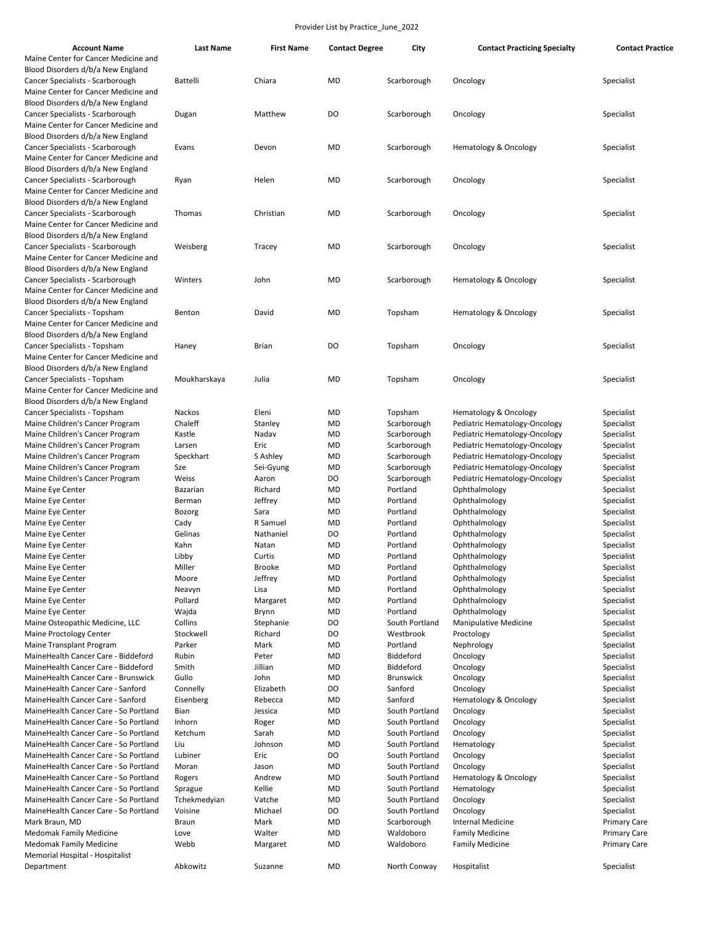| <b>Account Name</b>                   | <b>Last Name</b> | <b>First Name</b> | <b>Contact Degree</b> | City             | <b>Contact Practicing Specialty</b>          | <b>Contact Practice</b> |
|---------------------------------------|------------------|-------------------|-----------------------|------------------|----------------------------------------------|-------------------------|
| Maine Center for Cancer Medicine and  |                  |                   |                       |                  |                                              |                         |
| Blood Disorders d/b/a New England     |                  |                   |                       |                  |                                              |                         |
| Cancer Specialists - Scarborough      | <b>Battelli</b>  | Chiara            | <b>MD</b>             | Scarborough      | Oncology                                     | Specialist              |
| Maine Center for Cancer Medicine and  |                  |                   |                       |                  |                                              |                         |
| Blood Disorders d/b/a New England     |                  |                   |                       |                  |                                              |                         |
| Cancer Specialists - Scarborough      | Dugan            | Matthew           | DO                    | Scarborough      | Oncology                                     | Specialist              |
| Maine Center for Cancer Medicine and  |                  |                   |                       |                  |                                              |                         |
| Blood Disorders d/b/a New England     |                  |                   |                       |                  |                                              |                         |
| Cancer Specialists - Scarborough      | Evans            | Devon             | MD                    | Scarborough      | <b>Hematology &amp; Oncology</b>             | Specialist              |
| Maine Center for Cancer Medicine and  |                  |                   |                       |                  |                                              |                         |
| Blood Disorders d/b/a New England     |                  |                   |                       |                  |                                              |                         |
| Cancer Specialists - Scarborough      | Ryan             | Helen             | MD                    | Scarborough      | Oncology                                     | Specialist              |
| Maine Center for Cancer Medicine and  |                  |                   |                       |                  |                                              |                         |
| Blood Disorders d/b/a New England     |                  |                   |                       |                  |                                              |                         |
| Cancer Specialists - Scarborough      | Thomas           | Christian         | MD                    | Scarborough      | Oncology                                     | Specialist              |
| Maine Center for Cancer Medicine and  |                  |                   |                       |                  |                                              |                         |
| Blood Disorders d/b/a New England     |                  |                   |                       |                  |                                              |                         |
| Cancer Specialists - Scarborough      | Weisberg         | Tracey            | MD                    | Scarborough      | Oncology                                     | Specialist              |
| Maine Center for Cancer Medicine and  |                  |                   |                       |                  |                                              |                         |
| Blood Disorders d/b/a New England     |                  |                   |                       |                  |                                              |                         |
| Cancer Specialists - Scarborough      | Winters          | John              | MD                    | Scarborough      | <b>Hematology &amp; Oncology</b>             | Specialist              |
| Maine Center for Cancer Medicine and  |                  |                   |                       |                  |                                              |                         |
| Blood Disorders d/b/a New England     |                  |                   |                       |                  |                                              |                         |
| Cancer Specialists - Topsham          | Benton           | David             | MD                    | Topsham          | <b>Hematology &amp; Oncology</b>             | Specialist              |
| Maine Center for Cancer Medicine and  |                  |                   |                       |                  |                                              |                         |
| Blood Disorders d/b/a New England     |                  |                   |                       |                  |                                              |                         |
| Cancer Specialists - Topsham          | Haney            | <b>Brian</b>      | DO                    | Topsham          | Oncology                                     | Specialist              |
| Maine Center for Cancer Medicine and  |                  |                   |                       |                  |                                              |                         |
| Blood Disorders d/b/a New England     |                  |                   |                       |                  |                                              |                         |
| Cancer Specialists - Topsham          | Moukharskaya     | Julia             | <b>MD</b>             | Topsham          | Oncology                                     | Specialist              |
| Maine Center for Cancer Medicine and  |                  |                   |                       |                  |                                              |                         |
| Blood Disorders d/b/a New England     |                  |                   |                       |                  |                                              |                         |
| Cancer Specialists - Topsham          | Nackos           | Eleni             | MD                    | Topsham          | Hematology & Oncology                        | Specialist              |
| Maine Children's Cancer Program       | Chaleff          | Stanley           | MD                    | Scarborough      | Pediatric Hematology-Oncology                | Specialist              |
| Maine Children's Cancer Program       | Kastle           | Nadav             | MD                    | Scarborough      | Pediatric Hematology-Oncology                | Specialist              |
| Maine Children's Cancer Program       | Larsen           | Eric              | MD                    | Scarborough      | Pediatric Hematology-Oncology                | Specialist              |
| Maine Children's Cancer Program       | Speckhart        | S Ashley          | MD                    | Scarborough      | Pediatric Hematology-Oncology                | Specialist              |
| Maine Children's Cancer Program       | Sze              | Sei-Gyung         | MD                    | Scarborough      | Pediatric Hematology-Oncology                | Specialist              |
| Maine Children's Cancer Program       | Weiss            | Aaron             | DO                    | Scarborough      | Pediatric Hematology-Oncology                | Specialist              |
| Maine Eye Center                      | Bazarian         | Richard           | MD                    | Portland         | Ophthalmology                                | Specialist              |
| Maine Eye Center                      | Berman           | Jeffrey           | MD                    | Portland         | Ophthalmology                                | Specialist              |
| Maine Eye Center                      | Bozorg           | Sara              | MD                    | Portland         | Ophthalmology                                | Specialist              |
| Maine Eye Center                      | Cady             | R Samuel          | MD                    | Portland         | Ophthalmology                                | Specialist              |
| Maine Eye Center                      | Gelinas          | Nathaniel         | DO                    | Portland         | Ophthalmology                                | Specialist              |
| Maine Eye Center                      | Kahn             | Natan             | <b>MD</b>             | Portland         | Ophthalmology                                | Specialist              |
| Maine Eye Center                      | Libby            | Curtis            | <b>MD</b>             | Portland         | Ophthalmology                                | Specialist              |
| Maine Eye Center                      | Miller           | Brooke            | MD                    | Portland         | Ophthalmology                                | Specialist              |
| Maine Eye Center                      | Moore            | Jeffrey           | MD                    | Portland         | Ophthalmology                                | Specialist              |
| Maine Eye Center                      | Neavyn           | Lisa              | MD                    | Portland         | Ophthalmology                                | Specialist              |
| Maine Eye Center                      | Pollard          | Margaret          | MD                    | Portland         | Ophthalmology                                | Specialist              |
| Maine Eye Center                      | Wajda            | Brynn             | MD                    | Portland         | Ophthalmology                                | Specialist              |
| Maine Osteopathic Medicine, LLC       | Collins          | Stephanie         | DO                    | South Portland   | <b>Manipulative Medicine</b>                 | Specialist              |
| <b>Maine Proctology Center</b>        | Stockwell        | Richard           | DO                    | Westbrook        | Proctology                                   | Specialist              |
| Maine Transplant Program              | Parker           | Mark              | MD                    | Portland         | Nephrology                                   | Specialist              |
| MaineHealth Cancer Care - Biddeford   | Rubin            | Peter             | MD                    | Biddeford        | Oncology                                     | Specialist              |
| MaineHealth Cancer Care - Biddeford   | Smith            | Jillian           | MD                    | Biddeford        | Oncology                                     | Specialist              |
| MaineHealth Cancer Care - Brunswick   | Gullo            | John              | MD                    | <b>Brunswick</b> | Oncology                                     | Specialist              |
| MaineHealth Cancer Care - Sanford     |                  | Elizabeth         | DO                    | Sanford          | Oncology                                     | Specialist              |
| MaineHealth Cancer Care - Sanford     | Connelly         |                   |                       |                  |                                              |                         |
|                                       | Eisenberg        | Rebecca           | MD                    | Sanford          | <b>Hematology &amp; Oncology</b><br>Oncology | Specialist              |
| MaineHealth Cancer Care - So Portland | Bian             | Jessica           | MD                    | South Portland   |                                              | Specialist              |
| MaineHealth Cancer Care - So Portland | Inhorn           | Roger             | MD                    | South Portland   | Oncology                                     | Specialist              |
| MaineHealth Cancer Care - So Portland | Ketchum          | Sarah             | MD                    | South Portland   | Oncology                                     | Specialist              |
| MaineHealth Cancer Care - So Portland | Liu              | Johnson           | MD                    | South Portland   | Hematology                                   | Specialist              |
| MaineHealth Cancer Care - So Portland | Lubiner          | Eric              | DO                    | South Portland   | Oncology                                     | Specialist              |
| MaineHealth Cancer Care - So Portland | Moran            | Jason             | MD                    | South Portland   | Oncology                                     | Specialist              |
| MaineHealth Cancer Care - So Portland | Rogers           | Andrew            | MD                    | South Portland   | Hematology & Oncology                        | Specialist              |
| MaineHealth Cancer Care - So Portland | Sprague          | Kellie            | MD                    | South Portland   | Hematology                                   | Specialist              |
| MaineHealth Cancer Care - So Portland | Tchekmedyian     | Vatche            | MD                    | South Portland   | Oncology                                     | Specialist              |
| MaineHealth Cancer Care - So Portland | Voisine          | Michael           | DO                    | South Portland   | Oncology                                     | Specialist              |
| Mark Braun, MD                        | <b>Braun</b>     | Mark              | MD                    | Scarborough      | <b>Internal Medicine</b>                     | <b>Primary Care</b>     |
| <b>Medomak Family Medicine</b>        | Love             | Walter            | MD                    | Waldoboro        | <b>Family Medicine</b>                       | <b>Primary Care</b>     |
| <b>Medomak Family Medicine</b>        | Webb             | Margaret          | MD                    | Waldoboro        | <b>Family Medicine</b>                       | <b>Primary Care</b>     |
| Memorial Hospital - Hospitalist       |                  |                   |                       |                  |                                              |                         |
| Department                            | Abkowitz         | Suzanne           | MD                    | North Conway     | Hospitalist                                  | Specialist              |
|                                       |                  |                   |                       |                  |                                              |                         |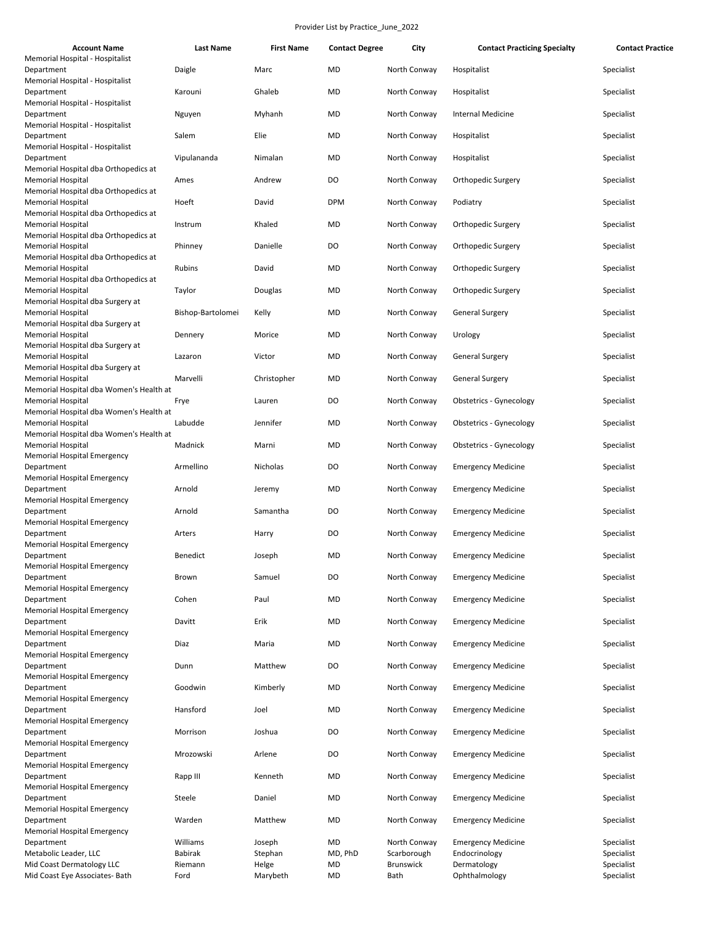| <b>Account Name</b>                                                                                      | <b>Last Name</b>  | <b>First Name</b> | <b>Contact Degree</b> | City             | <b>Contact Practicing Specialty</b> | <b>Contact Practice</b> |
|----------------------------------------------------------------------------------------------------------|-------------------|-------------------|-----------------------|------------------|-------------------------------------|-------------------------|
| Memorial Hospital - Hospitalist<br>Department                                                            | Daigle            | Marc              | MD                    | North Conway     | Hospitalist                         | Specialist              |
| Memorial Hospital - Hospitalist<br>Department                                                            | Karouni           | Ghaleb            | MD                    | North Conway     | Hospitalist                         | Specialist              |
| Memorial Hospital - Hospitalist<br>Department                                                            | Nguyen            | Myhanh            | MD                    | North Conway     | <b>Internal Medicine</b>            | Specialist              |
| Memorial Hospital - Hospitalist<br>Department<br>Memorial Hospital - Hospitalist                         | Salem             | Elie              | MD                    | North Conway     | Hospitalist                         | Specialist              |
| Department<br>Memorial Hospital dba Orthopedics at                                                       | Vipulananda       | Nimalan           | MD                    | North Conway     | Hospitalist                         | Specialist              |
| <b>Memorial Hospital</b>                                                                                 | Ames              | Andrew            | DO                    | North Conway     | Orthopedic Surgery                  | Specialist              |
| Memorial Hospital dba Orthopedics at<br><b>Memorial Hospital</b><br>Memorial Hospital dba Orthopedics at | Hoeft             | David             | <b>DPM</b>            | North Conway     | Podiatry                            | Specialist              |
| <b>Memorial Hospital</b><br>Memorial Hospital dba Orthopedics at                                         | Instrum           | Khaled            | MD                    | North Conway     | Orthopedic Surgery                  | Specialist              |
| <b>Memorial Hospital</b><br>Memorial Hospital dba Orthopedics at                                         | Phinney           | Danielle          | DO                    | North Conway     | Orthopedic Surgery                  | Specialist              |
| <b>Memorial Hospital</b><br>Memorial Hospital dba Orthopedics at                                         | Rubins            | David             | MD                    | North Conway     | Orthopedic Surgery                  | Specialist              |
| <b>Memorial Hospital</b><br>Memorial Hospital dba Surgery at                                             | Taylor            | Douglas           | MD                    | North Conway     | Orthopedic Surgery                  | Specialist              |
| <b>Memorial Hospital</b><br>Memorial Hospital dba Surgery at                                             | Bishop-Bartolomei | Kelly             | MD                    | North Conway     | <b>General Surgery</b>              | Specialist              |
| <b>Memorial Hospital</b><br>Memorial Hospital dba Surgery at                                             | Dennery           | Morice            | MD                    | North Conway     | Urology                             | Specialist              |
| <b>Memorial Hospital</b><br>Memorial Hospital dba Surgery at                                             | Lazaron           | Victor            | MD                    | North Conway     | <b>General Surgery</b>              | Specialist              |
| <b>Memorial Hospital</b><br>Memorial Hospital dba Women's Health at                                      | Marvelli          | Christopher       | MD                    | North Conway     | <b>General Surgery</b>              | Specialist              |
| <b>Memorial Hospital</b><br>Memorial Hospital dba Women's Health at                                      | Frye              | Lauren            | DO                    | North Conway     | Obstetrics - Gynecology             | Specialist              |
| <b>Memorial Hospital</b><br>Memorial Hospital dba Women's Health at                                      | Labudde           | Jennifer          | MD                    | North Conway     | Obstetrics - Gynecology             | Specialist              |
| <b>Memorial Hospital</b><br><b>Memorial Hospital Emergency</b>                                           | Madnick           | Marni             | MD                    | North Conway     | Obstetrics - Gynecology             | Specialist              |
| Department<br><b>Memorial Hospital Emergency</b>                                                         | Armellino         | Nicholas          | DO                    | North Conway     | <b>Emergency Medicine</b>           | Specialist              |
| Department<br><b>Memorial Hospital Emergency</b>                                                         | Arnold            | Jeremy            | MD                    | North Conway     | <b>Emergency Medicine</b>           | Specialist              |
| Department<br><b>Memorial Hospital Emergency</b>                                                         | Arnold            | Samantha          | DO                    | North Conway     | <b>Emergency Medicine</b>           | Specialist              |
| Department<br><b>Memorial Hospital Emergency</b>                                                         | Arters            | Harry             | DO                    | North Conway     | <b>Emergency Medicine</b>           | Specialist              |
| Department<br>Memorial Hospital Emergency                                                                | <b>Benedict</b>   | Joseph            | MD                    | North Conway     | <b>Emergency Medicine</b>           | Specialist              |
| Department<br><b>Memorial Hospital Emergency</b>                                                         | Brown             | Samuel            | DO                    | North Conway     | <b>Emergency Medicine</b>           | Specialist              |
| Department<br><b>Memorial Hospital Emergency</b>                                                         | Cohen             | Paul              | MD                    | North Conway     | <b>Emergency Medicine</b>           | Specialist              |
| Department<br><b>Memorial Hospital Emergency</b>                                                         | Davitt            | Erik              | MD                    | North Conway     | <b>Emergency Medicine</b>           | Specialist              |
| Department                                                                                               | Diaz              | Maria             | MD                    | North Conway     | <b>Emergency Medicine</b>           | Specialist              |
| <b>Memorial Hospital Emergency</b><br>Department<br><b>Memorial Hospital Emergency</b>                   | Dunn              | Matthew           | DO                    | North Conway     | <b>Emergency Medicine</b>           | Specialist              |
| Department                                                                                               | Goodwin           | Kimberly          | MD                    | North Conway     | <b>Emergency Medicine</b>           | Specialist              |
| Memorial Hospital Emergency<br>Department                                                                | Hansford          | Joel              | MD                    | North Conway     | <b>Emergency Medicine</b>           | Specialist              |
| <b>Memorial Hospital Emergency</b><br>Department                                                         | Morrison          | Joshua            | DO                    | North Conway     | <b>Emergency Medicine</b>           | Specialist              |
| <b>Memorial Hospital Emergency</b><br>Department                                                         | Mrozowski         | Arlene            | DO                    | North Conway     | <b>Emergency Medicine</b>           | Specialist              |
| <b>Memorial Hospital Emergency</b><br>Department                                                         | Rapp III          | Kenneth           | MD                    | North Conway     | <b>Emergency Medicine</b>           | Specialist              |
| <b>Memorial Hospital Emergency</b><br>Department                                                         | Steele            | Daniel            | MD                    | North Conway     | <b>Emergency Medicine</b>           | Specialist              |
| <b>Memorial Hospital Emergency</b><br>Department<br><b>Memorial Hospital Emergency</b>                   | Warden            | Matthew           | MD                    | North Conway     | <b>Emergency Medicine</b>           | Specialist              |
| Department                                                                                               | Williams          | Joseph            | MD                    | North Conway     | <b>Emergency Medicine</b>           | Specialist              |
| Metabolic Leader, LLC                                                                                    | Babirak           | Stephan           | MD, PhD               | Scarborough      | Endocrinology                       | Specialist              |
| Mid Coast Dermatology LLC                                                                                | Riemann           | Helge             | MD                    | <b>Brunswick</b> | Dermatology                         | Specialist              |
| Mid Coast Eye Associates- Bath                                                                           | Ford              | Marybeth          | MD                    | Bath             | Ophthalmology                       | Specialist              |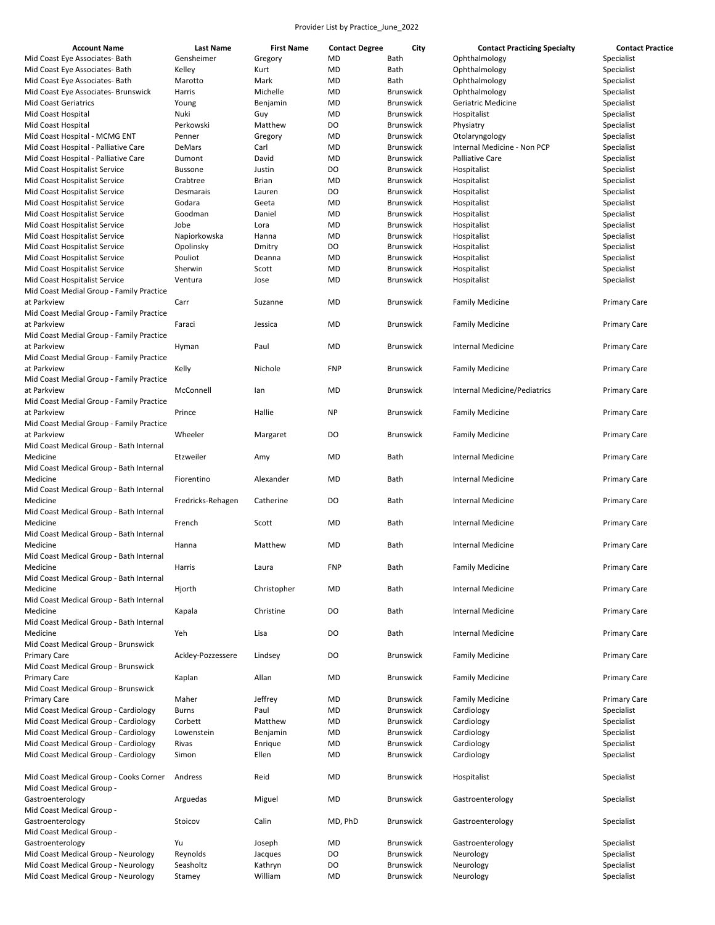| <b>Account Name</b>                      | <b>Last Name</b>  | <b>First Name</b> | <b>Contact Degree</b> | City             | <b>Contact Practicing Specialty</b> | <b>Contact Practice</b> |
|------------------------------------------|-------------------|-------------------|-----------------------|------------------|-------------------------------------|-------------------------|
| Mid Coast Eye Associates- Bath           | Gensheimer        | Gregory           | MD                    | Bath             | Ophthalmology                       | Specialist              |
|                                          |                   |                   |                       |                  |                                     |                         |
| Mid Coast Eye Associates- Bath           | Kelley            | Kurt              | MD                    | Bath             | Ophthalmology                       | Specialist              |
| Mid Coast Eye Associates- Bath           | Marotto           | Mark              | MD                    | Bath             | Ophthalmology                       | Specialist              |
| Mid Coast Eye Associates- Brunswick      | Harris            | Michelle          | MD                    | <b>Brunswick</b> | Ophthalmology                       | Specialist              |
| <b>Mid Coast Geriatrics</b>              | Young             | Benjamin          | MD                    | <b>Brunswick</b> | Geriatric Medicine                  | Specialist              |
| Mid Coast Hospital                       | Nuki              | Guy               | MD                    | <b>Brunswick</b> | Hospitalist                         | Specialist              |
| Mid Coast Hospital                       | Perkowski         | Matthew           | DO                    | <b>Brunswick</b> | Physiatry                           | Specialist              |
|                                          |                   |                   |                       |                  |                                     |                         |
| Mid Coast Hospital - MCMG ENT            | Penner            | Gregory           | MD                    | <b>Brunswick</b> | Otolaryngology                      | Specialist              |
| Mid Coast Hospital - Palliative Care     | DeMars            | Carl              | MD                    | <b>Brunswick</b> | Internal Medicine - Non PCP         | Specialist              |
| Mid Coast Hospital - Palliative Care     | Dumont            | David             | MD                    | <b>Brunswick</b> | Palliative Care                     | Specialist              |
| Mid Coast Hospitalist Service            | <b>Bussone</b>    | Justin            | DO                    | <b>Brunswick</b> | Hospitalist                         | Specialist              |
| Mid Coast Hospitalist Service            | Crabtree          | <b>Brian</b>      | MD                    | <b>Brunswick</b> | Hospitalist                         | Specialist              |
| Mid Coast Hospitalist Service            | Desmarais         | Lauren            | DO                    | <b>Brunswick</b> | Hospitalist                         | Specialist              |
|                                          |                   |                   |                       |                  |                                     |                         |
| Mid Coast Hospitalist Service            | Godara            | Geeta             | MD                    | <b>Brunswick</b> | Hospitalist                         | Specialist              |
| Mid Coast Hospitalist Service            | Goodman           | Daniel            | MD                    | <b>Brunswick</b> | Hospitalist                         | Specialist              |
| Mid Coast Hospitalist Service            | Jobe              | Lora              | MD                    | <b>Brunswick</b> | Hospitalist                         | Specialist              |
| Mid Coast Hospitalist Service            | Napiorkowska      | Hanna             | MD                    | <b>Brunswick</b> | Hospitalist                         | Specialist              |
| Mid Coast Hospitalist Service            | Opolinsky         | Dmitry            | DO                    | <b>Brunswick</b> | Hospitalist                         | Specialist              |
|                                          |                   |                   |                       |                  |                                     |                         |
| Mid Coast Hospitalist Service            | Pouliot           | Deanna            | MD                    | <b>Brunswick</b> | Hospitalist                         | Specialist              |
| Mid Coast Hospitalist Service            | Sherwin           | Scott             | MD                    | <b>Brunswick</b> | Hospitalist                         | Specialist              |
| Mid Coast Hospitalist Service            | Ventura           | Jose              | MD                    | <b>Brunswick</b> | Hospitalist                         | Specialist              |
| Mid Coast Medial Group - Family Practice |                   |                   |                       |                  |                                     |                         |
| at Parkview                              | Carr              | Suzanne           | MD                    | <b>Brunswick</b> | <b>Family Medicine</b>              | <b>Primary Care</b>     |
| Mid Coast Medial Group - Family Practice |                   |                   |                       |                  |                                     |                         |
|                                          |                   |                   |                       |                  |                                     |                         |
| at Parkview                              | Faraci            | Jessica           | MD                    | <b>Brunswick</b> | <b>Family Medicine</b>              | <b>Primary Care</b>     |
| Mid Coast Medial Group - Family Practice |                   |                   |                       |                  |                                     |                         |
| at Parkview                              | Hyman             | Paul              | MD                    | <b>Brunswick</b> | <b>Internal Medicine</b>            | <b>Primary Care</b>     |
| Mid Coast Medial Group - Family Practice |                   |                   |                       |                  |                                     |                         |
| at Parkview                              | Kelly             | Nichole           | <b>FNP</b>            | Brunswick        | <b>Family Medicine</b>              | <b>Primary Care</b>     |
|                                          |                   |                   |                       |                  |                                     |                         |
| Mid Coast Medial Group - Family Practice |                   |                   |                       |                  |                                     |                         |
| at Parkview                              | McConnell         | lan               | MD                    | <b>Brunswick</b> | Internal Medicine/Pediatrics        | <b>Primary Care</b>     |
| Mid Coast Medial Group - Family Practice |                   |                   |                       |                  |                                     |                         |
| at Parkview                              | Prince            | Hallie            | <b>NP</b>             | <b>Brunswick</b> | <b>Family Medicine</b>              | <b>Primary Care</b>     |
| Mid Coast Medial Group - Family Practice |                   |                   |                       |                  |                                     |                         |
| at Parkview                              | Wheeler           |                   | DO                    | <b>Brunswick</b> |                                     |                         |
|                                          |                   | Margaret          |                       |                  | <b>Family Medicine</b>              | <b>Primary Care</b>     |
| Mid Coast Medical Group - Bath Internal  |                   |                   |                       |                  |                                     |                         |
| Medicine                                 | Etzweiler         | Amy               | MD                    | Bath             | <b>Internal Medicine</b>            | <b>Primary Care</b>     |
| Mid Coast Medical Group - Bath Internal  |                   |                   |                       |                  |                                     |                         |
| Medicine                                 | Fiorentino        | Alexander         | MD                    | Bath             | <b>Internal Medicine</b>            | <b>Primary Care</b>     |
| Mid Coast Medical Group - Bath Internal  |                   |                   |                       |                  |                                     |                         |
|                                          |                   |                   |                       |                  |                                     |                         |
| Medicine                                 | Fredricks-Rehagen | Catherine         | DO                    | Bath             | <b>Internal Medicine</b>            | <b>Primary Care</b>     |
| Mid Coast Medical Group - Bath Internal  |                   |                   |                       |                  |                                     |                         |
| Medicine                                 | French            | Scott             | MD                    | Bath             | <b>Internal Medicine</b>            | <b>Primary Care</b>     |
| Mid Coast Medical Group - Bath Internal  |                   |                   |                       |                  |                                     |                         |
| Medicine                                 | Hanna             | Matthew           | MD                    | Bath             | <b>Internal Medicine</b>            | <b>Primary Care</b>     |
| Mid Coast Medical Group - Bath Internal  |                   |                   |                       |                  |                                     |                         |
|                                          |                   |                   |                       |                  |                                     |                         |
| Medicine                                 | Harris            | Laura             | FNP                   | Bath             | <b>Family Medicine</b>              | <b>Primary Care</b>     |
| Mid Coast Medical Group - Bath Internal  |                   |                   |                       |                  |                                     |                         |
| Medicine                                 | Hjorth            | Christopher       | MD                    | Bath             | <b>Internal Medicine</b>            | <b>Primary Care</b>     |
| Mid Coast Medical Group - Bath Internal  |                   |                   |                       |                  |                                     |                         |
| Medicine                                 | Kapala            | Christine         | DO                    | Bath             | <b>Internal Medicine</b>            | <b>Primary Care</b>     |
|                                          |                   |                   |                       |                  |                                     |                         |
| Mid Coast Medical Group - Bath Internal  |                   |                   |                       |                  |                                     |                         |
| Medicine                                 | Yeh               | Lisa              | DO                    | Bath             | <b>Internal Medicine</b>            | <b>Primary Care</b>     |
| Mid Coast Medical Group - Brunswick      |                   |                   |                       |                  |                                     |                         |
| <b>Primary Care</b>                      | Ackley-Pozzessere | Lindsey           | DO                    | <b>Brunswick</b> | <b>Family Medicine</b>              | <b>Primary Care</b>     |
| Mid Coast Medical Group - Brunswick      |                   |                   |                       |                  |                                     |                         |
| <b>Primary Care</b>                      | Kaplan            | Allan             | MD                    | <b>Brunswick</b> | <b>Family Medicine</b>              | <b>Primary Care</b>     |
|                                          |                   |                   |                       |                  |                                     |                         |
| Mid Coast Medical Group - Brunswick      |                   |                   |                       |                  |                                     |                         |
| <b>Primary Care</b>                      | Maher             | Jeffrey           | MD                    | <b>Brunswick</b> | <b>Family Medicine</b>              | <b>Primary Care</b>     |
| Mid Coast Medical Group - Cardiology     | <b>Burns</b>      | Paul              | MD                    | <b>Brunswick</b> | Cardiology                          | Specialist              |
| Mid Coast Medical Group - Cardiology     | Corbett           | Matthew           | MD                    | <b>Brunswick</b> | Cardiology                          | Specialist              |
| Mid Coast Medical Group - Cardiology     | Lowenstein        | Benjamin          | MD                    | <b>Brunswick</b> | Cardiology                          | Specialist              |
| Mid Coast Medical Group - Cardiology     | Rivas             | Enrique           | MD                    | <b>Brunswick</b> | Cardiology                          | Specialist              |
|                                          |                   |                   |                       |                  |                                     |                         |
| Mid Coast Medical Group - Cardiology     | Simon             | Ellen             | MD                    | <b>Brunswick</b> | Cardiology                          | Specialist              |
|                                          |                   |                   |                       |                  |                                     |                         |
| Mid Coast Medical Group - Cooks Corner   | Andress           | Reid              | <b>MD</b>             | <b>Brunswick</b> | Hospitalist                         | Specialist              |
| Mid Coast Medical Group -                |                   |                   |                       |                  |                                     |                         |
| Gastroenterology                         | Arguedas          | Miguel            | MD                    | <b>Brunswick</b> | Gastroenterology                    | Specialist              |
| Mid Coast Medical Group -                |                   |                   |                       |                  |                                     |                         |
|                                          |                   |                   |                       |                  |                                     |                         |
| Gastroenterology                         | Stoicov           | Calin             | MD, PhD               | <b>Brunswick</b> | Gastroenterology                    | Specialist              |
| Mid Coast Medical Group -                |                   |                   |                       |                  |                                     |                         |
| Gastroenterology                         | Yu                | Joseph            | MD                    | <b>Brunswick</b> | Gastroenterology                    | Specialist              |
| Mid Coast Medical Group - Neurology      | Reynolds          | Jacques           | DO                    | <b>Brunswick</b> | Neurology                           | Specialist              |
| Mid Coast Medical Group - Neurology      | Seasholtz         | Kathryn           | DO                    | <b>Brunswick</b> | Neurology                           | Specialist              |
|                                          |                   |                   |                       |                  |                                     |                         |
| Mid Coast Medical Group - Neurology      | Stamey            | William           | MD                    | <b>Brunswick</b> | Neurology                           | Specialist              |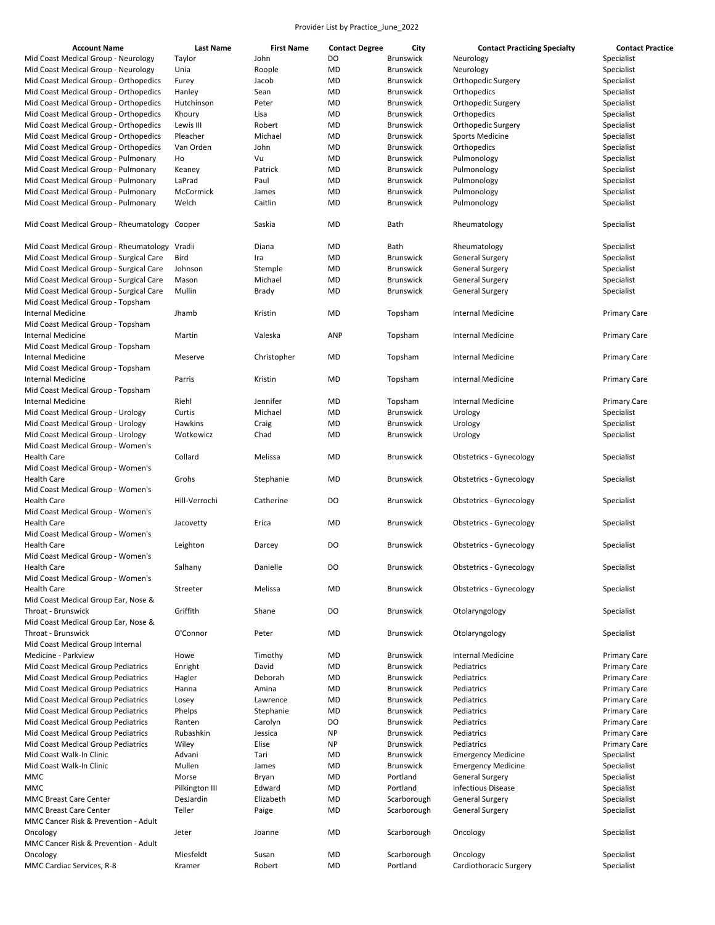| <b>Account Name</b>                           | <b>Last Name</b> | <b>First Name</b> | <b>Contact Degree</b> | City             | <b>Contact Practicing Specialty</b> | <b>Contact Practice</b> |
|-----------------------------------------------|------------------|-------------------|-----------------------|------------------|-------------------------------------|-------------------------|
| Mid Coast Medical Group - Neurology           | Taylor           | John              | DO                    | Brunswick        | Neurology                           | Specialist              |
| Mid Coast Medical Group - Neurology           | Unia             | Roople            | MD                    | <b>Brunswick</b> | Neurology                           | Specialist              |
| Mid Coast Medical Group - Orthopedics         | Furey            | Jacob             | MD                    | <b>Brunswick</b> | Orthopedic Surgery                  | Specialist              |
| Mid Coast Medical Group - Orthopedics         | Hanley           | Sean              | MD                    | <b>Brunswick</b> | Orthopedics                         | Specialist              |
| Mid Coast Medical Group - Orthopedics         |                  |                   |                       |                  |                                     |                         |
|                                               | Hutchinson       | Peter             | MD                    | <b>Brunswick</b> | Orthopedic Surgery                  | Specialist              |
| Mid Coast Medical Group - Orthopedics         | Khoury           | Lisa              | MD                    | <b>Brunswick</b> | Orthopedics                         | Specialist              |
| Mid Coast Medical Group - Orthopedics         | Lewis III        | Robert            | MD                    | <b>Brunswick</b> | Orthopedic Surgery                  | Specialist              |
| Mid Coast Medical Group - Orthopedics         | Pleacher         | Michael           | MD                    | <b>Brunswick</b> | <b>Sports Medicine</b>              | Specialist              |
| Mid Coast Medical Group - Orthopedics         | Van Orden        | John              | MD                    | <b>Brunswick</b> | Orthopedics                         | Specialist              |
| Mid Coast Medical Group - Pulmonary           | Ho               | Vu                | MD                    | <b>Brunswick</b> | Pulmonology                         | Specialist              |
| Mid Coast Medical Group - Pulmonary           | Keaney           | Patrick           | MD                    | <b>Brunswick</b> | Pulmonology                         | Specialist              |
| Mid Coast Medical Group - Pulmonary           | LaPrad           | Paul              | MD                    | <b>Brunswick</b> | Pulmonology                         | Specialist              |
| Mid Coast Medical Group - Pulmonary           | McCormick        | James             | MD                    | <b>Brunswick</b> | Pulmonology                         | Specialist              |
| Mid Coast Medical Group - Pulmonary           | Welch            | Caitlin           | MD                    | <b>Brunswick</b> | Pulmonology                         | Specialist              |
|                                               |                  |                   |                       |                  |                                     |                         |
| Mid Coast Medical Group - Rheumatology Cooper |                  | Saskia            | MD                    | Bath             | Rheumatology                        | Specialist              |
|                                               |                  |                   |                       |                  |                                     |                         |
| Mid Coast Medical Group - Rheumatology Vradii |                  | Diana             | MD                    | Bath             | Rheumatology                        | Specialist              |
| Mid Coast Medical Group - Surgical Care       | Bird             | Ira               | MD                    | <b>Brunswick</b> | <b>General Surgery</b>              | Specialist              |
|                                               |                  |                   |                       | <b>Brunswick</b> |                                     |                         |
| Mid Coast Medical Group - Surgical Care       | Johnson          | Stemple           | MD                    |                  | <b>General Surgery</b>              | Specialist              |
| Mid Coast Medical Group - Surgical Care       | Mason            | Michael           | MD                    | <b>Brunswick</b> | <b>General Surgery</b>              | Specialist              |
| Mid Coast Medical Group - Surgical Care       | Mullin           | <b>Brady</b>      | MD                    | <b>Brunswick</b> | <b>General Surgery</b>              | Specialist              |
| Mid Coast Medical Group - Topsham             |                  |                   |                       |                  |                                     |                         |
| Internal Medicine                             | Jhamb            | Kristin           | MD                    | Topsham          | <b>Internal Medicine</b>            | <b>Primary Care</b>     |
| Mid Coast Medical Group - Topsham             |                  |                   |                       |                  |                                     |                         |
| Internal Medicine                             | Martin           | Valeska           | ANP                   | Topsham          | <b>Internal Medicine</b>            | <b>Primary Care</b>     |
| Mid Coast Medical Group - Topsham             |                  |                   |                       |                  |                                     |                         |
| <b>Internal Medicine</b>                      | Meserve          | Christopher       | MD                    | Topsham          | <b>Internal Medicine</b>            | <b>Primary Care</b>     |
| Mid Coast Medical Group - Topsham             |                  |                   |                       |                  |                                     |                         |
| <b>Internal Medicine</b>                      | Parris           | Kristin           | MD                    | Topsham          | <b>Internal Medicine</b>            | <b>Primary Care</b>     |
| Mid Coast Medical Group - Topsham             |                  |                   |                       |                  |                                     |                         |
| <b>Internal Medicine</b>                      | Riehl            | Jennifer          |                       |                  |                                     |                         |
|                                               |                  |                   | MD                    | Topsham          | Internal Medicine                   | <b>Primary Care</b>     |
| Mid Coast Medical Group - Urology             | Curtis           | Michael           | MD                    | <b>Brunswick</b> | Urology                             | Specialist              |
| Mid Coast Medical Group - Urology             | Hawkins          | Craig             | MD                    | <b>Brunswick</b> | Urology                             | Specialist              |
| Mid Coast Medical Group - Urology             | Wotkowicz        | Chad              | MD                    | <b>Brunswick</b> | Urology                             | Specialist              |
| Mid Coast Medical Group - Women's             |                  |                   |                       |                  |                                     |                         |
| <b>Health Care</b>                            | Collard          | Melissa           | MD                    | <b>Brunswick</b> | Obstetrics - Gynecology             | Specialist              |
| Mid Coast Medical Group - Women's             |                  |                   |                       |                  |                                     |                         |
| <b>Health Care</b>                            | Grohs            | Stephanie         | MD                    | <b>Brunswick</b> | <b>Obstetrics - Gynecology</b>      | Specialist              |
| Mid Coast Medical Group - Women's             |                  |                   |                       |                  |                                     |                         |
| <b>Health Care</b>                            | Hill-Verrochi    | Catherine         | DO                    | <b>Brunswick</b> | <b>Obstetrics - Gynecology</b>      | Specialist              |
| Mid Coast Medical Group - Women's             |                  |                   |                       |                  |                                     |                         |
| <b>Health Care</b>                            | Jacovetty        | Erica             | MD                    | <b>Brunswick</b> | <b>Obstetrics - Gynecology</b>      | Specialist              |
| Mid Coast Medical Group - Women's             |                  |                   |                       |                  |                                     |                         |
| <b>Health Care</b>                            |                  |                   | DO                    | <b>Brunswick</b> |                                     |                         |
|                                               | Leighton         | Darcey            |                       |                  | <b>Obstetrics - Gynecology</b>      | Specialist              |
| Mid Coast Medical Group - Women's             |                  |                   |                       |                  |                                     |                         |
| Health Care                                   | Salhany          | Danielle          | DO                    | <b>Brunswick</b> | Obstetrics - Gynecology             | Specialist              |
| Mid Coast Medical Group - Women's             |                  |                   |                       |                  |                                     |                         |
| <b>Health Care</b>                            | Streeter         | Melissa           | <b>MD</b>             | <b>Brunswick</b> | <b>Obstetrics - Gynecology</b>      | Specialist              |
| Mid Coast Medical Group Ear, Nose &           |                  |                   |                       |                  |                                     |                         |
| Throat - Brunswick                            | Griffith         | Shane             | DO                    | <b>Brunswick</b> | Otolaryngology                      | Specialist              |
| Mid Coast Medical Group Ear, Nose &           |                  |                   |                       |                  |                                     |                         |
| Throat - Brunswick                            | O'Connor         | Peter             | MD                    | <b>Brunswick</b> | Otolaryngology                      | Specialist              |
| Mid Coast Medical Group Internal              |                  |                   |                       |                  |                                     |                         |
| Medicine - Parkview                           | Howe             | Timothy           | MD                    | <b>Brunswick</b> | <b>Internal Medicine</b>            | <b>Primary Care</b>     |
| Mid Coast Medical Group Pediatrics            | Enright          | David             | MD                    | <b>Brunswick</b> | Pediatrics                          | <b>Primary Care</b>     |
| Mid Coast Medical Group Pediatrics            |                  |                   |                       |                  |                                     |                         |
|                                               | Hagler           | Deborah           | MD                    | <b>Brunswick</b> | Pediatrics                          | <b>Primary Care</b>     |
| Mid Coast Medical Group Pediatrics            | Hanna            | Amina             | MD                    | Brunswick        | Pediatrics                          | <b>Primary Care</b>     |
| Mid Coast Medical Group Pediatrics            | Losey            | Lawrence          | MD                    | <b>Brunswick</b> | Pediatrics                          | <b>Primary Care</b>     |
| Mid Coast Medical Group Pediatrics            | Phelps           | Stephanie         | MD                    | <b>Brunswick</b> | Pediatrics                          | <b>Primary Care</b>     |
| Mid Coast Medical Group Pediatrics            | Ranten           | Carolyn           | DO                    | <b>Brunswick</b> | Pediatrics                          | <b>Primary Care</b>     |
| Mid Coast Medical Group Pediatrics            | Rubashkin        | Jessica           | <b>NP</b>             | <b>Brunswick</b> | Pediatrics                          | <b>Primary Care</b>     |
| Mid Coast Medical Group Pediatrics            | Wiley            | Elise             | <b>NP</b>             | <b>Brunswick</b> | Pediatrics                          | <b>Primary Care</b>     |
| Mid Coast Walk-In Clinic                      | Advani           | Tari              | MD                    | <b>Brunswick</b> | <b>Emergency Medicine</b>           | Specialist              |
| Mid Coast Walk-In Clinic                      | Mullen           | James             | MD                    | <b>Brunswick</b> | <b>Emergency Medicine</b>           | Specialist              |
| <b>MMC</b>                                    | Morse            | Bryan             | MD                    | Portland         | <b>General Surgery</b>              | Specialist              |
| <b>MMC</b>                                    | Pilkington III   | Edward            | MD                    | Portland         | <b>Infectious Disease</b>           | Specialist              |
| <b>MMC Breast Care Center</b>                 | DesJardin        | Elizabeth         | MD                    | Scarborough      | <b>General Surgery</b>              | Specialist              |
|                                               |                  |                   |                       |                  |                                     |                         |
| <b>MMC Breast Care Center</b>                 | Teller           | Paige             | MD                    | Scarborough      | <b>General Surgery</b>              | Specialist              |
| MMC Cancer Risk & Prevention - Adult          |                  |                   |                       |                  |                                     |                         |
| Oncology                                      | Jeter            | Joanne            | MD                    | Scarborough      | Oncology                            | Specialist              |
| MMC Cancer Risk & Prevention - Adult          |                  |                   |                       |                  |                                     |                         |
| Oncology                                      | Miesfeldt        | Susan             | MD                    | Scarborough      | Oncology                            | Specialist              |
| MMC Cardiac Services, R-8                     | Kramer           | Robert            | <b>MD</b>             | Portland         | Cardiothoracic Surgery              | Specialist              |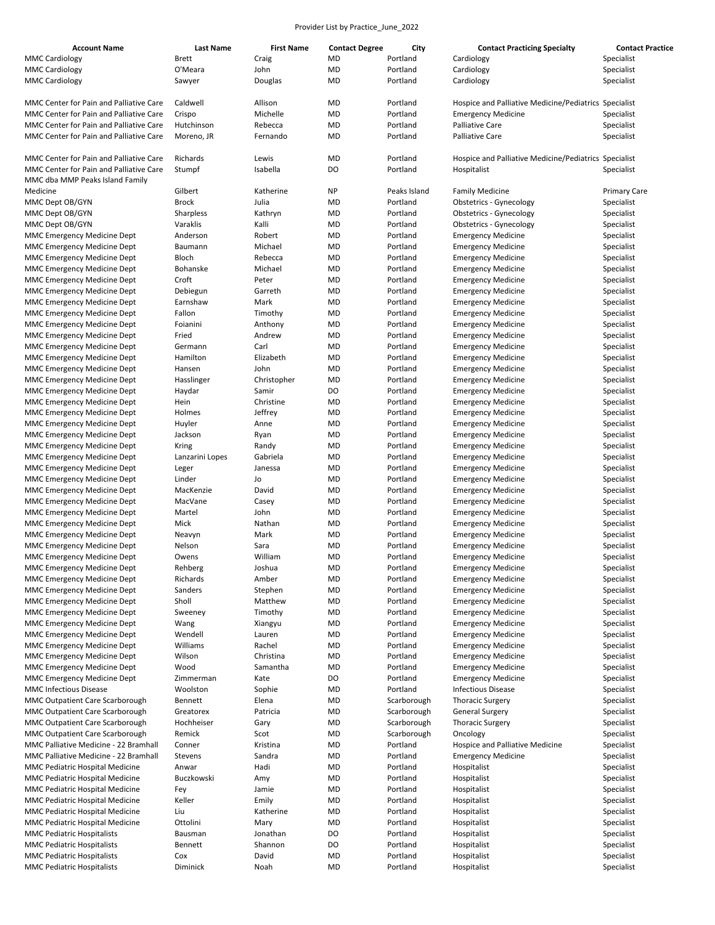| <b>Account Name</b>                     | <b>Last Name</b> | <b>First Name</b> | <b>Contact Degree</b> | City         | <b>Contact Practicing Specialty</b>                   | <b>Contact Practice</b> |
|-----------------------------------------|------------------|-------------------|-----------------------|--------------|-------------------------------------------------------|-------------------------|
| <b>MMC Cardiology</b>                   | <b>Brett</b>     | Craig             | MD                    | Portland     | Cardiology                                            | Specialist              |
| <b>MMC Cardiology</b>                   | O'Meara          | John              | <b>MD</b>             | Portland     | Cardiology                                            | Specialist              |
| <b>MMC Cardiology</b>                   | Sawyer           | Douglas           | MD                    | Portland     | Cardiology                                            | Specialist              |
|                                         |                  |                   |                       |              |                                                       |                         |
| MMC Center for Pain and Palliative Care | Caldwell         | Allison           | MD                    | Portland     | Hospice and Palliative Medicine/Pediatrics Specialist |                         |
| MMC Center for Pain and Palliative Care | Crispo           | Michelle          | MD                    | Portland     | <b>Emergency Medicine</b>                             | Specialist              |
| MMC Center for Pain and Palliative Care | Hutchinson       | Rebecca           | MD                    | Portland     | <b>Palliative Care</b>                                | Specialist              |
| MMC Center for Pain and Palliative Care | Moreno, JR       | Fernando          | MD                    | Portland     | <b>Palliative Care</b>                                | Specialist              |
|                                         |                  |                   |                       |              |                                                       |                         |
| MMC Center for Pain and Palliative Care | Richards         | Lewis             | MD                    | Portland     | Hospice and Palliative Medicine/Pediatrics Specialist |                         |
| MMC Center for Pain and Palliative Care |                  |                   | DO                    | Portland     |                                                       |                         |
|                                         | Stumpf           | Isabella          |                       |              | Hospitalist                                           | Specialist              |
| MMC dba MMP Peaks Island Family         |                  |                   |                       |              |                                                       |                         |
| Medicine                                | Gilbert          | Katherine         | <b>NP</b>             | Peaks Island | <b>Family Medicine</b>                                | <b>Primary Care</b>     |
| MMC Dept OB/GYN                         | <b>Brock</b>     | Julia             | MD                    | Portland     | <b>Obstetrics - Gynecology</b>                        | Specialist              |
| MMC Dept OB/GYN                         | Sharpless        | Kathryn           | MD                    | Portland     | Obstetrics - Gynecology                               | Specialist              |
| MMC Dept OB/GYN                         | Varaklis         | Kalli             | MD                    | Portland     | Obstetrics - Gynecology                               | Specialist              |
| <b>MMC Emergency Medicine Dept</b>      | Anderson         | Robert            | MD                    | Portland     | <b>Emergency Medicine</b>                             | Specialist              |
| MMC Emergency Medicine Dept             | Baumann          | Michael           | MD                    | Portland     | <b>Emergency Medicine</b>                             | Specialist              |
| MMC Emergency Medicine Dept             | Bloch            | Rebecca           | MD                    | Portland     | <b>Emergency Medicine</b>                             | Specialist              |
| MMC Emergency Medicine Dept             | Bohanske         | Michael           | MD                    | Portland     | <b>Emergency Medicine</b>                             | Specialist              |
| MMC Emergency Medicine Dept             | Croft            | Peter             | MD                    | Portland     | <b>Emergency Medicine</b>                             | Specialist              |
| MMC Emergency Medicine Dept             | Debiegun         | Garreth           | MD                    | Portland     | <b>Emergency Medicine</b>                             | Specialist              |
| MMC Emergency Medicine Dept             | Earnshaw         | Mark              | MD                    | Portland     | <b>Emergency Medicine</b>                             | Specialist              |
| MMC Emergency Medicine Dept             | Fallon           | Timothy           | MD                    | Portland     | <b>Emergency Medicine</b>                             | Specialist              |
| MMC Emergency Medicine Dept             | Foianini         | Anthony           | MD                    | Portland     | <b>Emergency Medicine</b>                             | Specialist              |
|                                         | Fried            | Andrew            | MD                    | Portland     |                                                       |                         |
| MMC Emergency Medicine Dept             |                  |                   |                       |              | <b>Emergency Medicine</b>                             | Specialist              |
| MMC Emergency Medicine Dept             | Germann          | Carl              | MD                    | Portland     | <b>Emergency Medicine</b>                             | Specialist              |
| MMC Emergency Medicine Dept             | Hamilton         | Elizabeth         | MD                    | Portland     | <b>Emergency Medicine</b>                             | Specialist              |
| MMC Emergency Medicine Dept             | Hansen           | John              | MD                    | Portland     | <b>Emergency Medicine</b>                             | Specialist              |
| <b>MMC Emergency Medicine Dept</b>      | Hasslinger       | Christopher       | MD                    | Portland     | <b>Emergency Medicine</b>                             | Specialist              |
| MMC Emergency Medicine Dept             | Haydar           | Samir             | DO                    | Portland     | <b>Emergency Medicine</b>                             | Specialist              |
| MMC Emergency Medicine Dept             | Hein             | Christine         | MD                    | Portland     | <b>Emergency Medicine</b>                             | Specialist              |
| MMC Emergency Medicine Dept             | Holmes           | Jeffrey           | MD                    | Portland     | <b>Emergency Medicine</b>                             | Specialist              |
| MMC Emergency Medicine Dept             | Huyler           | Anne              | MD                    | Portland     | <b>Emergency Medicine</b>                             | Specialist              |
| MMC Emergency Medicine Dept             | Jackson          | Ryan              | MD                    | Portland     | <b>Emergency Medicine</b>                             | Specialist              |
| MMC Emergency Medicine Dept             | Kring            | Randy             | MD                    | Portland     | <b>Emergency Medicine</b>                             | Specialist              |
| MMC Emergency Medicine Dept             | Lanzarini Lopes  | Gabriela          | MD                    | Portland     | <b>Emergency Medicine</b>                             | Specialist              |
| MMC Emergency Medicine Dept             | Leger            | Janessa           | MD                    | Portland     | <b>Emergency Medicine</b>                             | Specialist              |
| MMC Emergency Medicine Dept             | Linder           | Jo                | MD                    | Portland     | <b>Emergency Medicine</b>                             | Specialist              |
| MMC Emergency Medicine Dept             | MacKenzie        | David             | MD                    | Portland     | <b>Emergency Medicine</b>                             | Specialist              |
| <b>MMC Emergency Medicine Dept</b>      | MacVane          | Casey             | MD                    | Portland     | <b>Emergency Medicine</b>                             | Specialist              |
|                                         |                  |                   |                       |              |                                                       |                         |
| MMC Emergency Medicine Dept             | Martel           | John              | MD                    | Portland     | <b>Emergency Medicine</b>                             | Specialist              |
| <b>MMC Emergency Medicine Dept</b>      | Mick             | Nathan            | MD                    | Portland     | <b>Emergency Medicine</b>                             | Specialist              |
| MMC Emergency Medicine Dept             | Neavyn           | Mark              | MD                    | Portland     | <b>Emergency Medicine</b>                             | Specialist              |
| MMC Emergency Medicine Dept             | Nelson           | Sara              | MD                    | Portland     | <b>Emergency Medicine</b>                             | Specialist              |
| <b>MMC Emergency Medicine Dept</b>      | Owens            | William           | MD                    | Portland     | <b>Emergency Medicine</b>                             | Specialist              |
| MMC Emergency Medicine Dept             | Rehberg          | Joshua            | MD                    | Portland     | <b>Emergency Medicine</b>                             | Specialist              |
| MMC Emergency Medicine Dept             | Richards         | Amber             | MD                    | Portland     | <b>Emergency Medicine</b>                             | Specialist              |
| MMC Emergency Medicine Dept             | Sanders          | Stephen           | MD                    | Portland     | <b>Emergency Medicine</b>                             | Specialist              |
| MMC Emergency Medicine Dept             | Sholl            | Matthew           | MD                    | Portland     | <b>Emergency Medicine</b>                             | Specialist              |
| MMC Emergency Medicine Dept             | Sweeney          | Timothy           | MD                    | Portland     | <b>Emergency Medicine</b>                             | Specialist              |
| MMC Emergency Medicine Dept             | Wang             | Xiangyu           | MD                    | Portland     | <b>Emergency Medicine</b>                             | Specialist              |
| MMC Emergency Medicine Dept             | Wendell          | Lauren            | MD                    | Portland     | <b>Emergency Medicine</b>                             | Specialist              |
| <b>MMC Emergency Medicine Dept</b>      | Williams         | Rachel            | MD                    | Portland     | <b>Emergency Medicine</b>                             | Specialist              |
| <b>MMC Emergency Medicine Dept</b>      | Wilson           | Christina         | MD                    | Portland     | <b>Emergency Medicine</b>                             | Specialist              |
| <b>MMC Emergency Medicine Dept</b>      | Wood             | Samantha          | MD                    | Portland     | <b>Emergency Medicine</b>                             | Specialist              |
| MMC Emergency Medicine Dept             | Zimmerman        | Kate              | DO                    | Portland     | <b>Emergency Medicine</b>                             | Specialist              |
| <b>MMC Infectious Disease</b>           | Woolston         | Sophie            | MD                    | Portland     | <b>Infectious Disease</b>                             | Specialist              |
| MMC Outpatient Care Scarborough         | Bennett          | Elena             | MD                    | Scarborough  | <b>Thoracic Surgery</b>                               | Specialist              |
|                                         |                  |                   |                       |              |                                                       |                         |
| MMC Outpatient Care Scarborough         | Greatorex        | Patricia          | MD                    | Scarborough  | <b>General Surgery</b>                                | Specialist              |
| MMC Outpatient Care Scarborough         | Hochheiser       | Gary              | MD                    | Scarborough  | <b>Thoracic Surgery</b>                               | Specialist              |
| MMC Outpatient Care Scarborough         | Remick           | Scot              | MD                    | Scarborough  | Oncology                                              | Specialist              |
| MMC Palliative Medicine - 22 Bramhall   | Conner           | Kristina          | MD                    | Portland     | Hospice and Palliative Medicine                       | Specialist              |
| MMC Palliative Medicine - 22 Bramhall   | Stevens          | Sandra            | MD                    | Portland     | <b>Emergency Medicine</b>                             | Specialist              |
| MMC Pediatric Hospital Medicine         | Anwar            | Hadi              | MD                    | Portland     | Hospitalist                                           | Specialist              |
| MMC Pediatric Hospital Medicine         | Buczkowski       | Amy               | MD                    | Portland     | Hospitalist                                           | Specialist              |
| MMC Pediatric Hospital Medicine         | Fey              | Jamie             | MD                    | Portland     | Hospitalist                                           | Specialist              |
| MMC Pediatric Hospital Medicine         | Keller           | Emily             | MD                    | Portland     | Hospitalist                                           | Specialist              |
| MMC Pediatric Hospital Medicine         | Liu              | Katherine         | MD                    | Portland     | Hospitalist                                           | Specialist              |
| MMC Pediatric Hospital Medicine         | Ottolini         | Mary              | MD                    | Portland     | Hospitalist                                           | Specialist              |
| <b>MMC Pediatric Hospitalists</b>       | Bausman          | Jonathan          | DO                    | Portland     | Hospitalist                                           | Specialist              |
| <b>MMC Pediatric Hospitalists</b>       | Bennett          | Shannon           | DO                    | Portland     | Hospitalist                                           | Specialist              |
| <b>MMC Pediatric Hospitalists</b>       | Cox              | David             | MD                    | Portland     | Hospitalist                                           | Specialist              |
| <b>MMC Pediatric Hospitalists</b>       | Diminick         | Noah              | MD                    | Portland     | Hospitalist                                           | Specialist              |
|                                         |                  |                   |                       |              |                                                       |                         |
|                                         |                  |                   |                       |              |                                                       |                         |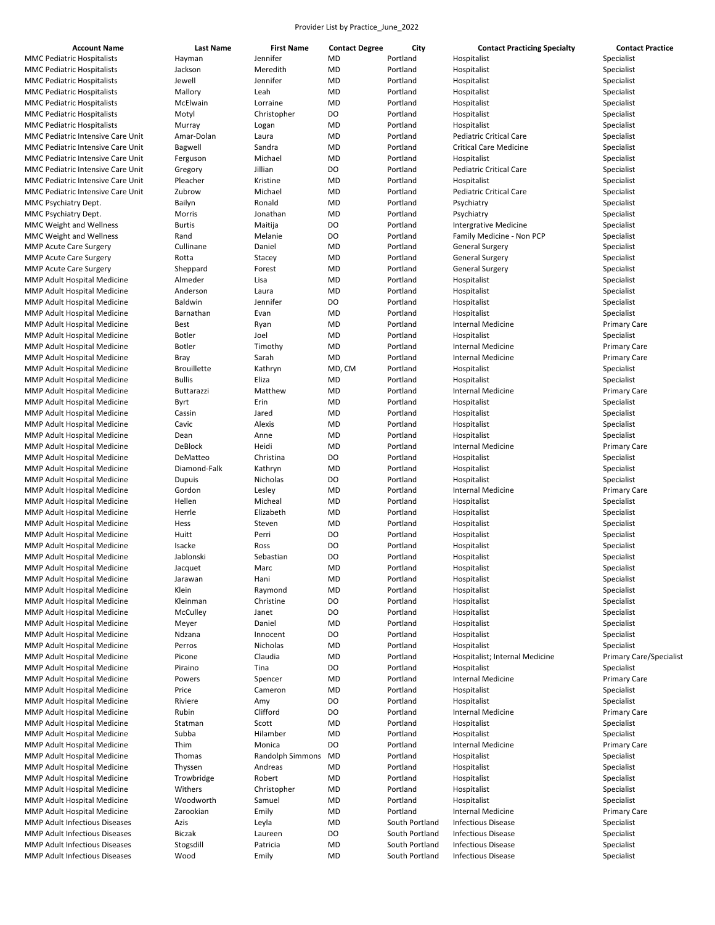| <b>Account Name</b>               | <b>Last Name</b>   | <b>First Name</b> | <b>Contact Degree</b> | City           | <b>Contact Practicing Specialty</b> | <b>Contact Practice</b>        |
|-----------------------------------|--------------------|-------------------|-----------------------|----------------|-------------------------------------|--------------------------------|
| MMC Pediatric Hospitalists        | Hayman             | Jennifer          | MD                    | Portland       | Hospitalist                         | Specialist                     |
| MMC Pediatric Hospitalists        | Jackson            | Meredith          | <b>MD</b>             | Portland       | Hospitalist                         | Specialist                     |
| <b>MMC Pediatric Hospitalists</b> | Jewell             | Jennifer          | <b>MD</b>             | Portland       | Hospitalist                         | Specialist                     |
| MMC Pediatric Hospitalists        | Mallory            | Leah              | MD                    | Portland       | Hospitalist                         | Specialist                     |
| MMC Pediatric Hospitalists        | McElwain           | Lorraine          | <b>MD</b>             | Portland       | Hospitalist                         | Specialist                     |
| MMC Pediatric Hospitalists        | Motyl              | Christopher       | DO                    | Portland       | Hospitalist                         | Specialist                     |
| MMC Pediatric Hospitalists        | Murray             | Logan             | MD                    | Portland       | Hospitalist                         | Specialist                     |
| MMC Pediatric Intensive Care Unit | Amar-Dolan         | Laura             | <b>MD</b>             | Portland       | <b>Pediatric Critical Care</b>      | Specialist                     |
| MMC Pediatric Intensive Care Unit | Bagwell            | Sandra            | <b>MD</b>             | Portland       | <b>Critical Care Medicine</b>       | Specialist                     |
| MMC Pediatric Intensive Care Unit | Ferguson           | Michael           | <b>MD</b>             | Portland       | Hospitalist                         | Specialist                     |
| MMC Pediatric Intensive Care Unit | Gregory            | Jillian           | DO                    | Portland       | Pediatric Critical Care             | Specialist                     |
| MMC Pediatric Intensive Care Unit | Pleacher           | Kristine          | <b>MD</b>             | Portland       | Hospitalist                         | Specialist                     |
| MMC Pediatric Intensive Care Unit | Zubrow             | Michael           | MD                    | Portland       | Pediatric Critical Care             | Specialist                     |
| MMC Psychiatry Dept.              | Bailyn             | Ronald            | MD                    | Portland       | Psychiatry                          | Specialist                     |
| MMC Psychiatry Dept.              | Morris             | Jonathan          | <b>MD</b>             | Portland       | Psychiatry                          | Specialist                     |
| <b>MMC Weight and Wellness</b>    | <b>Burtis</b>      | Maitija           | DO                    | Portland       | <b>Intergrative Medicine</b>        | Specialist                     |
| <b>MMC Weight and Wellness</b>    | Rand               | Melanie           | DO                    | Portland       | Family Medicine - Non PCP           | Specialist                     |
| <b>MMP Acute Care Surgery</b>     | Cullinane          | Daniel            | <b>MD</b>             | Portland       | <b>General Surgery</b>              | Specialist                     |
| <b>MMP Acute Care Surgery</b>     | Rotta              | Stacey            | <b>MD</b>             | Portland       | <b>General Surgery</b>              | Specialist                     |
| <b>MMP Acute Care Surgery</b>     | Sheppard           | Forest            | MD                    | Portland       | <b>General Surgery</b>              | Specialist                     |
| MMP Adult Hospital Medicine       | Almeder            | Lisa              | <b>MD</b>             | Portland       | Hospitalist                         | Specialist                     |
| MMP Adult Hospital Medicine       | Anderson           | Laura             | <b>MD</b>             | Portland       | Hospitalist                         | Specialist                     |
| MMP Adult Hospital Medicine       |                    | Jennifer          | DO                    |                | Hospitalist                         | Specialist                     |
|                                   | Baldwin            |                   |                       | Portland       |                                     |                                |
| MMP Adult Hospital Medicine       | Barnathan          | Evan              | <b>MD</b>             | Portland       | Hospitalist                         | Specialist                     |
| MMP Adult Hospital Medicine       | Best               | Ryan              | MD                    | Portland       | Internal Medicine                   | <b>Primary Care</b>            |
| MMP Adult Hospital Medicine       | <b>Botler</b>      | Joel              | MD                    | Portland       | Hospitalist                         | Specialist                     |
| MMP Adult Hospital Medicine       | <b>Botler</b>      | Timothy           | <b>MD</b>             | Portland       | <b>Internal Medicine</b>            | <b>Primary Care</b>            |
| MMP Adult Hospital Medicine       | Bray               | Sarah             | <b>MD</b>             | Portland       | <b>Internal Medicine</b>            | <b>Primary Care</b>            |
| MMP Adult Hospital Medicine       | <b>Brouillette</b> | Kathryn           | MD, CM                | Portland       | Hospitalist                         | Specialist                     |
| MMP Adult Hospital Medicine       | <b>Bullis</b>      | Eliza             | <b>MD</b>             | Portland       | Hospitalist                         | Specialist                     |
| MMP Adult Hospital Medicine       | Buttarazzi         | Matthew           | <b>MD</b>             | Portland       | <b>Internal Medicine</b>            | <b>Primary Care</b>            |
| MMP Adult Hospital Medicine       | Byrt               | Erin              | MD                    | Portland       | Hospitalist                         | Specialist                     |
| MMP Adult Hospital Medicine       | Cassin             | Jared             | <b>MD</b>             | Portland       | Hospitalist                         | Specialist                     |
| MMP Adult Hospital Medicine       | Cavic              | Alexis            | <b>MD</b>             | Portland       | Hospitalist                         | Specialist                     |
| MMP Adult Hospital Medicine       | Dean               | Anne              | MD                    | Portland       | Hospitalist                         | Specialist                     |
| MMP Adult Hospital Medicine       | DeBlock            | Heidi             | <b>MD</b>             | Portland       | <b>Internal Medicine</b>            | <b>Primary Care</b>            |
| MMP Adult Hospital Medicine       | DeMatteo           | Christina         | DO                    | Portland       | Hospitalist                         | Specialist                     |
| MMP Adult Hospital Medicine       | Diamond-Falk       | Kathryn           | MD                    | Portland       | Hospitalist                         | Specialist                     |
| MMP Adult Hospital Medicine       | Dupuis             | Nicholas          | DO                    | Portland       | Hospitalist                         | Specialist                     |
| MMP Adult Hospital Medicine       | Gordon             | Lesley            | <b>MD</b>             | Portland       | <b>Internal Medicine</b>            | <b>Primary Care</b>            |
| MMP Adult Hospital Medicine       | Hellen             | Micheal           | <b>MD</b>             | Portland       | Hospitalist                         | Specialist                     |
| MMP Adult Hospital Medicine       | Herrle             | Elizabeth         | <b>MD</b>             | Portland       | Hospitalist                         | Specialist                     |
| MMP Adult Hospital Medicine       | Hess               | Steven            | <b>MD</b>             | Portland       | Hospitalist                         | Specialist                     |
| MMP Adult Hospital Medicine       | Huitt              | Perri             | DO                    | Portland       | Hospitalist                         | Specialist                     |
| MMP Adult Hospital Medicine       | Isacke             | Ross              | D <sub>O</sub>        | Portland       | Hospitalist                         | Specialist                     |
| MMP Adult Hospital Medicine       | Jablonski          | Sebastian         | DO                    | Portland       | Hospitalist                         | Specialist                     |
| MMP Adult Hospital Medicine       |                    | Marc              | MD                    | Portland       |                                     |                                |
| MMP Adult Hospital Medicine       | Jacquet            |                   | <b>MD</b>             | Portland       | Hospitalist                         | Specialist                     |
|                                   | Jarawan            | Hani              |                       |                | Hospitalist                         | Specialist                     |
| MMP Adult Hospital Medicine       | Klein              | Raymond           | <b>MD</b>             | Portland       | Hospitalist                         | Specialist                     |
| MMP Adult Hospital Medicine       | Kleinman           | Christine         | DO                    | Portland       | Hospitalist                         | Specialist                     |
| MMP Adult Hospital Medicine       | McCulley           | Janet             | DO                    | Portland       | Hospitalist                         | Specialist                     |
| MMP Adult Hospital Medicine       | Meyer              | Daniel            | <b>MD</b>             | Portland       | Hospitalist                         | Specialist                     |
| MMP Adult Hospital Medicine       | Ndzana             | Innocent          | DO                    | Portland       | Hospitalist                         | Specialist                     |
| MMP Adult Hospital Medicine       | Perros             | Nicholas          | <b>MD</b>             | Portland       | Hospitalist                         | Specialist                     |
| MMP Adult Hospital Medicine       | Picone             | Claudia           | <b>MD</b>             | Portland       | Hospitalist; Internal Medicine      | <b>Primary Care/Specialist</b> |
| MMP Adult Hospital Medicine       | Piraino            | Tina              | DO                    | Portland       | Hospitalist                         | Specialist                     |
| MMP Adult Hospital Medicine       | Powers             | Spencer           | <b>MD</b>             | Portland       | <b>Internal Medicine</b>            | <b>Primary Care</b>            |
| MMP Adult Hospital Medicine       | Price              | Cameron           | <b>MD</b>             | Portland       | Hospitalist                         | Specialist                     |
| MMP Adult Hospital Medicine       | Riviere            | Amy               | DO                    | Portland       | Hospitalist                         | Specialist                     |
| MMP Adult Hospital Medicine       | Rubin              | Clifford          | DO                    | Portland       | <b>Internal Medicine</b>            | <b>Primary Care</b>            |
| MMP Adult Hospital Medicine       | Statman            | Scott             | <b>MD</b>             | Portland       | Hospitalist                         | Specialist                     |
| MMP Adult Hospital Medicine       | Subba              | Hilamber          | <b>MD</b>             | Portland       | Hospitalist                         | Specialist                     |
| MMP Adult Hospital Medicine       | Thim               | Monica            | DO                    | Portland       | <b>Internal Medicine</b>            | <b>Primary Care</b>            |
| MMP Adult Hospital Medicine       | Thomas             | Randolph Simmons  | <b>MD</b>             | Portland       | Hospitalist                         | Specialist                     |
| MMP Adult Hospital Medicine       | Thyssen            | Andreas           | <b>MD</b>             | Portland       | Hospitalist                         | Specialist                     |
| MMP Adult Hospital Medicine       | Trowbridge         | Robert            | <b>MD</b>             | Portland       | Hospitalist                         | Specialist                     |
| MMP Adult Hospital Medicine       | Withers            | Christopher       | <b>MD</b>             | Portland       | Hospitalist                         | Specialist                     |
| MMP Adult Hospital Medicine       | Woodworth          | Samuel            | <b>MD</b>             | Portland       | Hospitalist                         | Specialist                     |
| MMP Adult Hospital Medicine       | Zarookian          | Emily             | <b>MD</b>             | Portland       | <b>Internal Medicine</b>            | <b>Primary Care</b>            |
| MMP Adult Infectious Diseases     | Azis               |                   | <b>MD</b>             | South Portland |                                     | Specialist                     |
|                                   |                    | Leyla             |                       |                | <b>Infectious Disease</b>           |                                |
| MMP Adult Infectious Diseases     | <b>Biczak</b>      | Laureen           | DO                    | South Portland | <b>Infectious Disease</b>           | Specialist                     |
| MMP Adult Infectious Diseases     | Stogsdill          | Patricia          | <b>MD</b>             | South Portland | <b>Infectious Disease</b>           | Specialist                     |
| MMP Adult Infectious Diseases     | Wood               | Emily             | MD                    | South Portland | <b>Infectious Disease</b>           | Specialist                     |
|                                   |                    |                   |                       |                |                                     |                                |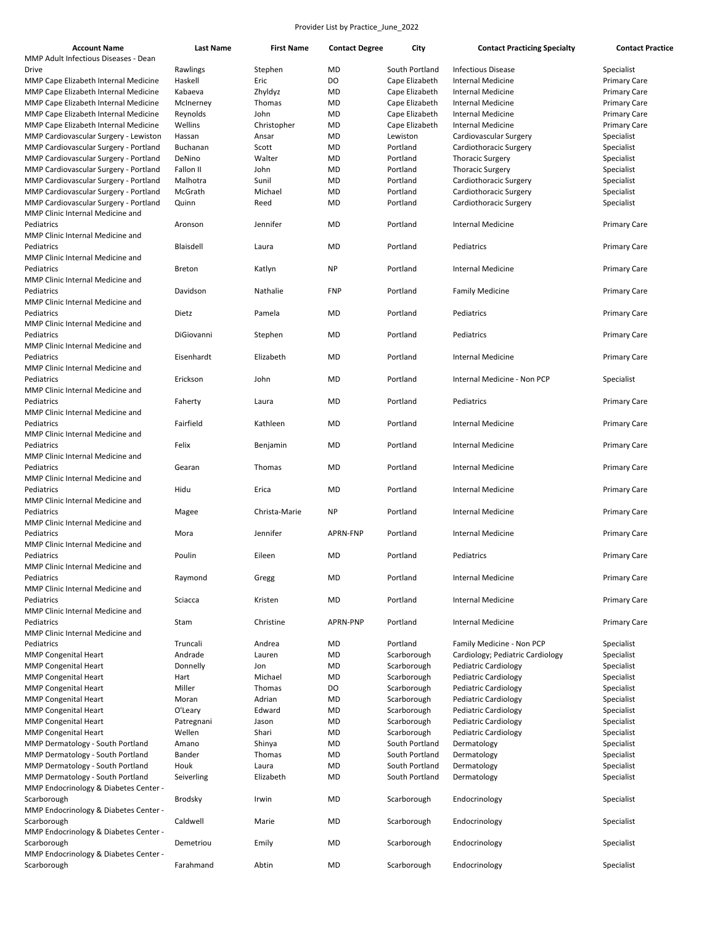| <b>Account Name</b>                           | Last Name     | <b>First Name</b> | <b>Contact Degree</b> | City           | <b>Contact Practicing Specialty</b> | <b>Contact Practice</b> |
|-----------------------------------------------|---------------|-------------------|-----------------------|----------------|-------------------------------------|-------------------------|
| MMP Adult Infectious Diseases - Dean<br>Drive | Rawlings      |                   | <b>MD</b>             | South Portland | <b>Infectious Disease</b>           | Specialist              |
|                                               |               | Stephen           |                       |                |                                     |                         |
| MMP Cape Elizabeth Internal Medicine          | Haskell       | Eric              | DO                    | Cape Elizabeth | <b>Internal Medicine</b>            | <b>Primary Care</b>     |
| MMP Cape Elizabeth Internal Medicine          | Kabaeva       | Zhyldyz           | MD                    | Cape Elizabeth | <b>Internal Medicine</b>            | <b>Primary Care</b>     |
| MMP Cape Elizabeth Internal Medicine          | McInerney     | Thomas            | MD                    | Cape Elizabeth | <b>Internal Medicine</b>            | <b>Primary Care</b>     |
| MMP Cape Elizabeth Internal Medicine          | Reynolds      | John              | MD                    | Cape Elizabeth | <b>Internal Medicine</b>            | <b>Primary Care</b>     |
| MMP Cape Elizabeth Internal Medicine          | Wellins       | Christopher       | MD                    | Cape Elizabeth | <b>Internal Medicine</b>            | <b>Primary Care</b>     |
| MMP Cardiovascular Surgery - Lewiston         | Hassan        | Ansar             | MD                    | Lewiston       | Cardiovascular Surgery              | Specialist              |
| MMP Cardiovascular Surgery - Portland         | Buchanan      | Scott             | MD                    | Portland       | Cardiothoracic Surgery              | Specialist              |
| MMP Cardiovascular Surgery - Portland         | DeNino        | Walter            | MD                    | Portland       | <b>Thoracic Surgery</b>             | Specialist              |
| MMP Cardiovascular Surgery - Portland         | Fallon II     | John              | MD                    | Portland       | <b>Thoracic Surgery</b>             | Specialist              |
|                                               |               |                   |                       |                |                                     |                         |
| MMP Cardiovascular Surgery - Portland         | Malhotra      | Sunil             | MD                    | Portland       | Cardiothoracic Surgery              | Specialist              |
| MMP Cardiovascular Surgery - Portland         | McGrath       | Michael           | MD                    | Portland       | Cardiothoracic Surgery              | Specialist              |
| MMP Cardiovascular Surgery - Portland         | Quinn         | Reed              | MD                    | Portland       | Cardiothoracic Surgery              | Specialist              |
| MMP Clinic Internal Medicine and              |               |                   |                       |                |                                     |                         |
| Pediatrics                                    | Aronson       | Jennifer          | MD                    | Portland       | <b>Internal Medicine</b>            | <b>Primary Care</b>     |
| MMP Clinic Internal Medicine and              |               |                   |                       |                |                                     |                         |
| Pediatrics                                    | Blaisdell     | Laura             | MD                    | Portland       | Pediatrics                          | <b>Primary Care</b>     |
| MMP Clinic Internal Medicine and              |               |                   |                       |                |                                     |                         |
| Pediatrics                                    | <b>Breton</b> | Katlyn            | <b>NP</b>             | Portland       | <b>Internal Medicine</b>            | <b>Primary Care</b>     |
| MMP Clinic Internal Medicine and              |               |                   |                       |                |                                     |                         |
| Pediatrics                                    | Davidson      | Nathalie          | <b>FNP</b>            | Portland       | <b>Family Medicine</b>              | <b>Primary Care</b>     |
| MMP Clinic Internal Medicine and              |               |                   |                       |                |                                     |                         |
|                                               |               |                   |                       | Portland       |                                     |                         |
| Pediatrics                                    | Dietz         | Pamela            | MD                    |                | Pediatrics                          | <b>Primary Care</b>     |
| MMP Clinic Internal Medicine and              |               |                   |                       |                |                                     |                         |
| Pediatrics                                    | DiGiovanni    | Stephen           | MD                    | Portland       | Pediatrics                          | <b>Primary Care</b>     |
| MMP Clinic Internal Medicine and              |               |                   |                       |                |                                     |                         |
| Pediatrics                                    | Eisenhardt    | Elizabeth         | MD                    | Portland       | <b>Internal Medicine</b>            | <b>Primary Care</b>     |
| MMP Clinic Internal Medicine and              |               |                   |                       |                |                                     |                         |
| Pediatrics                                    | Erickson      | John              | MD                    | Portland       | Internal Medicine - Non PCP         | Specialist              |
| MMP Clinic Internal Medicine and              |               |                   |                       |                |                                     |                         |
| Pediatrics                                    | Faherty       | Laura             | MD                    | Portland       | Pediatrics                          | <b>Primary Care</b>     |
| MMP Clinic Internal Medicine and              |               |                   |                       |                |                                     |                         |
| Pediatrics                                    | Fairfield     | Kathleen          | <b>MD</b>             | Portland       | <b>Internal Medicine</b>            | <b>Primary Care</b>     |
|                                               |               |                   |                       |                |                                     |                         |
| MMP Clinic Internal Medicine and              |               |                   |                       |                |                                     |                         |
| Pediatrics                                    | Felix         | Benjamin          | MD                    | Portland       | <b>Internal Medicine</b>            | <b>Primary Care</b>     |
| MMP Clinic Internal Medicine and              |               |                   |                       |                |                                     |                         |
| Pediatrics                                    | Gearan        | Thomas            | MD                    | Portland       | <b>Internal Medicine</b>            | <b>Primary Care</b>     |
| MMP Clinic Internal Medicine and              |               |                   |                       |                |                                     |                         |
| Pediatrics                                    | Hidu          | Erica             | <b>MD</b>             | Portland       | <b>Internal Medicine</b>            | <b>Primary Care</b>     |
| MMP Clinic Internal Medicine and              |               |                   |                       |                |                                     |                         |
| Pediatrics                                    | Magee         | Christa-Marie     | <b>NP</b>             | Portland       | <b>Internal Medicine</b>            | <b>Primary Care</b>     |
| MMP Clinic Internal Medicine and              |               |                   |                       |                |                                     |                         |
| Pediatrics                                    | Mora          | Jennifer          | APRN-FNP              | Portland       | <b>Internal Medicine</b>            | <b>Primary Care</b>     |
| MMP Clinic Internal Medicine and              |               |                   |                       |                |                                     |                         |
| Pediatrics                                    | Poulin        | Eileen            | MD                    | Portland       | Pediatrics                          | <b>Primary Care</b>     |
| MMP Clinic Internal Medicine and              |               |                   |                       |                |                                     |                         |
| Pediatrics                                    | Raymond       |                   | <b>MD</b>             | Portland       | <b>Internal Medicine</b>            | <b>Primary Care</b>     |
| MMP Clinic Internal Medicine and              |               | Gregg             |                       |                |                                     |                         |
|                                               |               |                   |                       |                |                                     |                         |
| Pediatrics                                    | Sciacca       | Kristen           | <b>MD</b>             | Portland       | <b>Internal Medicine</b>            | <b>Primary Care</b>     |
| MMP Clinic Internal Medicine and              |               |                   |                       |                |                                     |                         |
| Pediatrics                                    | Stam          | Christine         | APRN-PNP              | Portland       | <b>Internal Medicine</b>            | <b>Primary Care</b>     |
| MMP Clinic Internal Medicine and              |               |                   |                       |                |                                     |                         |
| Pediatrics                                    | Truncali      | Andrea            | MD                    | Portland       | Family Medicine - Non PCP           | Specialist              |
| <b>MMP Congenital Heart</b>                   | Andrade       | Lauren            | MD                    | Scarborough    | Cardiology; Pediatric Cardiology    | Specialist              |
| <b>MMP Congenital Heart</b>                   | Donnelly      | Jon               | MD                    | Scarborough    | <b>Pediatric Cardiology</b>         | Specialist              |
| <b>MMP Congenital Heart</b>                   | Hart          | Michael           | MD                    | Scarborough    | <b>Pediatric Cardiology</b>         | Specialist              |
| <b>MMP Congenital Heart</b>                   | Miller        | Thomas            | DO                    | Scarborough    | <b>Pediatric Cardiology</b>         | Specialist              |
| <b>MMP Congenital Heart</b>                   | Moran         | Adrian            | MD                    | Scarborough    | <b>Pediatric Cardiology</b>         | Specialist              |
|                                               |               |                   |                       |                |                                     |                         |
| <b>MMP Congenital Heart</b>                   | O'Leary       | Edward            | MD                    | Scarborough    | <b>Pediatric Cardiology</b>         | Specialist              |
| <b>MMP Congenital Heart</b>                   | Patregnani    | Jason             | MD                    | Scarborough    | <b>Pediatric Cardiology</b>         | Specialist              |
| <b>MMP Congenital Heart</b>                   | Wellen        | Shari             | MD                    | Scarborough    | <b>Pediatric Cardiology</b>         | Specialist              |
| MMP Dermatology - South Portland              | Amano         | Shinya            | <b>MD</b>             | South Portland | Dermatology                         | Specialist              |
| MMP Dermatology - South Portland              | Bander        | Thomas            | MD                    | South Portland | Dermatology                         | Specialist              |
| MMP Dermatology - South Portland              | Houk          | Laura             | <b>MD</b>             | South Portland | Dermatology                         | Specialist              |
| MMP Dermatology - South Portland              | Seiverling    | Elizabeth         | <b>MD</b>             | South Portland | Dermatology                         | Specialist              |
| MMP Endocrinology & Diabetes Center -         |               |                   |                       |                |                                     |                         |
| Scarborough                                   | Brodsky       | Irwin             | MD                    | Scarborough    | Endocrinology                       | Specialist              |
| MMP Endocrinology & Diabetes Center -         |               |                   |                       |                |                                     |                         |
| Scarborough                                   | Caldwell      | Marie             | MD                    | Scarborough    | Endocrinology                       | Specialist              |
|                                               |               |                   |                       |                |                                     |                         |
| MMP Endocrinology & Diabetes Center -         |               |                   |                       |                |                                     |                         |
| Scarborough                                   | Demetriou     | Emily             | <b>MD</b>             | Scarborough    | Endocrinology                       | Specialist              |
| MMP Endocrinology & Diabetes Center -         |               |                   |                       |                |                                     |                         |
| Scarborough                                   | Farahmand     | Abtin             | <b>MD</b>             | Scarborough    | Endocrinology                       | Specialist              |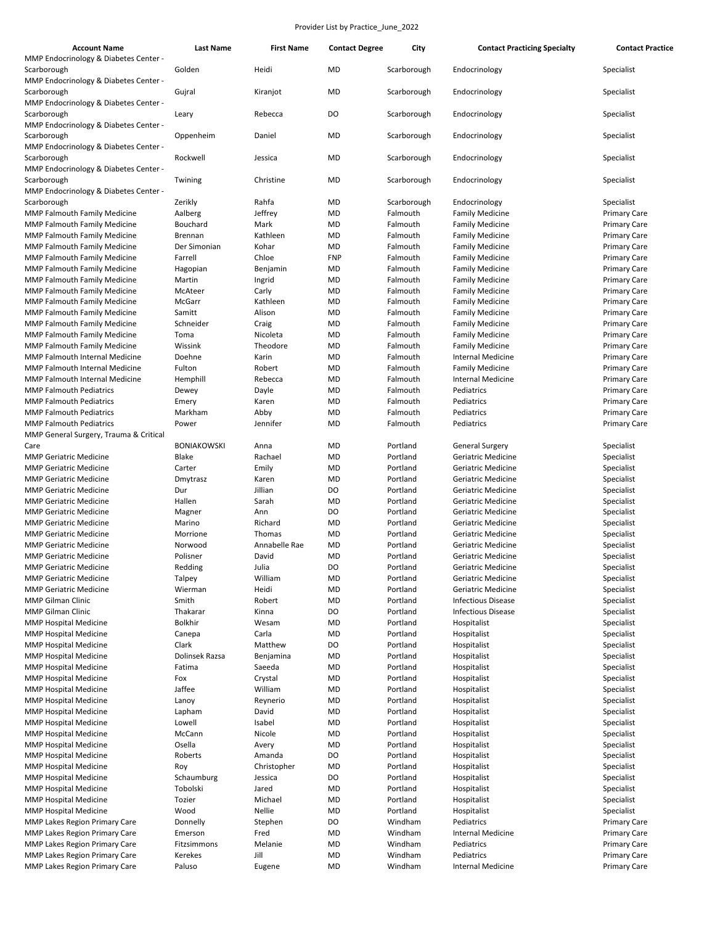| MMP Endocrinology & Diabetes Center -<br>Golden<br>Scarborough<br>Heidi<br><b>MD</b><br>Scarborough<br>Endocrinology<br>Specialist<br>MMP Endocrinology & Diabetes Center -<br><b>MD</b><br>Gujral<br>Specialist<br>Scarborough<br>Kiranjot<br>Scarborough<br>Endocrinology<br>MMP Endocrinology & Diabetes Center -<br>DO<br>Rebecca<br>Scarborough<br>Endocrinology<br>Specialist<br>Scarborough<br>Leary<br>MMP Endocrinology & Diabetes Center -<br>Oppenheim<br>Daniel<br><b>MD</b><br>Scarborough<br>Specialist<br>Scarborough<br>Endocrinology<br>MMP Endocrinology & Diabetes Center -<br><b>MD</b><br>Scarborough<br>Rockwell<br>Jessica<br>Scarborough<br>Endocrinology<br>Specialist<br>MMP Endocrinology & Diabetes Center -<br>Twining<br>Christine<br>MD<br>Scarborough<br>Endocrinology<br>Specialist<br>Scarborough<br>MMP Endocrinology & Diabetes Center -<br>Rahfa<br>Zerikly<br><b>MD</b><br>Specialist<br>Scarborough<br>Scarborough<br>Endocrinology<br>MMP Falmouth Family Medicine<br>Aalberg<br>Jeffrey<br><b>MD</b><br>Falmouth<br><b>Family Medicine</b><br><b>Primary Care</b><br>Mark<br>MMP Falmouth Family Medicine<br>Bouchard<br>MD<br>Falmouth<br><b>Family Medicine</b><br><b>Primary Care</b><br>Kathleen<br>Brennan<br><b>MD</b><br>Falmouth<br><b>Family Medicine</b><br><b>MMP Falmouth Family Medicine</b><br><b>Primary Care</b><br>Der Simonian<br>Kohar<br><b>MD</b><br>Falmouth<br><b>MMP Falmouth Family Medicine</b><br><b>Family Medicine</b><br><b>Primary Care</b><br>Chloe<br><b>FNP</b><br>MMP Falmouth Family Medicine<br>Farrell<br>Falmouth<br><b>Family Medicine</b><br><b>Primary Care</b><br>MMP Falmouth Family Medicine<br>Benjamin<br><b>MD</b><br>Falmouth<br><b>Family Medicine</b><br><b>Primary Care</b><br>Hagopian<br>Martin<br>Ingrid<br><b>MD</b><br>Falmouth<br><b>Family Medicine</b><br><b>MMP Falmouth Family Medicine</b><br><b>Primary Care</b><br><b>MMP Falmouth Family Medicine</b><br>McAteer<br>Carly<br><b>MD</b><br>Falmouth<br><b>Family Medicine</b><br><b>Primary Care</b><br><b>MD</b><br>McGarr<br>Kathleen<br>Falmouth<br><b>Family Medicine</b><br><b>MMP Falmouth Family Medicine</b><br><b>Primary Care</b><br>Samitt<br>Alison<br>MD<br>Falmouth<br><b>MMP Falmouth Family Medicine</b><br><b>Family Medicine</b><br><b>Primary Care</b><br>Schneider<br>MD<br>Falmouth<br><b>Family Medicine</b><br><b>MMP Falmouth Family Medicine</b><br>Craig<br><b>Primary Care</b><br>Nicoleta<br><b>MD</b><br>Falmouth<br><b>Family Medicine</b><br><b>MMP Falmouth Family Medicine</b><br>Toma<br><b>Primary Care</b><br>MMP Falmouth Family Medicine<br>Wissink<br>Theodore<br><b>MD</b><br>Falmouth<br><b>Family Medicine</b><br><b>Primary Care</b><br>Doehne<br>Karin<br>MD<br>Falmouth<br>Internal Medicine<br><b>MMP Falmouth Internal Medicine</b><br><b>Primary Care</b><br><b>MD</b><br>MMP Falmouth Internal Medicine<br>Fulton<br>Robert<br>Falmouth<br><b>Family Medicine</b><br><b>Primary Care</b><br>Rebecca<br>MD<br>Falmouth<br><b>Internal Medicine</b><br><b>MMP Falmouth Internal Medicine</b><br>Hemphill<br><b>Primary Care</b><br><b>MMP Falmouth Pediatrics</b><br>Dayle<br>MD<br>Falmouth<br>Pediatrics<br><b>Primary Care</b><br>Dewey<br><b>MMP Falmouth Pediatrics</b><br>Karen<br>MD<br>Falmouth<br>Pediatrics<br>Emery<br><b>Primary Care</b><br><b>MMP Falmouth Pediatrics</b><br>Markham<br>Abby<br><b>MD</b><br>Falmouth<br>Pediatrics<br><b>Primary Care</b><br><b>MMP Falmouth Pediatrics</b><br>Power<br>Jennifer<br><b>MD</b><br>Falmouth<br>Pediatrics<br><b>Primary Care</b><br>MMP General Surgery, Trauma & Critical<br>Portland<br><b>BONIAKOWSKI</b><br>Anna<br>MD<br><b>General Surgery</b><br>Specialist<br>Care<br><b>MMP Geriatric Medicine</b><br>Blake<br>Rachael<br>MD<br>Portland<br>Geriatric Medicine<br>Specialist<br><b>MMP Geriatric Medicine</b><br>Carter<br>Emily<br>MD<br>Portland<br>Geriatric Medicine<br>Specialist<br>Karen<br><b>MD</b><br>Portland<br>Geriatric Medicine<br>Specialist<br><b>MMP Geriatric Medicine</b><br>Dmytrasz<br><b>MMP Geriatric Medicine</b><br>Dur<br>Jillian<br>DO<br>Portland<br>Geriatric Medicine<br>Specialist<br>Portland<br>Hallen<br>Sarah<br><b>MD</b><br>Geriatric Medicine<br>Specialist<br><b>MMP Geriatric Medicine</b><br>DO<br>Portland<br>Geriatric Medicine<br><b>MMP Geriatric Medicine</b><br>Magner<br>Ann<br>Specialist<br>Richard<br>Marino<br>MD<br>Portland<br>Geriatric Medicine<br>Specialist<br><b>MMP Geriatric Medicine</b><br>Thomas<br>MD<br>Portland<br>Geriatric Medicine<br>Specialist<br><b>MMP Geriatric Medicine</b><br>Morrione<br>Annabelle Rae<br><b>MD</b><br>Portland<br>Specialist<br><b>MMP Geriatric Medicine</b><br>Norwood<br>Geriatric Medicine<br>David<br><b>MD</b><br>Portland<br>Specialist<br><b>MMP Geriatric Medicine</b><br>Polisner<br>Geriatric Medicine<br>DO<br>Redding<br>Geriatric Medicine<br><b>MMP Geriatric Medicine</b><br>Julia<br>Specialist<br>Portland<br>William<br><b>MD</b><br>Talpey<br>Portland<br>Geriatric Medicine<br>Specialist<br><b>MMP Geriatric Medicine</b><br><b>MMP Geriatric Medicine</b><br>Wierman<br>Heidi<br>MD<br>Portland<br>Geriatric Medicine<br>Specialist<br>Smith<br>Portland<br>MMP Gilman Clinic<br>Robert<br>MD<br><b>Infectious Disease</b><br>Specialist<br><b>MMP Gilman Clinic</b><br>Thakarar<br>Kinna<br>DO<br>Portland<br><b>Infectious Disease</b><br>Specialist<br><b>Bolkhir</b><br>MMP Hospital Medicine<br>Wesam<br>MD<br>Portland<br>Hospitalist<br>Specialist<br><b>MMP Hospital Medicine</b><br>Canepa<br>Carla<br>MD<br>Portland<br>Hospitalist<br>Specialist<br>Matthew<br>Portland<br><b>MMP Hospital Medicine</b><br>Clark<br>DO<br>Hospitalist<br>Specialist<br>Portland<br><b>MMP Hospital Medicine</b><br>Dolinsek Razsa<br>Benjamina<br>MD<br>Hospitalist<br>Specialist<br><b>MMP Hospital Medicine</b><br>Saeeda<br>MD<br>Portland<br>Hospitalist<br>Specialist<br>Fatima<br>Crystal<br>Portland<br><b>MMP Hospital Medicine</b><br>MD<br>Hospitalist<br>Specialist<br>Fox<br>Jaffee<br>William<br>Portland<br><b>MMP Hospital Medicine</b><br>MD<br>Hospitalist<br>Specialist<br>Portland<br><b>MMP Hospital Medicine</b><br>Reynerio<br>MD<br>Hospitalist<br>Specialist<br>Lanoy<br>Portland<br>Lapham<br>David<br>MD<br>Hospitalist<br>Specialist<br><b>MMP Hospital Medicine</b><br><b>MMP Hospital Medicine</b><br>Lowell<br>Isabel<br>MD<br>Portland<br>Hospitalist<br>Specialist<br><b>MMP Hospital Medicine</b><br>McCann<br>Nicole<br>MD<br>Portland<br>Hospitalist<br>Specialist<br><b>MMP Hospital Medicine</b><br>Osella<br>MD<br>Portland<br>Hospitalist<br>Specialist<br>Avery<br>Portland<br><b>MMP Hospital Medicine</b><br>Roberts<br>Amanda<br>DO<br>Hospitalist<br>Specialist<br><b>MMP Hospital Medicine</b><br>Christopher<br>MD<br>Portland<br>Hospitalist<br>Specialist<br>Roy<br><b>MMP Hospital Medicine</b><br>Schaumburg<br>Jessica<br>DO<br>Portland<br>Hospitalist<br>Specialist<br><b>MMP Hospital Medicine</b><br>Tobolski<br>Jared<br>MD<br>Portland<br>Hospitalist<br>Specialist<br><b>MMP Hospital Medicine</b><br>Tozier<br>Michael<br>MD<br>Portland<br>Hospitalist<br>Specialist<br>Nellie<br><b>MMP Hospital Medicine</b><br>Wood<br>MD<br>Portland<br>Hospitalist<br>Specialist<br>Windham<br>MMP Lakes Region Primary Care<br>Stephen<br>DO<br>Pediatrics<br><b>Primary Care</b><br>Donnelly<br>Windham<br><b>MMP Lakes Region Primary Care</b><br>Emerson<br>Fred<br>MD<br>Internal Medicine<br><b>Primary Care</b><br>Melanie<br>Windham<br><b>MMP Lakes Region Primary Care</b><br>Fitzsimmons<br>MD<br>Pediatrics<br><b>Primary Care</b><br><b>MD</b><br>Windham<br><b>MMP Lakes Region Primary Care</b><br>Kerekes<br>Jill<br>Pediatrics<br><b>Primary Care</b><br><b>MMP Lakes Region Primary Care</b><br>Paluso<br>Eugene<br>MD<br>Windham<br>Internal Medicine<br><b>Primary Care</b> | <b>Account Name</b> | <b>Last Name</b> | <b>First Name</b> | <b>Contact Degree</b> | City | <b>Contact Practicing Specialty</b> | <b>Contact Practice</b> |
|---------------------------------------------------------------------------------------------------------------------------------------------------------------------------------------------------------------------------------------------------------------------------------------------------------------------------------------------------------------------------------------------------------------------------------------------------------------------------------------------------------------------------------------------------------------------------------------------------------------------------------------------------------------------------------------------------------------------------------------------------------------------------------------------------------------------------------------------------------------------------------------------------------------------------------------------------------------------------------------------------------------------------------------------------------------------------------------------------------------------------------------------------------------------------------------------------------------------------------------------------------------------------------------------------------------------------------------------------------------------------------------------------------------------------------------------------------------------------------------------------------------------------------------------------------------------------------------------------------------------------------------------------------------------------------------------------------------------------------------------------------------------------------------------------------------------------------------------------------------------------------------------------------------------------------------------------------------------------------------------------------------------------------------------------------------------------------------------------------------------------------------------------------------------------------------------------------------------------------------------------------------------------------------------------------------------------------------------------------------------------------------------------------------------------------------------------------------------------------------------------------------------------------------------------------------------------------------------------------------------------------------------------------------------------------------------------------------------------------------------------------------------------------------------------------------------------------------------------------------------------------------------------------------------------------------------------------------------------------------------------------------------------------------------------------------------------------------------------------------------------------------------------------------------------------------------------------------------------------------------------------------------------------------------------------------------------------------------------------------------------------------------------------------------------------------------------------------------------------------------------------------------------------------------------------------------------------------------------------------------------------------------------------------------------------------------------------------------------------------------------------------------------------------------------------------------------------------------------------------------------------------------------------------------------------------------------------------------------------------------------------------------------------------------------------------------------------------------------------------------------------------------------------------------------------------------------------------------------------------------------------------------------------------------------------------------------------------------------------------------------------------------------------------------------------------------------------------------------------------------------------------------------------------------------------------------------------------------------------------------------------------------------------------------------------------------------------------------------------------------------------------------------------------------------------------------------------------------------------------------------------------------------------------------------------------------------------------------------------------------------------------------------------------------------------------------------------------------------------------------------------------------------------------------------------------------------------------------------------------------------------------------------------------------------------------------------------------------------------------------------------------------------------------------------------------------------------------------------------------------------------------------------------------------------------------------------------------------------------------------------------------------------------------------------------------------------------------------------------------------------------------------------------------------------------------------------------------------------------------------------------------------------------------------------------------------------------------------------------------------------------------------------------------------------------------------------------------------------------------------------------------------------------------------------------------------------------------------------------------------------------------------------------------------------------------------------------------------------------------------------------------------------------------------------------------------------------------------------------------------------------------------------------------------------------------------------------------------------------------------------------------------------------------------------------------------------------------------------------------------------------------------------------------------------------------------------------------------------------------------------------------------------------------------------------------------------------------------------------------------------------------------------------------------------------------------------------------------------------------------------------------------------------------------------------------------------------------------------------------------------------------------------------------------------------------------------------------------------------------------------------------------------------------------------------------------------------------------------------------------------------------------------------------------------------------------------------------------------------------------------------------------------------------------------------------------------------------------------------------------------------------------------------------------------------------------------------------------------------------------------------------------------------------------------------------------------|---------------------|------------------|-------------------|-----------------------|------|-------------------------------------|-------------------------|
|                                                                                                                                                                                                                                                                                                                                                                                                                                                                                                                                                                                                                                                                                                                                                                                                                                                                                                                                                                                                                                                                                                                                                                                                                                                                                                                                                                                                                                                                                                                                                                                                                                                                                                                                                                                                                                                                                                                                                                                                                                                                                                                                                                                                                                                                                                                                                                                                                                                                                                                                                                                                                                                                                                                                                                                                                                                                                                                                                                                                                                                                                                                                                                                                                                                                                                                                                                                                                                                                                                                                                                                                                                                                                                                                                                                                                                                                                                                                                                                                                                                                                                                                                                                                                                                                                                                                                                                                                                                                                                                                                                                                                                                                                                                                                                                                                                                                                                                                                                                                                                                                                                                                                                                                                                                                                                                                                                                                                                                                                                                                                                                                                                                                                                                                                                                                                                                                                                                                                                                                                                                                                                                                                                                                                                                                                                                                                                                                                                                                                                                                                                                                                                                                                                                                                                                                                                                                                                                                                                                                                                                                                                                                                                                                                                                                                                                                                                                                                                                                                                                                                                                                                                                                                                                                                                                                                                                                                                                                                   |                     |                  |                   |                       |      |                                     |                         |
|                                                                                                                                                                                                                                                                                                                                                                                                                                                                                                                                                                                                                                                                                                                                                                                                                                                                                                                                                                                                                                                                                                                                                                                                                                                                                                                                                                                                                                                                                                                                                                                                                                                                                                                                                                                                                                                                                                                                                                                                                                                                                                                                                                                                                                                                                                                                                                                                                                                                                                                                                                                                                                                                                                                                                                                                                                                                                                                                                                                                                                                                                                                                                                                                                                                                                                                                                                                                                                                                                                                                                                                                                                                                                                                                                                                                                                                                                                                                                                                                                                                                                                                                                                                                                                                                                                                                                                                                                                                                                                                                                                                                                                                                                                                                                                                                                                                                                                                                                                                                                                                                                                                                                                                                                                                                                                                                                                                                                                                                                                                                                                                                                                                                                                                                                                                                                                                                                                                                                                                                                                                                                                                                                                                                                                                                                                                                                                                                                                                                                                                                                                                                                                                                                                                                                                                                                                                                                                                                                                                                                                                                                                                                                                                                                                                                                                                                                                                                                                                                                                                                                                                                                                                                                                                                                                                                                                                                                                                                                   |                     |                  |                   |                       |      |                                     |                         |
|                                                                                                                                                                                                                                                                                                                                                                                                                                                                                                                                                                                                                                                                                                                                                                                                                                                                                                                                                                                                                                                                                                                                                                                                                                                                                                                                                                                                                                                                                                                                                                                                                                                                                                                                                                                                                                                                                                                                                                                                                                                                                                                                                                                                                                                                                                                                                                                                                                                                                                                                                                                                                                                                                                                                                                                                                                                                                                                                                                                                                                                                                                                                                                                                                                                                                                                                                                                                                                                                                                                                                                                                                                                                                                                                                                                                                                                                                                                                                                                                                                                                                                                                                                                                                                                                                                                                                                                                                                                                                                                                                                                                                                                                                                                                                                                                                                                                                                                                                                                                                                                                                                                                                                                                                                                                                                                                                                                                                                                                                                                                                                                                                                                                                                                                                                                                                                                                                                                                                                                                                                                                                                                                                                                                                                                                                                                                                                                                                                                                                                                                                                                                                                                                                                                                                                                                                                                                                                                                                                                                                                                                                                                                                                                                                                                                                                                                                                                                                                                                                                                                                                                                                                                                                                                                                                                                                                                                                                                                                   |                     |                  |                   |                       |      |                                     |                         |
|                                                                                                                                                                                                                                                                                                                                                                                                                                                                                                                                                                                                                                                                                                                                                                                                                                                                                                                                                                                                                                                                                                                                                                                                                                                                                                                                                                                                                                                                                                                                                                                                                                                                                                                                                                                                                                                                                                                                                                                                                                                                                                                                                                                                                                                                                                                                                                                                                                                                                                                                                                                                                                                                                                                                                                                                                                                                                                                                                                                                                                                                                                                                                                                                                                                                                                                                                                                                                                                                                                                                                                                                                                                                                                                                                                                                                                                                                                                                                                                                                                                                                                                                                                                                                                                                                                                                                                                                                                                                                                                                                                                                                                                                                                                                                                                                                                                                                                                                                                                                                                                                                                                                                                                                                                                                                                                                                                                                                                                                                                                                                                                                                                                                                                                                                                                                                                                                                                                                                                                                                                                                                                                                                                                                                                                                                                                                                                                                                                                                                                                                                                                                                                                                                                                                                                                                                                                                                                                                                                                                                                                                                                                                                                                                                                                                                                                                                                                                                                                                                                                                                                                                                                                                                                                                                                                                                                                                                                                                                   |                     |                  |                   |                       |      |                                     |                         |
|                                                                                                                                                                                                                                                                                                                                                                                                                                                                                                                                                                                                                                                                                                                                                                                                                                                                                                                                                                                                                                                                                                                                                                                                                                                                                                                                                                                                                                                                                                                                                                                                                                                                                                                                                                                                                                                                                                                                                                                                                                                                                                                                                                                                                                                                                                                                                                                                                                                                                                                                                                                                                                                                                                                                                                                                                                                                                                                                                                                                                                                                                                                                                                                                                                                                                                                                                                                                                                                                                                                                                                                                                                                                                                                                                                                                                                                                                                                                                                                                                                                                                                                                                                                                                                                                                                                                                                                                                                                                                                                                                                                                                                                                                                                                                                                                                                                                                                                                                                                                                                                                                                                                                                                                                                                                                                                                                                                                                                                                                                                                                                                                                                                                                                                                                                                                                                                                                                                                                                                                                                                                                                                                                                                                                                                                                                                                                                                                                                                                                                                                                                                                                                                                                                                                                                                                                                                                                                                                                                                                                                                                                                                                                                                                                                                                                                                                                                                                                                                                                                                                                                                                                                                                                                                                                                                                                                                                                                                                                   |                     |                  |                   |                       |      |                                     |                         |
|                                                                                                                                                                                                                                                                                                                                                                                                                                                                                                                                                                                                                                                                                                                                                                                                                                                                                                                                                                                                                                                                                                                                                                                                                                                                                                                                                                                                                                                                                                                                                                                                                                                                                                                                                                                                                                                                                                                                                                                                                                                                                                                                                                                                                                                                                                                                                                                                                                                                                                                                                                                                                                                                                                                                                                                                                                                                                                                                                                                                                                                                                                                                                                                                                                                                                                                                                                                                                                                                                                                                                                                                                                                                                                                                                                                                                                                                                                                                                                                                                                                                                                                                                                                                                                                                                                                                                                                                                                                                                                                                                                                                                                                                                                                                                                                                                                                                                                                                                                                                                                                                                                                                                                                                                                                                                                                                                                                                                                                                                                                                                                                                                                                                                                                                                                                                                                                                                                                                                                                                                                                                                                                                                                                                                                                                                                                                                                                                                                                                                                                                                                                                                                                                                                                                                                                                                                                                                                                                                                                                                                                                                                                                                                                                                                                                                                                                                                                                                                                                                                                                                                                                                                                                                                                                                                                                                                                                                                                                                   |                     |                  |                   |                       |      |                                     |                         |
|                                                                                                                                                                                                                                                                                                                                                                                                                                                                                                                                                                                                                                                                                                                                                                                                                                                                                                                                                                                                                                                                                                                                                                                                                                                                                                                                                                                                                                                                                                                                                                                                                                                                                                                                                                                                                                                                                                                                                                                                                                                                                                                                                                                                                                                                                                                                                                                                                                                                                                                                                                                                                                                                                                                                                                                                                                                                                                                                                                                                                                                                                                                                                                                                                                                                                                                                                                                                                                                                                                                                                                                                                                                                                                                                                                                                                                                                                                                                                                                                                                                                                                                                                                                                                                                                                                                                                                                                                                                                                                                                                                                                                                                                                                                                                                                                                                                                                                                                                                                                                                                                                                                                                                                                                                                                                                                                                                                                                                                                                                                                                                                                                                                                                                                                                                                                                                                                                                                                                                                                                                                                                                                                                                                                                                                                                                                                                                                                                                                                                                                                                                                                                                                                                                                                                                                                                                                                                                                                                                                                                                                                                                                                                                                                                                                                                                                                                                                                                                                                                                                                                                                                                                                                                                                                                                                                                                                                                                                                                   |                     |                  |                   |                       |      |                                     |                         |
|                                                                                                                                                                                                                                                                                                                                                                                                                                                                                                                                                                                                                                                                                                                                                                                                                                                                                                                                                                                                                                                                                                                                                                                                                                                                                                                                                                                                                                                                                                                                                                                                                                                                                                                                                                                                                                                                                                                                                                                                                                                                                                                                                                                                                                                                                                                                                                                                                                                                                                                                                                                                                                                                                                                                                                                                                                                                                                                                                                                                                                                                                                                                                                                                                                                                                                                                                                                                                                                                                                                                                                                                                                                                                                                                                                                                                                                                                                                                                                                                                                                                                                                                                                                                                                                                                                                                                                                                                                                                                                                                                                                                                                                                                                                                                                                                                                                                                                                                                                                                                                                                                                                                                                                                                                                                                                                                                                                                                                                                                                                                                                                                                                                                                                                                                                                                                                                                                                                                                                                                                                                                                                                                                                                                                                                                                                                                                                                                                                                                                                                                                                                                                                                                                                                                                                                                                                                                                                                                                                                                                                                                                                                                                                                                                                                                                                                                                                                                                                                                                                                                                                                                                                                                                                                                                                                                                                                                                                                                                   |                     |                  |                   |                       |      |                                     |                         |
|                                                                                                                                                                                                                                                                                                                                                                                                                                                                                                                                                                                                                                                                                                                                                                                                                                                                                                                                                                                                                                                                                                                                                                                                                                                                                                                                                                                                                                                                                                                                                                                                                                                                                                                                                                                                                                                                                                                                                                                                                                                                                                                                                                                                                                                                                                                                                                                                                                                                                                                                                                                                                                                                                                                                                                                                                                                                                                                                                                                                                                                                                                                                                                                                                                                                                                                                                                                                                                                                                                                                                                                                                                                                                                                                                                                                                                                                                                                                                                                                                                                                                                                                                                                                                                                                                                                                                                                                                                                                                                                                                                                                                                                                                                                                                                                                                                                                                                                                                                                                                                                                                                                                                                                                                                                                                                                                                                                                                                                                                                                                                                                                                                                                                                                                                                                                                                                                                                                                                                                                                                                                                                                                                                                                                                                                                                                                                                                                                                                                                                                                                                                                                                                                                                                                                                                                                                                                                                                                                                                                                                                                                                                                                                                                                                                                                                                                                                                                                                                                                                                                                                                                                                                                                                                                                                                                                                                                                                                                                   |                     |                  |                   |                       |      |                                     |                         |
|                                                                                                                                                                                                                                                                                                                                                                                                                                                                                                                                                                                                                                                                                                                                                                                                                                                                                                                                                                                                                                                                                                                                                                                                                                                                                                                                                                                                                                                                                                                                                                                                                                                                                                                                                                                                                                                                                                                                                                                                                                                                                                                                                                                                                                                                                                                                                                                                                                                                                                                                                                                                                                                                                                                                                                                                                                                                                                                                                                                                                                                                                                                                                                                                                                                                                                                                                                                                                                                                                                                                                                                                                                                                                                                                                                                                                                                                                                                                                                                                                                                                                                                                                                                                                                                                                                                                                                                                                                                                                                                                                                                                                                                                                                                                                                                                                                                                                                                                                                                                                                                                                                                                                                                                                                                                                                                                                                                                                                                                                                                                                                                                                                                                                                                                                                                                                                                                                                                                                                                                                                                                                                                                                                                                                                                                                                                                                                                                                                                                                                                                                                                                                                                                                                                                                                                                                                                                                                                                                                                                                                                                                                                                                                                                                                                                                                                                                                                                                                                                                                                                                                                                                                                                                                                                                                                                                                                                                                                                                   |                     |                  |                   |                       |      |                                     |                         |
|                                                                                                                                                                                                                                                                                                                                                                                                                                                                                                                                                                                                                                                                                                                                                                                                                                                                                                                                                                                                                                                                                                                                                                                                                                                                                                                                                                                                                                                                                                                                                                                                                                                                                                                                                                                                                                                                                                                                                                                                                                                                                                                                                                                                                                                                                                                                                                                                                                                                                                                                                                                                                                                                                                                                                                                                                                                                                                                                                                                                                                                                                                                                                                                                                                                                                                                                                                                                                                                                                                                                                                                                                                                                                                                                                                                                                                                                                                                                                                                                                                                                                                                                                                                                                                                                                                                                                                                                                                                                                                                                                                                                                                                                                                                                                                                                                                                                                                                                                                                                                                                                                                                                                                                                                                                                                                                                                                                                                                                                                                                                                                                                                                                                                                                                                                                                                                                                                                                                                                                                                                                                                                                                                                                                                                                                                                                                                                                                                                                                                                                                                                                                                                                                                                                                                                                                                                                                                                                                                                                                                                                                                                                                                                                                                                                                                                                                                                                                                                                                                                                                                                                                                                                                                                                                                                                                                                                                                                                                                   |                     |                  |                   |                       |      |                                     |                         |
|                                                                                                                                                                                                                                                                                                                                                                                                                                                                                                                                                                                                                                                                                                                                                                                                                                                                                                                                                                                                                                                                                                                                                                                                                                                                                                                                                                                                                                                                                                                                                                                                                                                                                                                                                                                                                                                                                                                                                                                                                                                                                                                                                                                                                                                                                                                                                                                                                                                                                                                                                                                                                                                                                                                                                                                                                                                                                                                                                                                                                                                                                                                                                                                                                                                                                                                                                                                                                                                                                                                                                                                                                                                                                                                                                                                                                                                                                                                                                                                                                                                                                                                                                                                                                                                                                                                                                                                                                                                                                                                                                                                                                                                                                                                                                                                                                                                                                                                                                                                                                                                                                                                                                                                                                                                                                                                                                                                                                                                                                                                                                                                                                                                                                                                                                                                                                                                                                                                                                                                                                                                                                                                                                                                                                                                                                                                                                                                                                                                                                                                                                                                                                                                                                                                                                                                                                                                                                                                                                                                                                                                                                                                                                                                                                                                                                                                                                                                                                                                                                                                                                                                                                                                                                                                                                                                                                                                                                                                                                   |                     |                  |                   |                       |      |                                     |                         |
|                                                                                                                                                                                                                                                                                                                                                                                                                                                                                                                                                                                                                                                                                                                                                                                                                                                                                                                                                                                                                                                                                                                                                                                                                                                                                                                                                                                                                                                                                                                                                                                                                                                                                                                                                                                                                                                                                                                                                                                                                                                                                                                                                                                                                                                                                                                                                                                                                                                                                                                                                                                                                                                                                                                                                                                                                                                                                                                                                                                                                                                                                                                                                                                                                                                                                                                                                                                                                                                                                                                                                                                                                                                                                                                                                                                                                                                                                                                                                                                                                                                                                                                                                                                                                                                                                                                                                                                                                                                                                                                                                                                                                                                                                                                                                                                                                                                                                                                                                                                                                                                                                                                                                                                                                                                                                                                                                                                                                                                                                                                                                                                                                                                                                                                                                                                                                                                                                                                                                                                                                                                                                                                                                                                                                                                                                                                                                                                                                                                                                                                                                                                                                                                                                                                                                                                                                                                                                                                                                                                                                                                                                                                                                                                                                                                                                                                                                                                                                                                                                                                                                                                                                                                                                                                                                                                                                                                                                                                                                   |                     |                  |                   |                       |      |                                     |                         |
|                                                                                                                                                                                                                                                                                                                                                                                                                                                                                                                                                                                                                                                                                                                                                                                                                                                                                                                                                                                                                                                                                                                                                                                                                                                                                                                                                                                                                                                                                                                                                                                                                                                                                                                                                                                                                                                                                                                                                                                                                                                                                                                                                                                                                                                                                                                                                                                                                                                                                                                                                                                                                                                                                                                                                                                                                                                                                                                                                                                                                                                                                                                                                                                                                                                                                                                                                                                                                                                                                                                                                                                                                                                                                                                                                                                                                                                                                                                                                                                                                                                                                                                                                                                                                                                                                                                                                                                                                                                                                                                                                                                                                                                                                                                                                                                                                                                                                                                                                                                                                                                                                                                                                                                                                                                                                                                                                                                                                                                                                                                                                                                                                                                                                                                                                                                                                                                                                                                                                                                                                                                                                                                                                                                                                                                                                                                                                                                                                                                                                                                                                                                                                                                                                                                                                                                                                                                                                                                                                                                                                                                                                                                                                                                                                                                                                                                                                                                                                                                                                                                                                                                                                                                                                                                                                                                                                                                                                                                                                   |                     |                  |                   |                       |      |                                     |                         |
|                                                                                                                                                                                                                                                                                                                                                                                                                                                                                                                                                                                                                                                                                                                                                                                                                                                                                                                                                                                                                                                                                                                                                                                                                                                                                                                                                                                                                                                                                                                                                                                                                                                                                                                                                                                                                                                                                                                                                                                                                                                                                                                                                                                                                                                                                                                                                                                                                                                                                                                                                                                                                                                                                                                                                                                                                                                                                                                                                                                                                                                                                                                                                                                                                                                                                                                                                                                                                                                                                                                                                                                                                                                                                                                                                                                                                                                                                                                                                                                                                                                                                                                                                                                                                                                                                                                                                                                                                                                                                                                                                                                                                                                                                                                                                                                                                                                                                                                                                                                                                                                                                                                                                                                                                                                                                                                                                                                                                                                                                                                                                                                                                                                                                                                                                                                                                                                                                                                                                                                                                                                                                                                                                                                                                                                                                                                                                                                                                                                                                                                                                                                                                                                                                                                                                                                                                                                                                                                                                                                                                                                                                                                                                                                                                                                                                                                                                                                                                                                                                                                                                                                                                                                                                                                                                                                                                                                                                                                                                   |                     |                  |                   |                       |      |                                     |                         |
|                                                                                                                                                                                                                                                                                                                                                                                                                                                                                                                                                                                                                                                                                                                                                                                                                                                                                                                                                                                                                                                                                                                                                                                                                                                                                                                                                                                                                                                                                                                                                                                                                                                                                                                                                                                                                                                                                                                                                                                                                                                                                                                                                                                                                                                                                                                                                                                                                                                                                                                                                                                                                                                                                                                                                                                                                                                                                                                                                                                                                                                                                                                                                                                                                                                                                                                                                                                                                                                                                                                                                                                                                                                                                                                                                                                                                                                                                                                                                                                                                                                                                                                                                                                                                                                                                                                                                                                                                                                                                                                                                                                                                                                                                                                                                                                                                                                                                                                                                                                                                                                                                                                                                                                                                                                                                                                                                                                                                                                                                                                                                                                                                                                                                                                                                                                                                                                                                                                                                                                                                                                                                                                                                                                                                                                                                                                                                                                                                                                                                                                                                                                                                                                                                                                                                                                                                                                                                                                                                                                                                                                                                                                                                                                                                                                                                                                                                                                                                                                                                                                                                                                                                                                                                                                                                                                                                                                                                                                                                   |                     |                  |                   |                       |      |                                     |                         |
|                                                                                                                                                                                                                                                                                                                                                                                                                                                                                                                                                                                                                                                                                                                                                                                                                                                                                                                                                                                                                                                                                                                                                                                                                                                                                                                                                                                                                                                                                                                                                                                                                                                                                                                                                                                                                                                                                                                                                                                                                                                                                                                                                                                                                                                                                                                                                                                                                                                                                                                                                                                                                                                                                                                                                                                                                                                                                                                                                                                                                                                                                                                                                                                                                                                                                                                                                                                                                                                                                                                                                                                                                                                                                                                                                                                                                                                                                                                                                                                                                                                                                                                                                                                                                                                                                                                                                                                                                                                                                                                                                                                                                                                                                                                                                                                                                                                                                                                                                                                                                                                                                                                                                                                                                                                                                                                                                                                                                                                                                                                                                                                                                                                                                                                                                                                                                                                                                                                                                                                                                                                                                                                                                                                                                                                                                                                                                                                                                                                                                                                                                                                                                                                                                                                                                                                                                                                                                                                                                                                                                                                                                                                                                                                                                                                                                                                                                                                                                                                                                                                                                                                                                                                                                                                                                                                                                                                                                                                                                   |                     |                  |                   |                       |      |                                     |                         |
|                                                                                                                                                                                                                                                                                                                                                                                                                                                                                                                                                                                                                                                                                                                                                                                                                                                                                                                                                                                                                                                                                                                                                                                                                                                                                                                                                                                                                                                                                                                                                                                                                                                                                                                                                                                                                                                                                                                                                                                                                                                                                                                                                                                                                                                                                                                                                                                                                                                                                                                                                                                                                                                                                                                                                                                                                                                                                                                                                                                                                                                                                                                                                                                                                                                                                                                                                                                                                                                                                                                                                                                                                                                                                                                                                                                                                                                                                                                                                                                                                                                                                                                                                                                                                                                                                                                                                                                                                                                                                                                                                                                                                                                                                                                                                                                                                                                                                                                                                                                                                                                                                                                                                                                                                                                                                                                                                                                                                                                                                                                                                                                                                                                                                                                                                                                                                                                                                                                                                                                                                                                                                                                                                                                                                                                                                                                                                                                                                                                                                                                                                                                                                                                                                                                                                                                                                                                                                                                                                                                                                                                                                                                                                                                                                                                                                                                                                                                                                                                                                                                                                                                                                                                                                                                                                                                                                                                                                                                                                   |                     |                  |                   |                       |      |                                     |                         |
|                                                                                                                                                                                                                                                                                                                                                                                                                                                                                                                                                                                                                                                                                                                                                                                                                                                                                                                                                                                                                                                                                                                                                                                                                                                                                                                                                                                                                                                                                                                                                                                                                                                                                                                                                                                                                                                                                                                                                                                                                                                                                                                                                                                                                                                                                                                                                                                                                                                                                                                                                                                                                                                                                                                                                                                                                                                                                                                                                                                                                                                                                                                                                                                                                                                                                                                                                                                                                                                                                                                                                                                                                                                                                                                                                                                                                                                                                                                                                                                                                                                                                                                                                                                                                                                                                                                                                                                                                                                                                                                                                                                                                                                                                                                                                                                                                                                                                                                                                                                                                                                                                                                                                                                                                                                                                                                                                                                                                                                                                                                                                                                                                                                                                                                                                                                                                                                                                                                                                                                                                                                                                                                                                                                                                                                                                                                                                                                                                                                                                                                                                                                                                                                                                                                                                                                                                                                                                                                                                                                                                                                                                                                                                                                                                                                                                                                                                                                                                                                                                                                                                                                                                                                                                                                                                                                                                                                                                                                                                   |                     |                  |                   |                       |      |                                     |                         |
|                                                                                                                                                                                                                                                                                                                                                                                                                                                                                                                                                                                                                                                                                                                                                                                                                                                                                                                                                                                                                                                                                                                                                                                                                                                                                                                                                                                                                                                                                                                                                                                                                                                                                                                                                                                                                                                                                                                                                                                                                                                                                                                                                                                                                                                                                                                                                                                                                                                                                                                                                                                                                                                                                                                                                                                                                                                                                                                                                                                                                                                                                                                                                                                                                                                                                                                                                                                                                                                                                                                                                                                                                                                                                                                                                                                                                                                                                                                                                                                                                                                                                                                                                                                                                                                                                                                                                                                                                                                                                                                                                                                                                                                                                                                                                                                                                                                                                                                                                                                                                                                                                                                                                                                                                                                                                                                                                                                                                                                                                                                                                                                                                                                                                                                                                                                                                                                                                                                                                                                                                                                                                                                                                                                                                                                                                                                                                                                                                                                                                                                                                                                                                                                                                                                                                                                                                                                                                                                                                                                                                                                                                                                                                                                                                                                                                                                                                                                                                                                                                                                                                                                                                                                                                                                                                                                                                                                                                                                                                   |                     |                  |                   |                       |      |                                     |                         |
|                                                                                                                                                                                                                                                                                                                                                                                                                                                                                                                                                                                                                                                                                                                                                                                                                                                                                                                                                                                                                                                                                                                                                                                                                                                                                                                                                                                                                                                                                                                                                                                                                                                                                                                                                                                                                                                                                                                                                                                                                                                                                                                                                                                                                                                                                                                                                                                                                                                                                                                                                                                                                                                                                                                                                                                                                                                                                                                                                                                                                                                                                                                                                                                                                                                                                                                                                                                                                                                                                                                                                                                                                                                                                                                                                                                                                                                                                                                                                                                                                                                                                                                                                                                                                                                                                                                                                                                                                                                                                                                                                                                                                                                                                                                                                                                                                                                                                                                                                                                                                                                                                                                                                                                                                                                                                                                                                                                                                                                                                                                                                                                                                                                                                                                                                                                                                                                                                                                                                                                                                                                                                                                                                                                                                                                                                                                                                                                                                                                                                                                                                                                                                                                                                                                                                                                                                                                                                                                                                                                                                                                                                                                                                                                                                                                                                                                                                                                                                                                                                                                                                                                                                                                                                                                                                                                                                                                                                                                                                   |                     |                  |                   |                       |      |                                     |                         |
|                                                                                                                                                                                                                                                                                                                                                                                                                                                                                                                                                                                                                                                                                                                                                                                                                                                                                                                                                                                                                                                                                                                                                                                                                                                                                                                                                                                                                                                                                                                                                                                                                                                                                                                                                                                                                                                                                                                                                                                                                                                                                                                                                                                                                                                                                                                                                                                                                                                                                                                                                                                                                                                                                                                                                                                                                                                                                                                                                                                                                                                                                                                                                                                                                                                                                                                                                                                                                                                                                                                                                                                                                                                                                                                                                                                                                                                                                                                                                                                                                                                                                                                                                                                                                                                                                                                                                                                                                                                                                                                                                                                                                                                                                                                                                                                                                                                                                                                                                                                                                                                                                                                                                                                                                                                                                                                                                                                                                                                                                                                                                                                                                                                                                                                                                                                                                                                                                                                                                                                                                                                                                                                                                                                                                                                                                                                                                                                                                                                                                                                                                                                                                                                                                                                                                                                                                                                                                                                                                                                                                                                                                                                                                                                                                                                                                                                                                                                                                                                                                                                                                                                                                                                                                                                                                                                                                                                                                                                                                   |                     |                  |                   |                       |      |                                     |                         |
|                                                                                                                                                                                                                                                                                                                                                                                                                                                                                                                                                                                                                                                                                                                                                                                                                                                                                                                                                                                                                                                                                                                                                                                                                                                                                                                                                                                                                                                                                                                                                                                                                                                                                                                                                                                                                                                                                                                                                                                                                                                                                                                                                                                                                                                                                                                                                                                                                                                                                                                                                                                                                                                                                                                                                                                                                                                                                                                                                                                                                                                                                                                                                                                                                                                                                                                                                                                                                                                                                                                                                                                                                                                                                                                                                                                                                                                                                                                                                                                                                                                                                                                                                                                                                                                                                                                                                                                                                                                                                                                                                                                                                                                                                                                                                                                                                                                                                                                                                                                                                                                                                                                                                                                                                                                                                                                                                                                                                                                                                                                                                                                                                                                                                                                                                                                                                                                                                                                                                                                                                                                                                                                                                                                                                                                                                                                                                                                                                                                                                                                                                                                                                                                                                                                                                                                                                                                                                                                                                                                                                                                                                                                                                                                                                                                                                                                                                                                                                                                                                                                                                                                                                                                                                                                                                                                                                                                                                                                                                   |                     |                  |                   |                       |      |                                     |                         |
|                                                                                                                                                                                                                                                                                                                                                                                                                                                                                                                                                                                                                                                                                                                                                                                                                                                                                                                                                                                                                                                                                                                                                                                                                                                                                                                                                                                                                                                                                                                                                                                                                                                                                                                                                                                                                                                                                                                                                                                                                                                                                                                                                                                                                                                                                                                                                                                                                                                                                                                                                                                                                                                                                                                                                                                                                                                                                                                                                                                                                                                                                                                                                                                                                                                                                                                                                                                                                                                                                                                                                                                                                                                                                                                                                                                                                                                                                                                                                                                                                                                                                                                                                                                                                                                                                                                                                                                                                                                                                                                                                                                                                                                                                                                                                                                                                                                                                                                                                                                                                                                                                                                                                                                                                                                                                                                                                                                                                                                                                                                                                                                                                                                                                                                                                                                                                                                                                                                                                                                                                                                                                                                                                                                                                                                                                                                                                                                                                                                                                                                                                                                                                                                                                                                                                                                                                                                                                                                                                                                                                                                                                                                                                                                                                                                                                                                                                                                                                                                                                                                                                                                                                                                                                                                                                                                                                                                                                                                                                   |                     |                  |                   |                       |      |                                     |                         |
|                                                                                                                                                                                                                                                                                                                                                                                                                                                                                                                                                                                                                                                                                                                                                                                                                                                                                                                                                                                                                                                                                                                                                                                                                                                                                                                                                                                                                                                                                                                                                                                                                                                                                                                                                                                                                                                                                                                                                                                                                                                                                                                                                                                                                                                                                                                                                                                                                                                                                                                                                                                                                                                                                                                                                                                                                                                                                                                                                                                                                                                                                                                                                                                                                                                                                                                                                                                                                                                                                                                                                                                                                                                                                                                                                                                                                                                                                                                                                                                                                                                                                                                                                                                                                                                                                                                                                                                                                                                                                                                                                                                                                                                                                                                                                                                                                                                                                                                                                                                                                                                                                                                                                                                                                                                                                                                                                                                                                                                                                                                                                                                                                                                                                                                                                                                                                                                                                                                                                                                                                                                                                                                                                                                                                                                                                                                                                                                                                                                                                                                                                                                                                                                                                                                                                                                                                                                                                                                                                                                                                                                                                                                                                                                                                                                                                                                                                                                                                                                                                                                                                                                                                                                                                                                                                                                                                                                                                                                                                   |                     |                  |                   |                       |      |                                     |                         |
|                                                                                                                                                                                                                                                                                                                                                                                                                                                                                                                                                                                                                                                                                                                                                                                                                                                                                                                                                                                                                                                                                                                                                                                                                                                                                                                                                                                                                                                                                                                                                                                                                                                                                                                                                                                                                                                                                                                                                                                                                                                                                                                                                                                                                                                                                                                                                                                                                                                                                                                                                                                                                                                                                                                                                                                                                                                                                                                                                                                                                                                                                                                                                                                                                                                                                                                                                                                                                                                                                                                                                                                                                                                                                                                                                                                                                                                                                                                                                                                                                                                                                                                                                                                                                                                                                                                                                                                                                                                                                                                                                                                                                                                                                                                                                                                                                                                                                                                                                                                                                                                                                                                                                                                                                                                                                                                                                                                                                                                                                                                                                                                                                                                                                                                                                                                                                                                                                                                                                                                                                                                                                                                                                                                                                                                                                                                                                                                                                                                                                                                                                                                                                                                                                                                                                                                                                                                                                                                                                                                                                                                                                                                                                                                                                                                                                                                                                                                                                                                                                                                                                                                                                                                                                                                                                                                                                                                                                                                                                   |                     |                  |                   |                       |      |                                     |                         |
|                                                                                                                                                                                                                                                                                                                                                                                                                                                                                                                                                                                                                                                                                                                                                                                                                                                                                                                                                                                                                                                                                                                                                                                                                                                                                                                                                                                                                                                                                                                                                                                                                                                                                                                                                                                                                                                                                                                                                                                                                                                                                                                                                                                                                                                                                                                                                                                                                                                                                                                                                                                                                                                                                                                                                                                                                                                                                                                                                                                                                                                                                                                                                                                                                                                                                                                                                                                                                                                                                                                                                                                                                                                                                                                                                                                                                                                                                                                                                                                                                                                                                                                                                                                                                                                                                                                                                                                                                                                                                                                                                                                                                                                                                                                                                                                                                                                                                                                                                                                                                                                                                                                                                                                                                                                                                                                                                                                                                                                                                                                                                                                                                                                                                                                                                                                                                                                                                                                                                                                                                                                                                                                                                                                                                                                                                                                                                                                                                                                                                                                                                                                                                                                                                                                                                                                                                                                                                                                                                                                                                                                                                                                                                                                                                                                                                                                                                                                                                                                                                                                                                                                                                                                                                                                                                                                                                                                                                                                                                   |                     |                  |                   |                       |      |                                     |                         |
|                                                                                                                                                                                                                                                                                                                                                                                                                                                                                                                                                                                                                                                                                                                                                                                                                                                                                                                                                                                                                                                                                                                                                                                                                                                                                                                                                                                                                                                                                                                                                                                                                                                                                                                                                                                                                                                                                                                                                                                                                                                                                                                                                                                                                                                                                                                                                                                                                                                                                                                                                                                                                                                                                                                                                                                                                                                                                                                                                                                                                                                                                                                                                                                                                                                                                                                                                                                                                                                                                                                                                                                                                                                                                                                                                                                                                                                                                                                                                                                                                                                                                                                                                                                                                                                                                                                                                                                                                                                                                                                                                                                                                                                                                                                                                                                                                                                                                                                                                                                                                                                                                                                                                                                                                                                                                                                                                                                                                                                                                                                                                                                                                                                                                                                                                                                                                                                                                                                                                                                                                                                                                                                                                                                                                                                                                                                                                                                                                                                                                                                                                                                                                                                                                                                                                                                                                                                                                                                                                                                                                                                                                                                                                                                                                                                                                                                                                                                                                                                                                                                                                                                                                                                                                                                                                                                                                                                                                                                                                   |                     |                  |                   |                       |      |                                     |                         |
|                                                                                                                                                                                                                                                                                                                                                                                                                                                                                                                                                                                                                                                                                                                                                                                                                                                                                                                                                                                                                                                                                                                                                                                                                                                                                                                                                                                                                                                                                                                                                                                                                                                                                                                                                                                                                                                                                                                                                                                                                                                                                                                                                                                                                                                                                                                                                                                                                                                                                                                                                                                                                                                                                                                                                                                                                                                                                                                                                                                                                                                                                                                                                                                                                                                                                                                                                                                                                                                                                                                                                                                                                                                                                                                                                                                                                                                                                                                                                                                                                                                                                                                                                                                                                                                                                                                                                                                                                                                                                                                                                                                                                                                                                                                                                                                                                                                                                                                                                                                                                                                                                                                                                                                                                                                                                                                                                                                                                                                                                                                                                                                                                                                                                                                                                                                                                                                                                                                                                                                                                                                                                                                                                                                                                                                                                                                                                                                                                                                                                                                                                                                                                                                                                                                                                                                                                                                                                                                                                                                                                                                                                                                                                                                                                                                                                                                                                                                                                                                                                                                                                                                                                                                                                                                                                                                                                                                                                                                                                   |                     |                  |                   |                       |      |                                     |                         |
|                                                                                                                                                                                                                                                                                                                                                                                                                                                                                                                                                                                                                                                                                                                                                                                                                                                                                                                                                                                                                                                                                                                                                                                                                                                                                                                                                                                                                                                                                                                                                                                                                                                                                                                                                                                                                                                                                                                                                                                                                                                                                                                                                                                                                                                                                                                                                                                                                                                                                                                                                                                                                                                                                                                                                                                                                                                                                                                                                                                                                                                                                                                                                                                                                                                                                                                                                                                                                                                                                                                                                                                                                                                                                                                                                                                                                                                                                                                                                                                                                                                                                                                                                                                                                                                                                                                                                                                                                                                                                                                                                                                                                                                                                                                                                                                                                                                                                                                                                                                                                                                                                                                                                                                                                                                                                                                                                                                                                                                                                                                                                                                                                                                                                                                                                                                                                                                                                                                                                                                                                                                                                                                                                                                                                                                                                                                                                                                                                                                                                                                                                                                                                                                                                                                                                                                                                                                                                                                                                                                                                                                                                                                                                                                                                                                                                                                                                                                                                                                                                                                                                                                                                                                                                                                                                                                                                                                                                                                                                   |                     |                  |                   |                       |      |                                     |                         |
|                                                                                                                                                                                                                                                                                                                                                                                                                                                                                                                                                                                                                                                                                                                                                                                                                                                                                                                                                                                                                                                                                                                                                                                                                                                                                                                                                                                                                                                                                                                                                                                                                                                                                                                                                                                                                                                                                                                                                                                                                                                                                                                                                                                                                                                                                                                                                                                                                                                                                                                                                                                                                                                                                                                                                                                                                                                                                                                                                                                                                                                                                                                                                                                                                                                                                                                                                                                                                                                                                                                                                                                                                                                                                                                                                                                                                                                                                                                                                                                                                                                                                                                                                                                                                                                                                                                                                                                                                                                                                                                                                                                                                                                                                                                                                                                                                                                                                                                                                                                                                                                                                                                                                                                                                                                                                                                                                                                                                                                                                                                                                                                                                                                                                                                                                                                                                                                                                                                                                                                                                                                                                                                                                                                                                                                                                                                                                                                                                                                                                                                                                                                                                                                                                                                                                                                                                                                                                                                                                                                                                                                                                                                                                                                                                                                                                                                                                                                                                                                                                                                                                                                                                                                                                                                                                                                                                                                                                                                                                   |                     |                  |                   |                       |      |                                     |                         |
|                                                                                                                                                                                                                                                                                                                                                                                                                                                                                                                                                                                                                                                                                                                                                                                                                                                                                                                                                                                                                                                                                                                                                                                                                                                                                                                                                                                                                                                                                                                                                                                                                                                                                                                                                                                                                                                                                                                                                                                                                                                                                                                                                                                                                                                                                                                                                                                                                                                                                                                                                                                                                                                                                                                                                                                                                                                                                                                                                                                                                                                                                                                                                                                                                                                                                                                                                                                                                                                                                                                                                                                                                                                                                                                                                                                                                                                                                                                                                                                                                                                                                                                                                                                                                                                                                                                                                                                                                                                                                                                                                                                                                                                                                                                                                                                                                                                                                                                                                                                                                                                                                                                                                                                                                                                                                                                                                                                                                                                                                                                                                                                                                                                                                                                                                                                                                                                                                                                                                                                                                                                                                                                                                                                                                                                                                                                                                                                                                                                                                                                                                                                                                                                                                                                                                                                                                                                                                                                                                                                                                                                                                                                                                                                                                                                                                                                                                                                                                                                                                                                                                                                                                                                                                                                                                                                                                                                                                                                                                   |                     |                  |                   |                       |      |                                     |                         |
|                                                                                                                                                                                                                                                                                                                                                                                                                                                                                                                                                                                                                                                                                                                                                                                                                                                                                                                                                                                                                                                                                                                                                                                                                                                                                                                                                                                                                                                                                                                                                                                                                                                                                                                                                                                                                                                                                                                                                                                                                                                                                                                                                                                                                                                                                                                                                                                                                                                                                                                                                                                                                                                                                                                                                                                                                                                                                                                                                                                                                                                                                                                                                                                                                                                                                                                                                                                                                                                                                                                                                                                                                                                                                                                                                                                                                                                                                                                                                                                                                                                                                                                                                                                                                                                                                                                                                                                                                                                                                                                                                                                                                                                                                                                                                                                                                                                                                                                                                                                                                                                                                                                                                                                                                                                                                                                                                                                                                                                                                                                                                                                                                                                                                                                                                                                                                                                                                                                                                                                                                                                                                                                                                                                                                                                                                                                                                                                                                                                                                                                                                                                                                                                                                                                                                                                                                                                                                                                                                                                                                                                                                                                                                                                                                                                                                                                                                                                                                                                                                                                                                                                                                                                                                                                                                                                                                                                                                                                                                   |                     |                  |                   |                       |      |                                     |                         |
|                                                                                                                                                                                                                                                                                                                                                                                                                                                                                                                                                                                                                                                                                                                                                                                                                                                                                                                                                                                                                                                                                                                                                                                                                                                                                                                                                                                                                                                                                                                                                                                                                                                                                                                                                                                                                                                                                                                                                                                                                                                                                                                                                                                                                                                                                                                                                                                                                                                                                                                                                                                                                                                                                                                                                                                                                                                                                                                                                                                                                                                                                                                                                                                                                                                                                                                                                                                                                                                                                                                                                                                                                                                                                                                                                                                                                                                                                                                                                                                                                                                                                                                                                                                                                                                                                                                                                                                                                                                                                                                                                                                                                                                                                                                                                                                                                                                                                                                                                                                                                                                                                                                                                                                                                                                                                                                                                                                                                                                                                                                                                                                                                                                                                                                                                                                                                                                                                                                                                                                                                                                                                                                                                                                                                                                                                                                                                                                                                                                                                                                                                                                                                                                                                                                                                                                                                                                                                                                                                                                                                                                                                                                                                                                                                                                                                                                                                                                                                                                                                                                                                                                                                                                                                                                                                                                                                                                                                                                                                   |                     |                  |                   |                       |      |                                     |                         |
|                                                                                                                                                                                                                                                                                                                                                                                                                                                                                                                                                                                                                                                                                                                                                                                                                                                                                                                                                                                                                                                                                                                                                                                                                                                                                                                                                                                                                                                                                                                                                                                                                                                                                                                                                                                                                                                                                                                                                                                                                                                                                                                                                                                                                                                                                                                                                                                                                                                                                                                                                                                                                                                                                                                                                                                                                                                                                                                                                                                                                                                                                                                                                                                                                                                                                                                                                                                                                                                                                                                                                                                                                                                                                                                                                                                                                                                                                                                                                                                                                                                                                                                                                                                                                                                                                                                                                                                                                                                                                                                                                                                                                                                                                                                                                                                                                                                                                                                                                                                                                                                                                                                                                                                                                                                                                                                                                                                                                                                                                                                                                                                                                                                                                                                                                                                                                                                                                                                                                                                                                                                                                                                                                                                                                                                                                                                                                                                                                                                                                                                                                                                                                                                                                                                                                                                                                                                                                                                                                                                                                                                                                                                                                                                                                                                                                                                                                                                                                                                                                                                                                                                                                                                                                                                                                                                                                                                                                                                                                   |                     |                  |                   |                       |      |                                     |                         |
|                                                                                                                                                                                                                                                                                                                                                                                                                                                                                                                                                                                                                                                                                                                                                                                                                                                                                                                                                                                                                                                                                                                                                                                                                                                                                                                                                                                                                                                                                                                                                                                                                                                                                                                                                                                                                                                                                                                                                                                                                                                                                                                                                                                                                                                                                                                                                                                                                                                                                                                                                                                                                                                                                                                                                                                                                                                                                                                                                                                                                                                                                                                                                                                                                                                                                                                                                                                                                                                                                                                                                                                                                                                                                                                                                                                                                                                                                                                                                                                                                                                                                                                                                                                                                                                                                                                                                                                                                                                                                                                                                                                                                                                                                                                                                                                                                                                                                                                                                                                                                                                                                                                                                                                                                                                                                                                                                                                                                                                                                                                                                                                                                                                                                                                                                                                                                                                                                                                                                                                                                                                                                                                                                                                                                                                                                                                                                                                                                                                                                                                                                                                                                                                                                                                                                                                                                                                                                                                                                                                                                                                                                                                                                                                                                                                                                                                                                                                                                                                                                                                                                                                                                                                                                                                                                                                                                                                                                                                                                   |                     |                  |                   |                       |      |                                     |                         |
|                                                                                                                                                                                                                                                                                                                                                                                                                                                                                                                                                                                                                                                                                                                                                                                                                                                                                                                                                                                                                                                                                                                                                                                                                                                                                                                                                                                                                                                                                                                                                                                                                                                                                                                                                                                                                                                                                                                                                                                                                                                                                                                                                                                                                                                                                                                                                                                                                                                                                                                                                                                                                                                                                                                                                                                                                                                                                                                                                                                                                                                                                                                                                                                                                                                                                                                                                                                                                                                                                                                                                                                                                                                                                                                                                                                                                                                                                                                                                                                                                                                                                                                                                                                                                                                                                                                                                                                                                                                                                                                                                                                                                                                                                                                                                                                                                                                                                                                                                                                                                                                                                                                                                                                                                                                                                                                                                                                                                                                                                                                                                                                                                                                                                                                                                                                                                                                                                                                                                                                                                                                                                                                                                                                                                                                                                                                                                                                                                                                                                                                                                                                                                                                                                                                                                                                                                                                                                                                                                                                                                                                                                                                                                                                                                                                                                                                                                                                                                                                                                                                                                                                                                                                                                                                                                                                                                                                                                                                                                   |                     |                  |                   |                       |      |                                     |                         |
|                                                                                                                                                                                                                                                                                                                                                                                                                                                                                                                                                                                                                                                                                                                                                                                                                                                                                                                                                                                                                                                                                                                                                                                                                                                                                                                                                                                                                                                                                                                                                                                                                                                                                                                                                                                                                                                                                                                                                                                                                                                                                                                                                                                                                                                                                                                                                                                                                                                                                                                                                                                                                                                                                                                                                                                                                                                                                                                                                                                                                                                                                                                                                                                                                                                                                                                                                                                                                                                                                                                                                                                                                                                                                                                                                                                                                                                                                                                                                                                                                                                                                                                                                                                                                                                                                                                                                                                                                                                                                                                                                                                                                                                                                                                                                                                                                                                                                                                                                                                                                                                                                                                                                                                                                                                                                                                                                                                                                                                                                                                                                                                                                                                                                                                                                                                                                                                                                                                                                                                                                                                                                                                                                                                                                                                                                                                                                                                                                                                                                                                                                                                                                                                                                                                                                                                                                                                                                                                                                                                                                                                                                                                                                                                                                                                                                                                                                                                                                                                                                                                                                                                                                                                                                                                                                                                                                                                                                                                                                   |                     |                  |                   |                       |      |                                     |                         |
|                                                                                                                                                                                                                                                                                                                                                                                                                                                                                                                                                                                                                                                                                                                                                                                                                                                                                                                                                                                                                                                                                                                                                                                                                                                                                                                                                                                                                                                                                                                                                                                                                                                                                                                                                                                                                                                                                                                                                                                                                                                                                                                                                                                                                                                                                                                                                                                                                                                                                                                                                                                                                                                                                                                                                                                                                                                                                                                                                                                                                                                                                                                                                                                                                                                                                                                                                                                                                                                                                                                                                                                                                                                                                                                                                                                                                                                                                                                                                                                                                                                                                                                                                                                                                                                                                                                                                                                                                                                                                                                                                                                                                                                                                                                                                                                                                                                                                                                                                                                                                                                                                                                                                                                                                                                                                                                                                                                                                                                                                                                                                                                                                                                                                                                                                                                                                                                                                                                                                                                                                                                                                                                                                                                                                                                                                                                                                                                                                                                                                                                                                                                                                                                                                                                                                                                                                                                                                                                                                                                                                                                                                                                                                                                                                                                                                                                                                                                                                                                                                                                                                                                                                                                                                                                                                                                                                                                                                                                                                   |                     |                  |                   |                       |      |                                     |                         |
|                                                                                                                                                                                                                                                                                                                                                                                                                                                                                                                                                                                                                                                                                                                                                                                                                                                                                                                                                                                                                                                                                                                                                                                                                                                                                                                                                                                                                                                                                                                                                                                                                                                                                                                                                                                                                                                                                                                                                                                                                                                                                                                                                                                                                                                                                                                                                                                                                                                                                                                                                                                                                                                                                                                                                                                                                                                                                                                                                                                                                                                                                                                                                                                                                                                                                                                                                                                                                                                                                                                                                                                                                                                                                                                                                                                                                                                                                                                                                                                                                                                                                                                                                                                                                                                                                                                                                                                                                                                                                                                                                                                                                                                                                                                                                                                                                                                                                                                                                                                                                                                                                                                                                                                                                                                                                                                                                                                                                                                                                                                                                                                                                                                                                                                                                                                                                                                                                                                                                                                                                                                                                                                                                                                                                                                                                                                                                                                                                                                                                                                                                                                                                                                                                                                                                                                                                                                                                                                                                                                                                                                                                                                                                                                                                                                                                                                                                                                                                                                                                                                                                                                                                                                                                                                                                                                                                                                                                                                                                   |                     |                  |                   |                       |      |                                     |                         |
|                                                                                                                                                                                                                                                                                                                                                                                                                                                                                                                                                                                                                                                                                                                                                                                                                                                                                                                                                                                                                                                                                                                                                                                                                                                                                                                                                                                                                                                                                                                                                                                                                                                                                                                                                                                                                                                                                                                                                                                                                                                                                                                                                                                                                                                                                                                                                                                                                                                                                                                                                                                                                                                                                                                                                                                                                                                                                                                                                                                                                                                                                                                                                                                                                                                                                                                                                                                                                                                                                                                                                                                                                                                                                                                                                                                                                                                                                                                                                                                                                                                                                                                                                                                                                                                                                                                                                                                                                                                                                                                                                                                                                                                                                                                                                                                                                                                                                                                                                                                                                                                                                                                                                                                                                                                                                                                                                                                                                                                                                                                                                                                                                                                                                                                                                                                                                                                                                                                                                                                                                                                                                                                                                                                                                                                                                                                                                                                                                                                                                                                                                                                                                                                                                                                                                                                                                                                                                                                                                                                                                                                                                                                                                                                                                                                                                                                                                                                                                                                                                                                                                                                                                                                                                                                                                                                                                                                                                                                                                   |                     |                  |                   |                       |      |                                     |                         |
|                                                                                                                                                                                                                                                                                                                                                                                                                                                                                                                                                                                                                                                                                                                                                                                                                                                                                                                                                                                                                                                                                                                                                                                                                                                                                                                                                                                                                                                                                                                                                                                                                                                                                                                                                                                                                                                                                                                                                                                                                                                                                                                                                                                                                                                                                                                                                                                                                                                                                                                                                                                                                                                                                                                                                                                                                                                                                                                                                                                                                                                                                                                                                                                                                                                                                                                                                                                                                                                                                                                                                                                                                                                                                                                                                                                                                                                                                                                                                                                                                                                                                                                                                                                                                                                                                                                                                                                                                                                                                                                                                                                                                                                                                                                                                                                                                                                                                                                                                                                                                                                                                                                                                                                                                                                                                                                                                                                                                                                                                                                                                                                                                                                                                                                                                                                                                                                                                                                                                                                                                                                                                                                                                                                                                                                                                                                                                                                                                                                                                                                                                                                                                                                                                                                                                                                                                                                                                                                                                                                                                                                                                                                                                                                                                                                                                                                                                                                                                                                                                                                                                                                                                                                                                                                                                                                                                                                                                                                                                   |                     |                  |                   |                       |      |                                     |                         |
|                                                                                                                                                                                                                                                                                                                                                                                                                                                                                                                                                                                                                                                                                                                                                                                                                                                                                                                                                                                                                                                                                                                                                                                                                                                                                                                                                                                                                                                                                                                                                                                                                                                                                                                                                                                                                                                                                                                                                                                                                                                                                                                                                                                                                                                                                                                                                                                                                                                                                                                                                                                                                                                                                                                                                                                                                                                                                                                                                                                                                                                                                                                                                                                                                                                                                                                                                                                                                                                                                                                                                                                                                                                                                                                                                                                                                                                                                                                                                                                                                                                                                                                                                                                                                                                                                                                                                                                                                                                                                                                                                                                                                                                                                                                                                                                                                                                                                                                                                                                                                                                                                                                                                                                                                                                                                                                                                                                                                                                                                                                                                                                                                                                                                                                                                                                                                                                                                                                                                                                                                                                                                                                                                                                                                                                                                                                                                                                                                                                                                                                                                                                                                                                                                                                                                                                                                                                                                                                                                                                                                                                                                                                                                                                                                                                                                                                                                                                                                                                                                                                                                                                                                                                                                                                                                                                                                                                                                                                                                   |                     |                  |                   |                       |      |                                     |                         |
|                                                                                                                                                                                                                                                                                                                                                                                                                                                                                                                                                                                                                                                                                                                                                                                                                                                                                                                                                                                                                                                                                                                                                                                                                                                                                                                                                                                                                                                                                                                                                                                                                                                                                                                                                                                                                                                                                                                                                                                                                                                                                                                                                                                                                                                                                                                                                                                                                                                                                                                                                                                                                                                                                                                                                                                                                                                                                                                                                                                                                                                                                                                                                                                                                                                                                                                                                                                                                                                                                                                                                                                                                                                                                                                                                                                                                                                                                                                                                                                                                                                                                                                                                                                                                                                                                                                                                                                                                                                                                                                                                                                                                                                                                                                                                                                                                                                                                                                                                                                                                                                                                                                                                                                                                                                                                                                                                                                                                                                                                                                                                                                                                                                                                                                                                                                                                                                                                                                                                                                                                                                                                                                                                                                                                                                                                                                                                                                                                                                                                                                                                                                                                                                                                                                                                                                                                                                                                                                                                                                                                                                                                                                                                                                                                                                                                                                                                                                                                                                                                                                                                                                                                                                                                                                                                                                                                                                                                                                                                   |                     |                  |                   |                       |      |                                     |                         |
|                                                                                                                                                                                                                                                                                                                                                                                                                                                                                                                                                                                                                                                                                                                                                                                                                                                                                                                                                                                                                                                                                                                                                                                                                                                                                                                                                                                                                                                                                                                                                                                                                                                                                                                                                                                                                                                                                                                                                                                                                                                                                                                                                                                                                                                                                                                                                                                                                                                                                                                                                                                                                                                                                                                                                                                                                                                                                                                                                                                                                                                                                                                                                                                                                                                                                                                                                                                                                                                                                                                                                                                                                                                                                                                                                                                                                                                                                                                                                                                                                                                                                                                                                                                                                                                                                                                                                                                                                                                                                                                                                                                                                                                                                                                                                                                                                                                                                                                                                                                                                                                                                                                                                                                                                                                                                                                                                                                                                                                                                                                                                                                                                                                                                                                                                                                                                                                                                                                                                                                                                                                                                                                                                                                                                                                                                                                                                                                                                                                                                                                                                                                                                                                                                                                                                                                                                                                                                                                                                                                                                                                                                                                                                                                                                                                                                                                                                                                                                                                                                                                                                                                                                                                                                                                                                                                                                                                                                                                                                   |                     |                  |                   |                       |      |                                     |                         |
|                                                                                                                                                                                                                                                                                                                                                                                                                                                                                                                                                                                                                                                                                                                                                                                                                                                                                                                                                                                                                                                                                                                                                                                                                                                                                                                                                                                                                                                                                                                                                                                                                                                                                                                                                                                                                                                                                                                                                                                                                                                                                                                                                                                                                                                                                                                                                                                                                                                                                                                                                                                                                                                                                                                                                                                                                                                                                                                                                                                                                                                                                                                                                                                                                                                                                                                                                                                                                                                                                                                                                                                                                                                                                                                                                                                                                                                                                                                                                                                                                                                                                                                                                                                                                                                                                                                                                                                                                                                                                                                                                                                                                                                                                                                                                                                                                                                                                                                                                                                                                                                                                                                                                                                                                                                                                                                                                                                                                                                                                                                                                                                                                                                                                                                                                                                                                                                                                                                                                                                                                                                                                                                                                                                                                                                                                                                                                                                                                                                                                                                                                                                                                                                                                                                                                                                                                                                                                                                                                                                                                                                                                                                                                                                                                                                                                                                                                                                                                                                                                                                                                                                                                                                                                                                                                                                                                                                                                                                                                   |                     |                  |                   |                       |      |                                     |                         |
|                                                                                                                                                                                                                                                                                                                                                                                                                                                                                                                                                                                                                                                                                                                                                                                                                                                                                                                                                                                                                                                                                                                                                                                                                                                                                                                                                                                                                                                                                                                                                                                                                                                                                                                                                                                                                                                                                                                                                                                                                                                                                                                                                                                                                                                                                                                                                                                                                                                                                                                                                                                                                                                                                                                                                                                                                                                                                                                                                                                                                                                                                                                                                                                                                                                                                                                                                                                                                                                                                                                                                                                                                                                                                                                                                                                                                                                                                                                                                                                                                                                                                                                                                                                                                                                                                                                                                                                                                                                                                                                                                                                                                                                                                                                                                                                                                                                                                                                                                                                                                                                                                                                                                                                                                                                                                                                                                                                                                                                                                                                                                                                                                                                                                                                                                                                                                                                                                                                                                                                                                                                                                                                                                                                                                                                                                                                                                                                                                                                                                                                                                                                                                                                                                                                                                                                                                                                                                                                                                                                                                                                                                                                                                                                                                                                                                                                                                                                                                                                                                                                                                                                                                                                                                                                                                                                                                                                                                                                                                   |                     |                  |                   |                       |      |                                     |                         |
|                                                                                                                                                                                                                                                                                                                                                                                                                                                                                                                                                                                                                                                                                                                                                                                                                                                                                                                                                                                                                                                                                                                                                                                                                                                                                                                                                                                                                                                                                                                                                                                                                                                                                                                                                                                                                                                                                                                                                                                                                                                                                                                                                                                                                                                                                                                                                                                                                                                                                                                                                                                                                                                                                                                                                                                                                                                                                                                                                                                                                                                                                                                                                                                                                                                                                                                                                                                                                                                                                                                                                                                                                                                                                                                                                                                                                                                                                                                                                                                                                                                                                                                                                                                                                                                                                                                                                                                                                                                                                                                                                                                                                                                                                                                                                                                                                                                                                                                                                                                                                                                                                                                                                                                                                                                                                                                                                                                                                                                                                                                                                                                                                                                                                                                                                                                                                                                                                                                                                                                                                                                                                                                                                                                                                                                                                                                                                                                                                                                                                                                                                                                                                                                                                                                                                                                                                                                                                                                                                                                                                                                                                                                                                                                                                                                                                                                                                                                                                                                                                                                                                                                                                                                                                                                                                                                                                                                                                                                                                   |                     |                  |                   |                       |      |                                     |                         |
|                                                                                                                                                                                                                                                                                                                                                                                                                                                                                                                                                                                                                                                                                                                                                                                                                                                                                                                                                                                                                                                                                                                                                                                                                                                                                                                                                                                                                                                                                                                                                                                                                                                                                                                                                                                                                                                                                                                                                                                                                                                                                                                                                                                                                                                                                                                                                                                                                                                                                                                                                                                                                                                                                                                                                                                                                                                                                                                                                                                                                                                                                                                                                                                                                                                                                                                                                                                                                                                                                                                                                                                                                                                                                                                                                                                                                                                                                                                                                                                                                                                                                                                                                                                                                                                                                                                                                                                                                                                                                                                                                                                                                                                                                                                                                                                                                                                                                                                                                                                                                                                                                                                                                                                                                                                                                                                                                                                                                                                                                                                                                                                                                                                                                                                                                                                                                                                                                                                                                                                                                                                                                                                                                                                                                                                                                                                                                                                                                                                                                                                                                                                                                                                                                                                                                                                                                                                                                                                                                                                                                                                                                                                                                                                                                                                                                                                                                                                                                                                                                                                                                                                                                                                                                                                                                                                                                                                                                                                                                   |                     |                  |                   |                       |      |                                     |                         |
|                                                                                                                                                                                                                                                                                                                                                                                                                                                                                                                                                                                                                                                                                                                                                                                                                                                                                                                                                                                                                                                                                                                                                                                                                                                                                                                                                                                                                                                                                                                                                                                                                                                                                                                                                                                                                                                                                                                                                                                                                                                                                                                                                                                                                                                                                                                                                                                                                                                                                                                                                                                                                                                                                                                                                                                                                                                                                                                                                                                                                                                                                                                                                                                                                                                                                                                                                                                                                                                                                                                                                                                                                                                                                                                                                                                                                                                                                                                                                                                                                                                                                                                                                                                                                                                                                                                                                                                                                                                                                                                                                                                                                                                                                                                                                                                                                                                                                                                                                                                                                                                                                                                                                                                                                                                                                                                                                                                                                                                                                                                                                                                                                                                                                                                                                                                                                                                                                                                                                                                                                                                                                                                                                                                                                                                                                                                                                                                                                                                                                                                                                                                                                                                                                                                                                                                                                                                                                                                                                                                                                                                                                                                                                                                                                                                                                                                                                                                                                                                                                                                                                                                                                                                                                                                                                                                                                                                                                                                                                   |                     |                  |                   |                       |      |                                     |                         |
|                                                                                                                                                                                                                                                                                                                                                                                                                                                                                                                                                                                                                                                                                                                                                                                                                                                                                                                                                                                                                                                                                                                                                                                                                                                                                                                                                                                                                                                                                                                                                                                                                                                                                                                                                                                                                                                                                                                                                                                                                                                                                                                                                                                                                                                                                                                                                                                                                                                                                                                                                                                                                                                                                                                                                                                                                                                                                                                                                                                                                                                                                                                                                                                                                                                                                                                                                                                                                                                                                                                                                                                                                                                                                                                                                                                                                                                                                                                                                                                                                                                                                                                                                                                                                                                                                                                                                                                                                                                                                                                                                                                                                                                                                                                                                                                                                                                                                                                                                                                                                                                                                                                                                                                                                                                                                                                                                                                                                                                                                                                                                                                                                                                                                                                                                                                                                                                                                                                                                                                                                                                                                                                                                                                                                                                                                                                                                                                                                                                                                                                                                                                                                                                                                                                                                                                                                                                                                                                                                                                                                                                                                                                                                                                                                                                                                                                                                                                                                                                                                                                                                                                                                                                                                                                                                                                                                                                                                                                                                   |                     |                  |                   |                       |      |                                     |                         |
|                                                                                                                                                                                                                                                                                                                                                                                                                                                                                                                                                                                                                                                                                                                                                                                                                                                                                                                                                                                                                                                                                                                                                                                                                                                                                                                                                                                                                                                                                                                                                                                                                                                                                                                                                                                                                                                                                                                                                                                                                                                                                                                                                                                                                                                                                                                                                                                                                                                                                                                                                                                                                                                                                                                                                                                                                                                                                                                                                                                                                                                                                                                                                                                                                                                                                                                                                                                                                                                                                                                                                                                                                                                                                                                                                                                                                                                                                                                                                                                                                                                                                                                                                                                                                                                                                                                                                                                                                                                                                                                                                                                                                                                                                                                                                                                                                                                                                                                                                                                                                                                                                                                                                                                                                                                                                                                                                                                                                                                                                                                                                                                                                                                                                                                                                                                                                                                                                                                                                                                                                                                                                                                                                                                                                                                                                                                                                                                                                                                                                                                                                                                                                                                                                                                                                                                                                                                                                                                                                                                                                                                                                                                                                                                                                                                                                                                                                                                                                                                                                                                                                                                                                                                                                                                                                                                                                                                                                                                                                   |                     |                  |                   |                       |      |                                     |                         |
|                                                                                                                                                                                                                                                                                                                                                                                                                                                                                                                                                                                                                                                                                                                                                                                                                                                                                                                                                                                                                                                                                                                                                                                                                                                                                                                                                                                                                                                                                                                                                                                                                                                                                                                                                                                                                                                                                                                                                                                                                                                                                                                                                                                                                                                                                                                                                                                                                                                                                                                                                                                                                                                                                                                                                                                                                                                                                                                                                                                                                                                                                                                                                                                                                                                                                                                                                                                                                                                                                                                                                                                                                                                                                                                                                                                                                                                                                                                                                                                                                                                                                                                                                                                                                                                                                                                                                                                                                                                                                                                                                                                                                                                                                                                                                                                                                                                                                                                                                                                                                                                                                                                                                                                                                                                                                                                                                                                                                                                                                                                                                                                                                                                                                                                                                                                                                                                                                                                                                                                                                                                                                                                                                                                                                                                                                                                                                                                                                                                                                                                                                                                                                                                                                                                                                                                                                                                                                                                                                                                                                                                                                                                                                                                                                                                                                                                                                                                                                                                                                                                                                                                                                                                                                                                                                                                                                                                                                                                                                   |                     |                  |                   |                       |      |                                     |                         |
|                                                                                                                                                                                                                                                                                                                                                                                                                                                                                                                                                                                                                                                                                                                                                                                                                                                                                                                                                                                                                                                                                                                                                                                                                                                                                                                                                                                                                                                                                                                                                                                                                                                                                                                                                                                                                                                                                                                                                                                                                                                                                                                                                                                                                                                                                                                                                                                                                                                                                                                                                                                                                                                                                                                                                                                                                                                                                                                                                                                                                                                                                                                                                                                                                                                                                                                                                                                                                                                                                                                                                                                                                                                                                                                                                                                                                                                                                                                                                                                                                                                                                                                                                                                                                                                                                                                                                                                                                                                                                                                                                                                                                                                                                                                                                                                                                                                                                                                                                                                                                                                                                                                                                                                                                                                                                                                                                                                                                                                                                                                                                                                                                                                                                                                                                                                                                                                                                                                                                                                                                                                                                                                                                                                                                                                                                                                                                                                                                                                                                                                                                                                                                                                                                                                                                                                                                                                                                                                                                                                                                                                                                                                                                                                                                                                                                                                                                                                                                                                                                                                                                                                                                                                                                                                                                                                                                                                                                                                                                   |                     |                  |                   |                       |      |                                     |                         |
|                                                                                                                                                                                                                                                                                                                                                                                                                                                                                                                                                                                                                                                                                                                                                                                                                                                                                                                                                                                                                                                                                                                                                                                                                                                                                                                                                                                                                                                                                                                                                                                                                                                                                                                                                                                                                                                                                                                                                                                                                                                                                                                                                                                                                                                                                                                                                                                                                                                                                                                                                                                                                                                                                                                                                                                                                                                                                                                                                                                                                                                                                                                                                                                                                                                                                                                                                                                                                                                                                                                                                                                                                                                                                                                                                                                                                                                                                                                                                                                                                                                                                                                                                                                                                                                                                                                                                                                                                                                                                                                                                                                                                                                                                                                                                                                                                                                                                                                                                                                                                                                                                                                                                                                                                                                                                                                                                                                                                                                                                                                                                                                                                                                                                                                                                                                                                                                                                                                                                                                                                                                                                                                                                                                                                                                                                                                                                                                                                                                                                                                                                                                                                                                                                                                                                                                                                                                                                                                                                                                                                                                                                                                                                                                                                                                                                                                                                                                                                                                                                                                                                                                                                                                                                                                                                                                                                                                                                                                                                   |                     |                  |                   |                       |      |                                     |                         |
|                                                                                                                                                                                                                                                                                                                                                                                                                                                                                                                                                                                                                                                                                                                                                                                                                                                                                                                                                                                                                                                                                                                                                                                                                                                                                                                                                                                                                                                                                                                                                                                                                                                                                                                                                                                                                                                                                                                                                                                                                                                                                                                                                                                                                                                                                                                                                                                                                                                                                                                                                                                                                                                                                                                                                                                                                                                                                                                                                                                                                                                                                                                                                                                                                                                                                                                                                                                                                                                                                                                                                                                                                                                                                                                                                                                                                                                                                                                                                                                                                                                                                                                                                                                                                                                                                                                                                                                                                                                                                                                                                                                                                                                                                                                                                                                                                                                                                                                                                                                                                                                                                                                                                                                                                                                                                                                                                                                                                                                                                                                                                                                                                                                                                                                                                                                                                                                                                                                                                                                                                                                                                                                                                                                                                                                                                                                                                                                                                                                                                                                                                                                                                                                                                                                                                                                                                                                                                                                                                                                                                                                                                                                                                                                                                                                                                                                                                                                                                                                                                                                                                                                                                                                                                                                                                                                                                                                                                                                                                   |                     |                  |                   |                       |      |                                     |                         |
|                                                                                                                                                                                                                                                                                                                                                                                                                                                                                                                                                                                                                                                                                                                                                                                                                                                                                                                                                                                                                                                                                                                                                                                                                                                                                                                                                                                                                                                                                                                                                                                                                                                                                                                                                                                                                                                                                                                                                                                                                                                                                                                                                                                                                                                                                                                                                                                                                                                                                                                                                                                                                                                                                                                                                                                                                                                                                                                                                                                                                                                                                                                                                                                                                                                                                                                                                                                                                                                                                                                                                                                                                                                                                                                                                                                                                                                                                                                                                                                                                                                                                                                                                                                                                                                                                                                                                                                                                                                                                                                                                                                                                                                                                                                                                                                                                                                                                                                                                                                                                                                                                                                                                                                                                                                                                                                                                                                                                                                                                                                                                                                                                                                                                                                                                                                                                                                                                                                                                                                                                                                                                                                                                                                                                                                                                                                                                                                                                                                                                                                                                                                                                                                                                                                                                                                                                                                                                                                                                                                                                                                                                                                                                                                                                                                                                                                                                                                                                                                                                                                                                                                                                                                                                                                                                                                                                                                                                                                                                   |                     |                  |                   |                       |      |                                     |                         |
|                                                                                                                                                                                                                                                                                                                                                                                                                                                                                                                                                                                                                                                                                                                                                                                                                                                                                                                                                                                                                                                                                                                                                                                                                                                                                                                                                                                                                                                                                                                                                                                                                                                                                                                                                                                                                                                                                                                                                                                                                                                                                                                                                                                                                                                                                                                                                                                                                                                                                                                                                                                                                                                                                                                                                                                                                                                                                                                                                                                                                                                                                                                                                                                                                                                                                                                                                                                                                                                                                                                                                                                                                                                                                                                                                                                                                                                                                                                                                                                                                                                                                                                                                                                                                                                                                                                                                                                                                                                                                                                                                                                                                                                                                                                                                                                                                                                                                                                                                                                                                                                                                                                                                                                                                                                                                                                                                                                                                                                                                                                                                                                                                                                                                                                                                                                                                                                                                                                                                                                                                                                                                                                                                                                                                                                                                                                                                                                                                                                                                                                                                                                                                                                                                                                                                                                                                                                                                                                                                                                                                                                                                                                                                                                                                                                                                                                                                                                                                                                                                                                                                                                                                                                                                                                                                                                                                                                                                                                                                   |                     |                  |                   |                       |      |                                     |                         |
|                                                                                                                                                                                                                                                                                                                                                                                                                                                                                                                                                                                                                                                                                                                                                                                                                                                                                                                                                                                                                                                                                                                                                                                                                                                                                                                                                                                                                                                                                                                                                                                                                                                                                                                                                                                                                                                                                                                                                                                                                                                                                                                                                                                                                                                                                                                                                                                                                                                                                                                                                                                                                                                                                                                                                                                                                                                                                                                                                                                                                                                                                                                                                                                                                                                                                                                                                                                                                                                                                                                                                                                                                                                                                                                                                                                                                                                                                                                                                                                                                                                                                                                                                                                                                                                                                                                                                                                                                                                                                                                                                                                                                                                                                                                                                                                                                                                                                                                                                                                                                                                                                                                                                                                                                                                                                                                                                                                                                                                                                                                                                                                                                                                                                                                                                                                                                                                                                                                                                                                                                                                                                                                                                                                                                                                                                                                                                                                                                                                                                                                                                                                                                                                                                                                                                                                                                                                                                                                                                                                                                                                                                                                                                                                                                                                                                                                                                                                                                                                                                                                                                                                                                                                                                                                                                                                                                                                                                                                                                   |                     |                  |                   |                       |      |                                     |                         |
|                                                                                                                                                                                                                                                                                                                                                                                                                                                                                                                                                                                                                                                                                                                                                                                                                                                                                                                                                                                                                                                                                                                                                                                                                                                                                                                                                                                                                                                                                                                                                                                                                                                                                                                                                                                                                                                                                                                                                                                                                                                                                                                                                                                                                                                                                                                                                                                                                                                                                                                                                                                                                                                                                                                                                                                                                                                                                                                                                                                                                                                                                                                                                                                                                                                                                                                                                                                                                                                                                                                                                                                                                                                                                                                                                                                                                                                                                                                                                                                                                                                                                                                                                                                                                                                                                                                                                                                                                                                                                                                                                                                                                                                                                                                                                                                                                                                                                                                                                                                                                                                                                                                                                                                                                                                                                                                                                                                                                                                                                                                                                                                                                                                                                                                                                                                                                                                                                                                                                                                                                                                                                                                                                                                                                                                                                                                                                                                                                                                                                                                                                                                                                                                                                                                                                                                                                                                                                                                                                                                                                                                                                                                                                                                                                                                                                                                                                                                                                                                                                                                                                                                                                                                                                                                                                                                                                                                                                                                                                   |                     |                  |                   |                       |      |                                     |                         |
|                                                                                                                                                                                                                                                                                                                                                                                                                                                                                                                                                                                                                                                                                                                                                                                                                                                                                                                                                                                                                                                                                                                                                                                                                                                                                                                                                                                                                                                                                                                                                                                                                                                                                                                                                                                                                                                                                                                                                                                                                                                                                                                                                                                                                                                                                                                                                                                                                                                                                                                                                                                                                                                                                                                                                                                                                                                                                                                                                                                                                                                                                                                                                                                                                                                                                                                                                                                                                                                                                                                                                                                                                                                                                                                                                                                                                                                                                                                                                                                                                                                                                                                                                                                                                                                                                                                                                                                                                                                                                                                                                                                                                                                                                                                                                                                                                                                                                                                                                                                                                                                                                                                                                                                                                                                                                                                                                                                                                                                                                                                                                                                                                                                                                                                                                                                                                                                                                                                                                                                                                                                                                                                                                                                                                                                                                                                                                                                                                                                                                                                                                                                                                                                                                                                                                                                                                                                                                                                                                                                                                                                                                                                                                                                                                                                                                                                                                                                                                                                                                                                                                                                                                                                                                                                                                                                                                                                                                                                                                   |                     |                  |                   |                       |      |                                     |                         |
|                                                                                                                                                                                                                                                                                                                                                                                                                                                                                                                                                                                                                                                                                                                                                                                                                                                                                                                                                                                                                                                                                                                                                                                                                                                                                                                                                                                                                                                                                                                                                                                                                                                                                                                                                                                                                                                                                                                                                                                                                                                                                                                                                                                                                                                                                                                                                                                                                                                                                                                                                                                                                                                                                                                                                                                                                                                                                                                                                                                                                                                                                                                                                                                                                                                                                                                                                                                                                                                                                                                                                                                                                                                                                                                                                                                                                                                                                                                                                                                                                                                                                                                                                                                                                                                                                                                                                                                                                                                                                                                                                                                                                                                                                                                                                                                                                                                                                                                                                                                                                                                                                                                                                                                                                                                                                                                                                                                                                                                                                                                                                                                                                                                                                                                                                                                                                                                                                                                                                                                                                                                                                                                                                                                                                                                                                                                                                                                                                                                                                                                                                                                                                                                                                                                                                                                                                                                                                                                                                                                                                                                                                                                                                                                                                                                                                                                                                                                                                                                                                                                                                                                                                                                                                                                                                                                                                                                                                                                                                   |                     |                  |                   |                       |      |                                     |                         |
|                                                                                                                                                                                                                                                                                                                                                                                                                                                                                                                                                                                                                                                                                                                                                                                                                                                                                                                                                                                                                                                                                                                                                                                                                                                                                                                                                                                                                                                                                                                                                                                                                                                                                                                                                                                                                                                                                                                                                                                                                                                                                                                                                                                                                                                                                                                                                                                                                                                                                                                                                                                                                                                                                                                                                                                                                                                                                                                                                                                                                                                                                                                                                                                                                                                                                                                                                                                                                                                                                                                                                                                                                                                                                                                                                                                                                                                                                                                                                                                                                                                                                                                                                                                                                                                                                                                                                                                                                                                                                                                                                                                                                                                                                                                                                                                                                                                                                                                                                                                                                                                                                                                                                                                                                                                                                                                                                                                                                                                                                                                                                                                                                                                                                                                                                                                                                                                                                                                                                                                                                                                                                                                                                                                                                                                                                                                                                                                                                                                                                                                                                                                                                                                                                                                                                                                                                                                                                                                                                                                                                                                                                                                                                                                                                                                                                                                                                                                                                                                                                                                                                                                                                                                                                                                                                                                                                                                                                                                                                   |                     |                  |                   |                       |      |                                     |                         |
|                                                                                                                                                                                                                                                                                                                                                                                                                                                                                                                                                                                                                                                                                                                                                                                                                                                                                                                                                                                                                                                                                                                                                                                                                                                                                                                                                                                                                                                                                                                                                                                                                                                                                                                                                                                                                                                                                                                                                                                                                                                                                                                                                                                                                                                                                                                                                                                                                                                                                                                                                                                                                                                                                                                                                                                                                                                                                                                                                                                                                                                                                                                                                                                                                                                                                                                                                                                                                                                                                                                                                                                                                                                                                                                                                                                                                                                                                                                                                                                                                                                                                                                                                                                                                                                                                                                                                                                                                                                                                                                                                                                                                                                                                                                                                                                                                                                                                                                                                                                                                                                                                                                                                                                                                                                                                                                                                                                                                                                                                                                                                                                                                                                                                                                                                                                                                                                                                                                                                                                                                                                                                                                                                                                                                                                                                                                                                                                                                                                                                                                                                                                                                                                                                                                                                                                                                                                                                                                                                                                                                                                                                                                                                                                                                                                                                                                                                                                                                                                                                                                                                                                                                                                                                                                                                                                                                                                                                                                                                   |                     |                  |                   |                       |      |                                     |                         |
|                                                                                                                                                                                                                                                                                                                                                                                                                                                                                                                                                                                                                                                                                                                                                                                                                                                                                                                                                                                                                                                                                                                                                                                                                                                                                                                                                                                                                                                                                                                                                                                                                                                                                                                                                                                                                                                                                                                                                                                                                                                                                                                                                                                                                                                                                                                                                                                                                                                                                                                                                                                                                                                                                                                                                                                                                                                                                                                                                                                                                                                                                                                                                                                                                                                                                                                                                                                                                                                                                                                                                                                                                                                                                                                                                                                                                                                                                                                                                                                                                                                                                                                                                                                                                                                                                                                                                                                                                                                                                                                                                                                                                                                                                                                                                                                                                                                                                                                                                                                                                                                                                                                                                                                                                                                                                                                                                                                                                                                                                                                                                                                                                                                                                                                                                                                                                                                                                                                                                                                                                                                                                                                                                                                                                                                                                                                                                                                                                                                                                                                                                                                                                                                                                                                                                                                                                                                                                                                                                                                                                                                                                                                                                                                                                                                                                                                                                                                                                                                                                                                                                                                                                                                                                                                                                                                                                                                                                                                                                   |                     |                  |                   |                       |      |                                     |                         |
|                                                                                                                                                                                                                                                                                                                                                                                                                                                                                                                                                                                                                                                                                                                                                                                                                                                                                                                                                                                                                                                                                                                                                                                                                                                                                                                                                                                                                                                                                                                                                                                                                                                                                                                                                                                                                                                                                                                                                                                                                                                                                                                                                                                                                                                                                                                                                                                                                                                                                                                                                                                                                                                                                                                                                                                                                                                                                                                                                                                                                                                                                                                                                                                                                                                                                                                                                                                                                                                                                                                                                                                                                                                                                                                                                                                                                                                                                                                                                                                                                                                                                                                                                                                                                                                                                                                                                                                                                                                                                                                                                                                                                                                                                                                                                                                                                                                                                                                                                                                                                                                                                                                                                                                                                                                                                                                                                                                                                                                                                                                                                                                                                                                                                                                                                                                                                                                                                                                                                                                                                                                                                                                                                                                                                                                                                                                                                                                                                                                                                                                                                                                                                                                                                                                                                                                                                                                                                                                                                                                                                                                                                                                                                                                                                                                                                                                                                                                                                                                                                                                                                                                                                                                                                                                                                                                                                                                                                                                                                   |                     |                  |                   |                       |      |                                     |                         |
|                                                                                                                                                                                                                                                                                                                                                                                                                                                                                                                                                                                                                                                                                                                                                                                                                                                                                                                                                                                                                                                                                                                                                                                                                                                                                                                                                                                                                                                                                                                                                                                                                                                                                                                                                                                                                                                                                                                                                                                                                                                                                                                                                                                                                                                                                                                                                                                                                                                                                                                                                                                                                                                                                                                                                                                                                                                                                                                                                                                                                                                                                                                                                                                                                                                                                                                                                                                                                                                                                                                                                                                                                                                                                                                                                                                                                                                                                                                                                                                                                                                                                                                                                                                                                                                                                                                                                                                                                                                                                                                                                                                                                                                                                                                                                                                                                                                                                                                                                                                                                                                                                                                                                                                                                                                                                                                                                                                                                                                                                                                                                                                                                                                                                                                                                                                                                                                                                                                                                                                                                                                                                                                                                                                                                                                                                                                                                                                                                                                                                                                                                                                                                                                                                                                                                                                                                                                                                                                                                                                                                                                                                                                                                                                                                                                                                                                                                                                                                                                                                                                                                                                                                                                                                                                                                                                                                                                                                                                                                   |                     |                  |                   |                       |      |                                     |                         |
|                                                                                                                                                                                                                                                                                                                                                                                                                                                                                                                                                                                                                                                                                                                                                                                                                                                                                                                                                                                                                                                                                                                                                                                                                                                                                                                                                                                                                                                                                                                                                                                                                                                                                                                                                                                                                                                                                                                                                                                                                                                                                                                                                                                                                                                                                                                                                                                                                                                                                                                                                                                                                                                                                                                                                                                                                                                                                                                                                                                                                                                                                                                                                                                                                                                                                                                                                                                                                                                                                                                                                                                                                                                                                                                                                                                                                                                                                                                                                                                                                                                                                                                                                                                                                                                                                                                                                                                                                                                                                                                                                                                                                                                                                                                                                                                                                                                                                                                                                                                                                                                                                                                                                                                                                                                                                                                                                                                                                                                                                                                                                                                                                                                                                                                                                                                                                                                                                                                                                                                                                                                                                                                                                                                                                                                                                                                                                                                                                                                                                                                                                                                                                                                                                                                                                                                                                                                                                                                                                                                                                                                                                                                                                                                                                                                                                                                                                                                                                                                                                                                                                                                                                                                                                                                                                                                                                                                                                                                                                   |                     |                  |                   |                       |      |                                     |                         |
|                                                                                                                                                                                                                                                                                                                                                                                                                                                                                                                                                                                                                                                                                                                                                                                                                                                                                                                                                                                                                                                                                                                                                                                                                                                                                                                                                                                                                                                                                                                                                                                                                                                                                                                                                                                                                                                                                                                                                                                                                                                                                                                                                                                                                                                                                                                                                                                                                                                                                                                                                                                                                                                                                                                                                                                                                                                                                                                                                                                                                                                                                                                                                                                                                                                                                                                                                                                                                                                                                                                                                                                                                                                                                                                                                                                                                                                                                                                                                                                                                                                                                                                                                                                                                                                                                                                                                                                                                                                                                                                                                                                                                                                                                                                                                                                                                                                                                                                                                                                                                                                                                                                                                                                                                                                                                                                                                                                                                                                                                                                                                                                                                                                                                                                                                                                                                                                                                                                                                                                                                                                                                                                                                                                                                                                                                                                                                                                                                                                                                                                                                                                                                                                                                                                                                                                                                                                                                                                                                                                                                                                                                                                                                                                                                                                                                                                                                                                                                                                                                                                                                                                                                                                                                                                                                                                                                                                                                                                                                   |                     |                  |                   |                       |      |                                     |                         |
|                                                                                                                                                                                                                                                                                                                                                                                                                                                                                                                                                                                                                                                                                                                                                                                                                                                                                                                                                                                                                                                                                                                                                                                                                                                                                                                                                                                                                                                                                                                                                                                                                                                                                                                                                                                                                                                                                                                                                                                                                                                                                                                                                                                                                                                                                                                                                                                                                                                                                                                                                                                                                                                                                                                                                                                                                                                                                                                                                                                                                                                                                                                                                                                                                                                                                                                                                                                                                                                                                                                                                                                                                                                                                                                                                                                                                                                                                                                                                                                                                                                                                                                                                                                                                                                                                                                                                                                                                                                                                                                                                                                                                                                                                                                                                                                                                                                                                                                                                                                                                                                                                                                                                                                                                                                                                                                                                                                                                                                                                                                                                                                                                                                                                                                                                                                                                                                                                                                                                                                                                                                                                                                                                                                                                                                                                                                                                                                                                                                                                                                                                                                                                                                                                                                                                                                                                                                                                                                                                                                                                                                                                                                                                                                                                                                                                                                                                                                                                                                                                                                                                                                                                                                                                                                                                                                                                                                                                                                                                   |                     |                  |                   |                       |      |                                     |                         |
|                                                                                                                                                                                                                                                                                                                                                                                                                                                                                                                                                                                                                                                                                                                                                                                                                                                                                                                                                                                                                                                                                                                                                                                                                                                                                                                                                                                                                                                                                                                                                                                                                                                                                                                                                                                                                                                                                                                                                                                                                                                                                                                                                                                                                                                                                                                                                                                                                                                                                                                                                                                                                                                                                                                                                                                                                                                                                                                                                                                                                                                                                                                                                                                                                                                                                                                                                                                                                                                                                                                                                                                                                                                                                                                                                                                                                                                                                                                                                                                                                                                                                                                                                                                                                                                                                                                                                                                                                                                                                                                                                                                                                                                                                                                                                                                                                                                                                                                                                                                                                                                                                                                                                                                                                                                                                                                                                                                                                                                                                                                                                                                                                                                                                                                                                                                                                                                                                                                                                                                                                                                                                                                                                                                                                                                                                                                                                                                                                                                                                                                                                                                                                                                                                                                                                                                                                                                                                                                                                                                                                                                                                                                                                                                                                                                                                                                                                                                                                                                                                                                                                                                                                                                                                                                                                                                                                                                                                                                                                   |                     |                  |                   |                       |      |                                     |                         |
|                                                                                                                                                                                                                                                                                                                                                                                                                                                                                                                                                                                                                                                                                                                                                                                                                                                                                                                                                                                                                                                                                                                                                                                                                                                                                                                                                                                                                                                                                                                                                                                                                                                                                                                                                                                                                                                                                                                                                                                                                                                                                                                                                                                                                                                                                                                                                                                                                                                                                                                                                                                                                                                                                                                                                                                                                                                                                                                                                                                                                                                                                                                                                                                                                                                                                                                                                                                                                                                                                                                                                                                                                                                                                                                                                                                                                                                                                                                                                                                                                                                                                                                                                                                                                                                                                                                                                                                                                                                                                                                                                                                                                                                                                                                                                                                                                                                                                                                                                                                                                                                                                                                                                                                                                                                                                                                                                                                                                                                                                                                                                                                                                                                                                                                                                                                                                                                                                                                                                                                                                                                                                                                                                                                                                                                                                                                                                                                                                                                                                                                                                                                                                                                                                                                                                                                                                                                                                                                                                                                                                                                                                                                                                                                                                                                                                                                                                                                                                                                                                                                                                                                                                                                                                                                                                                                                                                                                                                                                                   |                     |                  |                   |                       |      |                                     |                         |
|                                                                                                                                                                                                                                                                                                                                                                                                                                                                                                                                                                                                                                                                                                                                                                                                                                                                                                                                                                                                                                                                                                                                                                                                                                                                                                                                                                                                                                                                                                                                                                                                                                                                                                                                                                                                                                                                                                                                                                                                                                                                                                                                                                                                                                                                                                                                                                                                                                                                                                                                                                                                                                                                                                                                                                                                                                                                                                                                                                                                                                                                                                                                                                                                                                                                                                                                                                                                                                                                                                                                                                                                                                                                                                                                                                                                                                                                                                                                                                                                                                                                                                                                                                                                                                                                                                                                                                                                                                                                                                                                                                                                                                                                                                                                                                                                                                                                                                                                                                                                                                                                                                                                                                                                                                                                                                                                                                                                                                                                                                                                                                                                                                                                                                                                                                                                                                                                                                                                                                                                                                                                                                                                                                                                                                                                                                                                                                                                                                                                                                                                                                                                                                                                                                                                                                                                                                                                                                                                                                                                                                                                                                                                                                                                                                                                                                                                                                                                                                                                                                                                                                                                                                                                                                                                                                                                                                                                                                                                                   |                     |                  |                   |                       |      |                                     |                         |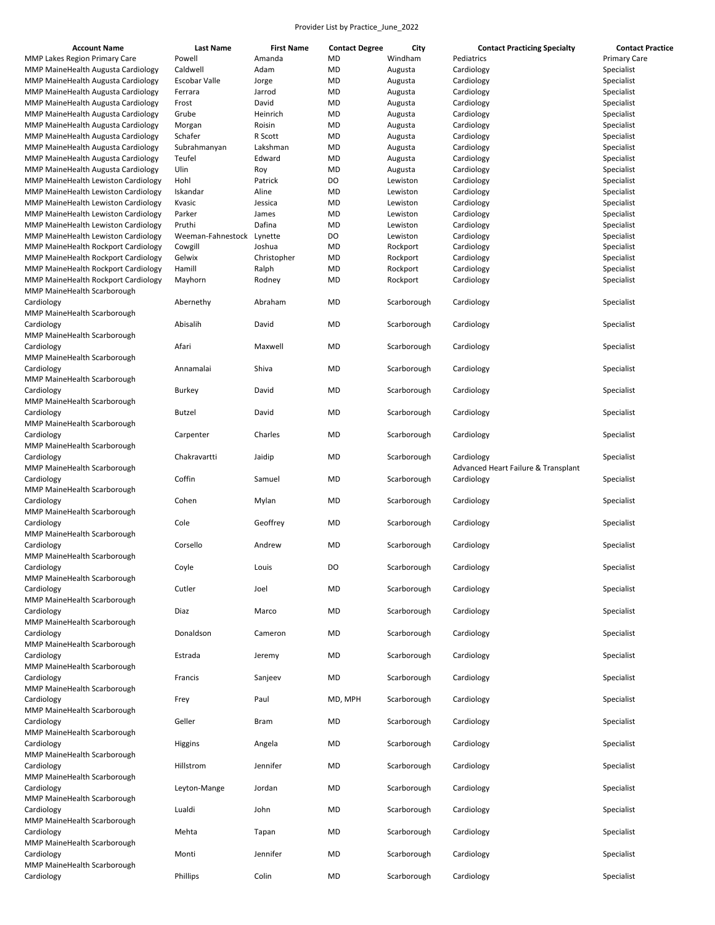| <b>Account Name</b>                        | <b>Last Name</b>  | <b>First Name</b> | <b>Contact Degree</b> | City        | <b>Contact Practicing Specialty</b> | <b>Contact Practice</b> |
|--------------------------------------------|-------------------|-------------------|-----------------------|-------------|-------------------------------------|-------------------------|
| MMP Lakes Region Primary Care              | Powell            | Amanda            | MD                    | Windham     | Pediatrics                          | <b>Primary Care</b>     |
| MMP MaineHealth Augusta Cardiology         | Caldwell          | Adam              | MD                    | Augusta     | Cardiology                          | Specialist              |
| MMP MaineHealth Augusta Cardiology         | Escobar Valle     | Jorge             | MD                    | Augusta     | Cardiology                          | Specialist              |
| MMP MaineHealth Augusta Cardiology         | Ferrara           | Jarrod            | MD                    | Augusta     | Cardiology                          | Specialist              |
| MMP MaineHealth Augusta Cardiology         | Frost             | David             | MD                    | Augusta     | Cardiology                          | Specialist              |
| MMP MaineHealth Augusta Cardiology         | Grube             | Heinrich          | MD                    | Augusta     | Cardiology                          | Specialist              |
| MMP MaineHealth Augusta Cardiology         | Morgan            | Roisin            | MD                    | Augusta     | Cardiology                          | Specialist              |
| MMP MaineHealth Augusta Cardiology         | Schafer           | R Scott           | MD                    |             | Cardiology                          | Specialist              |
|                                            |                   |                   |                       | Augusta     |                                     |                         |
| MMP MaineHealth Augusta Cardiology         | Subrahmanyan      | Lakshman          | MD                    | Augusta     | Cardiology                          | Specialist              |
| MMP MaineHealth Augusta Cardiology         | Teufel            | Edward            | MD                    | Augusta     | Cardiology                          | Specialist              |
| MMP MaineHealth Augusta Cardiology         | Ulin              | Roy               | MD                    | Augusta     | Cardiology                          | Specialist              |
| MMP MaineHealth Lewiston Cardiology        | Hohl              | Patrick           | DO                    | Lewiston    | Cardiology                          | Specialist              |
| <b>MMP MaineHealth Lewiston Cardiology</b> | Iskandar          | Aline             | MD                    | Lewiston    | Cardiology                          | Specialist              |
| MMP MaineHealth Lewiston Cardiology        | Kvasic            | Jessica           | MD                    | Lewiston    | Cardiology                          | Specialist              |
| <b>MMP MaineHealth Lewiston Cardiology</b> | Parker            | James             | MD                    | Lewiston    | Cardiology                          | Specialist              |
| <b>MMP MaineHealth Lewiston Cardiology</b> | Pruthi            | Dafina            | MD                    | Lewiston    | Cardiology                          | Specialist              |
| <b>MMP MaineHealth Lewiston Cardiology</b> | Weeman-Fahnestock | Lynette           | DO                    | Lewiston    | Cardiology                          | Specialist              |
| MMP MaineHealth Rockport Cardiology        | Cowgill           | Joshua            | MD                    | Rockport    | Cardiology                          | Specialist              |
| MMP MaineHealth Rockport Cardiology        | Gelwix            | Christopher       | MD                    | Rockport    | Cardiology                          | Specialist              |
| MMP MaineHealth Rockport Cardiology        | Hamill            | Ralph             | MD                    | Rockport    | Cardiology                          | Specialist              |
| MMP MaineHealth Rockport Cardiology        | Mayhorn           | Rodney            | MD                    | Rockport    | Cardiology                          | Specialist              |
| MMP MaineHealth Scarborough                |                   |                   |                       |             |                                     |                         |
| Cardiology                                 | Abernethy         | Abraham           | MD                    | Scarborough | Cardiology                          | Specialist              |
|                                            |                   |                   |                       |             |                                     |                         |
| MMP MaineHealth Scarborough                |                   |                   |                       |             |                                     |                         |
| Cardiology                                 | Abisalih          | David             | MD                    | Scarborough | Cardiology                          | Specialist              |
| MMP MaineHealth Scarborough                |                   |                   |                       |             |                                     |                         |
| Cardiology                                 | Afari             | Maxwell           | MD                    | Scarborough | Cardiology                          | Specialist              |
| MMP MaineHealth Scarborough                |                   |                   |                       |             |                                     |                         |
| Cardiology                                 | Annamalai         | Shiva             | MD                    | Scarborough | Cardiology                          | Specialist              |
| MMP MaineHealth Scarborough                |                   |                   |                       |             |                                     |                         |
| Cardiology                                 | <b>Burkey</b>     | David             | MD                    | Scarborough | Cardiology                          | Specialist              |
| MMP MaineHealth Scarborough                |                   |                   |                       |             |                                     |                         |
| Cardiology                                 | <b>Butzel</b>     | David             | MD                    | Scarborough | Cardiology                          | Specialist              |
| MMP MaineHealth Scarborough                |                   |                   |                       |             |                                     |                         |
| Cardiology                                 | Carpenter         | Charles           | MD                    | Scarborough | Cardiology                          | Specialist              |
| MMP MaineHealth Scarborough                |                   |                   |                       |             |                                     |                         |
| Cardiology                                 | Chakravartti      | Jaidip            | MD                    | Scarborough | Cardiology                          | Specialist              |
| MMP MaineHealth Scarborough                |                   |                   |                       |             | Advanced Heart Failure & Transplant |                         |
| Cardiology                                 | Coffin            | Samuel            | MD                    | Scarborough | Cardiology                          | Specialist              |
|                                            |                   |                   |                       |             |                                     |                         |
| MMP MaineHealth Scarborough                |                   |                   |                       |             |                                     |                         |
| Cardiology                                 | Cohen             | Mylan             | MD                    | Scarborough | Cardiology                          | Specialist              |
| MMP MaineHealth Scarborough                |                   |                   |                       |             |                                     |                         |
| Cardiology                                 | Cole              | Geoffrey          | MD                    | Scarborough | Cardiology                          | Specialist              |
| MMP MaineHealth Scarborough                |                   |                   |                       |             |                                     |                         |
| Cardiology                                 | Corsello          | Andrew            | MD                    | Scarborough | Cardiology                          | Specialist              |
| MMP MaineHealth Scarborough                |                   |                   |                       |             |                                     |                         |
| Cardiology                                 | Coyle             | Louis             | DO                    | Scarborough | Cardiology                          | Specialist              |
| MMP MaineHealth Scarborough                |                   |                   |                       |             |                                     |                         |
| Cardiology                                 | Cutler            | Joel              | MD                    | Scarborough | Cardiology                          | Specialist              |
| MMP MaineHealth Scarborough                |                   |                   |                       |             |                                     |                         |
| Cardiology                                 | Diaz              | Marco             | MD                    | Scarborough | Cardiology                          | Specialist              |
| MMP MaineHealth Scarborough                |                   |                   |                       |             |                                     |                         |
| Cardiology                                 | Donaldson         | Cameron           | MD                    | Scarborough | Cardiology                          | Specialist              |
| MMP MaineHealth Scarborough                |                   |                   |                       |             |                                     |                         |
| Cardiology                                 | Estrada           | Jeremy            | MD                    | Scarborough | Cardiology                          | Specialist              |
| MMP MaineHealth Scarborough                |                   |                   |                       |             |                                     |                         |
|                                            |                   |                   |                       |             |                                     |                         |
| Cardiology<br>MMP MaineHealth Scarborough  | Francis           | Sanjeev           | MD                    | Scarborough | Cardiology                          | Specialist              |
|                                            |                   |                   |                       |             |                                     |                         |
| Cardiology                                 | Frey              | Paul              | MD, MPH               | Scarborough | Cardiology                          | Specialist              |
| MMP MaineHealth Scarborough                |                   |                   |                       |             |                                     |                         |
| Cardiology                                 | Geller            | Bram              | MD                    | Scarborough | Cardiology                          | Specialist              |
| MMP MaineHealth Scarborough                |                   |                   |                       |             |                                     |                         |
| Cardiology                                 | Higgins           | Angela            | MD                    | Scarborough | Cardiology                          | Specialist              |
| MMP MaineHealth Scarborough                |                   |                   |                       |             |                                     |                         |
| Cardiology                                 | Hillstrom         | Jennifer          | MD                    | Scarborough | Cardiology                          | Specialist              |
| MMP MaineHealth Scarborough                |                   |                   |                       |             |                                     |                         |
| Cardiology                                 | Leyton-Mange      | Jordan            | MD                    | Scarborough | Cardiology                          | Specialist              |
| MMP MaineHealth Scarborough                |                   |                   |                       |             |                                     |                         |
| Cardiology                                 | Lualdi            | John              | MD                    | Scarborough | Cardiology                          | Specialist              |
| MMP MaineHealth Scarborough                |                   |                   |                       |             |                                     |                         |
| Cardiology                                 | Mehta             | Tapan             | MD                    | Scarborough | Cardiology                          | Specialist              |
| MMP MaineHealth Scarborough                |                   |                   |                       |             |                                     |                         |
| Cardiology                                 | Monti             | Jennifer          | MD                    | Scarborough | Cardiology                          | Specialist              |
| MMP MaineHealth Scarborough                |                   |                   |                       |             |                                     |                         |
| Cardiology                                 | Phillips          | Colin             | MD                    | Scarborough | Cardiology                          | Specialist              |
|                                            |                   |                   |                       |             |                                     |                         |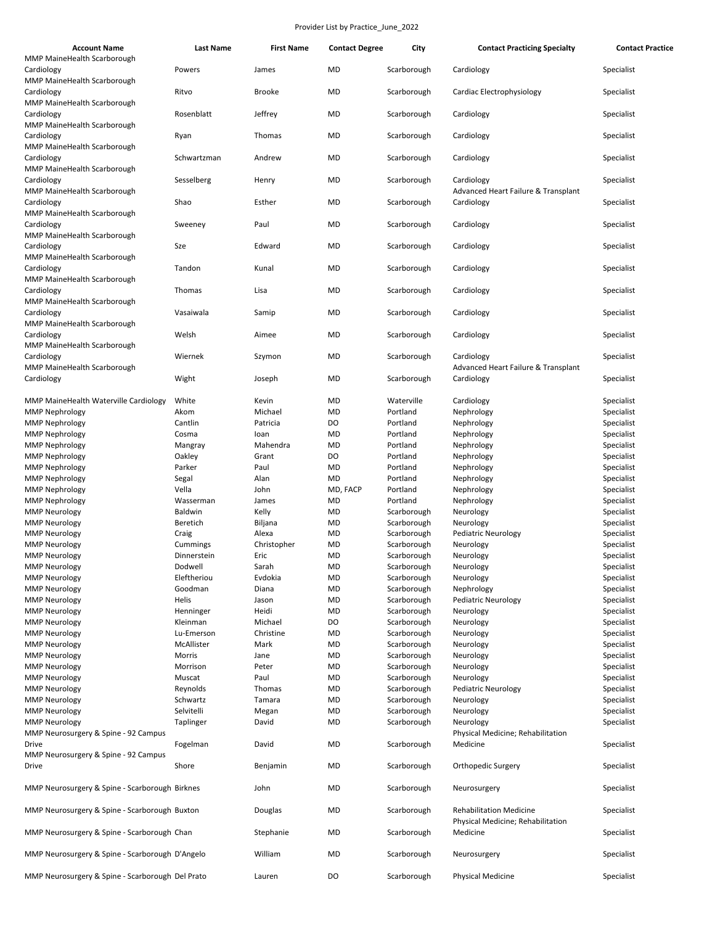| <b>Account Name</b>                              | <b>Last Name</b> | <b>First Name</b> | <b>Contact Degree</b> | City        | <b>Contact Practicing Specialty</b>                                 | <b>Contact Practice</b> |
|--------------------------------------------------|------------------|-------------------|-----------------------|-------------|---------------------------------------------------------------------|-------------------------|
| MMP MaineHealth Scarborough<br>Cardiology        | Powers           | James             | MD                    | Scarborough | Cardiology                                                          | Specialist              |
| MMP MaineHealth Scarborough<br>Cardiology        | Ritvo            | <b>Brooke</b>     | MD                    | Scarborough | Cardiac Electrophysiology                                           | Specialist              |
| MMP MaineHealth Scarborough<br>Cardiology        | Rosenblatt       | Jeffrey           | MD                    | Scarborough | Cardiology                                                          | Specialist              |
| MMP MaineHealth Scarborough<br>Cardiology        | Ryan             | Thomas            | MD                    | Scarborough | Cardiology                                                          | Specialist              |
| MMP MaineHealth Scarborough<br>Cardiology        | Schwartzman      | Andrew            | MD                    | Scarborough | Cardiology                                                          | Specialist              |
| MMP MaineHealth Scarborough<br>Cardiology        | Sesselberg       | Henry             | MD                    | Scarborough | Cardiology                                                          | Specialist              |
| MMP MaineHealth Scarborough<br>Cardiology        | Shao             | Esther            | MD                    | Scarborough | Advanced Heart Failure & Transplant<br>Cardiology                   | Specialist              |
| MMP MaineHealth Scarborough<br>Cardiology        | Sweeney          | Paul              | MD                    | Scarborough | Cardiology                                                          | Specialist              |
| MMP MaineHealth Scarborough<br>Cardiology        | Sze              | Edward            | MD                    | Scarborough | Cardiology                                                          | Specialist              |
| MMP MaineHealth Scarborough<br>Cardiology        | Tandon           | Kunal             | MD                    | Scarborough | Cardiology                                                          | Specialist              |
| MMP MaineHealth Scarborough<br>Cardiology        | Thomas           | Lisa              | MD                    | Scarborough | Cardiology                                                          | Specialist              |
| MMP MaineHealth Scarborough<br>Cardiology        | Vasaiwala        | Samip             | MD                    | Scarborough | Cardiology                                                          | Specialist              |
| MMP MaineHealth Scarborough<br>Cardiology        | Welsh            | Aimee             | MD                    | Scarborough | Cardiology                                                          | Specialist              |
| MMP MaineHealth Scarborough<br>Cardiology        | Wiernek          | Szymon            | MD                    | Scarborough | Cardiology                                                          | Specialist              |
| MMP MaineHealth Scarborough                      |                  |                   | MD                    |             | Advanced Heart Failure & Transplant<br>Cardiology                   |                         |
| Cardiology                                       | Wight            | Joseph            |                       | Scarborough |                                                                     | Specialist              |
| MMP MaineHealth Waterville Cardiology            | White            | Kevin             | MD                    | Waterville  | Cardiology                                                          | Specialist              |
| <b>MMP Nephrology</b>                            | Akom             | Michael           | MD                    | Portland    | Nephrology                                                          | Specialist              |
| <b>MMP Nephrology</b>                            | Cantlin          | Patricia          | DO                    | Portland    | Nephrology                                                          | Specialist              |
| <b>MMP Nephrology</b>                            | Cosma            | loan              | MD                    | Portland    | Nephrology                                                          | Specialist              |
| <b>MMP Nephrology</b>                            | Mangray          | Mahendra          | MD                    | Portland    | Nephrology                                                          | Specialist              |
| <b>MMP Nephrology</b>                            | Oakley           | Grant             | DO                    | Portland    | Nephrology                                                          | Specialist              |
| <b>MMP Nephrology</b>                            | Parker           | Paul              | MD                    | Portland    | Nephrology                                                          | Specialist              |
| <b>MMP Nephrology</b>                            | Segal            | Alan              | MD                    | Portland    | Nephrology                                                          | Specialist              |
| <b>MMP Nephrology</b>                            | Vella            | John              | MD, FACP              | Portland    | Nephrology                                                          | Specialist              |
| <b>MMP Nephrology</b>                            | Wasserman        | James             | MD                    | Portland    | Nephrology                                                          | Specialist              |
| <b>MMP Neurology</b>                             | Baldwin          | Kelly             | MD                    | Scarborough | Neurology                                                           | Specialist              |
|                                                  |                  |                   |                       |             |                                                                     |                         |
| <b>MMP Neurology</b>                             | Beretich         | Biljana           | MD                    | Scarborough | Neurology                                                           | Specialist              |
| <b>MMP Neurology</b>                             | Craig            | Alexa             | MD                    | Scarborough | <b>Pediatric Neurology</b>                                          | Specialist              |
| <b>MMP Neurology</b>                             | Cummings         | Christopher       | MD                    | Scarborough | Neurology                                                           | Specialist              |
| <b>MMP Neurology</b>                             | Dinnerstein      | Eric              | MD                    | Scarborough | Neurology                                                           | Specialist              |
| <b>MMP Neurology</b>                             | Dodwell          | Sarah             | MD                    | Scarborough | Neurology                                                           | Specialist              |
| <b>MMP Neurology</b>                             | Eleftheriou      | Evdokia           | MD                    | Scarborough | Neurology                                                           | Specialist              |
| <b>MMP Neurology</b>                             | Goodman          | Diana             | MD                    | Scarborough | Nephrology                                                          | Specialist              |
| <b>MMP Neurology</b>                             | Helis            | Jason             | MD                    | Scarborough | <b>Pediatric Neurology</b>                                          | Specialist              |
| <b>MMP Neurology</b>                             | Henninger        | Heidi             | MD                    | Scarborough | Neurology                                                           | Specialist              |
| <b>MMP Neurology</b>                             | Kleinman         | Michael           | DO                    | Scarborough | Neurology                                                           | Specialist              |
| <b>MMP Neurology</b>                             | Lu-Emerson       | Christine         | MD                    | Scarborough | Neurology                                                           | Specialist              |
| <b>MMP Neurology</b>                             | McAllister       | Mark              | MD                    | Scarborough | Neurology                                                           | Specialist              |
| <b>MMP Neurology</b>                             | Morris           | Jane              | MD                    | Scarborough | Neurology                                                           | Specialist              |
| <b>MMP Neurology</b>                             | Morrison         | Peter             | MD                    | Scarborough | Neurology                                                           | Specialist              |
|                                                  |                  |                   |                       |             |                                                                     |                         |
| <b>MMP Neurology</b>                             | Muscat           | Paul              | MD                    | Scarborough | Neurology                                                           | Specialist              |
| <b>MMP Neurology</b>                             | Reynolds         | Thomas            | MD                    | Scarborough | <b>Pediatric Neurology</b>                                          | Specialist              |
| <b>MMP Neurology</b>                             | Schwartz         | Tamara            | MD                    | Scarborough | Neurology                                                           | Specialist              |
| <b>MMP Neurology</b>                             | Selvitelli       | Megan             | MD                    | Scarborough | Neurology                                                           | Specialist              |
| <b>MMP Neurology</b>                             | Taplinger        | David             | MD                    | Scarborough | Neurology                                                           | Specialist              |
| MMP Neurosurgery & Spine - 92 Campus             |                  |                   |                       |             | Physical Medicine; Rehabilitation                                   |                         |
| Drive<br>MMP Neurosurgery & Spine - 92 Campus    | Fogelman         | David             | MD                    | Scarborough | Medicine                                                            | Specialist              |
| Drive                                            | Shore            | Benjamin          | MD                    | Scarborough | Orthopedic Surgery                                                  | Specialist              |
| MMP Neurosurgery & Spine - Scarborough Birknes   |                  | John              | MD                    | Scarborough | Neurosurgery                                                        | Specialist              |
| MMP Neurosurgery & Spine - Scarborough Buxton    |                  | Douglas           | MD                    | Scarborough | <b>Rehabilitation Medicine</b><br>Physical Medicine; Rehabilitation | Specialist              |
| MMP Neurosurgery & Spine - Scarborough Chan      |                  | Stephanie         | MD                    | Scarborough | Medicine                                                            | Specialist              |
| MMP Neurosurgery & Spine - Scarborough D'Angelo  |                  | William           | MD                    | Scarborough | Neurosurgery                                                        | Specialist              |
| MMP Neurosurgery & Spine - Scarborough Del Prato |                  | Lauren            | DO                    | Scarborough | <b>Physical Medicine</b>                                            | Specialist              |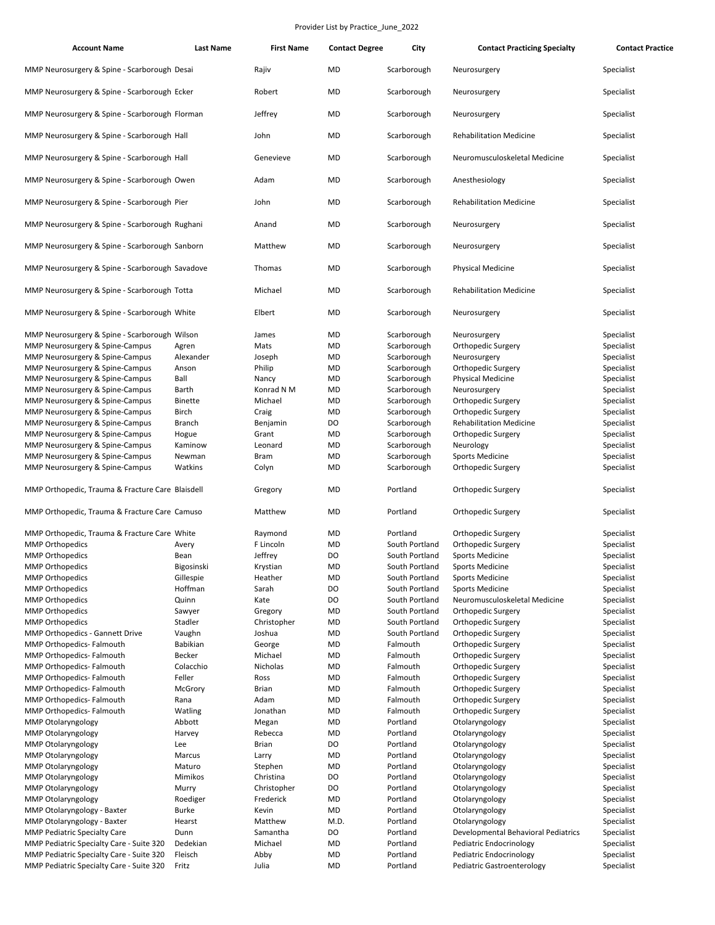| <b>Account Name</b>                              | <b>Last Name</b> | <b>First Name</b> | <b>Contact Degree</b> | City           | <b>Contact Practicing Specialty</b> | <b>Contact Practice</b> |
|--------------------------------------------------|------------------|-------------------|-----------------------|----------------|-------------------------------------|-------------------------|
| MMP Neurosurgery & Spine - Scarborough Desai     |                  | Rajiv             | MD                    | Scarborough    | Neurosurgery                        | Specialist              |
| MMP Neurosurgery & Spine - Scarborough Ecker     |                  | Robert            | MD                    | Scarborough    | Neurosurgery                        | Specialist              |
| MMP Neurosurgery & Spine - Scarborough Florman   |                  | Jeffrey           | MD                    | Scarborough    | Neurosurgery                        | Specialist              |
| MMP Neurosurgery & Spine - Scarborough Hall      |                  | John              | MD                    | Scarborough    | <b>Rehabilitation Medicine</b>      | Specialist              |
| MMP Neurosurgery & Spine - Scarborough Hall      |                  | Genevieve         | MD                    | Scarborough    | Neuromusculoskeletal Medicine       | Specialist              |
| MMP Neurosurgery & Spine - Scarborough Owen      |                  | Adam              | MD                    | Scarborough    | Anesthesiology                      | Specialist              |
| MMP Neurosurgery & Spine - Scarborough Pier      |                  | John              | MD                    | Scarborough    | <b>Rehabilitation Medicine</b>      | Specialist              |
| MMP Neurosurgery & Spine - Scarborough Rughani   |                  | Anand             | MD                    | Scarborough    | Neurosurgery                        | Specialist              |
| MMP Neurosurgery & Spine - Scarborough Sanborn   |                  | Matthew           | MD                    | Scarborough    | Neurosurgery                        | Specialist              |
| MMP Neurosurgery & Spine - Scarborough Savadove  |                  | Thomas            | MD                    | Scarborough    | <b>Physical Medicine</b>            | Specialist              |
| MMP Neurosurgery & Spine - Scarborough Totta     |                  | Michael           | MD                    | Scarborough    | <b>Rehabilitation Medicine</b>      | Specialist              |
| MMP Neurosurgery & Spine - Scarborough White     |                  | Elbert            | MD                    | Scarborough    | Neurosurgery                        | Specialist              |
| MMP Neurosurgery & Spine - Scarborough Wilson    |                  | James             | MD                    | Scarborough    | Neurosurgery                        | Specialist              |
| MMP Neurosurgery & Spine-Campus                  | Agren            | Mats              | MD                    | Scarborough    | Orthopedic Surgery                  | Specialist              |
| MMP Neurosurgery & Spine-Campus                  | Alexander        | Joseph            | MD                    | Scarborough    | Neurosurgery                        | Specialist              |
| MMP Neurosurgery & Spine-Campus                  | Anson            | Philip            | MD                    | Scarborough    | Orthopedic Surgery                  | Specialist              |
| MMP Neurosurgery & Spine-Campus                  | Ball             | Nancy             | MD                    | Scarborough    | <b>Physical Medicine</b>            | Specialist              |
| MMP Neurosurgery & Spine-Campus                  | Barth            | Konrad N M        | MD                    | Scarborough    | Neurosurgery                        | Specialist              |
| MMP Neurosurgery & Spine-Campus                  | <b>Binette</b>   | Michael           | MD                    | Scarborough    | Orthopedic Surgery                  | Specialist              |
| MMP Neurosurgery & Spine-Campus                  | Birch            | Craig             | MD                    | Scarborough    | Orthopedic Surgery                  | Specialist              |
| MMP Neurosurgery & Spine-Campus                  | <b>Branch</b>    | Benjamin          | DO                    | Scarborough    | <b>Rehabilitation Medicine</b>      | Specialist              |
| MMP Neurosurgery & Spine-Campus                  | Hogue            | Grant             | MD                    | Scarborough    | Orthopedic Surgery                  | Specialist              |
| MMP Neurosurgery & Spine-Campus                  | Kaminow          | Leonard           | MD                    | Scarborough    | Neurology                           | Specialist              |
| MMP Neurosurgery & Spine-Campus                  | Newman           | <b>Bram</b>       | MD                    | Scarborough    | <b>Sports Medicine</b>              | Specialist              |
| MMP Neurosurgery & Spine-Campus                  | Watkins          | Colyn             | MD                    | Scarborough    | Orthopedic Surgery                  | Specialist              |
|                                                  |                  |                   |                       |                |                                     |                         |
| MMP Orthopedic, Trauma & Fracture Care Blaisdell |                  | Gregory           | MD                    | Portland       | Orthopedic Surgery                  | Specialist              |
| MMP Orthopedic, Trauma & Fracture Care Camuso    |                  | Matthew           | MD                    | Portland       | Orthopedic Surgery                  | Specialist              |
| MMP Orthopedic, Trauma & Fracture Care White     |                  | Raymond           | MD                    | Portland       | Orthopedic Surgery                  | Specialist              |
| <b>MMP Orthopedics</b>                           | Avery            | F Lincoln         | <b>MD</b>             | South Portland | Orthopedic Surgery                  | Specialist              |
| <b>MMP Orthopedics</b>                           | Bean             | Jeffrey           | DO                    | South Portland | <b>Sports Medicine</b>              | Specialist              |
| <b>MMP Orthopedics</b>                           | Bigosinski       | Krystian          | MD                    | South Portland | Sports Medicine                     | Specialist              |
| <b>MMP Orthopedics</b>                           | Gillespie        | Heather           | MD                    | South Portland | <b>Sports Medicine</b>              | Specialist              |
| <b>MMP Orthopedics</b>                           | Hoffman          | Sarah             | DO                    | South Portland | <b>Sports Medicine</b>              | Specialist              |
| <b>MMP Orthopedics</b>                           | Quinn            | Kate              | DO                    | South Portland | Neuromusculoskeletal Medicine       | Specialist              |
| <b>MMP Orthopedics</b>                           | Sawyer           | Gregory           | MD                    | South Portland | Orthopedic Surgery                  | Specialist              |
| <b>MMP Orthopedics</b>                           | Stadler          | Christopher       | MD                    | South Portland | Orthopedic Surgery                  | Specialist              |
| MMP Orthopedics - Gannett Drive                  | Vaughn           | Joshua            | MD                    | South Portland | Orthopedic Surgery                  | Specialist              |
| MMP Orthopedics- Falmouth                        | Babikian         | George            | MD                    | Falmouth       | Orthopedic Surgery                  | Specialist              |
| MMP Orthopedics- Falmouth                        | Becker           | Michael           | MD                    | Falmouth       | Orthopedic Surgery                  | Specialist              |
| MMP Orthopedics- Falmouth                        | Colacchio        | Nicholas          | MD                    | Falmouth       | Orthopedic Surgery                  | Specialist              |
| MMP Orthopedics- Falmouth                        | Feller           | Ross              | MD                    | Falmouth       | Orthopedic Surgery                  | Specialist              |
| MMP Orthopedics- Falmouth                        | McGrory          | <b>Brian</b>      | MD                    | Falmouth       | Orthopedic Surgery                  | Specialist              |
| MMP Orthopedics- Falmouth                        | Rana             | Adam              | MD                    | Falmouth       | Orthopedic Surgery                  | Specialist              |
| MMP Orthopedics- Falmouth                        | Watling          | Jonathan          | MD                    | Falmouth       | Orthopedic Surgery                  | Specialist              |
| MMP Otolaryngology                               | Abbott           | Megan             | MD                    | Portland       | Otolaryngology                      | Specialist              |
| <b>MMP Otolaryngology</b>                        | Harvey           | Rebecca           | MD                    | Portland       | Otolaryngology                      | Specialist              |
| MMP Otolaryngology                               | Lee              | <b>Brian</b>      | DO                    | Portland       | Otolaryngology                      | Specialist              |
| MMP Otolaryngology                               | Marcus           | Larry             | MD                    | Portland       | Otolaryngology                      | Specialist              |
| MMP Otolaryngology                               | Maturo           | Stephen           | MD                    | Portland       | Otolaryngology                      | Specialist              |
| MMP Otolaryngology                               | Mimikos          | Christina         | DO                    | Portland       | Otolaryngology                      | Specialist              |
| MMP Otolaryngology                               | Murry            | Christopher       | DO                    | Portland       | Otolaryngology                      | Specialist              |
| MMP Otolaryngology                               | Roediger         | Frederick         | MD                    | Portland       | Otolaryngology                      | Specialist              |
| MMP Otolaryngology - Baxter                      | <b>Burke</b>     | Kevin             | MD                    | Portland       | Otolaryngology                      | Specialist              |
| MMP Otolaryngology - Baxter                      | Hearst           | Matthew           | M.D.                  | Portland       | Otolaryngology                      | Specialist              |
| <b>MMP Pediatric Specialty Care</b>              | Dunn             | Samantha          | DO                    | Portland       | Developmental Behavioral Pediatrics | Specialist              |
| MMP Pediatric Specialty Care - Suite 320         | Dedekian         | Michael           | MD                    | Portland       | Pediatric Endocrinology             | Specialist              |
| MMP Pediatric Specialty Care - Suite 320         | Fleisch          | Abby              | MD                    | Portland       | Pediatric Endocrinology             | Specialist              |
| MMP Pediatric Specialty Care - Suite 320         | Fritz            | Julia             | MD                    | Portland       | Pediatric Gastroenterology          | Specialist              |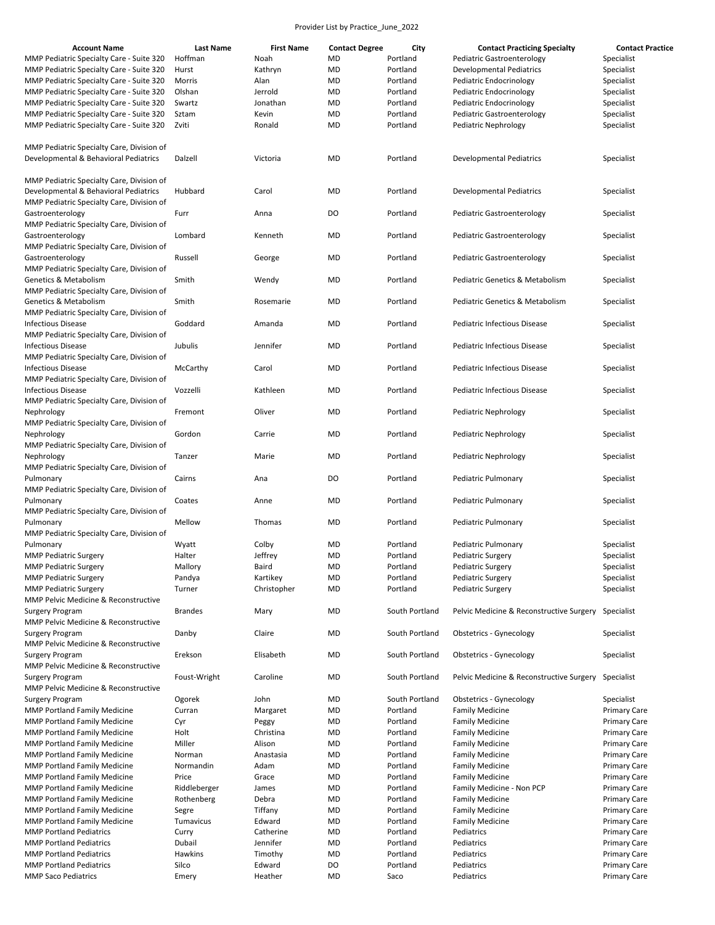| <b>Account Name</b>                                                                             | <b>Last Name</b> | <b>First Name</b> | <b>Contact Degree</b> | City           | <b>Contact Practicing Specialty</b>      | <b>Contact Practice</b> |
|-------------------------------------------------------------------------------------------------|------------------|-------------------|-----------------------|----------------|------------------------------------------|-------------------------|
| MMP Pediatric Specialty Care - Suite 320                                                        | Hoffman          | Noah              | <b>MD</b>             | Portland       | Pediatric Gastroenterology               | Specialist              |
| MMP Pediatric Specialty Care - Suite 320                                                        | Hurst            | Kathryn           | MD                    | Portland       | <b>Developmental Pediatrics</b>          | Specialist              |
| MMP Pediatric Specialty Care - Suite 320                                                        | Morris           | Alan              | <b>MD</b>             | Portland       | Pediatric Endocrinology                  | Specialist              |
| MMP Pediatric Specialty Care - Suite 320                                                        | Olshan           | Jerrold           | MD                    | Portland       | Pediatric Endocrinology                  | Specialist              |
| MMP Pediatric Specialty Care - Suite 320                                                        | Swartz           | Jonathan          | MD                    | Portland       | Pediatric Endocrinology                  |                         |
|                                                                                                 |                  |                   |                       |                |                                          | Specialist              |
| MMP Pediatric Specialty Care - Suite 320                                                        | Sztam            | Kevin             | <b>MD</b>             | Portland       | Pediatric Gastroenterology               | Specialist              |
| MMP Pediatric Specialty Care - Suite 320                                                        | Zviti            | Ronald            | MD                    | Portland       | Pediatric Nephrology                     | Specialist              |
| MMP Pediatric Specialty Care, Division of<br>Developmental & Behavioral Pediatrics              | Dalzell          | Victoria          | <b>MD</b>             | Portland       | Developmental Pediatrics                 | Specialist              |
| MMP Pediatric Specialty Care, Division of<br>Developmental & Behavioral Pediatrics              | Hubbard          | Carol             | MD                    | Portland       | Developmental Pediatrics                 | Specialist              |
| MMP Pediatric Specialty Care, Division of<br>Gastroenterology                                   | Furr             | Anna              | DO                    | Portland       | Pediatric Gastroenterology               | Specialist              |
| MMP Pediatric Specialty Care, Division of<br>Gastroenterology                                   | Lombard          | Kenneth           | MD                    | Portland       | Pediatric Gastroenterology               | Specialist              |
| MMP Pediatric Specialty Care, Division of<br>Gastroenterology                                   | Russell          | George            | MD                    | Portland       | Pediatric Gastroenterology               | Specialist              |
| MMP Pediatric Specialty Care, Division of<br>Genetics & Metabolism                              | Smith            | Wendy             | MD                    | Portland       | Pediatric Genetics & Metabolism          | Specialist              |
| MMP Pediatric Specialty Care, Division of<br>Genetics & Metabolism                              | Smith            | Rosemarie         | <b>MD</b>             | Portland       | Pediatric Genetics & Metabolism          | Specialist              |
| MMP Pediatric Specialty Care, Division of<br><b>Infectious Disease</b>                          | Goddard          | Amanda            | MD                    | Portland       | Pediatric Infectious Disease             | Specialist              |
| MMP Pediatric Specialty Care, Division of<br><b>Infectious Disease</b>                          | Jubulis          | Jennifer          | MD                    | Portland       | Pediatric Infectious Disease             | Specialist              |
| MMP Pediatric Specialty Care, Division of<br><b>Infectious Disease</b>                          | McCarthy         | Carol             | MD                    | Portland       | Pediatric Infectious Disease             | Specialist              |
| MMP Pediatric Specialty Care, Division of<br><b>Infectious Disease</b>                          | Vozzelli         | Kathleen          | MD                    | Portland       | Pediatric Infectious Disease             | Specialist              |
| MMP Pediatric Specialty Care, Division of<br>Nephrology                                         | Fremont          | Oliver            | MD                    | Portland       | Pediatric Nephrology                     | Specialist              |
| MMP Pediatric Specialty Care, Division of<br>Nephrology                                         | Gordon           | Carrie            | MD                    | Portland       | Pediatric Nephrology                     | Specialist              |
| MMP Pediatric Specialty Care, Division of<br>Nephrology                                         | Tanzer           | Marie             | MD                    | Portland       | Pediatric Nephrology                     | Specialist              |
| MMP Pediatric Specialty Care, Division of<br>Pulmonary                                          | Cairns           | Ana               | D <sub>O</sub>        | Portland       | Pediatric Pulmonary                      | Specialist              |
| MMP Pediatric Specialty Care, Division of<br>Pulmonary                                          | Coates           | Anne              | MD                    | Portland       | Pediatric Pulmonary                      | Specialist              |
| MMP Pediatric Specialty Care, Division of<br>Pulmonary                                          | Mellow           | Thomas            | MD                    | Portland       | Pediatric Pulmonary                      | Specialist              |
| MMP Pediatric Specialty Care, Division of                                                       |                  |                   |                       |                |                                          |                         |
| Pulmonary                                                                                       | Wyatt            | Colby             | MD                    | Portland       | Pediatric Pulmonary                      | Specialist              |
| <b>MMP Pediatric Surgery</b>                                                                    | Halter           | Jeffrey           | <b>MD</b>             | Portland       | Pediatric Surgery                        | Specialist              |
| <b>MMP Pediatric Surgery</b>                                                                    | Mallory          | Baird             | MD                    | Portland       | <b>Pediatric Surgery</b>                 | Specialist              |
| <b>MMP Pediatric Surgery</b>                                                                    | Pandya           | Kartikey          | <b>MD</b>             | Portland       | Pediatric Surgery                        | Specialist              |
| <b>MMP Pediatric Surgery</b>                                                                    | Turner           | Christopher       | MD                    | Portland       | <b>Pediatric Surgery</b>                 | Specialist              |
| MMP Pelvic Medicine & Reconstructive<br><b>Surgery Program</b>                                  | <b>Brandes</b>   | Mary              | <b>MD</b>             | South Portland | Pelvic Medicine & Reconstructive Surgery | Specialist              |
| MMP Pelvic Medicine & Reconstructive<br><b>Surgery Program</b>                                  | Danby            | Claire            | MD                    | South Portland | <b>Obstetrics - Gynecology</b>           | Specialist              |
| MMP Pelvic Medicine & Reconstructive<br><b>Surgery Program</b>                                  | Erekson          | Elisabeth         | <b>MD</b>             | South Portland | <b>Obstetrics - Gynecology</b>           | Specialist              |
| MMP Pelvic Medicine & Reconstructive<br>Surgery Program<br>MMP Pelvic Medicine & Reconstructive | Foust-Wright     | Caroline          | MD                    | South Portland | Pelvic Medicine & Reconstructive Surgery | Specialist              |
| Surgery Program                                                                                 | Ogorek           | John              | MD                    | South Portland | <b>Obstetrics - Gynecology</b>           | Specialist              |
| <b>MMP Portland Family Medicine</b>                                                             | Curran           | Margaret          | MD                    | Portland       | <b>Family Medicine</b>                   | <b>Primary Care</b>     |
| <b>MMP Portland Family Medicine</b>                                                             | Cyr              | Peggy             | MD                    | Portland       | <b>Family Medicine</b>                   | <b>Primary Care</b>     |
| <b>MMP Portland Family Medicine</b>                                                             | Holt             | Christina         | MD                    | Portland       | <b>Family Medicine</b>                   | <b>Primary Care</b>     |
| <b>MMP Portland Family Medicine</b>                                                             | Miller           | Alison            | MD                    | Portland       | <b>Family Medicine</b>                   | <b>Primary Care</b>     |
| <b>MMP Portland Family Medicine</b>                                                             | Norman           | Anastasia         | MD                    | Portland       | <b>Family Medicine</b>                   | <b>Primary Care</b>     |
| <b>MMP Portland Family Medicine</b>                                                             | Normandin        | Adam              | MD                    | Portland       | <b>Family Medicine</b>                   | <b>Primary Care</b>     |
| <b>MMP Portland Family Medicine</b>                                                             | Price            | Grace             | MD                    | Portland       | <b>Family Medicine</b>                   | <b>Primary Care</b>     |
| <b>MMP Portland Family Medicine</b>                                                             | Riddleberger     | James             | MD                    | Portland       | Family Medicine - Non PCP                | <b>Primary Care</b>     |
| MMP Portland Family Medicine                                                                    | Rothenberg       | Debra             | MD                    | Portland       | <b>Family Medicine</b>                   | <b>Primary Care</b>     |
| <b>MMP Portland Family Medicine</b>                                                             | Segre            | Tiffany           | MD                    | Portland       | <b>Family Medicine</b>                   | <b>Primary Care</b>     |
| <b>MMP Portland Family Medicine</b>                                                             | Tumavicus        | Edward            | MD                    | Portland       | <b>Family Medicine</b>                   | <b>Primary Care</b>     |
| <b>MMP Portland Pediatrics</b>                                                                  | Curry            | Catherine         | MD                    | Portland       | Pediatrics                               | <b>Primary Care</b>     |
| <b>MMP Portland Pediatrics</b>                                                                  | Dubail           | Jennifer          | MD                    | Portland       | Pediatrics                               | <b>Primary Care</b>     |
| <b>MMP Portland Pediatrics</b>                                                                  | Hawkins          | Timothy           | MD                    | Portland       | Pediatrics                               | <b>Primary Care</b>     |
| <b>MMP Portland Pediatrics</b>                                                                  | Silco            | Edward            | DO                    | Portland       | Pediatrics                               | <b>Primary Care</b>     |
| <b>MMP Saco Pediatrics</b>                                                                      | Emery            | Heather           | MD                    | Saco           | Pediatrics                               | <b>Primary Care</b>     |
|                                                                                                 |                  |                   |                       |                |                                          |                         |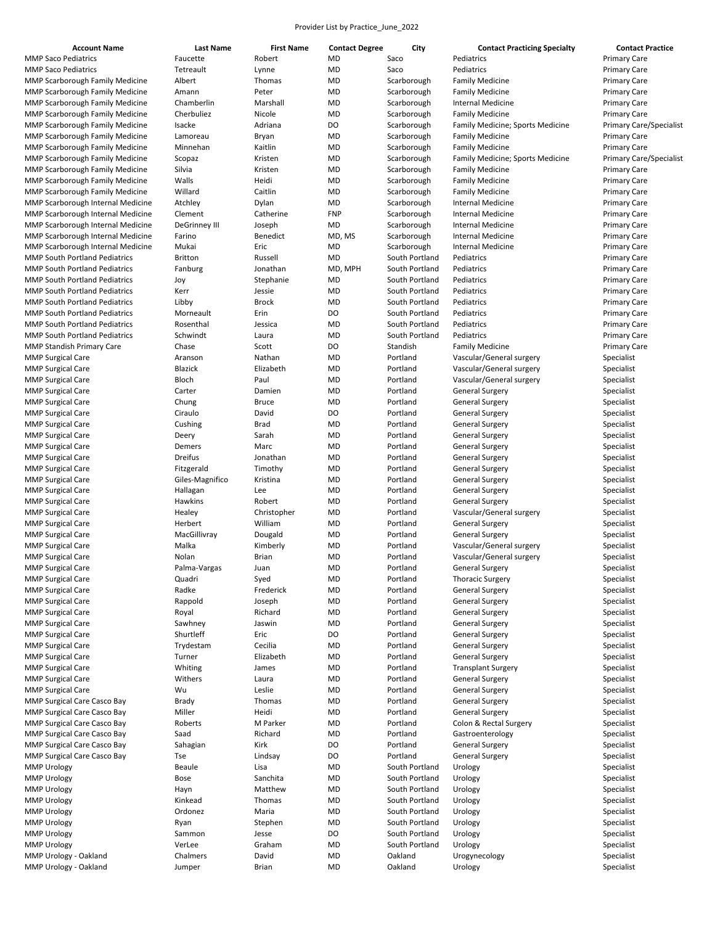| <b>Account Name</b> |  |
|---------------------|--|

| <b>Account Name</b>                    | Last Name            | <b>First Name</b> | <b>Contact Degree</b> | City           | <b>Contact Practicing Specialty</b> | <b>Contact Practice</b>        |
|----------------------------------------|----------------------|-------------------|-----------------------|----------------|-------------------------------------|--------------------------------|
| <b>MMP Saco Pediatrics</b>             | Faucette             | Robert            | MD                    | Saco           | Pediatrics                          | <b>Primary Care</b>            |
| <b>MMP Saco Pediatrics</b>             | Tetreault            | Lynne             | <b>MD</b>             | Saco           | Pediatrics                          | <b>Primary Care</b>            |
| <b>MMP Scarborough Family Medicine</b> | Albert               | Thomas            | MD                    | Scarborough    | <b>Family Medicine</b>              | <b>Primary Care</b>            |
| <b>MMP Scarborough Family Medicine</b> | Amann                | Peter             | MD                    | Scarborough    | <b>Family Medicine</b>              | <b>Primary Care</b>            |
| <b>MMP Scarborough Family Medicine</b> | Chamberlin           | Marshall          | <b>MD</b>             | Scarborough    | <b>Internal Medicine</b>            | <b>Primary Care</b>            |
|                                        |                      |                   |                       |                |                                     |                                |
| <b>MMP Scarborough Family Medicine</b> | Cherbuliez           | Nicole            | MD                    | Scarborough    | <b>Family Medicine</b>              | <b>Primary Care</b>            |
| <b>MMP Scarborough Family Medicine</b> | Isacke               | Adriana           | DO                    | Scarborough    | Family Medicine; Sports Medicine    | <b>Primary Care/Specialist</b> |
| <b>MMP Scarborough Family Medicine</b> | Lamoreau             | Bryan             | <b>MD</b>             | Scarborough    | <b>Family Medicine</b>              | <b>Primary Care</b>            |
| MMP Scarborough Family Medicine        | Minnehan             | Kaitlin           | MD                    | Scarborough    | <b>Family Medicine</b>              | <b>Primary Care</b>            |
| <b>MMP Scarborough Family Medicine</b> | Scopaz               | Kristen           | MD                    | Scarborough    | Family Medicine; Sports Medicine    | <b>Primary Care/Specialist</b> |
| MMP Scarborough Family Medicine        | Silvia               | Kristen           | MD                    | Scarborough    | <b>Family Medicine</b>              | <b>Primary Care</b>            |
| <b>MMP Scarborough Family Medicine</b> | Walls                | Heidi             | <b>MD</b>             | Scarborough    | <b>Family Medicine</b>              | <b>Primary Care</b>            |
|                                        |                      |                   |                       |                |                                     |                                |
| <b>MMP Scarborough Family Medicine</b> | Willard              | Caitlin           | MD                    | Scarborough    | <b>Family Medicine</b>              | <b>Primary Care</b>            |
| MMP Scarborough Internal Medicine      | Atchley              | Dylan             | MD                    | Scarborough    | <b>Internal Medicine</b>            | <b>Primary Care</b>            |
| MMP Scarborough Internal Medicine      | Clement              | Catherine         | <b>FNP</b>            | Scarborough    | <b>Internal Medicine</b>            | <b>Primary Care</b>            |
| MMP Scarborough Internal Medicine      | <b>DeGrinney III</b> | Joseph            | MD                    | Scarborough    | <b>Internal Medicine</b>            | <b>Primary Care</b>            |
| MMP Scarborough Internal Medicine      | Farino               | Benedict          | MD, MS                | Scarborough    | <b>Internal Medicine</b>            | <b>Primary Care</b>            |
| MMP Scarborough Internal Medicine      | Mukai                | Eric              | <b>MD</b>             | Scarborough    | <b>Internal Medicine</b>            | <b>Primary Care</b>            |
| <b>MMP South Portland Pediatrics</b>   | <b>Britton</b>       | Russell           | MD                    | South Portland | Pediatrics                          | <b>Primary Care</b>            |
|                                        |                      |                   |                       |                |                                     |                                |
| <b>MMP South Portland Pediatrics</b>   | Fanburg              | Jonathan          | MD, MPH               | South Portland | Pediatrics                          | <b>Primary Care</b>            |
| <b>MMP South Portland Pediatrics</b>   | Joy                  | Stephanie         | MD                    | South Portland | Pediatrics                          | <b>Primary Care</b>            |
| <b>MMP South Portland Pediatrics</b>   | Kerr                 | Jessie            | MD                    | South Portland | Pediatrics                          | <b>Primary Care</b>            |
| <b>MMP South Portland Pediatrics</b>   | Libby                | <b>Brock</b>      | MD                    | South Portland | Pediatrics                          | <b>Primary Care</b>            |
| <b>MMP South Portland Pediatrics</b>   | Morneault            | Erin              | DO                    | South Portland | Pediatrics                          | <b>Primary Care</b>            |
| <b>MMP South Portland Pediatrics</b>   | Rosenthal            | Jessica           | <b>MD</b>             | South Portland | Pediatrics                          | <b>Primary Care</b>            |
| <b>MMP South Portland Pediatrics</b>   | Schwindt             | Laura             | MD                    | South Portland | Pediatrics                          | <b>Primary Care</b>            |
|                                        |                      |                   |                       |                |                                     |                                |
| <b>MMP Standish Primary Care</b>       | Chase                | Scott             | DO                    | Standish       | <b>Family Medicine</b>              | <b>Primary Care</b>            |
| <b>MMP Surgical Care</b>               | Aranson              | Nathan            | MD                    | Portland       | Vascular/General surgery            | Specialist                     |
| <b>MMP Surgical Care</b>               | <b>Blazick</b>       | Elizabeth         | <b>MD</b>             | Portland       | Vascular/General surgery            | Specialist                     |
| <b>MMP Surgical Care</b>               | Bloch                | Paul              | <b>MD</b>             | Portland       | Vascular/General surgery            | Specialist                     |
| <b>MMP Surgical Care</b>               | Carter               | Damien            | <b>MD</b>             | Portland       | <b>General Surgery</b>              | Specialist                     |
| <b>MMP Surgical Care</b>               | Chung                | <b>Bruce</b>      | MD                    | Portland       | <b>General Surgery</b>              | Specialist                     |
| <b>MMP Surgical Care</b>               | Ciraulo              | David             | DO                    | Portland       | <b>General Surgery</b>              | Specialist                     |
|                                        |                      |                   |                       |                |                                     |                                |
| <b>MMP Surgical Care</b>               | Cushing              | Brad              | MD                    | Portland       | <b>General Surgery</b>              | Specialist                     |
| <b>MMP Surgical Care</b>               | Deery                | Sarah             | MD                    | Portland       | <b>General Surgery</b>              | Specialist                     |
| <b>MMP Surgical Care</b>               | Demers               | Marc              | <b>MD</b>             | Portland       | <b>General Surgery</b>              | Specialist                     |
| <b>MMP Surgical Care</b>               | Dreifus              | Jonathan          | <b>MD</b>             | Portland       | <b>General Surgery</b>              | Specialist                     |
| <b>MMP Surgical Care</b>               | Fitzgerald           | Timothy           | MD                    | Portland       | <b>General Surgery</b>              | Specialist                     |
| <b>MMP Surgical Care</b>               | Giles-Magnifico      | Kristina          | <b>MD</b>             | Portland       | <b>General Surgery</b>              | Specialist                     |
| <b>MMP Surgical Care</b>               | Hallagan             | Lee               | MD                    | Portland       | <b>General Surgery</b>              | Specialist                     |
|                                        |                      |                   |                       |                |                                     |                                |
| <b>MMP Surgical Care</b>               | Hawkins              | Robert            | MD                    | Portland       | <b>General Surgery</b>              | Specialist                     |
| <b>MMP Surgical Care</b>               | Healey               | Christopher       | MD                    | Portland       | Vascular/General surgery            | Specialist                     |
| <b>MMP Surgical Care</b>               | Herbert              | William           | <b>MD</b>             | Portland       | <b>General Surgery</b>              | Specialist                     |
| <b>MMP Surgical Care</b>               | MacGillivray         | Dougald           | MD                    | Portland       | <b>General Surgery</b>              | Specialist                     |
| <b>MMP Surgical Care</b>               | Malka                | Kimberly          | <b>MD</b>             | Portland       | Vascular/General surgery            | Specialist                     |
| <b>MMP Surgical Care</b>               | Nolan                | <b>Brian</b>      | <b>MD</b>             | Portland       | Vascular/General surgery            | Specialist                     |
| <b>MMP Surgical Care</b>               | Palma-Vargas         | Juan              | MD                    | Portland       | <b>General Surgery</b>              | Specialist                     |
|                                        |                      |                   | <b>MD</b>             | Portland       |                                     |                                |
| <b>MMP Surgical Care</b>               | Quadri               | Syed              |                       |                | <b>Thoracic Surgery</b>             | Specialist                     |
| <b>MMP Surgical Care</b>               | Radke                | Frederick         | MD                    | Portland       | <b>General Surgery</b>              | Specialist                     |
| <b>MMP Surgical Care</b>               | Rappold              | Joseph            | MD                    | Portland       | <b>General Surgery</b>              | Specialist                     |
| <b>MMP Surgical Care</b>               | Royal                | Richard           | MD                    | Portland       | <b>General Surgery</b>              | Specialist                     |
| <b>MMP Surgical Care</b>               | Sawhney              | Jaswin            | MD                    | Portland       | <b>General Surgery</b>              | Specialist                     |
| <b>MMP Surgical Care</b>               | Shurtleff            | Eric              | DO                    | Portland       | <b>General Surgery</b>              | Specialist                     |
| <b>MMP Surgical Care</b>               | Trydestam            | Cecilia           | MD                    | Portland       | <b>General Surgery</b>              | Specialist                     |
| <b>MMP Surgical Care</b>               | Turner               | Elizabeth         | MD                    | Portland       | <b>General Surgery</b>              | Specialist                     |
|                                        |                      |                   |                       |                |                                     |                                |
| <b>MMP Surgical Care</b>               | Whiting              | James             | MD                    | Portland       | <b>Transplant Surgery</b>           | Specialist                     |
| <b>MMP Surgical Care</b>               | Withers              | Laura             | MD                    | Portland       | <b>General Surgery</b>              | Specialist                     |
| <b>MMP Surgical Care</b>               | Wu                   | Leslie            | <b>MD</b>             | Portland       | <b>General Surgery</b>              | Specialist                     |
| MMP Surgical Care Casco Bay            | Brady                | Thomas            | MD                    | Portland       | General Surgery                     | Specialist                     |
| MMP Surgical Care Casco Bay            | Miller               | Heidi             | MD                    | Portland       | <b>General Surgery</b>              | Specialist                     |
| MMP Surgical Care Casco Bay            | Roberts              | M Parker          | <b>MD</b>             | Portland       | Colon & Rectal Surgery              | Specialist                     |
| MMP Surgical Care Casco Bay            | Saad                 | Richard           | MD                    | Portland       | Gastroenterology                    | Specialist                     |
|                                        |                      |                   |                       |                |                                     |                                |
| MMP Surgical Care Casco Bay            | Sahagian             | Kirk              | DO                    | Portland       | <b>General Surgery</b>              | Specialist                     |
| MMP Surgical Care Casco Bay            | Tse                  | Lindsay           | DO                    | Portland       | <b>General Surgery</b>              | Specialist                     |
| <b>MMP Urology</b>                     | <b>Beaule</b>        | Lisa              | MD                    | South Portland | Urology                             | Specialist                     |
| <b>MMP Urology</b>                     | Bose                 | Sanchita          | MD                    | South Portland | Urology                             | Specialist                     |
| <b>MMP Urology</b>                     | Hayn                 | Matthew           | MD                    | South Portland | Urology                             | Specialist                     |
| <b>MMP Urology</b>                     | Kinkead              | Thomas            | MD                    | South Portland | Urology                             | Specialist                     |
| <b>MMP Urology</b>                     | Ordonez              | Maria             | MD                    | South Portland | Urology                             | Specialist                     |
|                                        |                      |                   |                       |                |                                     |                                |
| <b>MMP Urology</b>                     | Ryan                 | Stephen           | MD                    | South Portland | Urology                             | Specialist                     |
| <b>MMP Urology</b>                     | Sammon               | Jesse             | DO                    | South Portland | Urology                             | Specialist                     |
| <b>MMP Urology</b>                     | VerLee               | Graham            | MD                    | South Portland | Urology                             | Specialist                     |
| MMP Urology - Oakland                  | Chalmers             | David             | <b>MD</b>             | Oakland        | Urogynecology                       | Specialist                     |
| MMP Urology - Oakland                  | Jumper               | Brian             | <b>MD</b>             | Oakland        | Urology                             | Specialist                     |
|                                        |                      |                   |                       |                |                                     |                                |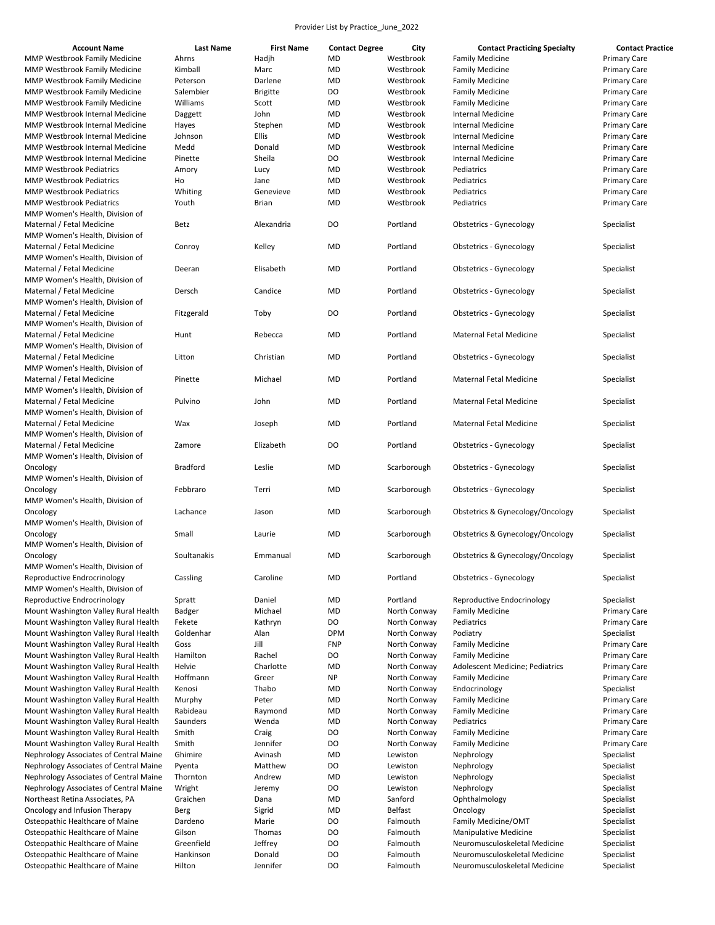| <b>Account Name</b> |  |
|---------------------|--|
|                     |  |

| <b>Account Name</b>                    | Last Name       | <b>First Name</b> | <b>Contact Degree</b> | City         | <b>Contact Practicing Specialty</b> | <b>Contact Practice</b> |
|----------------------------------------|-----------------|-------------------|-----------------------|--------------|-------------------------------------|-------------------------|
| MMP Westbrook Family Medicine          | Ahrns           | Hadjh             | MD                    | Westbrook    | <b>Family Medicine</b>              | <b>Primary Care</b>     |
| MMP Westbrook Family Medicine          | Kimball         | Marc              | MD                    | Westbrook    | <b>Family Medicine</b>              | <b>Primary Care</b>     |
| MMP Westbrook Family Medicine          | Peterson        | Darlene           | MD                    | Westbrook    | <b>Family Medicine</b>              | <b>Primary Care</b>     |
| MMP Westbrook Family Medicine          | Salembier       | <b>Brigitte</b>   | DO                    | Westbrook    | <b>Family Medicine</b>              | <b>Primary Care</b>     |
| MMP Westbrook Family Medicine          | Williams        | Scott             | MD                    | Westbrook    | <b>Family Medicine</b>              | <b>Primary Care</b>     |
| MMP Westbrook Internal Medicine        | Daggett         | John              | MD                    | Westbrook    | <b>Internal Medicine</b>            | <b>Primary Care</b>     |
| MMP Westbrook Internal Medicine        | Hayes           | Stephen           | <b>MD</b>             | Westbrook    | <b>Internal Medicine</b>            | <b>Primary Care</b>     |
| MMP Westbrook Internal Medicine        | Johnson         | Ellis             | MD                    | Westbrook    | <b>Internal Medicine</b>            | <b>Primary Care</b>     |
| MMP Westbrook Internal Medicine        | Medd            | Donald            | MD                    | Westbrook    | <b>Internal Medicine</b>            | <b>Primary Care</b>     |
| MMP Westbrook Internal Medicine        | Pinette         | Sheila            | DO                    | Westbrook    | <b>Internal Medicine</b>            | <b>Primary Care</b>     |
| <b>MMP Westbrook Pediatrics</b>        | Amory           | Lucy              | MD                    | Westbrook    | Pediatrics                          | <b>Primary Care</b>     |
| <b>MMP Westbrook Pediatrics</b>        | Ho              | Jane              | <b>MD</b>             | Westbrook    | Pediatrics                          | <b>Primary Care</b>     |
| <b>MMP Westbrook Pediatrics</b>        | Whiting         | Genevieve         | MD                    | Westbrook    | Pediatrics                          | <b>Primary Care</b>     |
| MMP Westbrook Pediatrics               | Youth           | Brian             | MD                    | Westbrook    | Pediatrics                          | <b>Primary Care</b>     |
| MMP Women's Health, Division of        |                 |                   |                       |              |                                     |                         |
| Maternal / Fetal Medicine              | Betz            | Alexandria        | <b>DO</b>             | Portland     | Obstetrics - Gynecology             | Specialist              |
| MMP Women's Health, Division of        |                 |                   |                       |              |                                     |                         |
| Maternal / Fetal Medicine              | Conroy          | Kelley            | MD                    | Portland     | Obstetrics - Gynecology             | Specialist              |
| MMP Women's Health, Division of        |                 |                   |                       |              |                                     |                         |
| Maternal / Fetal Medicine              | Deeran          | Elisabeth         | MD                    | Portland     | Obstetrics - Gynecology             | Specialist              |
| MMP Women's Health, Division of        |                 |                   |                       |              |                                     |                         |
| Maternal / Fetal Medicine              | Dersch          | Candice           | <b>MD</b>             | Portland     | Obstetrics - Gynecology             | Specialist              |
| MMP Women's Health, Division of        |                 |                   |                       |              |                                     |                         |
| Maternal / Fetal Medicine              | Fitzgerald      | Toby              | <b>DO</b>             | Portland     | Obstetrics - Gynecology             | Specialist              |
| MMP Women's Health, Division of        |                 |                   |                       |              |                                     |                         |
| Maternal / Fetal Medicine              | Hunt            | Rebecca           | <b>MD</b>             | Portland     | <b>Maternal Fetal Medicine</b>      | Specialist              |
| MMP Women's Health, Division of        |                 |                   |                       |              |                                     |                         |
| Maternal / Fetal Medicine              | Litton          | Christian         | MD                    | Portland     | Obstetrics - Gynecology             | Specialist              |
| MMP Women's Health, Division of        |                 |                   |                       |              |                                     |                         |
| Maternal / Fetal Medicine              | Pinette         | Michael           | <b>MD</b>             | Portland     | Maternal Fetal Medicine             | Specialist              |
| MMP Women's Health, Division of        |                 |                   |                       |              |                                     |                         |
| Maternal / Fetal Medicine              | Pulvino         | John              | <b>MD</b>             | Portland     | <b>Maternal Fetal Medicine</b>      | Specialist              |
| MMP Women's Health, Division of        |                 |                   |                       |              |                                     |                         |
| Maternal / Fetal Medicine              | Wax             | Joseph            | MD                    | Portland     | Maternal Fetal Medicine             | Specialist              |
| MMP Women's Health, Division of        |                 |                   |                       |              |                                     |                         |
| Maternal / Fetal Medicine              | Zamore          | Elizabeth         | <b>DO</b>             | Portland     | Obstetrics - Gynecology             | Specialist              |
| MMP Women's Health, Division of        |                 |                   |                       |              |                                     |                         |
| Oncology                               | <b>Bradford</b> | Leslie            | MD                    | Scarborough  | Obstetrics - Gynecology             | Specialist              |
| MMP Women's Health, Division of        |                 |                   |                       |              |                                     |                         |
| Oncology                               | Febbraro        | Terri             | MD                    | Scarborough  | Obstetrics - Gynecology             | Specialist              |
| MMP Women's Health, Division of        |                 |                   |                       |              |                                     |                         |
| Oncology                               | Lachance        | Jason             | MD                    | Scarborough  | Obstetrics & Gynecology/Oncology    | Specialist              |
| MMP Women's Health, Division of        |                 |                   |                       |              |                                     |                         |
| Oncology                               | Small           | Laurie            | MD                    | Scarborough  | Obstetrics & Gynecology/Oncology    | Specialist              |
| MMP Women's Health, Division of        |                 |                   |                       |              |                                     |                         |
| Oncology                               | Soultanakis     | Emmanual          | <b>MD</b>             | Scarborough  | Obstetrics & Gynecology/Oncology    | Specialist              |
| MMP Women's Health, Division of        |                 |                   |                       |              |                                     |                         |
| Reproductive Endrocrinology            | Cassling        | Caroline          | MD                    | Portland     | Obstetrics - Gynecology             | Specialist              |
| MMP Women's Health, Division of        |                 |                   |                       |              |                                     |                         |
| Reproductive Endrocrinology            | Spratt          | Daniel            | <b>MD</b>             | Portland     | Reproductive Endocrinology          | Specialist              |
| Mount Washington Valley Rural Health   | Badger          | Michael           | MD                    | North Conway | <b>Family Medicine</b>              | <b>Primary Care</b>     |
| Mount Washington Valley Rural Health   | Fekete          | Kathryn           | DO                    | North Conway | Pediatrics                          | <b>Primary Care</b>     |
| Mount Washington Valley Rural Health   | Goldenhar       | Alan              | <b>DPM</b>            | North Conway | Podiatry                            | Specialist              |
| Mount Washington Valley Rural Health   | Goss            | Jill              | FNP                   | North Conway | <b>Family Medicine</b>              | <b>Primary Care</b>     |
| Mount Washington Valley Rural Health   | Hamilton        | Rachel            | DO                    | North Conway | <b>Family Medicine</b>              | <b>Primary Care</b>     |
| Mount Washington Valley Rural Health   | Helvie          | Charlotte         | <b>MD</b>             | North Conway | Adolescent Medicine; Pediatrics     | <b>Primary Care</b>     |
| Mount Washington Valley Rural Health   | Hoffmann        | Greer             | <b>NP</b>             | North Conway | <b>Family Medicine</b>              | <b>Primary Care</b>     |
| Mount Washington Valley Rural Health   | Kenosi          | Thabo             | MD                    | North Conway | Endocrinology                       | Specialist              |
| Mount Washington Valley Rural Health   | Murphy          | Peter             | MD                    | North Conway | <b>Family Medicine</b>              | <b>Primary Care</b>     |
| Mount Washington Valley Rural Health   | Rabideau        | Raymond           | MD                    | North Conway | <b>Family Medicine</b>              | <b>Primary Care</b>     |
| Mount Washington Valley Rural Health   | Saunders        | Wenda             | MD                    | North Conway | Pediatrics                          | <b>Primary Care</b>     |
| Mount Washington Valley Rural Health   | Smith           | Craig             | DO                    | North Conway | <b>Family Medicine</b>              | <b>Primary Care</b>     |
| Mount Washington Valley Rural Health   | Smith           | Jennifer          | DO                    | North Conway | <b>Family Medicine</b>              | <b>Primary Care</b>     |
| Nephrology Associates of Central Maine | Ghimire         | Avinash           | <b>MD</b>             | Lewiston     | Nephrology                          | Specialist              |
| Nephrology Associates of Central Maine | Pyenta          | Matthew           | DO                    | Lewiston     | Nephrology                          | Specialist              |
| Nephrology Associates of Central Maine | Thornton        | Andrew            | <b>MD</b>             | Lewiston     | Nephrology                          | Specialist              |
| Nephrology Associates of Central Maine | Wright          | Jeremy            | DO                    | Lewiston     | Nephrology                          | Specialist              |
| Northeast Retina Associates, PA        | Graichen        | Dana              | <b>MD</b>             | Sanford      | Ophthalmology                       | Specialist              |
| Oncology and Infusion Therapy          | Berg            | Sigrid            | <b>MD</b>             | Belfast      | Oncology                            | Specialist              |
| Osteopathic Healthcare of Maine        | Dardeno         | Marie             | DO                    | Falmouth     | Family Medicine/OMT                 | Specialist              |
| Osteopathic Healthcare of Maine        | Gilson          | Thomas            | DO                    | Falmouth     | <b>Manipulative Medicine</b>        | Specialist              |
| Osteopathic Healthcare of Maine        | Greenfield      | Jeffrey           | DO                    | Falmouth     | Neuromusculoskeletal Medicine       | Specialist              |
| Osteopathic Healthcare of Maine        | Hankinson       | Donald            | DO                    | Falmouth     | Neuromusculoskeletal Medicine       | Specialist              |
| Osteopathic Healthcare of Maine        | Hilton          | Jennifer          | DO                    | Falmouth     | Neuromusculoskeletal Medicine       | Specialist              |
|                                        |                 |                   |                       |              |                                     |                         |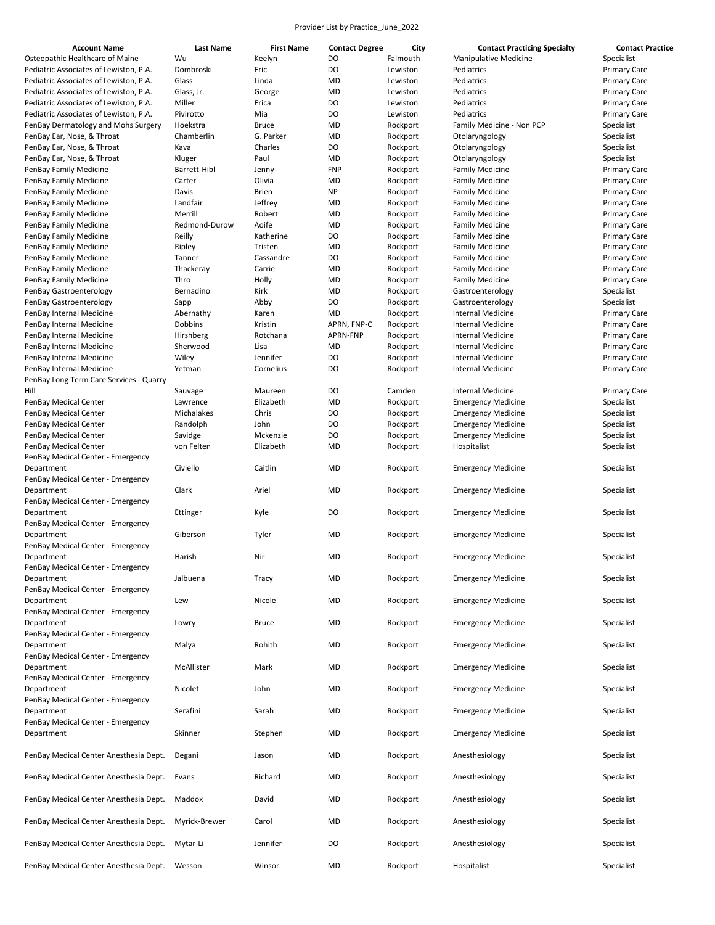| <b>Account Name</b>                                               | <b>Last Name</b>      | <b>First Name</b>    | <b>Contact Degree</b> | City                 | <b>Contact Practicing Specialty</b>                   | <b>Contact Practice</b>                    |
|-------------------------------------------------------------------|-----------------------|----------------------|-----------------------|----------------------|-------------------------------------------------------|--------------------------------------------|
| Osteopathic Healthcare of Maine                                   | Wu                    | Keelyn               | DO                    | Falmouth             | <b>Manipulative Medicine</b>                          | Specialist                                 |
| Pediatric Associates of Lewiston, P.A.                            | Dombroski             | Eric                 | DO                    | Lewiston             | Pediatrics                                            | <b>Primary Care</b>                        |
| Pediatric Associates of Lewiston, P.A.                            | Glass                 | Linda                | MD                    | Lewiston             | Pediatrics                                            | <b>Primary Care</b>                        |
| Pediatric Associates of Lewiston, P.A.                            | Glass, Jr.            | George               | MD                    | Lewiston             | Pediatrics                                            | <b>Primary Care</b>                        |
| Pediatric Associates of Lewiston, P.A.                            | Miller                | Erica                | DO                    | Lewiston             | Pediatrics                                            | <b>Primary Care</b>                        |
| Pediatric Associates of Lewiston, P.A.                            | Pivirotto<br>Hoekstra | Mia<br><b>Bruce</b>  | DO<br>MD              | Lewiston             | Pediatrics                                            | <b>Primary Care</b>                        |
| PenBay Dermatology and Mohs Surgery<br>PenBay Ear, Nose, & Throat | Chamberlin            | G. Parker            | MD                    | Rockport<br>Rockport | Family Medicine - Non PCP<br>Otolaryngology           | Specialist<br>Specialist                   |
| PenBay Ear, Nose, & Throat                                        | Kava                  | Charles              | DO                    | Rockport             | Otolaryngology                                        | Specialist                                 |
| PenBay Ear, Nose, & Throat                                        | Kluger                | Paul                 | MD                    | Rockport             | Otolaryngology                                        | Specialist                                 |
| PenBay Family Medicine                                            | Barrett-Hibl          | Jenny                | <b>FNP</b>            | Rockport             | <b>Family Medicine</b>                                | <b>Primary Care</b>                        |
| PenBay Family Medicine                                            | Carter                | Olivia               | MD                    | Rockport             | <b>Family Medicine</b>                                | <b>Primary Care</b>                        |
| PenBay Family Medicine                                            | Davis                 | Brien                | <b>NP</b>             | Rockport             | <b>Family Medicine</b>                                | <b>Primary Care</b>                        |
| PenBay Family Medicine                                            | Landfair              | Jeffrey              | MD                    | Rockport             | <b>Family Medicine</b>                                | <b>Primary Care</b>                        |
| PenBay Family Medicine                                            | Merrill               | Robert               | <b>MD</b>             | Rockport             | <b>Family Medicine</b>                                | <b>Primary Care</b>                        |
| PenBay Family Medicine                                            | Redmond-Durow         | Aoife                | <b>MD</b>             | Rockport             | <b>Family Medicine</b>                                | <b>Primary Care</b>                        |
| PenBay Family Medicine                                            | Reilly                | Katherine            | DO                    | Rockport             | <b>Family Medicine</b>                                | <b>Primary Care</b>                        |
| PenBay Family Medicine                                            | Ripley                | Tristen              | MD<br>DO              | Rockport             | <b>Family Medicine</b>                                | <b>Primary Care</b>                        |
| PenBay Family Medicine<br>PenBay Family Medicine                  | Tanner<br>Thackeray   | Cassandre<br>Carrie  | MD                    | Rockport<br>Rockport | <b>Family Medicine</b><br><b>Family Medicine</b>      | <b>Primary Care</b><br><b>Primary Care</b> |
| PenBay Family Medicine                                            | Thro                  | Holly                | <b>MD</b>             | Rockport             | <b>Family Medicine</b>                                | <b>Primary Care</b>                        |
| PenBay Gastroenterology                                           | Bernadino             | Kirk                 | MD                    | Rockport             | Gastroenterology                                      | Specialist                                 |
| PenBay Gastroenterology                                           | Sapp                  | Abby                 | DO                    | Rockport             | Gastroenterology                                      | Specialist                                 |
| PenBay Internal Medicine                                          | Abernathy             | Karen                | MD                    | Rockport             | Internal Medicine                                     | <b>Primary Care</b>                        |
| PenBay Internal Medicine                                          | Dobbins               | Kristin              | APRN, FNP-C           | Rockport             | <b>Internal Medicine</b>                              | <b>Primary Care</b>                        |
| PenBay Internal Medicine                                          | Hirshberg             | Rotchana             | APRN-FNP              | Rockport             | <b>Internal Medicine</b>                              | <b>Primary Care</b>                        |
| PenBay Internal Medicine                                          | Sherwood              | Lisa                 | MD                    | Rockport             | <b>Internal Medicine</b>                              | <b>Primary Care</b>                        |
| PenBay Internal Medicine                                          | Wiley                 | Jennifer             | DO                    | Rockport             | <b>Internal Medicine</b>                              | <b>Primary Care</b>                        |
| PenBay Internal Medicine                                          | Yetman                | Cornelius            | DO                    | Rockport             | Internal Medicine                                     | Primary Care                               |
| PenBay Long Term Care Services - Quarry                           |                       |                      |                       |                      |                                                       |                                            |
| Hill<br>PenBay Medical Center                                     | Sauvage<br>Lawrence   | Maureen<br>Elizabeth | DO<br>MD              | Camden<br>Rockport   | <b>Internal Medicine</b><br><b>Emergency Medicine</b> | <b>Primary Care</b><br>Specialist          |
| PenBay Medical Center                                             | Michalakes            | Chris                | DO                    | Rockport             | <b>Emergency Medicine</b>                             | Specialist                                 |
| PenBay Medical Center                                             | Randolph              | John                 | DO                    | Rockport             | <b>Emergency Medicine</b>                             | Specialist                                 |
| PenBay Medical Center                                             | Savidge               | Mckenzie             | DO                    | Rockport             | <b>Emergency Medicine</b>                             | Specialist                                 |
| PenBay Medical Center                                             | von Felten            | Elizabeth            | MD                    | Rockport             | Hospitalist                                           | Specialist                                 |
| PenBay Medical Center - Emergency                                 |                       |                      |                       |                      |                                                       |                                            |
| Department                                                        | Civiello              | Caitlin              | <b>MD</b>             | Rockport             | <b>Emergency Medicine</b>                             | Specialist                                 |
| PenBay Medical Center - Emergency                                 |                       |                      |                       |                      |                                                       |                                            |
| Department                                                        | Clark                 | Ariel                | MD                    | Rockport             | <b>Emergency Medicine</b>                             | Specialist                                 |
| PenBay Medical Center - Emergency<br>Department                   | Ettinger              |                      | DO                    | Rockport             |                                                       | Specialist                                 |
| PenBay Medical Center - Emergency                                 |                       | Kyle                 |                       |                      | <b>Emergency Medicine</b>                             |                                            |
| Department                                                        | Giberson              | Tyler                | MD                    | Rockport             | <b>Emergency Medicine</b>                             | Specialist                                 |
| PenBay Medical Center - Emergency                                 |                       |                      |                       |                      |                                                       |                                            |
| Department                                                        | Harish                | Nir                  | MD                    | Rockport             | <b>Emergency Medicine</b>                             | Specialist                                 |
| PenBay Medical Center - Emergency                                 |                       |                      |                       |                      |                                                       |                                            |
| Department                                                        | Jalbuena              | Tracy                | MD                    | Rockport             | <b>Emergency Medicine</b>                             | Specialist                                 |
| PenBay Medical Center - Emergency                                 |                       |                      |                       |                      |                                                       |                                            |
| Department                                                        | Lew                   | Nicole               | MD                    | Rockport             | <b>Emergency Medicine</b>                             | Specialist                                 |
| PenBay Medical Center - Emergency                                 |                       |                      |                       |                      |                                                       |                                            |
| Department<br>PenBay Medical Center - Emergency                   | Lowry                 | <b>Bruce</b>         | MD                    | Rockport             | <b>Emergency Medicine</b>                             | Specialist                                 |
| Department                                                        | Malya                 | Rohith               | MD                    | Rockport             | <b>Emergency Medicine</b>                             | Specialist                                 |
| PenBay Medical Center - Emergency                                 |                       |                      |                       |                      |                                                       |                                            |
| Department                                                        | McAllister            | Mark                 | MD                    | Rockport             | <b>Emergency Medicine</b>                             | Specialist                                 |
| PenBay Medical Center - Emergency                                 |                       |                      |                       |                      |                                                       |                                            |
| Department                                                        | Nicolet               | John                 | MD                    | Rockport             | <b>Emergency Medicine</b>                             | Specialist                                 |
| PenBay Medical Center - Emergency                                 |                       |                      |                       |                      |                                                       |                                            |
| Department                                                        | Serafini              | Sarah                | MD                    | Rockport             | <b>Emergency Medicine</b>                             | Specialist                                 |
| PenBay Medical Center - Emergency                                 |                       |                      |                       |                      |                                                       |                                            |
| Department                                                        | Skinner               | Stephen              | MD                    | Rockport             | <b>Emergency Medicine</b>                             | Specialist                                 |
| PenBay Medical Center Anesthesia Dept.                            | Degani                | Jason                | MD                    | Rockport             | Anesthesiology                                        | Specialist                                 |
|                                                                   |                       |                      |                       |                      |                                                       |                                            |
| PenBay Medical Center Anesthesia Dept.                            | Evans                 | Richard              | MD                    | Rockport             | Anesthesiology                                        | Specialist                                 |
|                                                                   |                       |                      |                       |                      |                                                       |                                            |
| PenBay Medical Center Anesthesia Dept.                            | Maddox                | David                | MD                    | Rockport             | Anesthesiology                                        | Specialist                                 |
|                                                                   |                       |                      |                       |                      |                                                       |                                            |
| PenBay Medical Center Anesthesia Dept.                            | Myrick-Brewer         | Carol                | MD                    | Rockport             | Anesthesiology                                        | Specialist                                 |
| PenBay Medical Center Anesthesia Dept.                            | Mytar-Li              | Jennifer             | DO                    | Rockport             | Anesthesiology                                        | Specialist                                 |
|                                                                   |                       |                      |                       |                      |                                                       |                                            |
| PenBay Medical Center Anesthesia Dept.                            | Wesson                | Winsor               | MD                    | Rockport             | Hospitalist                                           | Specialist                                 |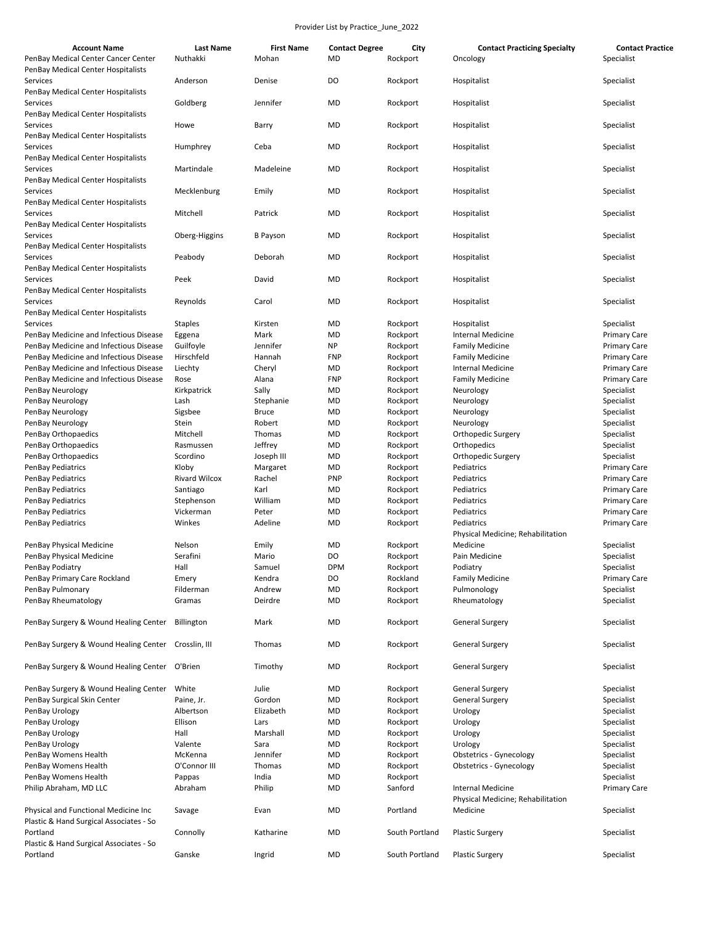| <b>Account Name</b><br>PenBay Medical Center Cancer Center                       | <b>Last Name</b><br>Nuthakki | <b>First Name</b><br>Mohan | <b>Contact Degree</b><br>MD | City<br>Rockport     | <b>Contact Practicing Specialty</b><br>Oncology               | <b>Contact Practice</b><br>Specialist      |
|----------------------------------------------------------------------------------|------------------------------|----------------------------|-----------------------------|----------------------|---------------------------------------------------------------|--------------------------------------------|
| PenBay Medical Center Hospitalists<br>Services                                   | Anderson                     | Denise                     | DO                          | Rockport             | Hospitalist                                                   | Specialist                                 |
| PenBay Medical Center Hospitalists<br>Services                                   | Goldberg                     | Jennifer                   | <b>MD</b>                   | Rockport             | Hospitalist                                                   | Specialist                                 |
| PenBay Medical Center Hospitalists<br>Services                                   | Howe                         | Barry                      | MD                          | Rockport             | Hospitalist                                                   | Specialist                                 |
| PenBay Medical Center Hospitalists<br>Services                                   | Humphrey                     | Ceba                       | MD                          | Rockport             | Hospitalist                                                   | Specialist                                 |
| PenBay Medical Center Hospitalists<br>Services                                   | Martindale                   | Madeleine                  | <b>MD</b>                   | Rockport             | Hospitalist                                                   | Specialist                                 |
| PenBay Medical Center Hospitalists<br>Services                                   | Mecklenburg                  | Emily                      | <b>MD</b>                   | Rockport             | Hospitalist                                                   | Specialist                                 |
| PenBay Medical Center Hospitalists<br>Services                                   | Mitchell                     | Patrick                    | <b>MD</b>                   | Rockport             | Hospitalist                                                   | Specialist                                 |
| PenBay Medical Center Hospitalists<br>Services                                   | Oberg-Higgins                | <b>B</b> Payson            | <b>MD</b>                   | Rockport             | Hospitalist                                                   | Specialist                                 |
| PenBay Medical Center Hospitalists<br>Services                                   | Peabody                      | Deborah                    | MD                          | Rockport             | Hospitalist                                                   | Specialist                                 |
| PenBay Medical Center Hospitalists<br>Services                                   | Peek                         | David                      | MD                          | Rockport             | Hospitalist                                                   | Specialist                                 |
| PenBay Medical Center Hospitalists<br>Services                                   | Reynolds                     | Carol                      | MD                          | Rockport             | Hospitalist                                                   | Specialist                                 |
| PenBay Medical Center Hospitalists                                               |                              |                            |                             |                      |                                                               |                                            |
| Services                                                                         | <b>Staples</b>               | Kirsten                    | MD                          | Rockport             | Hospitalist                                                   | Specialist                                 |
| PenBay Medicine and Infectious Disease<br>PenBay Medicine and Infectious Disease | Eggena<br>Guilfoyle          | Mark<br>Jennifer           | MD<br>NP                    | Rockport<br>Rockport | <b>Internal Medicine</b><br><b>Family Medicine</b>            | <b>Primary Care</b><br><b>Primary Care</b> |
| PenBay Medicine and Infectious Disease                                           | Hirschfeld                   | Hannah                     | <b>FNP</b>                  | Rockport             | <b>Family Medicine</b>                                        | <b>Primary Care</b>                        |
| PenBay Medicine and Infectious Disease                                           | Liechty                      | Cheryl                     | MD                          | Rockport             | <b>Internal Medicine</b>                                      | <b>Primary Care</b>                        |
| PenBay Medicine and Infectious Disease                                           | Rose                         | Alana                      | <b>FNP</b>                  | Rockport             | <b>Family Medicine</b>                                        | <b>Primary Care</b>                        |
| PenBay Neurology                                                                 | Kirkpatrick                  | Sally                      | MD                          | Rockport             | Neurology                                                     | Specialist                                 |
| PenBay Neurology                                                                 | Lash                         | Stephanie                  | MD                          | Rockport             | Neurology                                                     | Specialist                                 |
| PenBay Neurology                                                                 | Sigsbee                      | <b>Bruce</b>               | MD                          | Rockport             | Neurology                                                     | Specialist                                 |
| PenBay Neurology                                                                 | Stein                        | Robert                     | MD                          | Rockport             | Neurology                                                     | Specialist                                 |
| PenBay Orthopaedics                                                              | Mitchell                     | Thomas                     | MD                          | Rockport             | Orthopedic Surgery                                            | Specialist                                 |
| PenBay Orthopaedics                                                              | Rasmussen                    | Jeffrey                    | MD                          | Rockport             | Orthopedics                                                   | Specialist                                 |
| PenBay Orthopaedics                                                              | Scordino                     | Joseph III                 | MD                          | Rockport             | Orthopedic Surgery                                            | Specialist                                 |
| PenBay Pediatrics                                                                | Kloby                        | Margaret                   | MD                          | Rockport             | Pediatrics                                                    | <b>Primary Care</b>                        |
| PenBay Pediatrics                                                                | <b>Rivard Wilcox</b>         | Rachel                     | <b>PNP</b>                  | Rockport             | Pediatrics                                                    | <b>Primary Care</b>                        |
| PenBay Pediatrics                                                                | Santiago                     | Karl                       | MD                          | Rockport             | Pediatrics                                                    | <b>Primary Care</b>                        |
| PenBay Pediatrics                                                                | Stephenson                   | William                    | MD                          | Rockport             | Pediatrics                                                    | <b>Primary Care</b>                        |
| PenBay Pediatrics                                                                | Vickerman                    | Peter                      | MD                          | Rockport             | Pediatrics                                                    | <b>Primary Care</b>                        |
| PenBay Pediatrics                                                                | Winkes                       | Adeline                    | <b>MD</b>                   | Rockport             | Pediatrics<br>Physical Medicine; Rehabilitation               | <b>Primary Care</b>                        |
| PenBay Physical Medicine                                                         | Nelson                       | Emily                      | <b>MD</b>                   | Rockport             | Medicine                                                      | Specialist                                 |
| PenBay Physical Medicine                                                         | Serafini                     | Mario                      | DO                          | Rockport             | Pain Medicine                                                 | Specialist                                 |
| PenBay Podiatry                                                                  | Hall                         | Samuel                     | <b>DPM</b>                  | Rockport             | Podiatry                                                      | Specialist                                 |
| PenBay Primary Care Rockland                                                     | Emery                        | Kendra                     | DO                          | Rockland             | <b>Family Medicine</b>                                        | <b>Primary Care</b>                        |
| PenBay Pulmonary                                                                 | Filderman                    | Andrew                     | MD                          | Rockport             | Pulmonology                                                   | Specialist                                 |
| PenBay Rheumatology                                                              | Gramas                       | Deirdre                    | MD                          | Rockport             | Rheumatology                                                  | Specialist                                 |
| PenBay Surgery & Wound Healing Center                                            | Billington                   | Mark                       | MD                          | Rockport             | <b>General Surgery</b>                                        | Specialist                                 |
| PenBay Surgery & Wound Healing Center                                            | Crosslin, III                | Thomas                     | MD                          | Rockport             | <b>General Surgery</b>                                        | Specialist                                 |
| PenBay Surgery & Wound Healing Center                                            | O'Brien                      | Timothy                    | MD                          | Rockport             | <b>General Surgery</b>                                        | Specialist                                 |
| PenBay Surgery & Wound Healing Center                                            | White                        | Julie                      | MD                          | Rockport             | General Surgery                                               | Specialist                                 |
| PenBay Surgical Skin Center                                                      | Paine, Jr.                   | Gordon                     | MD                          | Rockport             | <b>General Surgery</b>                                        | Specialist                                 |
| PenBay Urology                                                                   | Albertson                    | Elizabeth                  | MD                          | Rockport             | Urology                                                       | Specialist                                 |
| PenBay Urology                                                                   | Ellison                      | Lars                       | MD                          | Rockport             | Urology                                                       | Specialist                                 |
| PenBay Urology                                                                   | Hall                         | Marshall                   | MD                          | Rockport             | Urology                                                       | Specialist                                 |
| PenBay Urology                                                                   | Valente                      | Sara                       | MD                          | Rockport             | Urology                                                       | Specialist                                 |
| PenBay Womens Health                                                             | McKenna                      | Jennifer                   | MD                          | Rockport             | Obstetrics - Gynecology                                       | Specialist                                 |
| PenBay Womens Health                                                             | O'Connor III                 | Thomas                     | MD                          | Rockport             | Obstetrics - Gynecology                                       | Specialist                                 |
| PenBay Womens Health                                                             | Pappas                       | India                      | MD                          | Rockport             |                                                               | Specialist                                 |
| Philip Abraham, MD LLC                                                           | Abraham                      | Philip                     | MD                          | Sanford              | <b>Internal Medicine</b><br>Physical Medicine; Rehabilitation | <b>Primary Care</b>                        |
| Physical and Functional Medicine Inc                                             | Savage                       | Evan                       | MD                          | Portland             | Medicine                                                      | Specialist                                 |
| Plastic & Hand Surgical Associates - So<br>Portland                              | Connolly                     | Katharine                  | MD                          | South Portland       | <b>Plastic Surgery</b>                                        | Specialist                                 |
| Plastic & Hand Surgical Associates - So<br>Portland                              | Ganske                       | Ingrid                     | MD                          | South Portland       | <b>Plastic Surgery</b>                                        | Specialist                                 |
|                                                                                  |                              |                            |                             |                      |                                                               |                                            |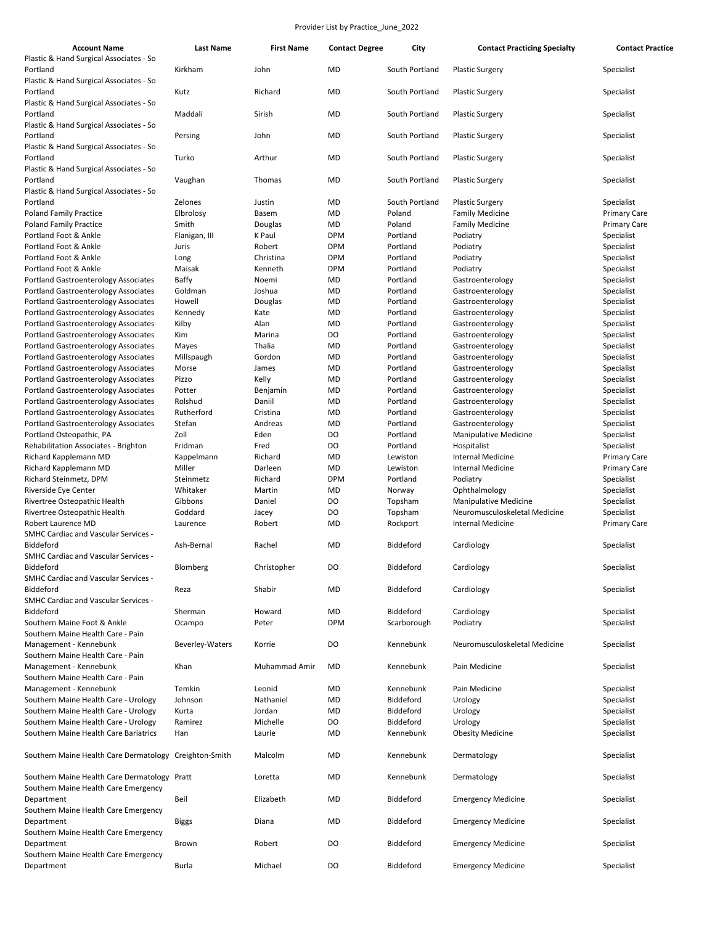| <b>Account Name</b>                                    | <b>Last Name</b> | <b>First Name</b> | <b>Contact Degree</b> | City           | <b>Contact Practicing Specialty</b>                    | <b>Contact Practice</b> |
|--------------------------------------------------------|------------------|-------------------|-----------------------|----------------|--------------------------------------------------------|-------------------------|
| Plastic & Hand Surgical Associates - So                |                  |                   |                       |                |                                                        |                         |
| Portland                                               | Kirkham          | John              | <b>MD</b>             | South Portland | <b>Plastic Surgery</b>                                 | Specialist              |
| Plastic & Hand Surgical Associates - So                |                  |                   |                       |                |                                                        |                         |
| Portland                                               | Kutz             | Richard           | <b>MD</b>             | South Portland | <b>Plastic Surgery</b>                                 | Specialist              |
| Plastic & Hand Surgical Associates - So                |                  |                   |                       |                |                                                        |                         |
| Portland                                               | Maddali          | Sirish            | <b>MD</b>             | South Portland | <b>Plastic Surgery</b>                                 | Specialist              |
| Plastic & Hand Surgical Associates - So                |                  |                   |                       |                |                                                        |                         |
| Portland                                               | Persing          | John              | MD                    | South Portland | <b>Plastic Surgery</b>                                 | Specialist              |
| Plastic & Hand Surgical Associates - So                |                  |                   |                       |                |                                                        |                         |
| Portland                                               | Turko            | Arthur            | <b>MD</b>             | South Portland | <b>Plastic Surgery</b>                                 | Specialist              |
| Plastic & Hand Surgical Associates - So                |                  |                   |                       |                |                                                        |                         |
| Portland                                               | Vaughan          | Thomas            | MD                    | South Portland | <b>Plastic Surgery</b>                                 | Specialist              |
| Plastic & Hand Surgical Associates - So                |                  |                   |                       |                |                                                        |                         |
| Portland                                               | Zelones          | Justin            | <b>MD</b>             | South Portland | <b>Plastic Surgery</b>                                 | Specialist              |
| <b>Poland Family Practice</b>                          | Elbrolosy        | Basem             | MD                    | Poland         | <b>Family Medicine</b>                                 | <b>Primary Care</b>     |
| <b>Poland Family Practice</b>                          | Smith            | Douglas           | <b>MD</b>             | Poland         | <b>Family Medicine</b>                                 | <b>Primary Care</b>     |
| Portland Foot & Ankle                                  | Flanigan, III    | K Paul            | <b>DPM</b>            | Portland       | Podiatry                                               | Specialist              |
| Portland Foot & Ankle                                  | Juris            | Robert            | <b>DPM</b>            | Portland       | Podiatry                                               | Specialist              |
| Portland Foot & Ankle                                  |                  | Christina         | <b>DPM</b>            | Portland       | Podiatry                                               | Specialist              |
| Portland Foot & Ankle                                  | Long<br>Maisak   | Kenneth           | <b>DPM</b>            | Portland       |                                                        | Specialist              |
|                                                        |                  |                   |                       |                | Podiatry                                               |                         |
| Portland Gastroenterology Associates                   | Baffy            | Noemi             | MD                    | Portland       | Gastroenterology                                       | Specialist              |
| Portland Gastroenterology Associates                   | Goldman          | Joshua            | MD                    | Portland       | Gastroenterology                                       | Specialist              |
| Portland Gastroenterology Associates                   | Howell           | Douglas           | MD                    | Portland       | Gastroenterology                                       | Specialist              |
| Portland Gastroenterology Associates                   | Kennedy          | Kate              | MD                    | Portland       | Gastroenterology                                       | Specialist              |
| Portland Gastroenterology Associates                   | Kilby            | Alan              | MD                    | Portland       | Gastroenterology                                       | Specialist              |
| Portland Gastroenterology Associates                   | Kim              | Marina            | DO                    | Portland       | Gastroenterology                                       | Specialist              |
| Portland Gastroenterology Associates                   | Mayes            | Thalia            | MD                    | Portland       | Gastroenterology                                       | Specialist              |
| Portland Gastroenterology Associates                   | Millspaugh       | Gordon            | MD                    | Portland       | Gastroenterology                                       | Specialist              |
| Portland Gastroenterology Associates                   | Morse            | James             | MD                    | Portland       | Gastroenterology                                       | Specialist              |
| <b>Portland Gastroenterology Associates</b>            | Pizzo            | Kelly             | MD                    | Portland       | Gastroenterology                                       | Specialist              |
| Portland Gastroenterology Associates                   | Potter           | Benjamin          | MD                    | Portland       | Gastroenterology                                       | Specialist              |
| Portland Gastroenterology Associates                   | Rolshud          | Daniil            | MD                    | Portland       | Gastroenterology                                       | Specialist              |
| <b>Portland Gastroenterology Associates</b>            | Rutherford       | Cristina          | MD                    | Portland       | Gastroenterology                                       | Specialist              |
| Portland Gastroenterology Associates                   | Stefan           | Andreas           | MD                    | Portland       | Gastroenterology                                       | Specialist              |
| Portland Osteopathic, PA                               | Zoll             | Eden              | DO                    | Portland       | <b>Manipulative Medicine</b>                           | Specialist              |
| Rehabilitation Associates - Brighton                   | Fridman          | Fred              | DO                    | Portland       | Hospitalist                                            | Specialist              |
| Richard Kapplemann MD                                  | Kappelmann       | Richard           | MD                    | Lewiston       | <b>Internal Medicine</b>                               | <b>Primary Care</b>     |
| Richard Kapplemann MD                                  | Miller           | Darleen           | <b>MD</b>             | Lewiston       | <b>Internal Medicine</b>                               | <b>Primary Care</b>     |
| Richard Steinmetz, DPM                                 | Steinmetz        | Richard           | <b>DPM</b>            | Portland       | Podiatry                                               | Specialist              |
| Riverside Eye Center                                   | Whitaker         | Martin            | MD                    |                | Ophthalmology                                          | Specialist              |
|                                                        | Gibbons          | Daniel            | DO                    | Norway         |                                                        |                         |
| Rivertree Osteopathic Health                           |                  |                   |                       | Topsham        | Manipulative Medicine<br>Neuromusculoskeletal Medicine | Specialist              |
| Rivertree Osteopathic Health                           | Goddard          | Jacey             | D <sub>O</sub>        | Topsham        |                                                        | Specialist              |
| Robert Laurence MD                                     | Laurence         | Robert            | MD                    | Rockport       | <b>Internal Medicine</b>                               | <b>Primary Care</b>     |
| SMHC Cardiac and Vascular Services -                   |                  |                   |                       |                |                                                        |                         |
| Biddeford                                              | Ash-Bernal       | Rachel            | <b>MD</b>             | Biddeford      | Cardiology                                             | Specialist              |
| <b>SMHC Cardiac and Vascular Services -</b>            |                  |                   |                       |                |                                                        |                         |
| Biddeford                                              | Blomberg         | Christopher       | DO                    | Biddeford      | Cardiology                                             | Specialist              |
| <b>SMHC Cardiac and Vascular Services -</b>            |                  |                   |                       |                |                                                        |                         |
| Biddeford                                              | Reza             | Shabir            | <b>MD</b>             | Biddeford      | Cardiology                                             | Specialist              |
| <b>SMHC Cardiac and Vascular Services -</b>            |                  |                   |                       |                |                                                        |                         |
| Biddeford                                              | Sherman          | Howard            | <b>MD</b>             | Biddeford      | Cardiology                                             | Specialist              |
| Southern Maine Foot & Ankle                            | Ocampo           | Peter             | <b>DPM</b>            | Scarborough    | Podiatry                                               | Specialist              |
| Southern Maine Health Care - Pain                      |                  |                   |                       |                |                                                        |                         |
| Management - Kennebunk                                 | Beverley-Waters  | Korrie            | DO                    | Kennebunk      | Neuromusculoskeletal Medicine                          | Specialist              |
| Southern Maine Health Care - Pain                      |                  |                   |                       |                |                                                        |                         |
| Management - Kennebunk                                 | Khan             | Muhammad Amir     | <b>MD</b>             | Kennebunk      | Pain Medicine                                          | Specialist              |
| Southern Maine Health Care - Pain                      |                  |                   |                       |                |                                                        |                         |
| Management - Kennebunk                                 | Temkin           | Leonid            | MD                    | Kennebunk      | Pain Medicine                                          | Specialist              |
| Southern Maine Health Care - Urology                   | Johnson          | Nathaniel         | MD                    | Biddeford      | Urology                                                | Specialist              |
| Southern Maine Health Care - Urology                   |                  | Jordan            |                       | Biddeford      |                                                        |                         |
|                                                        | Kurta            |                   | MD                    |                | Urology                                                | Specialist              |
| Southern Maine Health Care - Urology                   | Ramirez          | Michelle          | DO                    | Biddeford      | Urology                                                | Specialist              |
| Southern Maine Health Care Bariatrics                  | Han              | Laurie            | MD                    | Kennebunk      | <b>Obesity Medicine</b>                                | Specialist              |
|                                                        |                  |                   |                       |                |                                                        |                         |
| Southern Maine Health Care Dermatology Creighton-Smith |                  | Malcolm           | MD                    | Kennebunk      | Dermatology                                            | Specialist              |
|                                                        |                  |                   |                       |                |                                                        |                         |
| Southern Maine Health Care Dermatology Pratt           |                  | Loretta           | MD                    | Kennebunk      | Dermatology                                            | Specialist              |
| Southern Maine Health Care Emergency                   |                  |                   |                       |                |                                                        |                         |
| Department                                             | Beil             | Elizabeth         | <b>MD</b>             | Biddeford      | <b>Emergency Medicine</b>                              | Specialist              |
| Southern Maine Health Care Emergency                   |                  |                   |                       |                |                                                        |                         |
| Department                                             | <b>Biggs</b>     | Diana             | <b>MD</b>             | Biddeford      | <b>Emergency Medicine</b>                              | Specialist              |
| Southern Maine Health Care Emergency                   |                  |                   |                       |                |                                                        |                         |
| Department                                             | Brown            | Robert            | DO                    | Biddeford      | <b>Emergency Medicine</b>                              | Specialist              |
| Southern Maine Health Care Emergency                   |                  |                   |                       |                |                                                        |                         |
| Department                                             | <b>Burla</b>     | Michael           | DO                    | Biddeford      | <b>Emergency Medicine</b>                              | Specialist              |
|                                                        |                  |                   |                       |                |                                                        |                         |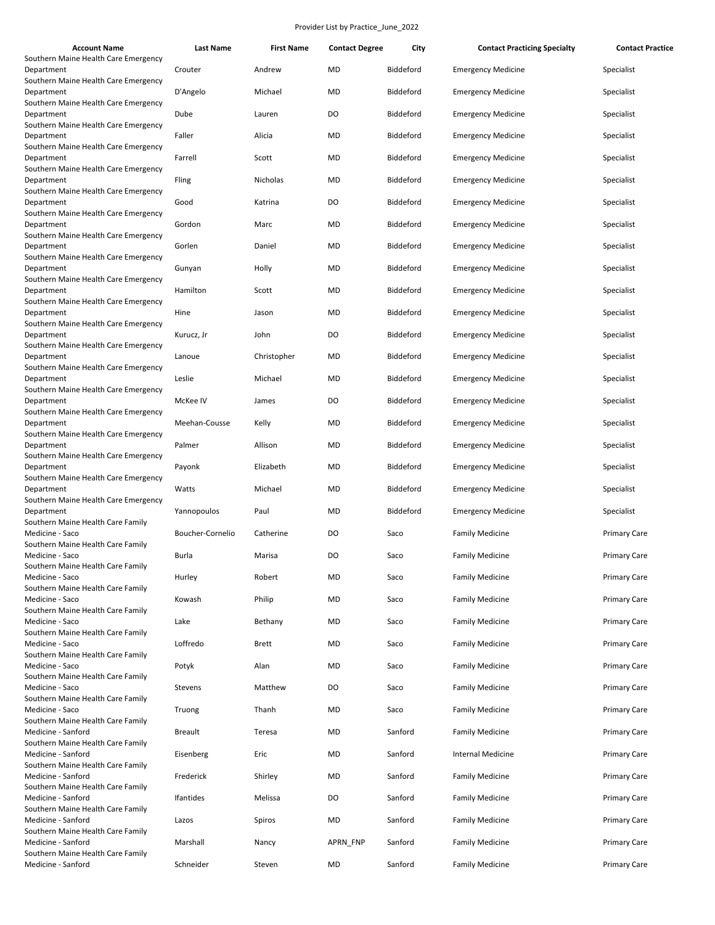| <b>Account Name</b>                                                                        | <b>Last Name</b> | <b>First Name</b> | <b>Contact Degree</b> | City             | <b>Contact Practicing Specialty</b> | <b>Contact Practice</b> |
|--------------------------------------------------------------------------------------------|------------------|-------------------|-----------------------|------------------|-------------------------------------|-------------------------|
| Southern Maine Health Care Emergency<br>Department                                         | Crouter          | Andrew            | <b>MD</b>             | Biddeford        | <b>Emergency Medicine</b>           | Specialist              |
| Southern Maine Health Care Emergency<br>Department                                         | D'Angelo         | Michael           | MD                    | Biddeford        | <b>Emergency Medicine</b>           | Specialist              |
| Southern Maine Health Care Emergency<br>Department                                         | Dube             | Lauren            | DO                    | Biddeford        | <b>Emergency Medicine</b>           | Specialist              |
| Southern Maine Health Care Emergency<br>Department                                         | Faller           | Alicia            | <b>MD</b>             | Biddeford        | <b>Emergency Medicine</b>           | Specialist              |
| Southern Maine Health Care Emergency<br>Department<br>Southern Maine Health Care Emergency | Farrell          | Scott             | <b>MD</b>             | Biddeford        | <b>Emergency Medicine</b>           | Specialist              |
| Department                                                                                 | Fling            | Nicholas          | <b>MD</b>             | Biddeford        | <b>Emergency Medicine</b>           | Specialist              |
| Southern Maine Health Care Emergency<br>Department<br>Southern Maine Health Care Emergency | Good             | Katrina           | DO                    | Biddeford        | <b>Emergency Medicine</b>           | Specialist              |
| Department<br>Southern Maine Health Care Emergency                                         | Gordon           | Marc              | <b>MD</b>             | Biddeford        | <b>Emergency Medicine</b>           | Specialist              |
| Department                                                                                 | Gorlen           | Daniel            | <b>MD</b>             | Biddeford        | <b>Emergency Medicine</b>           | Specialist              |
| Southern Maine Health Care Emergency<br>Department                                         | Gunyan           | Holly             | <b>MD</b>             | Biddeford        | <b>Emergency Medicine</b>           | Specialist              |
| Southern Maine Health Care Emergency<br>Department                                         | Hamilton         | Scott             | <b>MD</b>             | Biddeford        | <b>Emergency Medicine</b>           | Specialist              |
| Southern Maine Health Care Emergency<br>Department                                         | Hine             | Jason             | <b>MD</b>             | Biddeford        | <b>Emergency Medicine</b>           | Specialist              |
| Southern Maine Health Care Emergency<br>Department                                         | Kurucz, Jr       | John              | DO                    | Biddeford        | <b>Emergency Medicine</b>           | Specialist              |
| Southern Maine Health Care Emergency<br>Department                                         | Lanoue           | Christopher       | <b>MD</b>             | Biddeford        | <b>Emergency Medicine</b>           | Specialist              |
| Southern Maine Health Care Emergency<br>Department                                         | Leslie           | Michael           | <b>MD</b>             | Biddeford        | <b>Emergency Medicine</b>           | Specialist              |
| Southern Maine Health Care Emergency<br>Department                                         | McKee IV         | James             | DO                    | Biddeford        | <b>Emergency Medicine</b>           | Specialist              |
| Southern Maine Health Care Emergency<br>Department                                         | Meehan-Cousse    | Kelly             | <b>MD</b>             | <b>Biddeford</b> | <b>Emergency Medicine</b>           | Specialist              |
| Southern Maine Health Care Emergency<br>Department                                         | Palmer           | Allison           | <b>MD</b>             | Biddeford        | <b>Emergency Medicine</b>           | Specialist              |
| Southern Maine Health Care Emergency<br>Department                                         | Payonk           | Elizabeth         | <b>MD</b>             | Biddeford        | <b>Emergency Medicine</b>           | Specialist              |
| Southern Maine Health Care Emergency<br>Department                                         | Watts            | Michael           | <b>MD</b>             | Biddeford        | <b>Emergency Medicine</b>           | Specialist              |
| Southern Maine Health Care Emergency<br>Department                                         | Yannopoulos      | Paul              | <b>MD</b>             | Biddeford        | <b>Emergency Medicine</b>           | Specialist              |
| Southern Maine Health Care Family<br>Medicine - Saco                                       | Boucher-Cornelio | Catherine         | DO                    | Saco             | <b>Family Medicine</b>              | <b>Primary Care</b>     |
| Southern Maine Health Care Family<br>Medicine - Saco                                       | Burla            | Marisa            | DO                    | Saco             | <b>Family Medicine</b>              | <b>Primary Care</b>     |
| Southern Maine Health Care Family<br>Medicine - Saco                                       | Hurley           | Robert            | MD                    | Saco             | <b>Family Medicine</b>              | <b>Primary Care</b>     |
| Southern Maine Health Care Family<br>Medicine - Saco                                       | Kowash           | Philip            | <b>MD</b>             | Saco             | <b>Family Medicine</b>              | <b>Primary Care</b>     |
| Southern Maine Health Care Family<br>Medicine - Saco                                       | Lake             | Bethany           | MD                    | Saco             | <b>Family Medicine</b>              | <b>Primary Care</b>     |
| Southern Maine Health Care Family<br>Medicine - Saco                                       | Loffredo         | <b>Brett</b>      | MD                    | Saco             | <b>Family Medicine</b>              | <b>Primary Care</b>     |
| Southern Maine Health Care Family<br>Medicine - Saco                                       | Potyk            | Alan              | <b>MD</b>             | Saco             | <b>Family Medicine</b>              | <b>Primary Care</b>     |
| Southern Maine Health Care Family<br>Medicine - Saco                                       | Stevens          | Matthew           | DO                    | Saco             | <b>Family Medicine</b>              | <b>Primary Care</b>     |
| Southern Maine Health Care Family<br>Medicine - Saco                                       | Truong           | Thanh             | <b>MD</b>             | Saco             | <b>Family Medicine</b>              | <b>Primary Care</b>     |
| Southern Maine Health Care Family<br>Medicine - Sanford                                    | <b>Breault</b>   | Teresa            | MD                    | Sanford          | <b>Family Medicine</b>              | <b>Primary Care</b>     |
| Southern Maine Health Care Family                                                          |                  |                   |                       |                  |                                     |                         |
| Medicine - Sanford<br>Southern Maine Health Care Family                                    | Eisenberg        | Eric              | <b>MD</b>             | Sanford          | <b>Internal Medicine</b>            | <b>Primary Care</b>     |
| Medicine - Sanford<br>Southern Maine Health Care Family                                    | Frederick        | Shirley           | <b>MD</b>             | Sanford          | <b>Family Medicine</b>              | <b>Primary Care</b>     |
| Medicine - Sanford<br>Southern Maine Health Care Family                                    | Ifantides        | Melissa           | DO                    | Sanford          | <b>Family Medicine</b>              | <b>Primary Care</b>     |
| Medicine - Sanford<br>Southern Maine Health Care Family                                    | Lazos            | Spiros            | <b>MD</b>             | Sanford          | <b>Family Medicine</b>              | <b>Primary Care</b>     |
| Medicine - Sanford<br>Southern Maine Health Care Family                                    | Marshall         | Nancy             | APRN_FNP              | Sanford          | <b>Family Medicine</b>              | <b>Primary Care</b>     |
| Medicine - Sanford                                                                         | Schneider        | Steven            | MD                    | Sanford          | <b>Family Medicine</b>              | <b>Primary Care</b>     |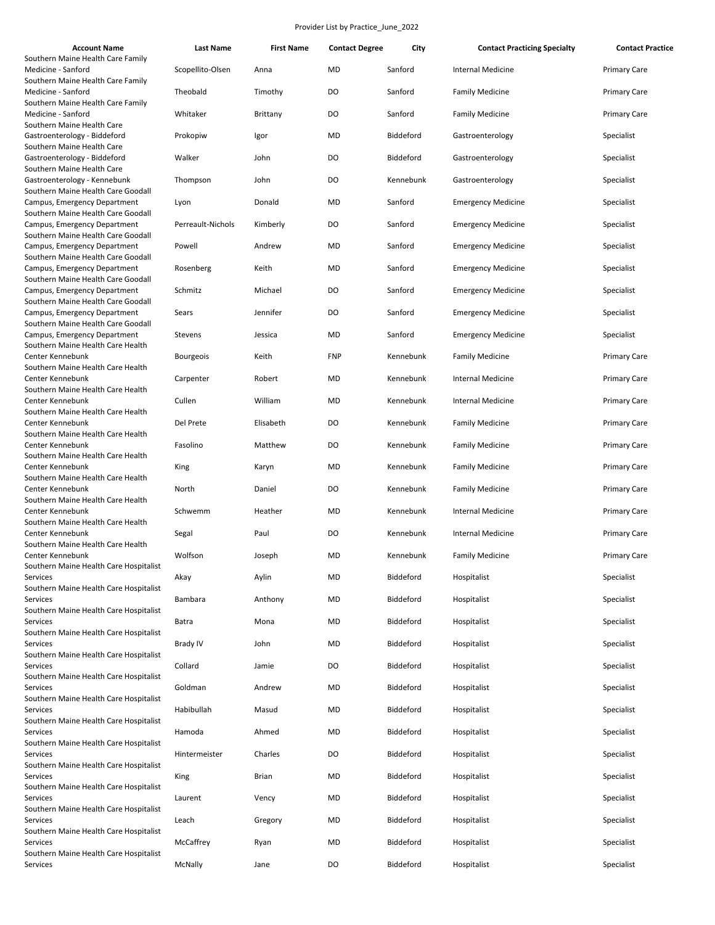| <b>Account Name</b>                                                | Last Name         | <b>First Name</b> | <b>Contact Degree</b> | City      | <b>Contact Practicing Specialty</b> | <b>Contact Practice</b> |
|--------------------------------------------------------------------|-------------------|-------------------|-----------------------|-----------|-------------------------------------|-------------------------|
| Southern Maine Health Care Family                                  |                   |                   |                       |           |                                     |                         |
| Medicine - Sanford<br>Southern Maine Health Care Family            | Scopellito-Olsen  | Anna              | <b>MD</b>             | Sanford   | <b>Internal Medicine</b>            | <b>Primary Care</b>     |
| Medicine - Sanford<br>Southern Maine Health Care Family            | Theobald          | Timothy           | DO                    | Sanford   | <b>Family Medicine</b>              | <b>Primary Care</b>     |
| Medicine - Sanford                                                 | Whitaker          | Brittany          | DO                    | Sanford   | <b>Family Medicine</b>              | <b>Primary Care</b>     |
| Southern Maine Health Care<br>Gastroenterology - Biddeford         | Prokopiw          | Igor              | <b>MD</b>             | Biddeford | Gastroenterology                    | Specialist              |
| Southern Maine Health Care<br>Gastroenterology - Biddeford         | Walker            | John              | DO                    | Biddeford | Gastroenterology                    | Specialist              |
| Southern Maine Health Care                                         |                   |                   |                       |           |                                     |                         |
| Gastroenterology - Kennebunk                                       | Thompson          | John              | DO                    | Kennebunk | Gastroenterology                    | Specialist              |
| Southern Maine Health Care Goodall<br>Campus, Emergency Department | Lyon              | Donald            | <b>MD</b>             | Sanford   | <b>Emergency Medicine</b>           | Specialist              |
| Southern Maine Health Care Goodall                                 |                   |                   |                       |           |                                     |                         |
| Campus, Emergency Department<br>Southern Maine Health Care Goodall | Perreault-Nichols | Kimberly          | DO                    | Sanford   | <b>Emergency Medicine</b>           | Specialist              |
| Campus, Emergency Department                                       | Powell            | Andrew            | <b>MD</b>             | Sanford   | <b>Emergency Medicine</b>           | Specialist              |
| Southern Maine Health Care Goodall<br>Campus, Emergency Department | Rosenberg         | Keith             | <b>MD</b>             | Sanford   | <b>Emergency Medicine</b>           | Specialist              |
| Southern Maine Health Care Goodall<br>Campus, Emergency Department | Schmitz           | Michael           | DO                    | Sanford   | <b>Emergency Medicine</b>           | Specialist              |
| Southern Maine Health Care Goodall<br>Campus, Emergency Department | Sears             | Jennifer          | DO                    | Sanford   | <b>Emergency Medicine</b>           | Specialist              |
| Southern Maine Health Care Goodall<br>Campus, Emergency Department | Stevens           | Jessica           | <b>MD</b>             | Sanford   | <b>Emergency Medicine</b>           | Specialist              |
| Southern Maine Health Care Health<br>Center Kennebunk              | Bourgeois         | Keith             | <b>FNP</b>            | Kennebunk | <b>Family Medicine</b>              | <b>Primary Care</b>     |
| Southern Maine Health Care Health<br>Center Kennebunk              |                   | Robert            | <b>MD</b>             | Kennebunk | <b>Internal Medicine</b>            |                         |
| Southern Maine Health Care Health                                  | Carpenter         |                   |                       |           |                                     | <b>Primary Care</b>     |
| Center Kennebunk<br>Southern Maine Health Care Health              | Cullen            | William           | <b>MD</b>             | Kennebunk | Internal Medicine                   | <b>Primary Care</b>     |
| Center Kennebunk<br>Southern Maine Health Care Health              | Del Prete         | Elisabeth         | DO                    | Kennebunk | <b>Family Medicine</b>              | <b>Primary Care</b>     |
| Center Kennebunk<br>Southern Maine Health Care Health              | Fasolino          | Matthew           | DO                    | Kennebunk | <b>Family Medicine</b>              | <b>Primary Care</b>     |
| Center Kennebunk<br>Southern Maine Health Care Health              | King              | Karyn             | <b>MD</b>             | Kennebunk | <b>Family Medicine</b>              | <b>Primary Care</b>     |
| Center Kennebunk                                                   | North             | Daniel            | DO                    | Kennebunk | <b>Family Medicine</b>              | <b>Primary Care</b>     |
| Southern Maine Health Care Health<br>Center Kennebunk              | Schwemm           | Heather           | MD                    | Kennebunk | <b>Internal Medicine</b>            | <b>Primary Care</b>     |
| Southern Maine Health Care Health<br>Center Kennebunk              | Segal             | Paul              | DO                    | Kennebunk | <b>Internal Medicine</b>            | <b>Primary Care</b>     |
| Southern Maine Health Care Health<br>Center Kennebunk              | Wolfson           | Joseph            | <b>MD</b>             | Kennebunk | <b>Family Medicine</b>              | <b>Primary Care</b>     |
| Southern Maine Health Care Hospitalist<br>Services                 | Akay              | Aylin             | <b>MD</b>             | Biddeford | Hospitalist                         | Specialist              |
| Southern Maine Health Care Hospitalist<br>Services                 | Bambara           | Anthony           | MD                    | Biddeford | Hospitalist                         | Specialist              |
| Southern Maine Health Care Hospitalist                             |                   |                   |                       |           |                                     |                         |
| Services<br>Southern Maine Health Care Hospitalist                 | Batra             | Mona              | MD                    | Biddeford | Hospitalist                         | Specialist              |
| Services<br>Southern Maine Health Care Hospitalist                 | Brady IV          | John              | MD                    | Biddeford | Hospitalist                         | Specialist              |
| Services<br>Southern Maine Health Care Hospitalist                 | Collard           | Jamie             | DO                    | Biddeford | Hospitalist                         | Specialist              |
| Services<br>Southern Maine Health Care Hospitalist                 | Goldman           | Andrew            | MD                    | Biddeford | Hospitalist                         | Specialist              |
| Services                                                           | Habibullah        | Masud             | MD                    | Biddeford | Hospitalist                         | Specialist              |
| Southern Maine Health Care Hospitalist<br>Services                 | Hamoda            | Ahmed             | MD                    | Biddeford | Hospitalist                         | Specialist              |
| Southern Maine Health Care Hospitalist<br>Services                 | Hintermeister     | Charles           | DO                    | Biddeford | Hospitalist                         | Specialist              |
| Southern Maine Health Care Hospitalist<br>Services                 | King              | <b>Brian</b>      | MD                    | Biddeford | Hospitalist                         | Specialist              |
| Southern Maine Health Care Hospitalist<br>Services                 | Laurent           | Vency             | MD                    | Biddeford | Hospitalist                         | Specialist              |
| Southern Maine Health Care Hospitalist<br>Services                 | Leach             |                   | MD                    | Biddeford |                                     | Specialist              |
| Southern Maine Health Care Hospitalist                             |                   | Gregory           |                       |           | Hospitalist                         |                         |
| Services<br>Southern Maine Health Care Hospitalist                 | McCaffrey         | Ryan              | MD                    | Biddeford | Hospitalist                         | Specialist              |
| Services                                                           | McNally           | Jane              | DO                    | Biddeford | Hospitalist                         | Specialist              |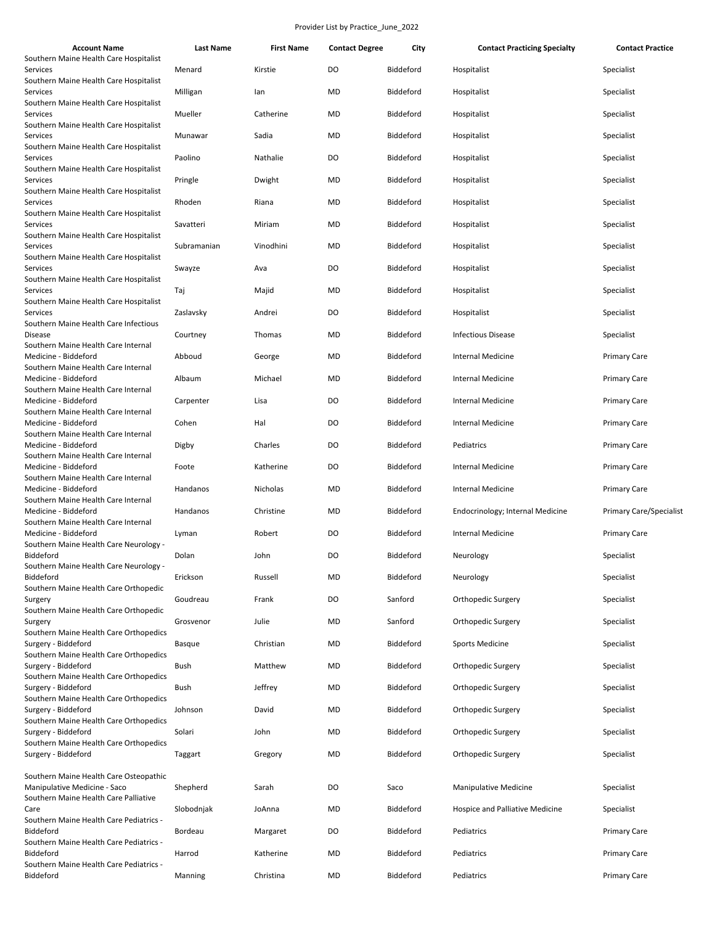| <b>Account Name</b>                                                   | Last Name   | <b>First Name</b> | <b>Contact Degree</b> | City             | <b>Contact Practicing Specialty</b> | <b>Contact Practice</b>        |
|-----------------------------------------------------------------------|-------------|-------------------|-----------------------|------------------|-------------------------------------|--------------------------------|
| Southern Maine Health Care Hospitalist<br>Services                    | Menard      | Kirstie           | DO                    | Biddeford        | Hospitalist                         | Specialist                     |
| Southern Maine Health Care Hospitalist<br>Services                    | Milligan    | lan               | MD                    | <b>Biddeford</b> | Hospitalist                         | Specialist                     |
| Southern Maine Health Care Hospitalist<br>Services                    | Mueller     | Catherine         | MD                    | Biddeford        | Hospitalist                         | Specialist                     |
| Southern Maine Health Care Hospitalist<br>Services                    | Munawar     | Sadia             | MD                    | Biddeford        | Hospitalist                         | Specialist                     |
| Southern Maine Health Care Hospitalist<br>Services                    | Paolino     | Nathalie          | DO                    | Biddeford        | Hospitalist                         | Specialist                     |
| Southern Maine Health Care Hospitalist<br>Services                    | Pringle     | Dwight            | MD                    | Biddeford        | Hospitalist                         | Specialist                     |
| Southern Maine Health Care Hospitalist<br>Services                    | Rhoden      | Riana             | MD                    | Biddeford        | Hospitalist                         | Specialist                     |
| Southern Maine Health Care Hospitalist                                |             |                   |                       |                  |                                     |                                |
| Services<br>Southern Maine Health Care Hospitalist                    | Savatteri   | Miriam            | MD                    | Biddeford        | Hospitalist                         | Specialist                     |
| Services<br>Southern Maine Health Care Hospitalist                    | Subramanian | Vinodhini         | MD                    | Biddeford        | Hospitalist                         | Specialist                     |
| Services<br>Southern Maine Health Care Hospitalist                    | Swayze      | Ava               | DO                    | Biddeford        | Hospitalist                         | Specialist                     |
| Services<br>Southern Maine Health Care Hospitalist                    | Taj         | Majid             | MD                    | Biddeford        | Hospitalist                         | Specialist                     |
| Services<br>Southern Maine Health Care Infectious                     | Zaslavsky   | Andrei            | DO                    | <b>Biddeford</b> | Hospitalist                         | Specialist                     |
| Disease<br>Southern Maine Health Care Internal                        | Courtney    | Thomas            | MD                    | Biddeford        | <b>Infectious Disease</b>           | Specialist                     |
| Medicine - Biddeford<br>Southern Maine Health Care Internal           | Abboud      | George            | MD                    | Biddeford        | <b>Internal Medicine</b>            | <b>Primary Care</b>            |
| Medicine - Biddeford                                                  | Albaum      | Michael           | MD                    | Biddeford        | <b>Internal Medicine</b>            | <b>Primary Care</b>            |
| Southern Maine Health Care Internal<br>Medicine - Biddeford           | Carpenter   | Lisa              | DO                    | Biddeford        | <b>Internal Medicine</b>            | <b>Primary Care</b>            |
| Southern Maine Health Care Internal<br>Medicine - Biddeford           | Cohen       | Hal               | DO                    | Biddeford        | Internal Medicine                   | <b>Primary Care</b>            |
| Southern Maine Health Care Internal<br>Medicine - Biddeford           | Digby       | Charles           | DO                    | Biddeford        | Pediatrics                          | <b>Primary Care</b>            |
| Southern Maine Health Care Internal<br>Medicine - Biddeford           | Foote       | Katherine         | DO                    | Biddeford        | Internal Medicine                   | <b>Primary Care</b>            |
| Southern Maine Health Care Internal<br>Medicine - Biddeford           | Handanos    | Nicholas          | MD                    | Biddeford        | Internal Medicine                   | <b>Primary Care</b>            |
| Southern Maine Health Care Internal<br>Medicine - Biddeford           | Handanos    | Christine         | MD                    | Biddeford        | Endocrinology; Internal Medicine    | <b>Primary Care/Specialist</b> |
| Southern Maine Health Care Internal<br>Medicine - Biddeford           | Lyman       | Robert            | DO                    | Biddeford        | <b>Internal Medicine</b>            | <b>Primary Care</b>            |
| Southern Maine Health Care Neurology -<br>Biddeford                   | Dolan       | John              | DO                    | Biddeford        | Neurology                           | Specialist                     |
| Southern Maine Health Care Neurology -<br>Biddeford                   | Erickson    | Russell           | MD                    | Biddeford        | Neurology                           | Specialist                     |
| Southern Maine Health Care Orthopedic                                 |             |                   |                       | Sanford          |                                     |                                |
| Surgery<br>Southern Maine Health Care Orthopedic                      | Goudreau    | Frank             | DO                    |                  | Orthopedic Surgery                  | Specialist                     |
| Surgery<br>Southern Maine Health Care Orthopedics                     | Grosvenor   | Julie             | MD                    | Sanford          | Orthopedic Surgery                  | Specialist                     |
| Surgery - Biddeford<br>Southern Maine Health Care Orthopedics         | Basque      | Christian         | MD                    | Biddeford        | <b>Sports Medicine</b>              | Specialist                     |
| Surgery - Biddeford<br>Southern Maine Health Care Orthopedics         | Bush        | Matthew           | MD                    | Biddeford        | Orthopedic Surgery                  | Specialist                     |
| Surgery - Biddeford<br>Southern Maine Health Care Orthopedics         | Bush        | Jeffrey           | MD                    | Biddeford        | Orthopedic Surgery                  | Specialist                     |
| Surgery - Biddeford<br>Southern Maine Health Care Orthopedics         | Johnson     | David             | MD                    | Biddeford        | Orthopedic Surgery                  | Specialist                     |
| Surgery - Biddeford<br>Southern Maine Health Care Orthopedics         | Solari      | John              | MD                    | Biddeford        | Orthopedic Surgery                  | Specialist                     |
| Surgery - Biddeford                                                   | Taggart     | Gregory           | MD                    | Biddeford        | Orthopedic Surgery                  | Specialist                     |
| Southern Maine Health Care Osteopathic                                |             |                   |                       |                  |                                     |                                |
| Manipulative Medicine - Saco<br>Southern Maine Health Care Palliative | Shepherd    | Sarah             | DO                    | Saco             | <b>Manipulative Medicine</b>        | Specialist                     |
| Care<br>Southern Maine Health Care Pediatrics -                       | Slobodnjak  | JoAnna            | MD                    | Biddeford        | Hospice and Palliative Medicine     | Specialist                     |
| Biddeford<br>Southern Maine Health Care Pediatrics -                  | Bordeau     | Margaret          | DO                    | Biddeford        | Pediatrics                          | <b>Primary Care</b>            |
| Biddeford<br>Southern Maine Health Care Pediatrics -                  | Harrod      | Katherine         | MD                    | Biddeford        | Pediatrics                          | <b>Primary Care</b>            |
| Biddeford                                                             | Manning     | Christina         | <b>MD</b>             | Biddeford        | Pediatrics                          | Primary Care                   |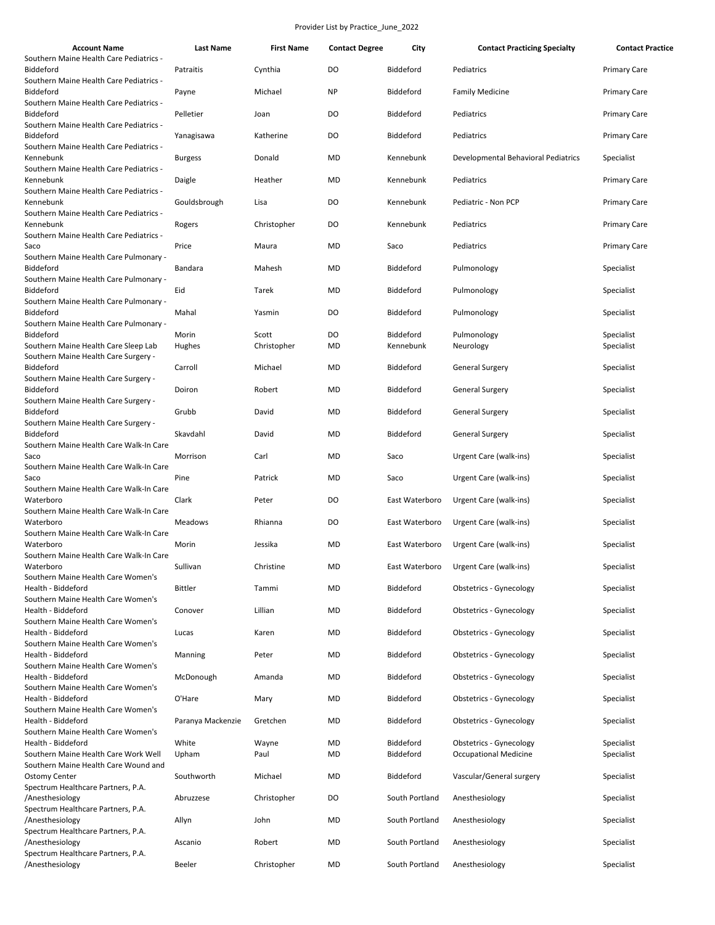| <b>Account Name</b>                                                          | <b>Last Name</b>  | <b>First Name</b>    | <b>Contact Degree</b> | City                   | <b>Contact Practicing Specialty</b> | <b>Contact Practice</b>  |
|------------------------------------------------------------------------------|-------------------|----------------------|-----------------------|------------------------|-------------------------------------|--------------------------|
| Southern Maine Health Care Pediatrics -<br>Biddeford                         | Patraitis         | Cynthia              | DO                    | Biddeford              | Pediatrics                          | <b>Primary Care</b>      |
| Southern Maine Health Care Pediatrics -<br>Biddeford                         | Payne             | Michael              | <b>NP</b>             | Biddeford              | <b>Family Medicine</b>              | <b>Primary Care</b>      |
| Southern Maine Health Care Pediatrics -<br>Biddeford                         | Pelletier         | Joan                 | DO                    | Biddeford              | Pediatrics                          | <b>Primary Care</b>      |
| Southern Maine Health Care Pediatrics -<br>Biddeford                         | Yanagisawa        | Katherine            | DO                    | Biddeford              | Pediatrics                          | <b>Primary Care</b>      |
| Southern Maine Health Care Pediatrics -<br>Kennebunk                         | <b>Burgess</b>    | Donald               | <b>MD</b>             | Kennebunk              | Developmental Behavioral Pediatrics | Specialist               |
| Southern Maine Health Care Pediatrics -<br>Kennebunk                         | Daigle            | Heather              | <b>MD</b>             | Kennebunk              | Pediatrics                          | <b>Primary Care</b>      |
| Southern Maine Health Care Pediatrics -<br>Kennebunk                         | Gouldsbrough      | Lisa                 | DO                    | Kennebunk              | Pediatric - Non PCP                 | <b>Primary Care</b>      |
| Southern Maine Health Care Pediatrics -<br>Kennebunk                         | Rogers            | Christopher          | DO                    | Kennebunk              | Pediatrics                          | <b>Primary Care</b>      |
| Southern Maine Health Care Pediatrics -<br>Saco                              | Price             | Maura                | MD                    | Saco                   | Pediatrics                          | <b>Primary Care</b>      |
| Southern Maine Health Care Pulmonary -<br>Biddeford                          | Bandara           | Mahesh               | <b>MD</b>             | Biddeford              | Pulmonology                         | Specialist               |
| Southern Maine Health Care Pulmonary -                                       |                   |                      |                       |                        |                                     |                          |
| Biddeford<br>Southern Maine Health Care Pulmonary -                          | Eid               | Tarek                | <b>MD</b>             | Biddeford              | Pulmonology                         | Specialist               |
| Biddeford<br>Southern Maine Health Care Pulmonary -                          | Mahal             | Yasmin               | DO                    | Biddeford              | Pulmonology                         | Specialist               |
| Biddeford<br>Southern Maine Health Care Sleep Lab                            | Morin<br>Hughes   | Scott<br>Christopher | DO<br>MD              | Biddeford<br>Kennebunk | Pulmonology<br>Neurology            | Specialist<br>Specialist |
| Southern Maine Health Care Surgery -<br>Biddeford                            | Carroll           | Michael              | MD                    | Biddeford              | General Surgery                     | Specialist               |
| Southern Maine Health Care Surgery -<br>Biddeford                            | Doiron            | Robert               | MD                    | Biddeford              | <b>General Surgery</b>              | Specialist               |
| Southern Maine Health Care Surgery -<br>Biddeford                            | Grubb             | David                | MD                    | Biddeford              | General Surgery                     | Specialist               |
| Southern Maine Health Care Surgery -<br>Biddeford                            | Skavdahl          | David                | <b>MD</b>             | Biddeford              | <b>General Surgery</b>              | Specialist               |
| Southern Maine Health Care Walk-In Care<br>Saco                              | Morrison          | Carl                 | <b>MD</b>             | Saco                   | Urgent Care (walk-ins)              | Specialist               |
| Southern Maine Health Care Walk-In Care<br>Saco                              | Pine              | Patrick              | MD                    | Saco                   | Urgent Care (walk-ins)              | Specialist               |
| Southern Maine Health Care Walk-In Care<br>Waterboro                         | Clark             | Peter                | DO                    | East Waterboro         | Urgent Care (walk-ins)              | Specialist               |
| Southern Maine Health Care Walk-In Care<br>Waterboro                         |                   |                      | DO                    | East Waterboro         |                                     |                          |
| Southern Maine Health Care Walk-In Care                                      | Meadows           | Rhianna              |                       |                        | Urgent Care (walk-ins)              | Specialist               |
| Waterboro<br>Southern Maine Health Care Walk-In Care                         | Morin             | Jessika              | <b>MD</b>             | East Waterboro         | Urgent Care (walk-ins)              | Specialist               |
| Waterboro<br>Southern Maine Health Care Women's                              | Sullivan          | Christine            | MD                    | East Waterboro         | Urgent Care (walk-ins)              | Specialist               |
| Health - Biddeford<br>Southern Maine Health Care Women's                     | <b>Bittler</b>    | Tammi                | <b>MD</b>             | Biddeford              | Obstetrics - Gynecology             | Specialist               |
| Health - Biddeford<br>Southern Maine Health Care Women's                     | Conover           | Lillian              | <b>MD</b>             | <b>Biddeford</b>       | Obstetrics - Gynecology             | Specialist               |
| Health - Biddeford<br>Southern Maine Health Care Women's                     | Lucas             | Karen                | MD                    | Biddeford              | Obstetrics - Gynecology             | Specialist               |
| Health - Biddeford<br>Southern Maine Health Care Women's                     | Manning           | Peter                | MD                    | Biddeford              | Obstetrics - Gynecology             | Specialist               |
| Health - Biddeford<br>Southern Maine Health Care Women's                     | McDonough         | Amanda               | <b>MD</b>             | Biddeford              | <b>Obstetrics - Gynecology</b>      | Specialist               |
| Health - Biddeford<br>Southern Maine Health Care Women's                     | O'Hare            | Mary                 | <b>MD</b>             | Biddeford              | Obstetrics - Gynecology             | Specialist               |
| Health - Biddeford<br>Southern Maine Health Care Women's                     | Paranya Mackenzie | Gretchen             | <b>MD</b>             | Biddeford              | Obstetrics - Gynecology             | Specialist               |
| Health - Biddeford                                                           | White             | Wayne                | <b>MD</b>             | Biddeford              | Obstetrics - Gynecology             | Specialist               |
| Southern Maine Health Care Work Well<br>Southern Maine Health Care Wound and | Upham             | Paul                 | MD                    | Biddeford              | <b>Occupational Medicine</b>        | Specialist               |
| <b>Ostomy Center</b><br>Spectrum Healthcare Partners, P.A.                   | Southworth        | Michael              | MD                    | Biddeford              | Vascular/General surgery            | Specialist               |
| /Anesthesiology<br>Spectrum Healthcare Partners, P.A.                        | Abruzzese         | Christopher          | DO                    | South Portland         | Anesthesiology                      | Specialist               |
| /Anesthesiology<br>Spectrum Healthcare Partners, P.A.                        | Allyn             | John                 | <b>MD</b>             | South Portland         | Anesthesiology                      | Specialist               |
| /Anesthesiology<br>Spectrum Healthcare Partners, P.A.                        | Ascanio           | Robert               | MD                    | South Portland         | Anesthesiology                      | Specialist               |
| /Anesthesiology                                                              | Beeler            | Christopher          | <b>MD</b>             | South Portland         | Anesthesiology                      | Specialist               |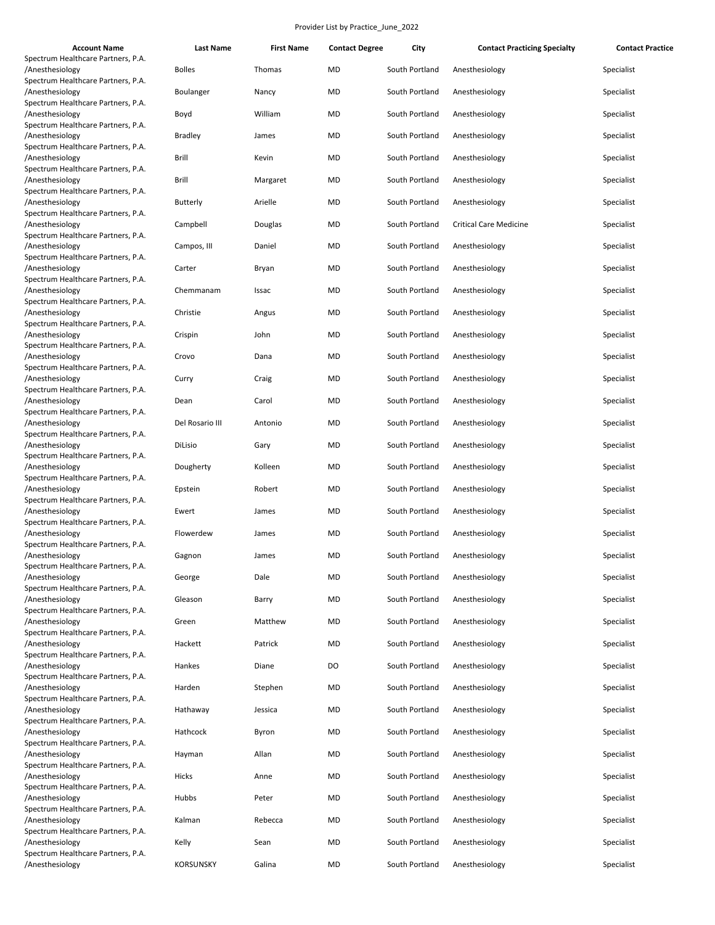| <b>Account Name</b>                                   | <b>Last Name</b> | <b>First Name</b> | <b>Contact Degree</b> | City           | <b>Contact Practicing Specialty</b> | <b>Contact Practice</b> |
|-------------------------------------------------------|------------------|-------------------|-----------------------|----------------|-------------------------------------|-------------------------|
| Spectrum Healthcare Partners, P.A.                    |                  |                   |                       |                |                                     |                         |
| /Anesthesiology                                       | <b>Bolles</b>    | Thomas            | MD                    | South Portland | Anesthesiology                      | Specialist              |
| Spectrum Healthcare Partners, P.A.                    |                  |                   |                       |                |                                     |                         |
| /Anesthesiology                                       | Boulanger        | Nancy             | MD                    | South Portland | Anesthesiology                      | Specialist              |
| Spectrum Healthcare Partners, P.A.<br>/Anesthesiology | Boyd             | William           | <b>MD</b>             | South Portland | Anesthesiology                      | Specialist              |
| Spectrum Healthcare Partners, P.A.                    |                  |                   |                       |                |                                     |                         |
| /Anesthesiology                                       | <b>Bradley</b>   | James             | MD                    | South Portland | Anesthesiology                      | Specialist              |
| Spectrum Healthcare Partners, P.A.                    |                  |                   |                       |                |                                     |                         |
| /Anesthesiology                                       | Brill            | Kevin             | MD                    | South Portland | Anesthesiology                      | Specialist              |
| Spectrum Healthcare Partners, P.A.                    |                  |                   |                       |                |                                     |                         |
| /Anesthesiology                                       | Brill            | Margaret          | MD                    | South Portland | Anesthesiology                      | Specialist              |
| Spectrum Healthcare Partners, P.A.                    |                  |                   |                       |                |                                     |                         |
| /Anesthesiology                                       | <b>Butterly</b>  | Arielle           | <b>MD</b>             | South Portland | Anesthesiology                      | Specialist              |
| Spectrum Healthcare Partners, P.A.                    |                  |                   | MD                    | South Portland | <b>Critical Care Medicine</b>       |                         |
| /Anesthesiology<br>Spectrum Healthcare Partners, P.A. | Campbell         | Douglas           |                       |                |                                     | Specialist              |
| /Anesthesiology                                       | Campos, III      | Daniel            | MD                    | South Portland | Anesthesiology                      | Specialist              |
| Spectrum Healthcare Partners, P.A.                    |                  |                   |                       |                |                                     |                         |
| /Anesthesiology                                       | Carter           | Bryan             | <b>MD</b>             | South Portland | Anesthesiology                      | Specialist              |
| Spectrum Healthcare Partners, P.A.                    |                  |                   |                       |                |                                     |                         |
| /Anesthesiology                                       | Chemmanam        | Issac             | MD                    | South Portland | Anesthesiology                      | Specialist              |
| Spectrum Healthcare Partners, P.A.                    |                  |                   |                       |                |                                     |                         |
| /Anesthesiology                                       | Christie         | Angus             | MD                    | South Portland | Anesthesiology                      | Specialist              |
| Spectrum Healthcare Partners, P.A.                    |                  |                   |                       |                |                                     |                         |
| /Anesthesiology<br>Spectrum Healthcare Partners, P.A. | Crispin          | John              | MD                    | South Portland | Anesthesiology                      | Specialist              |
| /Anesthesiology                                       | Crovo            | Dana              | MD                    | South Portland | Anesthesiology                      | Specialist              |
| Spectrum Healthcare Partners, P.A.                    |                  |                   |                       |                |                                     |                         |
| /Anesthesiology                                       | Curry            | Craig             | MD                    | South Portland | Anesthesiology                      | Specialist              |
| Spectrum Healthcare Partners, P.A.                    |                  |                   |                       |                |                                     |                         |
| /Anesthesiology                                       | Dean             | Carol             | MD                    | South Portland | Anesthesiology                      | Specialist              |
| Spectrum Healthcare Partners, P.A.                    |                  |                   |                       |                |                                     |                         |
| /Anesthesiology                                       | Del Rosario III  | Antonio           | MD                    | South Portland | Anesthesiology                      | Specialist              |
| Spectrum Healthcare Partners, P.A.                    |                  |                   |                       |                |                                     |                         |
| /Anesthesiology<br>Spectrum Healthcare Partners, P.A. | DiLisio          | Gary              | MD                    | South Portland | Anesthesiology                      | Specialist              |
| /Anesthesiology                                       | Dougherty        | Kolleen           | MD                    | South Portland | Anesthesiology                      | Specialist              |
| Spectrum Healthcare Partners, P.A.                    |                  |                   |                       |                |                                     |                         |
| /Anesthesiology                                       | Epstein          | Robert            | MD                    | South Portland | Anesthesiology                      | Specialist              |
| Spectrum Healthcare Partners, P.A.                    |                  |                   |                       |                |                                     |                         |
| /Anesthesiology                                       | Ewert            | James             | MD                    | South Portland | Anesthesiology                      | Specialist              |
| Spectrum Healthcare Partners, P.A.                    |                  |                   |                       |                |                                     |                         |
| /Anesthesiology                                       | Flowerdew        | James             | MD                    | South Portland | Anesthesiology                      | Specialist              |
| Spectrum Healthcare Partners, P.A.                    |                  | James             | <b>MD</b>             | South Portland | Anesthesiology                      | Specialist              |
| /Anesthesiology<br>Spectrum Healthcare Partners, P.A. | Gagnon           |                   |                       |                |                                     |                         |
| /Anesthesiology                                       | George           | Dale              | MD                    | South Portland | Anesthesiology                      | Specialist              |
| Spectrum Healthcare Partners, P.A.                    |                  |                   |                       |                |                                     |                         |
| /Anesthesiology                                       | Gleason          | Barry             | MD                    | South Portland | Anesthesiology                      | Specialist              |
| Spectrum Healthcare Partners, P.A.                    |                  |                   |                       |                |                                     |                         |
| /Anesthesiology                                       | Green            | Matthew           | MD                    | South Portland | Anesthesiology                      | Specialist              |
| Spectrum Healthcare Partners, P.A.                    |                  |                   |                       |                |                                     |                         |
| /Anesthesiology                                       | Hackett          | Patrick           | MD                    | South Portland | Anesthesiology                      | Specialist              |
| Spectrum Healthcare Partners, P.A.                    | Hankes           |                   | DO                    |                |                                     |                         |
| /Anesthesiology<br>Spectrum Healthcare Partners, P.A. |                  | Diane             |                       | South Portland | Anesthesiology                      | Specialist              |
| /Anesthesiology                                       | Harden           | Stephen           | MD                    | South Portland | Anesthesiology                      | Specialist              |
| Spectrum Healthcare Partners, P.A.                    |                  |                   |                       |                |                                     |                         |
| /Anesthesiology                                       | Hathaway         | Jessica           | MD                    | South Portland | Anesthesiology                      | Specialist              |
| Spectrum Healthcare Partners, P.A.                    |                  |                   |                       |                |                                     |                         |
| /Anesthesiology                                       | Hathcock         | Byron             | MD                    | South Portland | Anesthesiology                      | Specialist              |
| Spectrum Healthcare Partners, P.A.                    |                  |                   |                       |                |                                     |                         |
| /Anesthesiology                                       | Hayman           | Allan             | MD                    | South Portland | Anesthesiology                      | Specialist              |
| Spectrum Healthcare Partners, P.A.                    |                  |                   | MD                    |                |                                     |                         |
| /Anesthesiology<br>Spectrum Healthcare Partners, P.A. | Hicks            | Anne              |                       | South Portland | Anesthesiology                      | Specialist              |
| /Anesthesiology                                       | Hubbs            | Peter             | MD                    | South Portland | Anesthesiology                      | Specialist              |
| Spectrum Healthcare Partners, P.A.                    |                  |                   |                       |                |                                     |                         |
| /Anesthesiology                                       | Kalman           | Rebecca           | MD                    | South Portland | Anesthesiology                      | Specialist              |
| Spectrum Healthcare Partners, P.A.                    |                  |                   |                       |                |                                     |                         |
| /Anesthesiology                                       | Kelly            | Sean              | MD                    | South Portland | Anesthesiology                      | Specialist              |
| Spectrum Healthcare Partners, P.A.                    |                  |                   |                       |                |                                     |                         |
| /Anesthesiology                                       | <b>KORSUNSKY</b> | Galina            | MD                    | South Portland | Anesthesiology                      | Specialist              |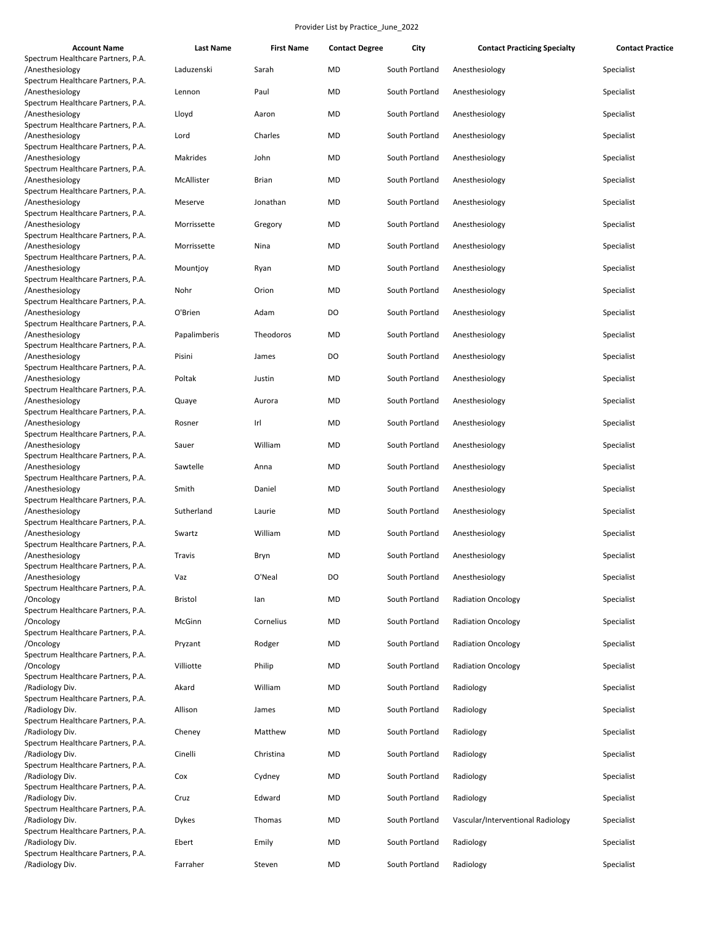| <b>Account Name</b>                                                                         | <b>Last Name</b>      | <b>First Name</b> | <b>Contact Degree</b> | City                             | <b>Contact Practicing Specialty</b>            | <b>Contact Practice</b>  |
|---------------------------------------------------------------------------------------------|-----------------------|-------------------|-----------------------|----------------------------------|------------------------------------------------|--------------------------|
| Spectrum Healthcare Partners, P.A.<br>/Anesthesiology                                       | Laduzenski            | Sarah             | MD                    | South Portland                   | Anesthesiology                                 | Specialist               |
| Spectrum Healthcare Partners, P.A.<br>/Anesthesiology                                       | Lennon                | Paul              | MD                    | South Portland                   | Anesthesiology                                 | Specialist               |
| Spectrum Healthcare Partners, P.A.<br>/Anesthesiology                                       | Lloyd                 | Aaron             | MD                    | South Portland                   | Anesthesiology                                 | Specialist               |
| Spectrum Healthcare Partners, P.A.<br>/Anesthesiology<br>Spectrum Healthcare Partners, P.A. | Lord                  | Charles           | MD                    | South Portland                   | Anesthesiology                                 | Specialist               |
| /Anesthesiology<br>Spectrum Healthcare Partners, P.A.                                       | Makrides              | John              | MD                    | South Portland                   | Anesthesiology                                 | Specialist               |
| /Anesthesiology<br>Spectrum Healthcare Partners, P.A.                                       | McAllister            | <b>Brian</b>      | MD                    | South Portland                   | Anesthesiology                                 | Specialist               |
| /Anesthesiology<br>Spectrum Healthcare Partners, P.A.                                       | Meserve               | Jonathan          | MD                    | South Portland                   | Anesthesiology                                 | Specialist               |
| /Anesthesiology<br>Spectrum Healthcare Partners, P.A.                                       | Morrissette           | Gregory           | MD                    | South Portland                   | Anesthesiology                                 | Specialist               |
| /Anesthesiology<br>Spectrum Healthcare Partners, P.A.                                       | Morrissette           | Nina              | MD                    | South Portland                   | Anesthesiology                                 | Specialist               |
| /Anesthesiology<br>Spectrum Healthcare Partners, P.A.                                       | Mountjoy              | Ryan              | MD                    | South Portland                   | Anesthesiology                                 | Specialist               |
| /Anesthesiology<br>Spectrum Healthcare Partners, P.A.                                       | Nohr                  | Orion             | MD                    | South Portland                   | Anesthesiology                                 | Specialist               |
| /Anesthesiology<br>Spectrum Healthcare Partners, P.A.                                       | O'Brien               | Adam              | DO                    | South Portland                   | Anesthesiology                                 | Specialist               |
| /Anesthesiology<br>Spectrum Healthcare Partners, P.A.                                       | Papalimberis          | Theodoros         | MD                    | South Portland                   | Anesthesiology                                 | Specialist               |
| /Anesthesiology<br>Spectrum Healthcare Partners, P.A.                                       | Pisini                | James             | DO                    | South Portland                   | Anesthesiology                                 | Specialist               |
| /Anesthesiology<br>Spectrum Healthcare Partners, P.A.<br>/Anesthesiology                    | Poltak<br>Quaye       | Justin<br>Aurora  | MD<br>MD              | South Portland<br>South Portland | Anesthesiology<br>Anesthesiology               | Specialist<br>Specialist |
| Spectrum Healthcare Partners, P.A.<br>/Anesthesiology                                       | Rosner                | Irl               | MD                    | South Portland                   | Anesthesiology                                 | Specialist               |
| Spectrum Healthcare Partners, P.A.<br>/Anesthesiology                                       | Sauer                 | William           | MD                    | South Portland                   | Anesthesiology                                 | Specialist               |
| Spectrum Healthcare Partners, P.A.<br>/Anesthesiology                                       | Sawtelle              | Anna              | MD                    | South Portland                   | Anesthesiology                                 | Specialist               |
| Spectrum Healthcare Partners, P.A.<br>/Anesthesiology                                       | Smith                 | Daniel            | MD                    | South Portland                   | Anesthesiology                                 | Specialist               |
| Spectrum Healthcare Partners, P.A.<br>/Anesthesiology                                       | Sutherland            | Laurie            | MD                    | South Portland                   | Anesthesiology                                 | Specialist               |
| Spectrum Healthcare Partners, P.A.<br>/Anesthesiology                                       | Swartz                | William           | MD                    | South Portland                   | Anesthesiology                                 | Specialist               |
| Spectrum Healthcare Partners, P.A.<br>/Anesthesiology                                       | Travis                | Bryn              | MD                    | South Portland                   | Anesthesiology                                 | Specialist               |
| Spectrum Healthcare Partners, P.A.<br>/Anesthesiology                                       | Vaz                   | O'Neal            | DO                    | South Portland                   | Anesthesiology                                 | Specialist               |
| Spectrum Healthcare Partners, P.A.<br>/Oncology<br>Spectrum Healthcare Partners, P.A.       | <b>Bristol</b>        | lan               | MD                    | South Portland                   | <b>Radiation Oncology</b>                      | Specialist               |
| /Oncology<br>Spectrum Healthcare Partners, P.A.                                             | McGinn                | Cornelius         | <b>MD</b>             | South Portland                   | <b>Radiation Oncology</b>                      | Specialist               |
| /Oncology<br>Spectrum Healthcare Partners, P.A.                                             | Pryzant               | Rodger            | MD                    | South Portland                   | <b>Radiation Oncology</b>                      | Specialist               |
| /Oncology<br>Spectrum Healthcare Partners, P.A.                                             | Villiotte             | Philip            | MD                    | South Portland                   | <b>Radiation Oncology</b>                      | Specialist               |
| /Radiology Div.<br>Spectrum Healthcare Partners, P.A.                                       | Akard                 | William           | MD                    | South Portland                   | Radiology                                      | Specialist               |
| /Radiology Div.<br>Spectrum Healthcare Partners, P.A.                                       | Allison               | James             | MD                    | South Portland                   | Radiology                                      | Specialist               |
| /Radiology Div.<br>Spectrum Healthcare Partners, P.A.                                       | Cheney                | Matthew           | MD                    | South Portland                   | Radiology                                      | Specialist               |
| /Radiology Div.<br>Spectrum Healthcare Partners, P.A.                                       | Cinelli               | Christina         | MD                    | South Portland                   | Radiology                                      | Specialist               |
| /Radiology Div.<br>Spectrum Healthcare Partners, P.A.                                       | Cox                   | Cydney            | MD                    | South Portland                   | Radiology                                      | Specialist               |
| /Radiology Div.<br>Spectrum Healthcare Partners, P.A.                                       | Cruz                  | Edward            | MD                    | South Portland                   | Radiology                                      | Specialist               |
| /Radiology Div.<br>Spectrum Healthcare Partners, P.A.<br>/Radiology Div.                    | <b>Dykes</b><br>Ebert | Thomas<br>Emily   | MD<br>MD              | South Portland<br>South Portland | Vascular/Interventional Radiology<br>Radiology | Specialist<br>Specialist |
| Spectrum Healthcare Partners, P.A.<br>/Radiology Div.                                       | Farraher              | Steven            | MD                    | South Portland                   | Radiology                                      | Specialist               |
|                                                                                             |                       |                   |                       |                                  |                                                |                          |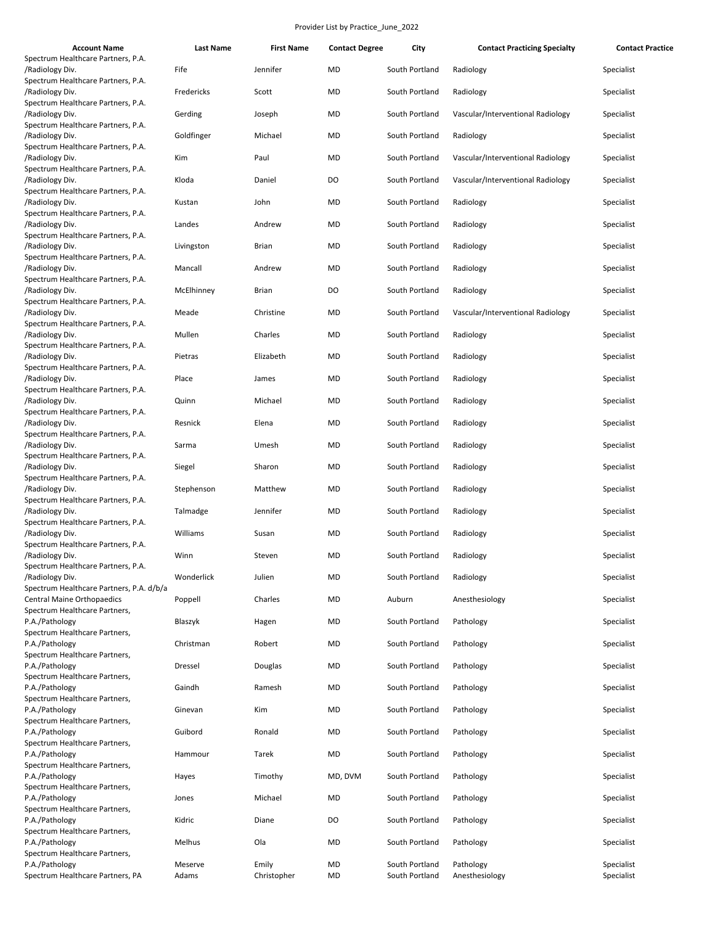| <b>Account Name</b>                                                                         | <b>Last Name</b> | <b>First Name</b>    | <b>Contact Degree</b> | City                             | <b>Contact Practicing Specialty</b> | <b>Contact Practice</b>  |
|---------------------------------------------------------------------------------------------|------------------|----------------------|-----------------------|----------------------------------|-------------------------------------|--------------------------|
| Spectrum Healthcare Partners, P.A.<br>/Radiology Div.                                       | Fife             | Jennifer             | MD                    | South Portland                   | Radiology                           | Specialist               |
| Spectrum Healthcare Partners, P.A.<br>/Radiology Div.                                       | Fredericks       | Scott                | MD                    | South Portland                   | Radiology                           | Specialist               |
| Spectrum Healthcare Partners, P.A.<br>/Radiology Div.<br>Spectrum Healthcare Partners, P.A. | Gerding          | Joseph               | MD                    | South Portland                   | Vascular/Interventional Radiology   | Specialist               |
| /Radiology Div.<br>Spectrum Healthcare Partners, P.A.                                       | Goldfinger       | Michael              | MD                    | South Portland                   | Radiology                           | Specialist               |
| /Radiology Div.<br>Spectrum Healthcare Partners, P.A.                                       | Kim              | Paul                 | MD                    | South Portland                   | Vascular/Interventional Radiology   | Specialist               |
| /Radiology Div.<br>Spectrum Healthcare Partners, P.A.                                       | Kloda            | Daniel               | DO                    | South Portland                   | Vascular/Interventional Radiology   | Specialist               |
| /Radiology Div.<br>Spectrum Healthcare Partners, P.A.                                       | Kustan           | John                 | MD                    | South Portland                   | Radiology                           | Specialist               |
| /Radiology Div.<br>Spectrum Healthcare Partners, P.A.                                       | Landes           | Andrew               | MD                    | South Portland                   | Radiology                           | Specialist               |
| /Radiology Div.<br>Spectrum Healthcare Partners, P.A.                                       | Livingston       | <b>Brian</b>         | MD                    | South Portland                   | Radiology                           | Specialist               |
| /Radiology Div.<br>Spectrum Healthcare Partners, P.A.                                       | Mancall          | Andrew               | <b>MD</b>             | South Portland                   | Radiology                           | Specialist               |
| /Radiology Div.<br>Spectrum Healthcare Partners, P.A.                                       | McElhinney       | <b>Brian</b>         | DO                    | South Portland                   | Radiology                           | Specialist               |
| /Radiology Div.<br>Spectrum Healthcare Partners, P.A.                                       | Meade            | Christine            | MD                    | South Portland                   | Vascular/Interventional Radiology   | Specialist               |
| /Radiology Div.<br>Spectrum Healthcare Partners, P.A.                                       | Mullen           | Charles              | MD                    | South Portland                   | Radiology                           | Specialist               |
| /Radiology Div.<br>Spectrum Healthcare Partners, P.A.                                       | Pietras          | Elizabeth            | MD                    | South Portland                   | Radiology                           | Specialist               |
| /Radiology Div.<br>Spectrum Healthcare Partners, P.A.                                       | Place            | James                | MD                    | South Portland                   | Radiology                           | Specialist               |
| /Radiology Div.<br>Spectrum Healthcare Partners, P.A.                                       | Quinn            | Michael              | <b>MD</b>             | South Portland                   | Radiology                           | Specialist               |
| /Radiology Div.<br>Spectrum Healthcare Partners, P.A.                                       | Resnick          | Elena                | MD                    | South Portland                   | Radiology                           | Specialist               |
| /Radiology Div.<br>Spectrum Healthcare Partners, P.A.                                       | Sarma            | Umesh                | MD                    | South Portland                   | Radiology                           | Specialist               |
| /Radiology Div.<br>Spectrum Healthcare Partners, P.A.                                       | Siegel           | Sharon               | MD                    | South Portland                   | Radiology                           | Specialist               |
| /Radiology Div.<br>Spectrum Healthcare Partners, P.A.                                       | Stephenson       | Matthew              | MD                    | South Portland                   | Radiology                           | Specialist               |
| /Radiology Div.<br>Spectrum Healthcare Partners, P.A.                                       | Talmadge         | Jennifer             | MD                    | South Portland                   | Radiology                           | Specialist               |
| /Radiology Div.<br>Spectrum Healthcare Partners, P.A.                                       | Williams         | Susan                | MD                    | South Portland                   | Radiology                           | Specialist               |
| /Radiology Div.<br>Spectrum Healthcare Partners, P.A.                                       | Winn             | Steven               | MD                    | South Portland                   | Radiology                           | Specialist               |
| /Radiology Div.<br>Spectrum Healthcare Partners, P.A. d/b/a                                 | Wonderlick       | Julien               | MD                    | South Portland                   | Radiology                           | Specialist               |
| <b>Central Maine Orthopaedics</b><br>Spectrum Healthcare Partners,                          | Poppell          | Charles              | MD                    | Auburn                           | Anesthesiology                      | Specialist               |
| P.A./Pathology<br>Spectrum Healthcare Partners,                                             | Blaszyk          | Hagen                | MD                    | South Portland                   | Pathology                           | Specialist               |
| P.A./Pathology<br>Spectrum Healthcare Partners,                                             | Christman        | Robert               | MD                    | South Portland                   | Pathology                           | Specialist               |
| P.A./Pathology<br>Spectrum Healthcare Partners,                                             | Dressel          | Douglas              | MD                    | South Portland                   | Pathology                           | Specialist               |
| P.A./Pathology<br>Spectrum Healthcare Partners,                                             | Gaindh           | Ramesh               | MD                    | South Portland                   | Pathology                           | Specialist               |
| P.A./Pathology<br>Spectrum Healthcare Partners,                                             | Ginevan          | Kim                  | MD                    | South Portland                   | Pathology                           | Specialist               |
| P.A./Pathology<br>Spectrum Healthcare Partners,                                             | Guibord          | Ronald               | MD                    | South Portland                   | Pathology                           | Specialist               |
| P.A./Pathology<br>Spectrum Healthcare Partners,                                             | Hammour          | Tarek                | MD                    | South Portland                   | Pathology                           | Specialist               |
| P.A./Pathology<br>Spectrum Healthcare Partners,                                             | Hayes            | Timothy              | MD, DVM               | South Portland                   | Pathology                           | Specialist               |
| P.A./Pathology<br>Spectrum Healthcare Partners,                                             | Jones            | Michael              | MD                    | South Portland                   | Pathology                           | Specialist               |
| P.A./Pathology<br>Spectrum Healthcare Partners,                                             | Kidric           | Diane                | DO                    | South Portland                   | Pathology                           | Specialist               |
| P.A./Pathology<br>Spectrum Healthcare Partners,                                             | Melhus           | Ola                  | MD                    | South Portland                   | Pathology                           | Specialist               |
| P.A./Pathology<br>Spectrum Healthcare Partners, PA                                          | Meserve<br>Adams | Emily<br>Christopher | MD<br>MD              | South Portland<br>South Portland | Pathology<br>Anesthesiology         | Specialist<br>Specialist |
|                                                                                             |                  |                      |                       |                                  |                                     |                          |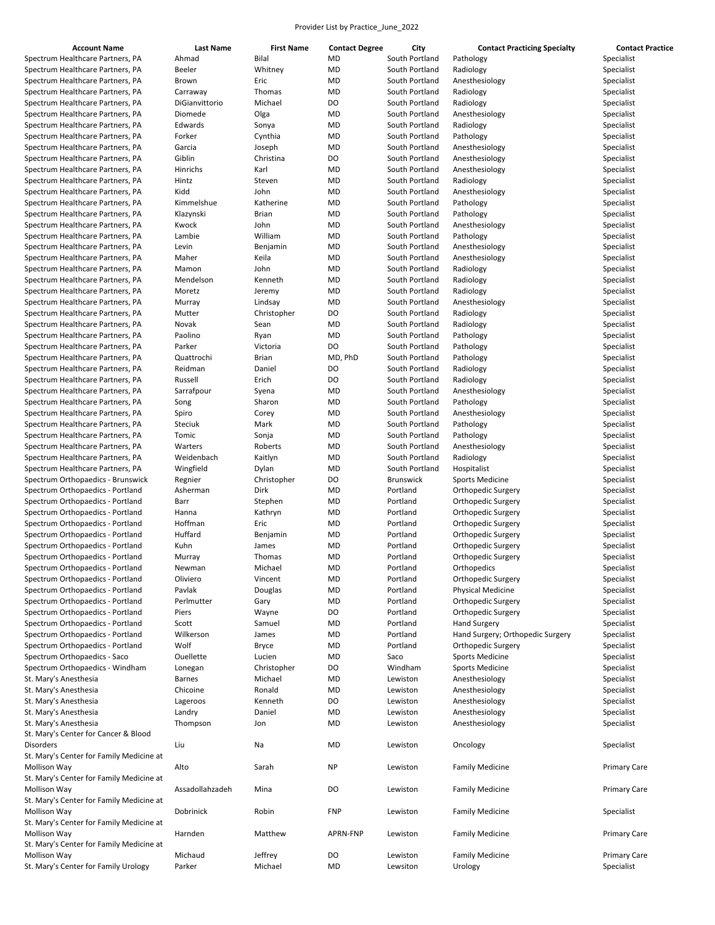| Bilal<br>Spectrum Healthcare Partners, PA<br>MD<br>South Portland<br>Ahmad<br>Pathology<br>Spectrum Healthcare Partners, PA<br>Beeler<br>Whitney<br>MD<br>South Portland<br>Radiology<br>Spectrum Healthcare Partners, PA<br>Eric<br>MD<br>South Portland<br>Anesthesiology<br>Brown<br><b>MD</b><br>Spectrum Healthcare Partners, PA<br>Thomas<br>South Portland<br>Radiology<br>Carraway<br>Michael<br>Spectrum Healthcare Partners, PA<br>DiGianvittorio<br>DO<br>South Portland<br>Radiology<br>Spectrum Healthcare Partners, PA<br>Diomede<br>Olga<br>MD<br>South Portland<br>Anesthesiology<br>Spectrum Healthcare Partners, PA<br>Edwards<br>MD<br>South Portland<br>Radiology<br>Sonya<br>Spectrum Healthcare Partners, PA<br>Forker<br>Cynthia<br>MD<br>South Portland<br>Pathology<br>Spectrum Healthcare Partners, PA<br>Garcia<br>Joseph<br>MD<br>South Portland<br>Anesthesiology<br>DO<br>Spectrum Healthcare Partners, PA<br>Giblin<br>Christina<br>South Portland<br>Anesthesiology<br>Spectrum Healthcare Partners, PA<br>Hinrichs<br>Karl<br><b>MD</b><br>South Portland<br>Anesthesiology<br>Spectrum Healthcare Partners, PA<br>Hintz<br>Steven<br>MD<br>South Portland<br>Radiology<br>Spectrum Healthcare Partners, PA<br>Kidd<br>John<br>MD<br>South Portland<br>Anesthesiology<br>Spectrum Healthcare Partners, PA<br>Kimmelshue<br>Katherine<br>MD<br>South Portland<br>Pathology | Specialist<br>Specialist<br>Specialist<br>Specialist<br>Specialist<br>Specialist<br>Specialist<br>Specialist<br>Specialist<br>Specialist<br>Specialist |
|------------------------------------------------------------------------------------------------------------------------------------------------------------------------------------------------------------------------------------------------------------------------------------------------------------------------------------------------------------------------------------------------------------------------------------------------------------------------------------------------------------------------------------------------------------------------------------------------------------------------------------------------------------------------------------------------------------------------------------------------------------------------------------------------------------------------------------------------------------------------------------------------------------------------------------------------------------------------------------------------------------------------------------------------------------------------------------------------------------------------------------------------------------------------------------------------------------------------------------------------------------------------------------------------------------------------------------------------------------------------------------------------------------|--------------------------------------------------------------------------------------------------------------------------------------------------------|
|                                                                                                                                                                                                                                                                                                                                                                                                                                                                                                                                                                                                                                                                                                                                                                                                                                                                                                                                                                                                                                                                                                                                                                                                                                                                                                                                                                                                            |                                                                                                                                                        |
|                                                                                                                                                                                                                                                                                                                                                                                                                                                                                                                                                                                                                                                                                                                                                                                                                                                                                                                                                                                                                                                                                                                                                                                                                                                                                                                                                                                                            |                                                                                                                                                        |
|                                                                                                                                                                                                                                                                                                                                                                                                                                                                                                                                                                                                                                                                                                                                                                                                                                                                                                                                                                                                                                                                                                                                                                                                                                                                                                                                                                                                            |                                                                                                                                                        |
|                                                                                                                                                                                                                                                                                                                                                                                                                                                                                                                                                                                                                                                                                                                                                                                                                                                                                                                                                                                                                                                                                                                                                                                                                                                                                                                                                                                                            |                                                                                                                                                        |
|                                                                                                                                                                                                                                                                                                                                                                                                                                                                                                                                                                                                                                                                                                                                                                                                                                                                                                                                                                                                                                                                                                                                                                                                                                                                                                                                                                                                            |                                                                                                                                                        |
|                                                                                                                                                                                                                                                                                                                                                                                                                                                                                                                                                                                                                                                                                                                                                                                                                                                                                                                                                                                                                                                                                                                                                                                                                                                                                                                                                                                                            |                                                                                                                                                        |
|                                                                                                                                                                                                                                                                                                                                                                                                                                                                                                                                                                                                                                                                                                                                                                                                                                                                                                                                                                                                                                                                                                                                                                                                                                                                                                                                                                                                            |                                                                                                                                                        |
|                                                                                                                                                                                                                                                                                                                                                                                                                                                                                                                                                                                                                                                                                                                                                                                                                                                                                                                                                                                                                                                                                                                                                                                                                                                                                                                                                                                                            |                                                                                                                                                        |
|                                                                                                                                                                                                                                                                                                                                                                                                                                                                                                                                                                                                                                                                                                                                                                                                                                                                                                                                                                                                                                                                                                                                                                                                                                                                                                                                                                                                            |                                                                                                                                                        |
|                                                                                                                                                                                                                                                                                                                                                                                                                                                                                                                                                                                                                                                                                                                                                                                                                                                                                                                                                                                                                                                                                                                                                                                                                                                                                                                                                                                                            |                                                                                                                                                        |
|                                                                                                                                                                                                                                                                                                                                                                                                                                                                                                                                                                                                                                                                                                                                                                                                                                                                                                                                                                                                                                                                                                                                                                                                                                                                                                                                                                                                            |                                                                                                                                                        |
|                                                                                                                                                                                                                                                                                                                                                                                                                                                                                                                                                                                                                                                                                                                                                                                                                                                                                                                                                                                                                                                                                                                                                                                                                                                                                                                                                                                                            |                                                                                                                                                        |
|                                                                                                                                                                                                                                                                                                                                                                                                                                                                                                                                                                                                                                                                                                                                                                                                                                                                                                                                                                                                                                                                                                                                                                                                                                                                                                                                                                                                            | Specialist                                                                                                                                             |
|                                                                                                                                                                                                                                                                                                                                                                                                                                                                                                                                                                                                                                                                                                                                                                                                                                                                                                                                                                                                                                                                                                                                                                                                                                                                                                                                                                                                            | Specialist                                                                                                                                             |
|                                                                                                                                                                                                                                                                                                                                                                                                                                                                                                                                                                                                                                                                                                                                                                                                                                                                                                                                                                                                                                                                                                                                                                                                                                                                                                                                                                                                            | Specialist                                                                                                                                             |
| Spectrum Healthcare Partners, PA<br>Klazynski<br><b>Brian</b><br>MD<br>South Portland<br>Pathology                                                                                                                                                                                                                                                                                                                                                                                                                                                                                                                                                                                                                                                                                                                                                                                                                                                                                                                                                                                                                                                                                                                                                                                                                                                                                                         | Specialist                                                                                                                                             |
| Spectrum Healthcare Partners, PA<br>John<br>MD<br>South Portland<br>Anesthesiology<br>Kwock                                                                                                                                                                                                                                                                                                                                                                                                                                                                                                                                                                                                                                                                                                                                                                                                                                                                                                                                                                                                                                                                                                                                                                                                                                                                                                                | Specialist                                                                                                                                             |
| Spectrum Healthcare Partners, PA<br>Lambie<br>William<br>MD<br>South Portland<br>Pathology                                                                                                                                                                                                                                                                                                                                                                                                                                                                                                                                                                                                                                                                                                                                                                                                                                                                                                                                                                                                                                                                                                                                                                                                                                                                                                                 | Specialist                                                                                                                                             |
|                                                                                                                                                                                                                                                                                                                                                                                                                                                                                                                                                                                                                                                                                                                                                                                                                                                                                                                                                                                                                                                                                                                                                                                                                                                                                                                                                                                                            |                                                                                                                                                        |
| Spectrum Healthcare Partners, PA<br>Levin<br>Benjamin<br>MD<br>South Portland<br>Anesthesiology                                                                                                                                                                                                                                                                                                                                                                                                                                                                                                                                                                                                                                                                                                                                                                                                                                                                                                                                                                                                                                                                                                                                                                                                                                                                                                            | Specialist                                                                                                                                             |
| Spectrum Healthcare Partners, PA<br>Maher<br>Keila<br>MD<br>South Portland<br>Anesthesiology                                                                                                                                                                                                                                                                                                                                                                                                                                                                                                                                                                                                                                                                                                                                                                                                                                                                                                                                                                                                                                                                                                                                                                                                                                                                                                               | Specialist                                                                                                                                             |
| Spectrum Healthcare Partners, PA<br>Mamon<br>John<br>MD<br>South Portland<br>Radiology                                                                                                                                                                                                                                                                                                                                                                                                                                                                                                                                                                                                                                                                                                                                                                                                                                                                                                                                                                                                                                                                                                                                                                                                                                                                                                                     | Specialist                                                                                                                                             |
| Spectrum Healthcare Partners, PA<br>Mendelson<br>Kenneth<br>MD<br>South Portland<br>Radiology                                                                                                                                                                                                                                                                                                                                                                                                                                                                                                                                                                                                                                                                                                                                                                                                                                                                                                                                                                                                                                                                                                                                                                                                                                                                                                              | Specialist                                                                                                                                             |
| <b>MD</b><br>Spectrum Healthcare Partners, PA<br>Moretz<br>Jeremy<br>South Portland<br>Radiology                                                                                                                                                                                                                                                                                                                                                                                                                                                                                                                                                                                                                                                                                                                                                                                                                                                                                                                                                                                                                                                                                                                                                                                                                                                                                                           | Specialist                                                                                                                                             |
| Spectrum Healthcare Partners, PA<br>Lindsay<br>MD<br>South Portland<br>Anesthesiology<br>Murray                                                                                                                                                                                                                                                                                                                                                                                                                                                                                                                                                                                                                                                                                                                                                                                                                                                                                                                                                                                                                                                                                                                                                                                                                                                                                                            | Specialist                                                                                                                                             |
| Spectrum Healthcare Partners, PA<br>Mutter<br>Christopher<br>DO<br>South Portland<br>Radiology                                                                                                                                                                                                                                                                                                                                                                                                                                                                                                                                                                                                                                                                                                                                                                                                                                                                                                                                                                                                                                                                                                                                                                                                                                                                                                             | Specialist                                                                                                                                             |
| Spectrum Healthcare Partners, PA<br>MD<br>South Portland<br>Radiology<br>Novak<br>Sean                                                                                                                                                                                                                                                                                                                                                                                                                                                                                                                                                                                                                                                                                                                                                                                                                                                                                                                                                                                                                                                                                                                                                                                                                                                                                                                     | Specialist                                                                                                                                             |
|                                                                                                                                                                                                                                                                                                                                                                                                                                                                                                                                                                                                                                                                                                                                                                                                                                                                                                                                                                                                                                                                                                                                                                                                                                                                                                                                                                                                            |                                                                                                                                                        |
| Spectrum Healthcare Partners, PA<br>Paolino<br><b>MD</b><br>South Portland<br>Pathology<br>Ryan                                                                                                                                                                                                                                                                                                                                                                                                                                                                                                                                                                                                                                                                                                                                                                                                                                                                                                                                                                                                                                                                                                                                                                                                                                                                                                            | Specialist                                                                                                                                             |
| DO<br>Spectrum Healthcare Partners, PA<br>Parker<br>Victoria<br>South Portland<br>Pathology                                                                                                                                                                                                                                                                                                                                                                                                                                                                                                                                                                                                                                                                                                                                                                                                                                                                                                                                                                                                                                                                                                                                                                                                                                                                                                                | Specialist                                                                                                                                             |
| Spectrum Healthcare Partners, PA<br>Quattrochi<br><b>Brian</b><br>MD, PhD<br>South Portland<br>Pathology                                                                                                                                                                                                                                                                                                                                                                                                                                                                                                                                                                                                                                                                                                                                                                                                                                                                                                                                                                                                                                                                                                                                                                                                                                                                                                   | Specialist                                                                                                                                             |
| Spectrum Healthcare Partners, PA<br>Reidman<br>Daniel<br>DO<br>South Portland<br>Radiology                                                                                                                                                                                                                                                                                                                                                                                                                                                                                                                                                                                                                                                                                                                                                                                                                                                                                                                                                                                                                                                                                                                                                                                                                                                                                                                 | Specialist                                                                                                                                             |
| DO<br>Spectrum Healthcare Partners, PA<br>Russell<br>Erich<br>South Portland<br>Radiology                                                                                                                                                                                                                                                                                                                                                                                                                                                                                                                                                                                                                                                                                                                                                                                                                                                                                                                                                                                                                                                                                                                                                                                                                                                                                                                  | Specialist                                                                                                                                             |
| Spectrum Healthcare Partners, PA<br>Sarrafpour<br>MD<br>South Portland<br>Anesthesiology<br>Syena                                                                                                                                                                                                                                                                                                                                                                                                                                                                                                                                                                                                                                                                                                                                                                                                                                                                                                                                                                                                                                                                                                                                                                                                                                                                                                          | Specialist                                                                                                                                             |
| Spectrum Healthcare Partners, PA<br>MD<br>South Portland<br>Song<br>Sharon<br>Pathology                                                                                                                                                                                                                                                                                                                                                                                                                                                                                                                                                                                                                                                                                                                                                                                                                                                                                                                                                                                                                                                                                                                                                                                                                                                                                                                    | Specialist                                                                                                                                             |
| Spectrum Healthcare Partners, PA<br>Spiro<br>Corey<br>MD<br>South Portland<br>Anesthesiology                                                                                                                                                                                                                                                                                                                                                                                                                                                                                                                                                                                                                                                                                                                                                                                                                                                                                                                                                                                                                                                                                                                                                                                                                                                                                                               | Specialist                                                                                                                                             |
| Spectrum Healthcare Partners, PA<br><b>Steciuk</b><br>Mark<br>MD<br>South Portland<br>Pathology                                                                                                                                                                                                                                                                                                                                                                                                                                                                                                                                                                                                                                                                                                                                                                                                                                                                                                                                                                                                                                                                                                                                                                                                                                                                                                            | Specialist                                                                                                                                             |
|                                                                                                                                                                                                                                                                                                                                                                                                                                                                                                                                                                                                                                                                                                                                                                                                                                                                                                                                                                                                                                                                                                                                                                                                                                                                                                                                                                                                            |                                                                                                                                                        |
| Spectrum Healthcare Partners, PA<br>MD<br>South Portland<br>Tomic<br>Sonja<br>Pathology                                                                                                                                                                                                                                                                                                                                                                                                                                                                                                                                                                                                                                                                                                                                                                                                                                                                                                                                                                                                                                                                                                                                                                                                                                                                                                                    | Specialist                                                                                                                                             |
| Spectrum Healthcare Partners, PA<br>Warters<br>Roberts<br>MD<br>South Portland<br>Anesthesiology                                                                                                                                                                                                                                                                                                                                                                                                                                                                                                                                                                                                                                                                                                                                                                                                                                                                                                                                                                                                                                                                                                                                                                                                                                                                                                           | Specialist                                                                                                                                             |
| Spectrum Healthcare Partners, PA<br>Weidenbach<br>Kaitlyn<br>MD<br>South Portland<br>Radiology                                                                                                                                                                                                                                                                                                                                                                                                                                                                                                                                                                                                                                                                                                                                                                                                                                                                                                                                                                                                                                                                                                                                                                                                                                                                                                             | Specialist                                                                                                                                             |
| South Portland<br>Spectrum Healthcare Partners, PA<br>Wingfield<br>Dylan<br>MD<br>Hospitalist                                                                                                                                                                                                                                                                                                                                                                                                                                                                                                                                                                                                                                                                                                                                                                                                                                                                                                                                                                                                                                                                                                                                                                                                                                                                                                              | Specialist                                                                                                                                             |
| Spectrum Orthopaedics - Brunswick<br>Regnier<br>Christopher<br>DO<br><b>Brunswick</b><br><b>Sports Medicine</b>                                                                                                                                                                                                                                                                                                                                                                                                                                                                                                                                                                                                                                                                                                                                                                                                                                                                                                                                                                                                                                                                                                                                                                                                                                                                                            | Specialist                                                                                                                                             |
| Portland<br>Spectrum Orthopaedics - Portland<br>Asherman<br>Dirk<br>MD<br>Orthopedic Surgery                                                                                                                                                                                                                                                                                                                                                                                                                                                                                                                                                                                                                                                                                                                                                                                                                                                                                                                                                                                                                                                                                                                                                                                                                                                                                                               | Specialist                                                                                                                                             |
| Spectrum Orthopaedics - Portland<br>MD<br>Portland<br>Barr<br>Stephen<br>Orthopedic Surgery                                                                                                                                                                                                                                                                                                                                                                                                                                                                                                                                                                                                                                                                                                                                                                                                                                                                                                                                                                                                                                                                                                                                                                                                                                                                                                                | Specialist                                                                                                                                             |
| Spectrum Orthopaedics - Portland<br>Kathryn<br>MD<br>Portland<br>Hanna<br>Orthopedic Surgery                                                                                                                                                                                                                                                                                                                                                                                                                                                                                                                                                                                                                                                                                                                                                                                                                                                                                                                                                                                                                                                                                                                                                                                                                                                                                                               | Specialist                                                                                                                                             |
| Hoffman<br>Spectrum Orthopaedics - Portland<br>Eric<br>MD<br>Portland                                                                                                                                                                                                                                                                                                                                                                                                                                                                                                                                                                                                                                                                                                                                                                                                                                                                                                                                                                                                                                                                                                                                                                                                                                                                                                                                      | Specialist                                                                                                                                             |
| Orthopedic Surgery<br>Huffard                                                                                                                                                                                                                                                                                                                                                                                                                                                                                                                                                                                                                                                                                                                                                                                                                                                                                                                                                                                                                                                                                                                                                                                                                                                                                                                                                                              |                                                                                                                                                        |
| Spectrum Orthopaedics - Portland<br>MD<br>Portland<br>Orthopedic Surgery<br>Benjamin                                                                                                                                                                                                                                                                                                                                                                                                                                                                                                                                                                                                                                                                                                                                                                                                                                                                                                                                                                                                                                                                                                                                                                                                                                                                                                                       | Specialist                                                                                                                                             |
| Spectrum Orthopaedics - Portland<br>Kuhn<br>James<br><b>MD</b><br>Portland<br>Orthopedic Surgery                                                                                                                                                                                                                                                                                                                                                                                                                                                                                                                                                                                                                                                                                                                                                                                                                                                                                                                                                                                                                                                                                                                                                                                                                                                                                                           | Specialist                                                                                                                                             |
| Spectrum Orthopaedics - Portland<br>Thomas<br>MD<br>Portland<br>Orthopedic Surgery<br>Murray                                                                                                                                                                                                                                                                                                                                                                                                                                                                                                                                                                                                                                                                                                                                                                                                                                                                                                                                                                                                                                                                                                                                                                                                                                                                                                               | Specialist                                                                                                                                             |
| Spectrum Orthopaedics - Portland<br>Michael<br><b>MD</b><br>Portland<br>Newman<br>Orthopedics                                                                                                                                                                                                                                                                                                                                                                                                                                                                                                                                                                                                                                                                                                                                                                                                                                                                                                                                                                                                                                                                                                                                                                                                                                                                                                              | Specialist                                                                                                                                             |
| Spectrum Orthopaedics - Portland<br>MD<br>Portland<br>Orthopedic Surgery<br>Oliviero<br>Vincent                                                                                                                                                                                                                                                                                                                                                                                                                                                                                                                                                                                                                                                                                                                                                                                                                                                                                                                                                                                                                                                                                                                                                                                                                                                                                                            | Specialist                                                                                                                                             |
| Spectrum Orthopaedics - Portland<br>Physical Medicine<br>Pavlak<br>Douglas<br>MD<br>Portland                                                                                                                                                                                                                                                                                                                                                                                                                                                                                                                                                                                                                                                                                                                                                                                                                                                                                                                                                                                                                                                                                                                                                                                                                                                                                                               | Specialist                                                                                                                                             |
| Spectrum Orthopaedics - Portland<br>Perlmutter<br>Gary<br>MD<br>Portland<br>Orthopedic Surgery                                                                                                                                                                                                                                                                                                                                                                                                                                                                                                                                                                                                                                                                                                                                                                                                                                                                                                                                                                                                                                                                                                                                                                                                                                                                                                             | Specialist                                                                                                                                             |
| Spectrum Orthopaedics - Portland<br>DO<br>Portland<br>Orthopedic Surgery<br>Piers<br>Wayne                                                                                                                                                                                                                                                                                                                                                                                                                                                                                                                                                                                                                                                                                                                                                                                                                                                                                                                                                                                                                                                                                                                                                                                                                                                                                                                 | Specialist                                                                                                                                             |
| Spectrum Orthopaedics - Portland<br>Samuel<br>Portland<br><b>Hand Surgery</b><br>Scott<br>MD                                                                                                                                                                                                                                                                                                                                                                                                                                                                                                                                                                                                                                                                                                                                                                                                                                                                                                                                                                                                                                                                                                                                                                                                                                                                                                               | Specialist                                                                                                                                             |
|                                                                                                                                                                                                                                                                                                                                                                                                                                                                                                                                                                                                                                                                                                                                                                                                                                                                                                                                                                                                                                                                                                                                                                                                                                                                                                                                                                                                            |                                                                                                                                                        |
| Spectrum Orthopaedics - Portland<br>Wilkerson<br>MD<br>Portland<br>Hand Surgery; Orthopedic Surgery<br>James                                                                                                                                                                                                                                                                                                                                                                                                                                                                                                                                                                                                                                                                                                                                                                                                                                                                                                                                                                                                                                                                                                                                                                                                                                                                                               | Specialist                                                                                                                                             |
| Spectrum Orthopaedics - Portland<br>Wolf<br>MD<br>Portland<br>Orthopedic Surgery<br><b>Bryce</b>                                                                                                                                                                                                                                                                                                                                                                                                                                                                                                                                                                                                                                                                                                                                                                                                                                                                                                                                                                                                                                                                                                                                                                                                                                                                                                           | Specialist                                                                                                                                             |
| Spectrum Orthopaedics - Saco<br>Ouellette<br>MD<br>Sports Medicine<br>Lucien<br>Saco                                                                                                                                                                                                                                                                                                                                                                                                                                                                                                                                                                                                                                                                                                                                                                                                                                                                                                                                                                                                                                                                                                                                                                                                                                                                                                                       | Specialist                                                                                                                                             |
| Spectrum Orthopaedics - Windham<br>Christopher<br>DO<br>Windham<br><b>Sports Medicine</b><br>Lonegan                                                                                                                                                                                                                                                                                                                                                                                                                                                                                                                                                                                                                                                                                                                                                                                                                                                                                                                                                                                                                                                                                                                                                                                                                                                                                                       | Specialist                                                                                                                                             |
| St. Mary's Anesthesia<br>Michael<br>Lewiston<br>Anesthesiology<br><b>Barnes</b><br>MD                                                                                                                                                                                                                                                                                                                                                                                                                                                                                                                                                                                                                                                                                                                                                                                                                                                                                                                                                                                                                                                                                                                                                                                                                                                                                                                      | Specialist                                                                                                                                             |
| St. Mary's Anesthesia<br>Chicoine<br>Ronald<br>MD<br>Lewiston<br>Anesthesiology                                                                                                                                                                                                                                                                                                                                                                                                                                                                                                                                                                                                                                                                                                                                                                                                                                                                                                                                                                                                                                                                                                                                                                                                                                                                                                                            | Specialist                                                                                                                                             |
| St. Mary's Anesthesia<br>Kenneth<br>DO<br>Lewiston<br>Anesthesiology<br>Lageroos                                                                                                                                                                                                                                                                                                                                                                                                                                                                                                                                                                                                                                                                                                                                                                                                                                                                                                                                                                                                                                                                                                                                                                                                                                                                                                                           | Specialist                                                                                                                                             |
| St. Mary's Anesthesia<br>Daniel<br>MD<br>Anesthesiology<br>Landry<br>Lewiston                                                                                                                                                                                                                                                                                                                                                                                                                                                                                                                                                                                                                                                                                                                                                                                                                                                                                                                                                                                                                                                                                                                                                                                                                                                                                                                              | Specialist                                                                                                                                             |
| St. Mary's Anesthesia<br>Thompson<br>MD<br>Lewiston<br>Anesthesiology<br>Jon                                                                                                                                                                                                                                                                                                                                                                                                                                                                                                                                                                                                                                                                                                                                                                                                                                                                                                                                                                                                                                                                                                                                                                                                                                                                                                                               |                                                                                                                                                        |
|                                                                                                                                                                                                                                                                                                                                                                                                                                                                                                                                                                                                                                                                                                                                                                                                                                                                                                                                                                                                                                                                                                                                                                                                                                                                                                                                                                                                            | Specialist                                                                                                                                             |
|                                                                                                                                                                                                                                                                                                                                                                                                                                                                                                                                                                                                                                                                                                                                                                                                                                                                                                                                                                                                                                                                                                                                                                                                                                                                                                                                                                                                            |                                                                                                                                                        |
| St. Mary's Center for Cancer & Blood                                                                                                                                                                                                                                                                                                                                                                                                                                                                                                                                                                                                                                                                                                                                                                                                                                                                                                                                                                                                                                                                                                                                                                                                                                                                                                                                                                       | Specialist                                                                                                                                             |
| Liu<br>MD<br>Disorders<br>Na<br>Lewiston<br>Oncology                                                                                                                                                                                                                                                                                                                                                                                                                                                                                                                                                                                                                                                                                                                                                                                                                                                                                                                                                                                                                                                                                                                                                                                                                                                                                                                                                       |                                                                                                                                                        |
| St. Mary's Center for Family Medicine at                                                                                                                                                                                                                                                                                                                                                                                                                                                                                                                                                                                                                                                                                                                                                                                                                                                                                                                                                                                                                                                                                                                                                                                                                                                                                                                                                                   |                                                                                                                                                        |
| Mollison Way<br>Alto<br>Sarah<br>NP<br><b>Family Medicine</b><br>Lewiston                                                                                                                                                                                                                                                                                                                                                                                                                                                                                                                                                                                                                                                                                                                                                                                                                                                                                                                                                                                                                                                                                                                                                                                                                                                                                                                                  | <b>Primary Care</b>                                                                                                                                    |
| St. Mary's Center for Family Medicine at                                                                                                                                                                                                                                                                                                                                                                                                                                                                                                                                                                                                                                                                                                                                                                                                                                                                                                                                                                                                                                                                                                                                                                                                                                                                                                                                                                   |                                                                                                                                                        |
| Assadollahzadeh                                                                                                                                                                                                                                                                                                                                                                                                                                                                                                                                                                                                                                                                                                                                                                                                                                                                                                                                                                                                                                                                                                                                                                                                                                                                                                                                                                                            |                                                                                                                                                        |
| DO<br><b>Family Medicine</b><br>Mollison Way<br>Mina<br>Lewiston                                                                                                                                                                                                                                                                                                                                                                                                                                                                                                                                                                                                                                                                                                                                                                                                                                                                                                                                                                                                                                                                                                                                                                                                                                                                                                                                           | <b>Primary Care</b>                                                                                                                                    |
| St. Mary's Center for Family Medicine at                                                                                                                                                                                                                                                                                                                                                                                                                                                                                                                                                                                                                                                                                                                                                                                                                                                                                                                                                                                                                                                                                                                                                                                                                                                                                                                                                                   |                                                                                                                                                        |
| Mollison Way<br>Dobrinick<br>Robin<br><b>FNP</b><br>Lewiston<br><b>Family Medicine</b>                                                                                                                                                                                                                                                                                                                                                                                                                                                                                                                                                                                                                                                                                                                                                                                                                                                                                                                                                                                                                                                                                                                                                                                                                                                                                                                     | Specialist                                                                                                                                             |
| St. Mary's Center for Family Medicine at                                                                                                                                                                                                                                                                                                                                                                                                                                                                                                                                                                                                                                                                                                                                                                                                                                                                                                                                                                                                                                                                                                                                                                                                                                                                                                                                                                   |                                                                                                                                                        |
| Mollison Way<br>Harnden<br>Matthew<br>APRN-FNP<br><b>Family Medicine</b><br>Lewiston                                                                                                                                                                                                                                                                                                                                                                                                                                                                                                                                                                                                                                                                                                                                                                                                                                                                                                                                                                                                                                                                                                                                                                                                                                                                                                                       | <b>Primary Care</b>                                                                                                                                    |
| St. Mary's Center for Family Medicine at                                                                                                                                                                                                                                                                                                                                                                                                                                                                                                                                                                                                                                                                                                                                                                                                                                                                                                                                                                                                                                                                                                                                                                                                                                                                                                                                                                   |                                                                                                                                                        |
| Mollison Way<br>Michaud<br>Jeffrey<br>DO<br><b>Family Medicine</b><br>Lewiston                                                                                                                                                                                                                                                                                                                                                                                                                                                                                                                                                                                                                                                                                                                                                                                                                                                                                                                                                                                                                                                                                                                                                                                                                                                                                                                             | <b>Primary Care</b>                                                                                                                                    |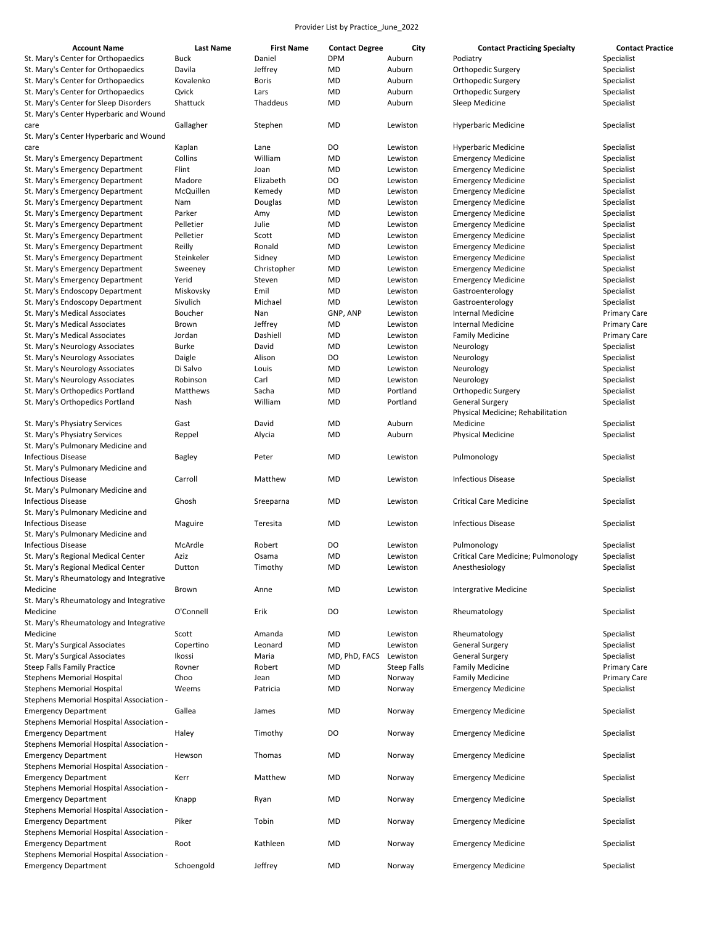| <b>Account Name</b>                                                             | <b>Last Name</b> | <b>First Name</b> | <b>Contact Degree</b> | City        | <b>Contact Practicing Specialty</b> | <b>Contact Practice</b> |
|---------------------------------------------------------------------------------|------------------|-------------------|-----------------------|-------------|-------------------------------------|-------------------------|
| St. Mary's Center for Orthopaedics                                              | <b>Buck</b>      | Daniel            | <b>DPM</b>            | Auburn      | Podiatry                            | Specialist              |
| St. Mary's Center for Orthopaedics                                              | Davila           | Jeffrey           | MD                    | Auburn      | Orthopedic Surgery                  | Specialist              |
| St. Mary's Center for Orthopaedics                                              | Kovalenko        | <b>Boris</b>      | MD                    | Auburn      | Orthopedic Surgery                  | Specialist              |
|                                                                                 | Qvick            |                   |                       |             |                                     |                         |
| St. Mary's Center for Orthopaedics                                              |                  | Lars              | MD                    | Auburn      | Orthopedic Surgery                  | Specialist              |
| St. Mary's Center for Sleep Disorders<br>St. Mary's Center Hyperbaric and Wound | Shattuck         | Thaddeus          | MD                    | Auburn      | Sleep Medicine                      | Specialist              |
| care<br>St. Mary's Center Hyperbaric and Wound                                  | Gallagher        | Stephen           | MD                    | Lewiston    | <b>Hyperbaric Medicine</b>          | Specialist              |
| care                                                                            | Kaplan           | Lane              | DO                    | Lewiston    | <b>Hyperbaric Medicine</b>          | Specialist              |
| St. Mary's Emergency Department                                                 | Collins          | William           | MD                    | Lewiston    | <b>Emergency Medicine</b>           | Specialist              |
| St. Mary's Emergency Department                                                 | Flint            | Joan              | MD                    | Lewiston    |                                     | Specialist              |
|                                                                                 |                  |                   |                       |             | <b>Emergency Medicine</b>           |                         |
| St. Mary's Emergency Department                                                 | Madore           | Elizabeth         | DO                    | Lewiston    | <b>Emergency Medicine</b>           | Specialist              |
| St. Mary's Emergency Department                                                 | McQuillen        | Kemedy            | MD                    | Lewiston    | <b>Emergency Medicine</b>           | Specialist              |
| St. Mary's Emergency Department                                                 | Nam              | Douglas           | MD                    | Lewiston    | <b>Emergency Medicine</b>           | Specialist              |
| St. Mary's Emergency Department                                                 | Parker           | Amy               | MD                    | Lewiston    | <b>Emergency Medicine</b>           | Specialist              |
| St. Mary's Emergency Department                                                 | Pelletier        | Julie             | MD                    | Lewiston    | <b>Emergency Medicine</b>           | Specialist              |
| St. Mary's Emergency Department                                                 | Pelletier        | Scott             | MD                    | Lewiston    | <b>Emergency Medicine</b>           | Specialist              |
| St. Mary's Emergency Department                                                 | Reilly           | Ronald            | MD                    | Lewiston    | <b>Emergency Medicine</b>           | Specialist              |
| St. Mary's Emergency Department                                                 | Steinkeler       | Sidney            | MD                    | Lewiston    | <b>Emergency Medicine</b>           | Specialist              |
| St. Mary's Emergency Department                                                 | Sweeney          | Christopher       | MD                    | Lewiston    | <b>Emergency Medicine</b>           | Specialist              |
| St. Mary's Emergency Department                                                 | Yerid            | Steven            | MD                    | Lewiston    | <b>Emergency Medicine</b>           | Specialist              |
| St. Mary's Endoscopy Department                                                 | Miskovsky        | Emil              | MD                    | Lewiston    | Gastroenterology                    | Specialist              |
|                                                                                 | Sivulich         |                   |                       |             |                                     |                         |
| St. Mary's Endoscopy Department                                                 |                  | Michael           | MD                    | Lewiston    | Gastroenterology                    | Specialist              |
| St. Mary's Medical Associates                                                   | Boucher          | Nan               | GNP, ANP              | Lewiston    | <b>Internal Medicine</b>            | <b>Primary Care</b>     |
| St. Mary's Medical Associates                                                   | Brown            | Jeffrey           | MD                    | Lewiston    | <b>Internal Medicine</b>            | <b>Primary Care</b>     |
| St. Mary's Medical Associates                                                   | Jordan           | Dashiell          | MD                    | Lewiston    | <b>Family Medicine</b>              | <b>Primary Care</b>     |
| St. Mary's Neurology Associates                                                 | <b>Burke</b>     | David             | MD                    | Lewiston    | Neurology                           | Specialist              |
| St. Mary's Neurology Associates                                                 | Daigle           | Alison            | DO                    | Lewiston    | Neurology                           | Specialist              |
| St. Mary's Neurology Associates                                                 | Di Salvo         | Louis             | MD                    | Lewiston    | Neurology                           | Specialist              |
| St. Mary's Neurology Associates                                                 | Robinson         | Carl              | MD                    | Lewiston    | Neurology                           | Specialist              |
| St. Mary's Orthopedics Portland                                                 | Matthews         | Sacha             | MD                    | Portland    | Orthopedic Surgery                  | Specialist              |
| St. Mary's Orthopedics Portland                                                 | Nash             | William           | MD                    | Portland    | <b>General Surgery</b>              | Specialist              |
|                                                                                 |                  |                   |                       |             | Physical Medicine; Rehabilitation   |                         |
|                                                                                 | Gast             | David             | MD                    | Auburn      | Medicine                            |                         |
| St. Mary's Physiatry Services                                                   |                  |                   |                       |             |                                     | Specialist              |
| St. Mary's Physiatry Services                                                   | Reppel           | Alycia            | MD                    | Auburn      | <b>Physical Medicine</b>            | Specialist              |
| St. Mary's Pulmonary Medicine and                                               |                  |                   |                       |             |                                     |                         |
| <b>Infectious Disease</b>                                                       | <b>Bagley</b>    | Peter             | MD                    | Lewiston    | Pulmonology                         | Specialist              |
| St. Mary's Pulmonary Medicine and                                               |                  |                   |                       |             |                                     |                         |
| <b>Infectious Disease</b>                                                       | Carroll          | Matthew           | MD                    | Lewiston    | <b>Infectious Disease</b>           | Specialist              |
| St. Mary's Pulmonary Medicine and                                               |                  |                   |                       |             |                                     |                         |
| <b>Infectious Disease</b>                                                       | Ghosh            | Sreeparna         | MD                    | Lewiston    | <b>Critical Care Medicine</b>       | Specialist              |
| St. Mary's Pulmonary Medicine and                                               |                  |                   |                       |             |                                     |                         |
| <b>Infectious Disease</b>                                                       | Maguire          | Teresita          | MD                    | Lewiston    | <b>Infectious Disease</b>           | Specialist              |
| St. Mary's Pulmonary Medicine and                                               |                  |                   |                       |             |                                     |                         |
| <b>Infectious Disease</b>                                                       | McArdle          | Robert            | DO                    | Lewiston    | Pulmonology                         | Specialist              |
| St. Mary's Regional Medical Center                                              | Aziz             | Osama             | MD                    | Lewiston    | Critical Care Medicine; Pulmonology | Specialist              |
|                                                                                 |                  |                   |                       |             |                                     |                         |
| St. Mary's Regional Medical Center                                              | Dutton           | Timothy           | MD                    | Lewiston    | Anesthesiology                      | Specialist              |
| St. Mary's Rheumatology and Integrative                                         |                  |                   |                       |             |                                     |                         |
| Medicine                                                                        | Brown            | Anne              | MD                    | Lewiston    | <b>Intergrative Medicine</b>        | Specialist              |
| St. Mary's Rheumatology and Integrative                                         |                  |                   |                       |             |                                     |                         |
| Medicine                                                                        | O'Connell        | Erik              | DO                    | Lewiston    | Rheumatology                        | Specialist              |
| St. Mary's Rheumatology and Integrative                                         |                  |                   |                       |             |                                     |                         |
| Medicine                                                                        | Scott            | Amanda            | MD                    | Lewiston    | Rheumatology                        | Specialist              |
| St. Mary's Surgical Associates                                                  | Copertino        | Leonard           | MD                    | Lewiston    | <b>General Surgery</b>              | Specialist              |
| St. Mary's Surgical Associates                                                  | Ikossi           | Maria             | MD, PhD, FACS         | Lewiston    | <b>General Surgery</b>              | Specialist              |
| Steep Falls Family Practice                                                     | Rovner           | Robert            | MD                    | Steep Falls | <b>Family Medicine</b>              | <b>Primary Care</b>     |
| <b>Stephens Memorial Hospital</b>                                               | Choo             | Jean              | MD                    | Norway      | <b>Family Medicine</b>              | <b>Primary Care</b>     |
| Stephens Memorial Hospital                                                      | Weems            | Patricia          | MD                    | Norway      | <b>Emergency Medicine</b>           | Specialist              |
|                                                                                 |                  |                   |                       |             |                                     |                         |
| Stephens Memorial Hospital Association -                                        |                  |                   |                       |             |                                     |                         |
| <b>Emergency Department</b>                                                     | Gallea           | James             | MD                    | Norway      | <b>Emergency Medicine</b>           | Specialist              |
| Stephens Memorial Hospital Association -                                        |                  |                   |                       |             |                                     |                         |
| <b>Emergency Department</b>                                                     | Haley            | Timothy           | DO                    | Norway      | <b>Emergency Medicine</b>           | Specialist              |
| Stephens Memorial Hospital Association -                                        |                  |                   |                       |             |                                     |                         |
| <b>Emergency Department</b>                                                     | Hewson           | Thomas            | MD                    | Norway      | <b>Emergency Medicine</b>           | Specialist              |
| Stephens Memorial Hospital Association -                                        |                  |                   |                       |             |                                     |                         |
| <b>Emergency Department</b>                                                     | Kerr             | Matthew           | MD                    | Norway      | <b>Emergency Medicine</b>           | Specialist              |
| Stephens Memorial Hospital Association -                                        |                  |                   |                       |             |                                     |                         |
| <b>Emergency Department</b>                                                     | Knapp            | Ryan              | MD                    | Norway      | <b>Emergency Medicine</b>           | Specialist              |
| Stephens Memorial Hospital Association -                                        |                  |                   |                       |             |                                     |                         |
| <b>Emergency Department</b>                                                     | Piker            | Tobin             | MD                    | Norway      | <b>Emergency Medicine</b>           | Specialist              |
| Stephens Memorial Hospital Association -                                        |                  |                   |                       |             |                                     |                         |
|                                                                                 | Root             | Kathleen          | MD                    | Norway      | <b>Emergency Medicine</b>           | Specialist              |
| <b>Emergency Department</b>                                                     |                  |                   |                       |             |                                     |                         |
| Stephens Memorial Hospital Association -                                        |                  |                   |                       |             |                                     |                         |
| <b>Emergency Department</b>                                                     | Schoengold       | Jeffrey           | MD                    | Norway      | <b>Emergency Medicine</b>           | Specialist              |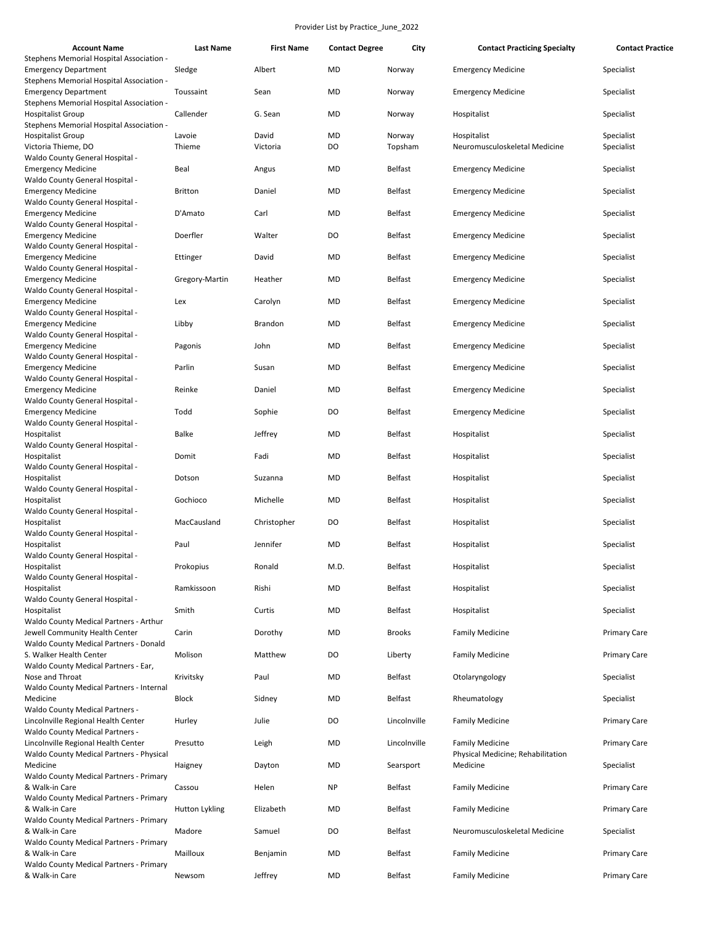| <b>Account Name</b>                                                           | <b>Last Name</b> | <b>First Name</b> | <b>Contact Degree</b> | City           | <b>Contact Practicing Specialty</b>           | <b>Contact Practice</b> |
|-------------------------------------------------------------------------------|------------------|-------------------|-----------------------|----------------|-----------------------------------------------|-------------------------|
| Stephens Memorial Hospital Association -<br><b>Emergency Department</b>       | Sledge           | Albert            | MD                    | Norway         | <b>Emergency Medicine</b>                     | Specialist              |
| Stephens Memorial Hospital Association -<br><b>Emergency Department</b>       | Toussaint        | Sean              | MD                    | Norway         | <b>Emergency Medicine</b>                     | Specialist              |
| Stephens Memorial Hospital Association -<br><b>Hospitalist Group</b>          | Callender        | G. Sean           | MD                    | Norway         | Hospitalist                                   | Specialist              |
| Stephens Memorial Hospital Association -<br><b>Hospitalist Group</b>          | Lavoie           | David             | MD                    | Norway         | Hospitalist                                   | Specialist              |
| Victoria Thieme, DO<br>Waldo County General Hospital -                        | Thieme           | Victoria          | DO                    | Topsham        | Neuromusculoskeletal Medicine                 | Specialist              |
| <b>Emergency Medicine</b>                                                     | Beal             | Angus             | MD                    | <b>Belfast</b> | <b>Emergency Medicine</b>                     | Specialist              |
| Waldo County General Hospital -<br><b>Emergency Medicine</b>                  | <b>Britton</b>   | Daniel            | MD                    | <b>Belfast</b> | <b>Emergency Medicine</b>                     | Specialist              |
| Waldo County General Hospital -<br><b>Emergency Medicine</b>                  | D'Amato          | Carl              | MD                    | <b>Belfast</b> | <b>Emergency Medicine</b>                     | Specialist              |
| Waldo County General Hospital -<br><b>Emergency Medicine</b>                  | Doerfler         | Walter            | DO                    | <b>Belfast</b> | <b>Emergency Medicine</b>                     | Specialist              |
| Waldo County General Hospital -<br><b>Emergency Medicine</b>                  | Ettinger         | David             | MD                    | <b>Belfast</b> | <b>Emergency Medicine</b>                     | Specialist              |
| Waldo County General Hospital -<br><b>Emergency Medicine</b>                  | Gregory-Martin   | Heather           | MD                    | <b>Belfast</b> | <b>Emergency Medicine</b>                     | Specialist              |
| Waldo County General Hospital -<br><b>Emergency Medicine</b>                  | Lex              | Carolyn           | MD                    | <b>Belfast</b> | <b>Emergency Medicine</b>                     | Specialist              |
| Waldo County General Hospital -<br><b>Emergency Medicine</b>                  | Libby            | <b>Brandon</b>    | MD                    | <b>Belfast</b> | <b>Emergency Medicine</b>                     | Specialist              |
| Waldo County General Hospital -                                               |                  |                   |                       |                |                                               |                         |
| <b>Emergency Medicine</b><br>Waldo County General Hospital -                  | Pagonis          | John              | MD                    | <b>Belfast</b> | <b>Emergency Medicine</b>                     | Specialist              |
| <b>Emergency Medicine</b><br>Waldo County General Hospital -                  | Parlin           | Susan             | MD                    | <b>Belfast</b> | <b>Emergency Medicine</b>                     | Specialist              |
| <b>Emergency Medicine</b><br>Waldo County General Hospital -                  | Reinke           | Daniel            | MD                    | <b>Belfast</b> | <b>Emergency Medicine</b>                     | Specialist              |
| <b>Emergency Medicine</b><br>Waldo County General Hospital -                  | Todd             | Sophie            | DO                    | <b>Belfast</b> | <b>Emergency Medicine</b>                     | Specialist              |
| Hospitalist<br>Waldo County General Hospital -                                | Balke            | Jeffrey           | MD                    | <b>Belfast</b> | Hospitalist                                   | Specialist              |
| Hospitalist<br>Waldo County General Hospital -                                | Domit            | Fadi              | MD                    | <b>Belfast</b> | Hospitalist                                   | Specialist              |
| Hospitalist                                                                   | Dotson           | Suzanna           | MD                    | <b>Belfast</b> | Hospitalist                                   | Specialist              |
| Waldo County General Hospital -<br>Hospitalist                                | Gochioco         | Michelle          | MD                    | <b>Belfast</b> | Hospitalist                                   | Specialist              |
| Waldo County General Hospital -<br>Hospitalist                                | MacCausland      | Christopher       | DO                    | <b>Belfast</b> | Hospitalist                                   | Specialist              |
| Waldo County General Hospital -<br>Hospitalist                                | Paul             | Jennifer          | MD                    | <b>Belfast</b> | Hospitalist                                   | Specialist              |
| Waldo County General Hospital -<br>Hospitalist                                | Prokopius        | Ronald            | M.D.                  | Belfast        | Hospitalist                                   | Specialist              |
| Waldo County General Hospital -<br>Hospitalist                                | Ramkissoon       | Rishi             | <b>MD</b>             | <b>Belfast</b> | Hospitalist                                   | Specialist              |
| Waldo County General Hospital -                                               |                  |                   |                       |                |                                               |                         |
| Hospitalist<br>Waldo County Medical Partners - Arthur                         | Smith            | Curtis            | MD                    | <b>Belfast</b> | Hospitalist                                   | Specialist              |
| Jewell Community Health Center<br>Waldo County Medical Partners - Donald      | Carin            | Dorothy           | MD                    | <b>Brooks</b>  | <b>Family Medicine</b>                        | <b>Primary Care</b>     |
| S. Walker Health Center<br>Waldo County Medical Partners - Ear,               | Molison          | Matthew           | DO                    | Liberty        | <b>Family Medicine</b>                        | <b>Primary Care</b>     |
| Nose and Throat<br>Waldo County Medical Partners - Internal                   | Krivitsky        | Paul              | MD                    | <b>Belfast</b> | Otolaryngology                                | Specialist              |
| Medicine<br><b>Waldo County Medical Partners -</b>                            | <b>Block</b>     | Sidney            | MD                    | <b>Belfast</b> | Rheumatology                                  | Specialist              |
| Lincolnville Regional Health Center<br><b>Waldo County Medical Partners -</b> | Hurley           | Julie             | DO                    | Lincolnville   | <b>Family Medicine</b>                        | <b>Primary Care</b>     |
| Lincolnville Regional Health Center                                           | Presutto         | Leigh             | <b>MD</b>             | Lincolnville   | <b>Family Medicine</b>                        | <b>Primary Care</b>     |
| Waldo County Medical Partners - Physical<br>Medicine                          | Haigney          | Dayton            | MD                    | Searsport      | Physical Medicine; Rehabilitation<br>Medicine | Specialist              |
| Waldo County Medical Partners - Primary<br>& Walk-in Care                     | Cassou           | Helen             | <b>NP</b>             | <b>Belfast</b> | <b>Family Medicine</b>                        | <b>Primary Care</b>     |
| Waldo County Medical Partners - Primary<br>& Walk-in Care                     | Hutton Lykling   | Elizabeth         | <b>MD</b>             | <b>Belfast</b> | <b>Family Medicine</b>                        | <b>Primary Care</b>     |
| Waldo County Medical Partners - Primary<br>& Walk-in Care                     | Madore           | Samuel            | DO                    | <b>Belfast</b> | Neuromusculoskeletal Medicine                 | Specialist              |
| Waldo County Medical Partners - Primary<br>& Walk-in Care                     | Mailloux         | Benjamin          | <b>MD</b>             | <b>Belfast</b> | <b>Family Medicine</b>                        | <b>Primary Care</b>     |
| Waldo County Medical Partners - Primary<br>& Walk-in Care                     | Newsom           | Jeffrey           | MD                    | <b>Belfast</b> | <b>Family Medicine</b>                        | <b>Primary Care</b>     |
|                                                                               |                  |                   |                       |                |                                               |                         |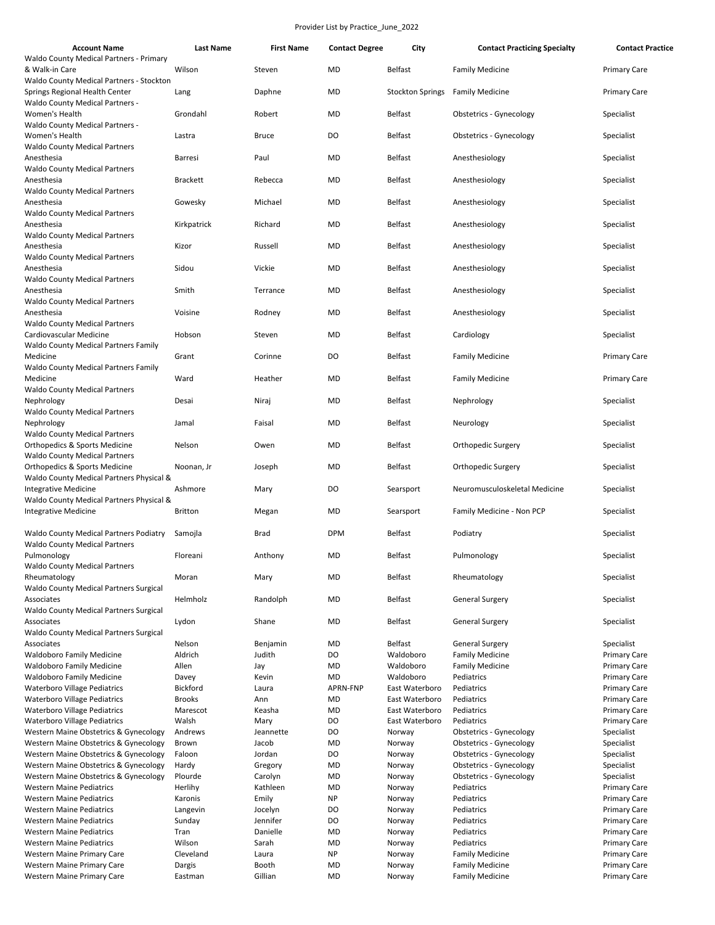| <b>Account Name</b>                                                              | <b>Last Name</b> | <b>First Name</b> | <b>Contact Degree</b> | City             | <b>Contact Practicing Specialty</b> | <b>Contact Practice</b> |
|----------------------------------------------------------------------------------|------------------|-------------------|-----------------------|------------------|-------------------------------------|-------------------------|
| Waldo County Medical Partners - Primary                                          |                  |                   |                       |                  |                                     |                         |
| & Walk-in Care                                                                   | Wilson           | Steven            | MD                    | Belfast          | <b>Family Medicine</b>              | <b>Primary Care</b>     |
| Waldo County Medical Partners - Stockton<br>Springs Regional Health Center       | Lang             | Daphne            | MD                    | Stockton Springs | <b>Family Medicine</b>              | <b>Primary Care</b>     |
| <b>Waldo County Medical Partners -</b><br>Women's Health                         | Grondahl         | Robert            | MD                    | Belfast          | <b>Obstetrics - Gynecology</b>      | Specialist              |
| <b>Waldo County Medical Partners -</b><br>Women's Health                         | Lastra           | <b>Bruce</b>      | DO                    | <b>Belfast</b>   | <b>Obstetrics - Gynecology</b>      | Specialist              |
| <b>Waldo County Medical Partners</b>                                             |                  |                   |                       |                  |                                     |                         |
| Anesthesia                                                                       | <b>Barresi</b>   | Paul              | MD                    | <b>Belfast</b>   | Anesthesiology                      | Specialist              |
| <b>Waldo County Medical Partners</b><br>Anesthesia                               | <b>Brackett</b>  | Rebecca           | MD                    | <b>Belfast</b>   | Anesthesiology                      | Specialist              |
| <b>Waldo County Medical Partners</b>                                             |                  |                   |                       |                  |                                     |                         |
| Anesthesia<br><b>Waldo County Medical Partners</b>                               | Gowesky          | Michael           | MD                    | <b>Belfast</b>   | Anesthesiology                      | Specialist              |
| Anesthesia<br><b>Waldo County Medical Partners</b>                               | Kirkpatrick      | Richard           | MD                    | <b>Belfast</b>   | Anesthesiology                      | Specialist              |
| Anesthesia                                                                       | Kizor            | Russell           | MD                    | <b>Belfast</b>   | Anesthesiology                      | Specialist              |
| <b>Waldo County Medical Partners</b><br>Anesthesia                               | Sidou            | Vickie            | MD                    | <b>Belfast</b>   | Anesthesiology                      | Specialist              |
| <b>Waldo County Medical Partners</b>                                             |                  |                   |                       |                  |                                     |                         |
| Anesthesia<br><b>Waldo County Medical Partners</b>                               | Smith            | Terrance          | MD                    | <b>Belfast</b>   | Anesthesiology                      | Specialist              |
| Anesthesia<br><b>Waldo County Medical Partners</b>                               | Voisine          | Rodney            | MD                    | <b>Belfast</b>   | Anesthesiology                      | Specialist              |
| Cardiovascular Medicine                                                          | Hobson           | Steven            | MD                    | <b>Belfast</b>   | Cardiology                          | Specialist              |
| Waldo County Medical Partners Family<br>Medicine                                 | Grant            | Corinne           | DO                    | <b>Belfast</b>   | <b>Family Medicine</b>              | <b>Primary Care</b>     |
| Waldo County Medical Partners Family                                             |                  |                   |                       |                  |                                     |                         |
| Medicine<br><b>Waldo County Medical Partners</b>                                 | Ward             | Heather           | MD                    | <b>Belfast</b>   | <b>Family Medicine</b>              | Primary Care            |
| Nephrology                                                                       | Desai            | Niraj             | MD                    | <b>Belfast</b>   | Nephrology                          | Specialist              |
| <b>Waldo County Medical Partners</b><br>Nephrology                               | Jamal            | Faisal            | MD                    | <b>Belfast</b>   | Neurology                           | Specialist              |
| <b>Waldo County Medical Partners</b><br>Orthopedics & Sports Medicine            | Nelson           | Owen              | MD                    | <b>Belfast</b>   | Orthopedic Surgery                  | Specialist              |
| <b>Waldo County Medical Partners</b><br><b>Orthopedics &amp; Sports Medicine</b> | Noonan, Jr       | Joseph            | MD                    | <b>Belfast</b>   | Orthopedic Surgery                  | Specialist              |
| Waldo County Medical Partners Physical &                                         |                  |                   | DO                    |                  | Neuromusculoskeletal Medicine       |                         |
| <b>Integrative Medicine</b><br>Waldo County Medical Partners Physical &          | Ashmore          | Mary              |                       | Searsport        |                                     | Specialist              |
| <b>Integrative Medicine</b>                                                      | <b>Britton</b>   | Megan             | MD                    | Searsport        | Family Medicine - Non PCP           | Specialist              |
| Waldo County Medical Partners Podiatry<br><b>Waldo County Medical Partners</b>   | Samojla          | <b>Brad</b>       | <b>DPM</b>            | <b>Belfast</b>   | Podiatry                            | Specialist              |
| Pulmonology<br><b>Waldo County Medical Partners</b>                              | Floreani         | Anthony           | MD                    | <b>Belfast</b>   | Pulmonology                         | Specialist              |
| Rheumatology                                                                     | Moran            | Mary              | MD                    | <b>Belfast</b>   | Rheumatology                        | Specialist              |
| <b>Waldo County Medical Partners Surgical</b>                                    |                  |                   |                       |                  |                                     |                         |
| Associates<br>Waldo County Medical Partners Surgical                             | Helmholz         | Randolph          | MD                    | <b>Belfast</b>   | <b>General Surgery</b>              | Specialist              |
| Associates                                                                       | Lydon            | Shane             | MD                    | Belfast          | <b>General Surgery</b>              | Specialist              |
| Waldo County Medical Partners Surgical<br>Associates                             | Nelson           | Benjamin          | MD                    | Belfast          | <b>General Surgery</b>              | Specialist              |
| <b>Waldoboro Family Medicine</b>                                                 | Aldrich          | Judith            | DO                    | Waldoboro        | <b>Family Medicine</b>              | Primary Care            |
| <b>Waldoboro Family Medicine</b>                                                 | Allen            | Jay               | MD                    | Waldoboro        | <b>Family Medicine</b>              | Primary Care            |
| <b>Waldoboro Family Medicine</b>                                                 | Davey            | Kevin             | MD                    | Waldoboro        | Pediatrics                          | <b>Primary Care</b>     |
| <b>Waterboro Village Pediatrics</b>                                              | Bickford         | Laura             | APRN-FNP              | East Waterboro   | Pediatrics                          | <b>Primary Care</b>     |
| <b>Waterboro Village Pediatrics</b>                                              | <b>Brooks</b>    | Ann               | MD                    | East Waterboro   | Pediatrics                          | Primary Care            |
| <b>Waterboro Village Pediatrics</b>                                              | Marescot         | Keasha            | MD                    | East Waterboro   | Pediatrics                          | Primary Care            |
| <b>Waterboro Village Pediatrics</b>                                              | Walsh            | Mary              | DO                    | East Waterboro   | Pediatrics                          | <b>Primary Care</b>     |
| Western Maine Obstetrics & Gynecology                                            | Andrews          | Jeannette         | DO                    | Norway           | <b>Obstetrics - Gynecology</b>      | Specialist              |
| Western Maine Obstetrics & Gynecology                                            | Brown            | Jacob             | MD                    | Norway           | <b>Obstetrics - Gynecology</b>      | Specialist              |
| Western Maine Obstetrics & Gynecology                                            | Faloon           | Jordan            | DO                    | Norway           | <b>Obstetrics - Gynecology</b>      | Specialist              |
| Western Maine Obstetrics & Gynecology                                            | Hardy            | Gregory           | MD                    | Norway           | <b>Obstetrics - Gynecology</b>      | Specialist              |
| Western Maine Obstetrics & Gynecology                                            | Plourde          | Carolyn           | MD                    | Norway           | <b>Obstetrics - Gynecology</b>      | Specialist              |
| <b>Western Maine Pediatrics</b>                                                  | Herlihy          | Kathleen          | MD                    | Norway           | Pediatrics                          | Primary Care            |
| <b>Western Maine Pediatrics</b>                                                  | Karonis          | Emily             | <b>NP</b>             | Norway           | Pediatrics                          | <b>Primary Care</b>     |
| <b>Western Maine Pediatrics</b>                                                  | Langevin         | Jocelyn           | DO                    | Norway           | Pediatrics                          | <b>Primary Care</b>     |
| <b>Western Maine Pediatrics</b>                                                  | Sunday           | Jennifer          | DO                    | Norway           | Pediatrics                          | Primary Care            |
| <b>Western Maine Pediatrics</b>                                                  | Tran             | Danielle          | MD                    | Norway           | Pediatrics                          | <b>Primary Care</b>     |
| <b>Western Maine Pediatrics</b>                                                  | Wilson           | Sarah             | MD                    | Norway           | Pediatrics                          | Primary Care            |
| Western Maine Primary Care                                                       | Cleveland        | Laura             | <b>NP</b>             | Norway           | <b>Family Medicine</b>              | Primary Care            |
| Western Maine Primary Care                                                       | Dargis           | Booth             | MD                    | Norway           | <b>Family Medicine</b>              | <b>Primary Care</b>     |
| Western Maine Primary Care                                                       | Eastman          | Gillian           | <b>MD</b>             | Norway           | <b>Family Medicine</b>              | <b>Primary Care</b>     |